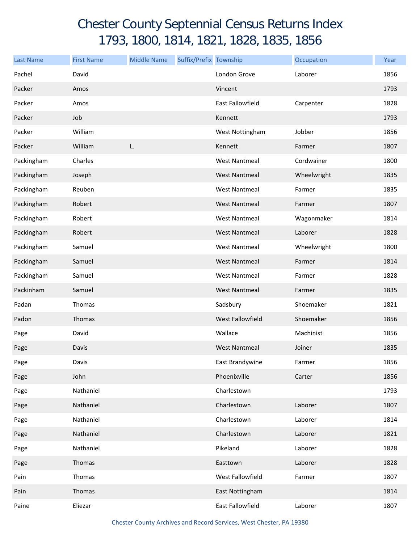## Chester County Septennial Census Returns Index 1793, 1800, 1814, 1821, 1828, 1835, 1856

| <b>Last Name</b> | <b>First Name</b> | <b>Middle Name</b> | Suffix/Prefix Township |                         | Occupation  | Year |
|------------------|-------------------|--------------------|------------------------|-------------------------|-------------|------|
| Pachel           | David             |                    |                        | London Grove            | Laborer     | 1856 |
| Packer           | Amos              |                    |                        | Vincent                 |             | 1793 |
| Packer           | Amos              |                    |                        | <b>East Fallowfield</b> | Carpenter   | 1828 |
| Packer           | Job               |                    |                        | Kennett                 |             | 1793 |
| Packer           | William           |                    |                        | West Nottingham         | Jobber      | 1856 |
| Packer           | William           | L.                 |                        | Kennett                 | Farmer      | 1807 |
| Packingham       | Charles           |                    |                        | <b>West Nantmeal</b>    | Cordwainer  | 1800 |
| Packingham       | Joseph            |                    |                        | <b>West Nantmeal</b>    | Wheelwright | 1835 |
| Packingham       | Reuben            |                    |                        | <b>West Nantmeal</b>    | Farmer      | 1835 |
| Packingham       | Robert            |                    |                        | <b>West Nantmeal</b>    | Farmer      | 1807 |
| Packingham       | Robert            |                    |                        | <b>West Nantmeal</b>    | Wagonmaker  | 1814 |
| Packingham       | Robert            |                    |                        | <b>West Nantmeal</b>    | Laborer     | 1828 |
| Packingham       | Samuel            |                    |                        | <b>West Nantmeal</b>    | Wheelwright | 1800 |
| Packingham       | Samuel            |                    |                        | <b>West Nantmeal</b>    | Farmer      | 1814 |
| Packingham       | Samuel            |                    |                        | <b>West Nantmeal</b>    | Farmer      | 1828 |
| Packinham        | Samuel            |                    |                        | <b>West Nantmeal</b>    | Farmer      | 1835 |
| Padan            | Thomas            |                    |                        | Sadsbury                | Shoemaker   | 1821 |
| Padon            | Thomas            |                    |                        | West Fallowfield        | Shoemaker   | 1856 |
| Page             | David             |                    |                        | Wallace                 | Machinist   | 1856 |
| Page             | Davis             |                    |                        | <b>West Nantmeal</b>    | Joiner      | 1835 |
| Page             | Davis             |                    |                        | East Brandywine         | Farmer      | 1856 |
| Page             | John              |                    |                        | Phoenixville            | Carter      | 1856 |
| Page             | Nathaniel         |                    |                        | Charlestown             |             | 1793 |
| Page             | Nathaniel         |                    |                        | Charlestown             | Laborer     | 1807 |
| Page             | Nathaniel         |                    |                        | Charlestown             | Laborer     | 1814 |
| Page             | Nathaniel         |                    |                        | Charlestown             | Laborer     | 1821 |
| Page             | Nathaniel         |                    |                        | Pikeland                | Laborer     | 1828 |
| Page             | Thomas            |                    |                        | Easttown                | Laborer     | 1828 |
| Pain             | Thomas            |                    |                        | West Fallowfield        | Farmer      | 1807 |
| Pain             | Thomas            |                    |                        | East Nottingham         |             | 1814 |
| Paine            | Eliezar           |                    |                        | East Fallowfield        | Laborer     | 1807 |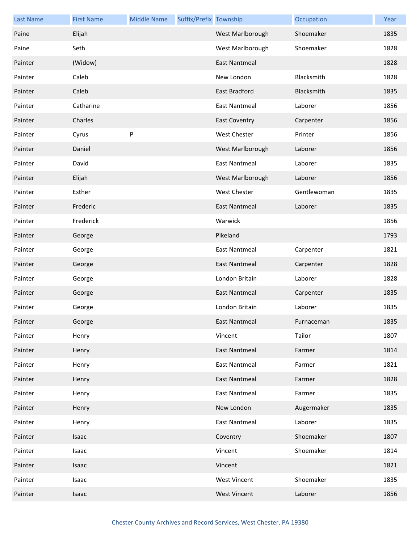| <b>Last Name</b> | <b>First Name</b> | <b>Middle Name</b> | Suffix/Prefix Township |                      | Occupation  | Year |
|------------------|-------------------|--------------------|------------------------|----------------------|-------------|------|
| Paine            | Elijah            |                    |                        | West Marlborough     | Shoemaker   | 1835 |
| Paine            | Seth              |                    |                        | West Marlborough     | Shoemaker   | 1828 |
| Painter          | (Widow)           |                    |                        | <b>East Nantmeal</b> |             | 1828 |
| Painter          | Caleb             |                    |                        | New London           | Blacksmith  | 1828 |
| Painter          | Caleb             |                    |                        | East Bradford        | Blacksmith  | 1835 |
| Painter          | Catharine         |                    |                        | <b>East Nantmeal</b> | Laborer     | 1856 |
| Painter          | Charles           |                    |                        | <b>East Coventry</b> | Carpenter   | 1856 |
| Painter          | Cyrus             | P                  |                        | <b>West Chester</b>  | Printer     | 1856 |
| Painter          | Daniel            |                    |                        | West Marlborough     | Laborer     | 1856 |
| Painter          | David             |                    |                        | <b>East Nantmeal</b> | Laborer     | 1835 |
| Painter          | Elijah            |                    |                        | West Marlborough     | Laborer     | 1856 |
| Painter          | Esther            |                    |                        | <b>West Chester</b>  | Gentlewoman | 1835 |
| Painter          | Frederic          |                    |                        | East Nantmeal        | Laborer     | 1835 |
| Painter          | Frederick         |                    |                        | Warwick              |             | 1856 |
| Painter          | George            |                    |                        | Pikeland             |             | 1793 |
| Painter          | George            |                    |                        | <b>East Nantmeal</b> | Carpenter   | 1821 |
| Painter          | George            |                    |                        | East Nantmeal        | Carpenter   | 1828 |
| Painter          | George            |                    |                        | London Britain       | Laborer     | 1828 |
| Painter          | George            |                    |                        | <b>East Nantmeal</b> | Carpenter   | 1835 |
| Painter          | George            |                    |                        | London Britain       | Laborer     | 1835 |
| Painter          | George            |                    |                        | East Nantmeal        | Furnaceman  | 1835 |
| Painter          | Henry             |                    |                        | Vincent              | Tailor      | 1807 |
| Painter          | Henry             |                    |                        | <b>East Nantmeal</b> | Farmer      | 1814 |
| Painter          | Henry             |                    |                        | <b>East Nantmeal</b> | Farmer      | 1821 |
| Painter          | Henry             |                    |                        | <b>East Nantmeal</b> | Farmer      | 1828 |
| Painter          | Henry             |                    |                        | <b>East Nantmeal</b> | Farmer      | 1835 |
| Painter          | Henry             |                    |                        | New London           | Augermaker  | 1835 |
| Painter          | Henry             |                    |                        | <b>East Nantmeal</b> | Laborer     | 1835 |
| Painter          | Isaac             |                    |                        | Coventry             | Shoemaker   | 1807 |
| Painter          | Isaac             |                    |                        | Vincent              | Shoemaker   | 1814 |
| Painter          | Isaac             |                    |                        | Vincent              |             | 1821 |
| Painter          | Isaac             |                    |                        | <b>West Vincent</b>  | Shoemaker   | 1835 |
| Painter          | Isaac             |                    |                        | <b>West Vincent</b>  | Laborer     | 1856 |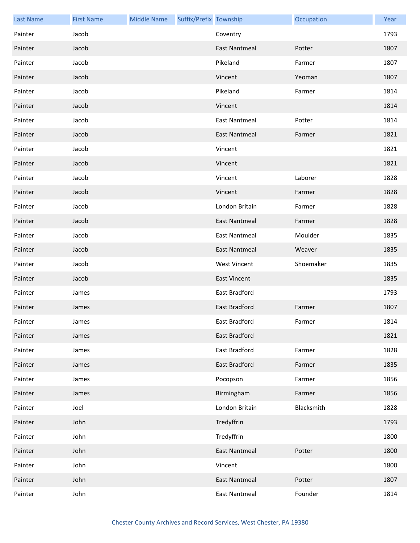| <b>Last Name</b> | <b>First Name</b> | <b>Middle Name</b> | Suffix/Prefix Township |                      | Occupation | Year |
|------------------|-------------------|--------------------|------------------------|----------------------|------------|------|
| Painter          | Jacob             |                    |                        | Coventry             |            | 1793 |
| Painter          | Jacob             |                    |                        | <b>East Nantmeal</b> | Potter     | 1807 |
| Painter          | Jacob             |                    |                        | Pikeland             | Farmer     | 1807 |
| Painter          | Jacob             |                    |                        | Vincent              | Yeoman     | 1807 |
| Painter          | Jacob             |                    |                        | Pikeland             | Farmer     | 1814 |
| Painter          | Jacob             |                    |                        | Vincent              |            | 1814 |
| Painter          | Jacob             |                    |                        | <b>East Nantmeal</b> | Potter     | 1814 |
| Painter          | Jacob             |                    |                        | <b>East Nantmeal</b> | Farmer     | 1821 |
| Painter          | Jacob             |                    |                        | Vincent              |            | 1821 |
| Painter          | Jacob             |                    |                        | Vincent              |            | 1821 |
| Painter          | Jacob             |                    |                        | Vincent              | Laborer    | 1828 |
| Painter          | Jacob             |                    |                        | Vincent              | Farmer     | 1828 |
| Painter          | Jacob             |                    |                        | London Britain       | Farmer     | 1828 |
| Painter          | Jacob             |                    |                        | <b>East Nantmeal</b> | Farmer     | 1828 |
| Painter          | Jacob             |                    |                        | <b>East Nantmeal</b> | Moulder    | 1835 |
| Painter          | Jacob             |                    |                        | <b>East Nantmeal</b> | Weaver     | 1835 |
| Painter          | Jacob             |                    |                        | <b>West Vincent</b>  | Shoemaker  | 1835 |
| Painter          | Jacob             |                    |                        | <b>East Vincent</b>  |            | 1835 |
| Painter          | James             |                    |                        | East Bradford        |            | 1793 |
| Painter          | James             |                    |                        | East Bradford        | Farmer     | 1807 |
| Painter          | James             |                    |                        | East Bradford        | Farmer     | 1814 |
| Painter          | James             |                    |                        | East Bradford        |            | 1821 |
| Painter          | James             |                    |                        | East Bradford        | Farmer     | 1828 |
| Painter          | James             |                    |                        | East Bradford        | Farmer     | 1835 |
| Painter          | James             |                    |                        | Pocopson             | Farmer     | 1856 |
| Painter          | James             |                    |                        | Birmingham           | Farmer     | 1856 |
| Painter          | Joel              |                    |                        | London Britain       | Blacksmith | 1828 |
| Painter          | John              |                    |                        | Tredyffrin           |            | 1793 |
| Painter          | John              |                    |                        | Tredyffrin           |            | 1800 |
| Painter          | John              |                    |                        | <b>East Nantmeal</b> | Potter     | 1800 |
| Painter          | John              |                    |                        | Vincent              |            | 1800 |
| Painter          | John              |                    |                        | <b>East Nantmeal</b> | Potter     | 1807 |
| Painter          | John              |                    |                        | <b>East Nantmeal</b> | Founder    | 1814 |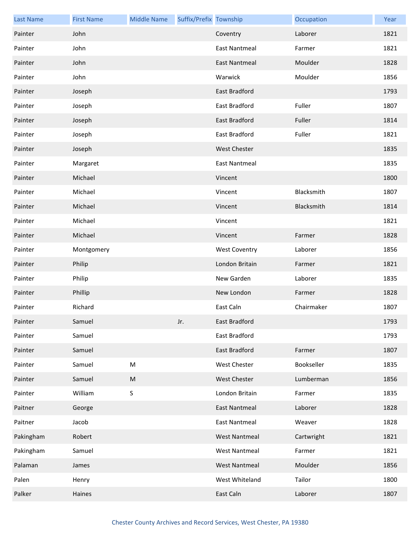| <b>Last Name</b> | <b>First Name</b> | <b>Middle Name</b> | Suffix/Prefix Township |                      | Occupation | Year |
|------------------|-------------------|--------------------|------------------------|----------------------|------------|------|
| Painter          | John              |                    |                        | Coventry             | Laborer    | 1821 |
| Painter          | John              |                    |                        | <b>East Nantmeal</b> | Farmer     | 1821 |
| Painter          | John              |                    |                        | <b>East Nantmeal</b> | Moulder    | 1828 |
| Painter          | John              |                    |                        | Warwick              | Moulder    | 1856 |
| Painter          | Joseph            |                    |                        | <b>East Bradford</b> |            | 1793 |
| Painter          | Joseph            |                    |                        | East Bradford        | Fuller     | 1807 |
| Painter          | Joseph            |                    |                        | <b>East Bradford</b> | Fuller     | 1814 |
| Painter          | Joseph            |                    |                        | East Bradford        | Fuller     | 1821 |
| Painter          | Joseph            |                    |                        | West Chester         |            | 1835 |
| Painter          | Margaret          |                    |                        | East Nantmeal        |            | 1835 |
| Painter          | Michael           |                    |                        | Vincent              |            | 1800 |
| Painter          | Michael           |                    |                        | Vincent              | Blacksmith | 1807 |
| Painter          | Michael           |                    |                        | Vincent              | Blacksmith | 1814 |
| Painter          | Michael           |                    |                        | Vincent              |            | 1821 |
| Painter          | Michael           |                    |                        | Vincent              | Farmer     | 1828 |
| Painter          | Montgomery        |                    |                        | <b>West Coventry</b> | Laborer    | 1856 |
| Painter          | Philip            |                    |                        | London Britain       | Farmer     | 1821 |
| Painter          | Philip            |                    |                        | New Garden           | Laborer    | 1835 |
| Painter          | Phillip           |                    |                        | New London           | Farmer     | 1828 |
| Painter          | Richard           |                    |                        | East Caln            | Chairmaker | 1807 |
| Painter          | Samuel            |                    | Jr.                    | East Bradford        |            | 1793 |
| Painter          | Samuel            |                    |                        | East Bradford        |            | 1793 |
| Painter          | Samuel            |                    |                        | <b>East Bradford</b> | Farmer     | 1807 |
| Painter          | Samuel            | ${\sf M}$          |                        | <b>West Chester</b>  | Bookseller | 1835 |
| Painter          | Samuel            | M                  |                        | West Chester         | Lumberman  | 1856 |
| Painter          | William           | $\sf S$            |                        | London Britain       | Farmer     | 1835 |
| Paitner          | George            |                    |                        | <b>East Nantmeal</b> | Laborer    | 1828 |
| Paitner          | Jacob             |                    |                        | <b>East Nantmeal</b> | Weaver     | 1828 |
| Pakingham        | Robert            |                    |                        | <b>West Nantmeal</b> | Cartwright | 1821 |
| Pakingham        | Samuel            |                    |                        | <b>West Nantmeal</b> | Farmer     | 1821 |
| Palaman          | James             |                    |                        | <b>West Nantmeal</b> | Moulder    | 1856 |
| Palen            | Henry             |                    |                        | West Whiteland       | Tailor     | 1800 |
| Palker           | Haines            |                    |                        | East Caln            | Laborer    | 1807 |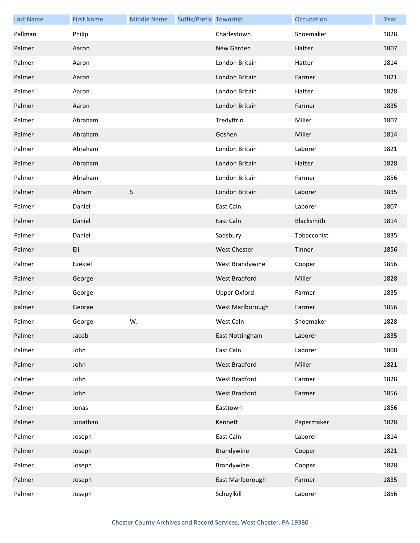| <b>Last Name</b> | <b>First Name</b> | <b>Middle Name</b> | Suffix/Prefix Township |                      | Occupation  | Year |
|------------------|-------------------|--------------------|------------------------|----------------------|-------------|------|
| Pallman          | Philip            |                    |                        | Charlestown          | Shoemaker   | 1828 |
| Palmer           | Aaron             |                    |                        | New Garden           | Hatter      | 1807 |
| Palmer           | Aaron             |                    |                        | London Britain       | Hatter      | 1814 |
| Palmer           | Aaron             |                    |                        | London Britain       | Farmer      | 1821 |
| Palmer           | Aaron             |                    |                        | London Britain       | Hatter      | 1828 |
| Palmer           | Aaron             |                    |                        | London Britain       | Farmer      | 1835 |
| Palmer           | Abraham           |                    |                        | Tredyffrin           | Miller      | 1807 |
| Palmer           | Abraham           |                    |                        | Goshen               | Miller      | 1814 |
| Palmer           | Abraham           |                    |                        | London Britain       | Laborer     | 1821 |
| Palmer           | Abraham           |                    |                        | London Britain       | Hatter      | 1828 |
| Palmer           | Abraham           |                    |                        | London Britain       | Farmer      | 1856 |
| Palmer           | Abram             | $\sf S$            |                        | London Britain       | Laborer     | 1835 |
| Palmer           | Daniel            |                    |                        | East Caln            | Laborer     | 1807 |
| Palmer           | Daniel            |                    |                        | East Caln            | Blacksmith  | 1814 |
| Palmer           | Daniel            |                    |                        | Sadsbury             | Tobacconist | 1835 |
| Palmer           | Eli               |                    |                        | <b>West Chester</b>  | Tinner      | 1856 |
| Palmer           | Ezekiel           |                    |                        | West Brandywine      | Cooper      | 1856 |
| Palmer           | George            |                    |                        | <b>West Bradford</b> | Miller      | 1828 |
| Palmer           | George            |                    |                        | Upper Oxford         | Farmer      | 1835 |
| palmer           | George            |                    |                        | West Marlborough     | Farmer      | 1856 |
| Palmer           | George            | W.                 |                        | West Caln            | Shoemaker   | 1828 |
| Palmer           | Jacob             |                    |                        | East Nottingham      | Laborer     | 1835 |
| Palmer           | John              |                    |                        | East Caln            | Laborer     | 1800 |
| Palmer           | John              |                    |                        | West Bradford        | Miller      | 1821 |
| Palmer           | John              |                    |                        | West Bradford        | Farmer      | 1828 |
| Palmer           | John              |                    |                        | West Bradford        | Farmer      | 1856 |
| Palmer           | Jonas             |                    |                        | Easttown             |             | 1856 |
| Palmer           | Jonathan          |                    |                        | Kennett              | Papermaker  | 1828 |
| Palmer           | Joseph            |                    |                        | East Caln            | Laborer     | 1814 |
| Palmer           | Joseph            |                    |                        | Brandywine           | Cooper      | 1821 |
| Palmer           | Joseph            |                    |                        | Brandywine           | Cooper      | 1828 |
| Palmer           | Joseph            |                    |                        | East Marlborough     | Farmer      | 1835 |
| Palmer           | Joseph            |                    |                        | Schuylkill           | Laborer     | 1856 |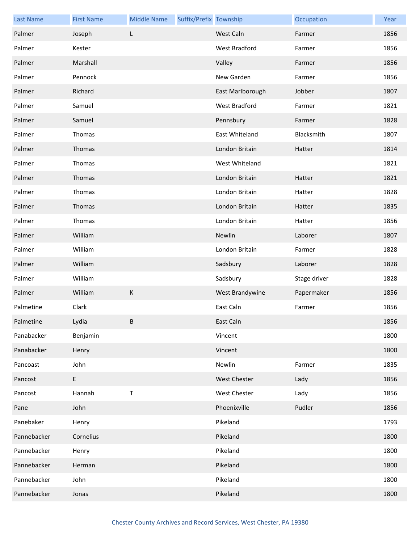| <b>Last Name</b> | <b>First Name</b>                          | <b>Middle Name</b> | Suffix/Prefix Township |                      | Occupation   | Year |
|------------------|--------------------------------------------|--------------------|------------------------|----------------------|--------------|------|
| Palmer           | Joseph                                     | L                  |                        | West Caln            | Farmer       | 1856 |
| Palmer           | Kester                                     |                    |                        | West Bradford        | Farmer       | 1856 |
| Palmer           | Marshall                                   |                    |                        | Valley               | Farmer       | 1856 |
| Palmer           | Pennock                                    |                    |                        | New Garden           | Farmer       | 1856 |
| Palmer           | Richard                                    |                    |                        | East Marlborough     | Jobber       | 1807 |
| Palmer           | Samuel                                     |                    |                        | <b>West Bradford</b> | Farmer       | 1821 |
| Palmer           | Samuel                                     |                    |                        | Pennsbury            | Farmer       | 1828 |
| Palmer           | Thomas                                     |                    |                        | East Whiteland       | Blacksmith   | 1807 |
| Palmer           | Thomas                                     |                    |                        | London Britain       | Hatter       | 1814 |
| Palmer           | Thomas                                     |                    |                        | West Whiteland       |              | 1821 |
| Palmer           | Thomas                                     |                    |                        | London Britain       | Hatter       | 1821 |
| Palmer           | Thomas                                     |                    |                        | London Britain       | Hatter       | 1828 |
| Palmer           | Thomas                                     |                    |                        | London Britain       | Hatter       | 1835 |
| Palmer           | Thomas                                     |                    |                        | London Britain       | Hatter       | 1856 |
| Palmer           | William                                    |                    |                        | Newlin               | Laborer      | 1807 |
| Palmer           | William                                    |                    |                        | London Britain       | Farmer       | 1828 |
| Palmer           | William                                    |                    |                        | Sadsbury             | Laborer      | 1828 |
| Palmer           | William                                    |                    |                        | Sadsbury             | Stage driver | 1828 |
| Palmer           | William                                    | K                  |                        | West Brandywine      | Papermaker   | 1856 |
| Palmetine        | Clark                                      |                    |                        | East Caln            | Farmer       | 1856 |
| Palmetine        | Lydia                                      | B.                 |                        | East Caln            |              | 1856 |
| Panabacker       | Benjamin                                   |                    |                        | Vincent              |              | 1800 |
| Panabacker       | Henry                                      |                    |                        | Vincent              |              | 1800 |
| Pancoast         | John                                       |                    |                        | Newlin               | Farmer       | 1835 |
| Pancost          | $\mathsf{E}% _{0}\left( \mathsf{E}\right)$ |                    |                        | <b>West Chester</b>  | Lady         | 1856 |
| Pancost          | Hannah                                     | $\sf T$            |                        | <b>West Chester</b>  | Lady         | 1856 |
| Pane             | John                                       |                    |                        | Phoenixville         | Pudler       | 1856 |
| Panebaker        | Henry                                      |                    |                        | Pikeland             |              | 1793 |
| Pannebacker      | Cornelius                                  |                    |                        | Pikeland             |              | 1800 |
| Pannebacker      | Henry                                      |                    |                        | Pikeland             |              | 1800 |
| Pannebacker      | Herman                                     |                    |                        | Pikeland             |              | 1800 |
| Pannebacker      | John                                       |                    |                        | Pikeland             |              | 1800 |
| Pannebacker      | Jonas                                      |                    |                        | Pikeland             |              | 1800 |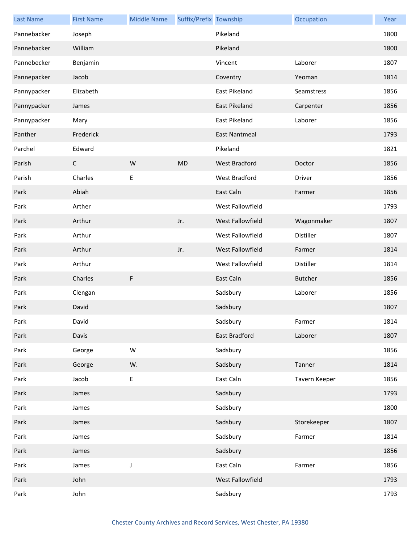| <b>Last Name</b> | <b>First Name</b> | <b>Middle Name</b> | Suffix/Prefix Township |                      | Occupation     | Year |
|------------------|-------------------|--------------------|------------------------|----------------------|----------------|------|
| Pannebacker      | Joseph            |                    |                        | Pikeland             |                | 1800 |
| Pannebacker      | William           |                    |                        | Pikeland             |                | 1800 |
| Pannebecker      | Benjamin          |                    |                        | Vincent              | Laborer        | 1807 |
| Pannepacker      | Jacob             |                    |                        | Coventry             | Yeoman         | 1814 |
| Pannypacker      | Elizabeth         |                    |                        | East Pikeland        | Seamstress     | 1856 |
| Pannypacker      | James             |                    |                        | East Pikeland        | Carpenter      | 1856 |
| Pannypacker      | Mary              |                    |                        | East Pikeland        | Laborer        | 1856 |
| Panther          | Frederick         |                    |                        | <b>East Nantmeal</b> |                | 1793 |
| Parchel          | Edward            |                    |                        | Pikeland             |                | 1821 |
| Parish           | $\mathsf C$       | W                  | <b>MD</b>              | <b>West Bradford</b> | Doctor         | 1856 |
| Parish           | Charles           | E                  |                        | West Bradford        | Driver         | 1856 |
| Park             | Abiah             |                    |                        | East Caln            | Farmer         | 1856 |
| Park             | Arther            |                    |                        | West Fallowfield     |                | 1793 |
| Park             | Arthur            |                    | Jr.                    | West Fallowfield     | Wagonmaker     | 1807 |
| Park             | Arthur            |                    |                        | West Fallowfield     | Distiller      | 1807 |
| Park             | Arthur            |                    | Jr.                    | West Fallowfield     | Farmer         | 1814 |
| Park             | Arthur            |                    |                        | West Fallowfield     | Distiller      | 1814 |
| Park             | Charles           | F                  |                        | East Caln            | <b>Butcher</b> | 1856 |
| Park             | Clengan           |                    |                        | Sadsbury             | Laborer        | 1856 |
| Park             | David             |                    |                        | Sadsbury             |                | 1807 |
| Park             | David             |                    |                        | Sadsbury             | Farmer         | 1814 |
| Park             | Davis             |                    |                        | East Bradford        | Laborer        | 1807 |
| Park             | George            | ${\sf W}$          |                        | Sadsbury             |                | 1856 |
| Park             | George            | W.                 |                        | Sadsbury             | Tanner         | 1814 |
| Park             | Jacob             | E                  |                        | East Caln            | Tavern Keeper  | 1856 |
| Park             | James             |                    |                        | Sadsbury             |                | 1793 |
| Park             | James             |                    |                        | Sadsbury             |                | 1800 |
| Park             | James             |                    |                        | Sadsbury             | Storekeeper    | 1807 |
| Park             | James             |                    |                        | Sadsbury             | Farmer         | 1814 |
| Park             | James             |                    |                        | Sadsbury             |                | 1856 |
| Park             | James             | J                  |                        | East Caln            | Farmer         | 1856 |
| Park             | John              |                    |                        | West Fallowfield     |                | 1793 |
| Park             | John              |                    |                        | Sadsbury             |                | 1793 |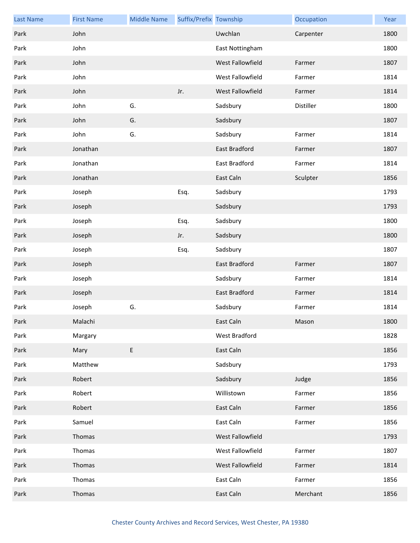| <b>Last Name</b> | <b>First Name</b> | <b>Middle Name</b> | Suffix/Prefix Township |                  | Occupation | Year |
|------------------|-------------------|--------------------|------------------------|------------------|------------|------|
| Park             | John              |                    |                        | Uwchlan          | Carpenter  | 1800 |
| Park             | John              |                    |                        | East Nottingham  |            | 1800 |
| Park             | John              |                    |                        | West Fallowfield | Farmer     | 1807 |
| Park             | John              |                    |                        | West Fallowfield | Farmer     | 1814 |
| Park             | John              |                    | Jr.                    | West Fallowfield | Farmer     | 1814 |
| Park             | John              | G.                 |                        | Sadsbury         | Distiller  | 1800 |
| Park             | John              | G.                 |                        | Sadsbury         |            | 1807 |
| Park             | John              | G.                 |                        | Sadsbury         | Farmer     | 1814 |
| Park             | Jonathan          |                    |                        | East Bradford    | Farmer     | 1807 |
| Park             | Jonathan          |                    |                        | East Bradford    | Farmer     | 1814 |
| Park             | Jonathan          |                    |                        | East Caln        | Sculpter   | 1856 |
| Park             | Joseph            |                    | Esq.                   | Sadsbury         |            | 1793 |
| Park             | Joseph            |                    |                        | Sadsbury         |            | 1793 |
| Park             | Joseph            |                    | Esq.                   | Sadsbury         |            | 1800 |
| Park             | Joseph            |                    | Jr.                    | Sadsbury         |            | 1800 |
| Park             | Joseph            |                    | Esq.                   | Sadsbury         |            | 1807 |
| Park             | Joseph            |                    |                        | East Bradford    | Farmer     | 1807 |
| Park             | Joseph            |                    |                        | Sadsbury         | Farmer     | 1814 |
| Park             | Joseph            |                    |                        | East Bradford    | Farmer     | 1814 |
| Park             | Joseph            | G.                 |                        | Sadsbury         | Farmer     | 1814 |
| Park             | Malachi           |                    |                        | East Caln        | Mason      | 1800 |
| Park             | Margary           |                    |                        | West Bradford    |            | 1828 |
| Park             | Mary              | $\mathsf E$        |                        | East Caln        |            | 1856 |
| Park             | Matthew           |                    |                        | Sadsbury         |            | 1793 |
| Park             | Robert            |                    |                        | Sadsbury         | Judge      | 1856 |
| Park             | Robert            |                    |                        | Willistown       | Farmer     | 1856 |
| Park             | Robert            |                    |                        | East Caln        | Farmer     | 1856 |
| Park             | Samuel            |                    |                        | East Caln        | Farmer     | 1856 |
| Park             | Thomas            |                    |                        | West Fallowfield |            | 1793 |
| Park             | Thomas            |                    |                        | West Fallowfield | Farmer     | 1807 |
| Park             | Thomas            |                    |                        | West Fallowfield | Farmer     | 1814 |
| Park             | Thomas            |                    |                        | East Caln        | Farmer     | 1856 |
| Park             | Thomas            |                    |                        | East Caln        | Merchant   | 1856 |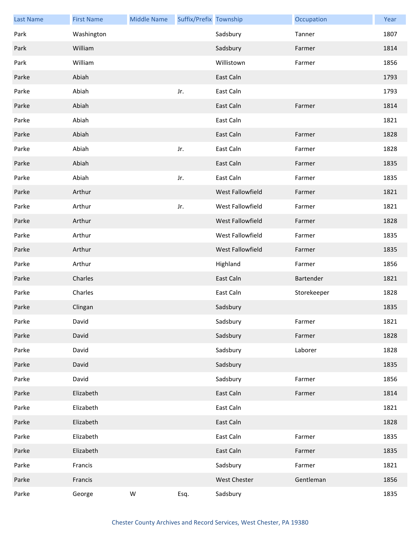| <b>Last Name</b> | <b>First Name</b> | <b>Middle Name</b> | Suffix/Prefix Township |                     | Occupation  | Year |
|------------------|-------------------|--------------------|------------------------|---------------------|-------------|------|
| Park             | Washington        |                    |                        | Sadsbury            | Tanner      | 1807 |
| Park             | William           |                    |                        | Sadsbury            | Farmer      | 1814 |
| Park             | William           |                    |                        | Willistown          | Farmer      | 1856 |
| Parke            | Abiah             |                    |                        | East Caln           |             | 1793 |
| Parke            | Abiah             |                    | Jr.                    | East Caln           |             | 1793 |
| Parke            | Abiah             |                    |                        | East Caln           | Farmer      | 1814 |
| Parke            | Abiah             |                    |                        | East Caln           |             | 1821 |
| Parke            | Abiah             |                    |                        | East Caln           | Farmer      | 1828 |
| Parke            | Abiah             |                    | Jr.                    | East Caln           | Farmer      | 1828 |
| Parke            | Abiah             |                    |                        | East Caln           | Farmer      | 1835 |
| Parke            | Abiah             |                    | Jr.                    | East Caln           | Farmer      | 1835 |
| Parke            | Arthur            |                    |                        | West Fallowfield    | Farmer      | 1821 |
| Parke            | Arthur            |                    | Jr.                    | West Fallowfield    | Farmer      | 1821 |
| Parke            | Arthur            |                    |                        | West Fallowfield    | Farmer      | 1828 |
| Parke            | Arthur            |                    |                        | West Fallowfield    | Farmer      | 1835 |
| Parke            | Arthur            |                    |                        | West Fallowfield    | Farmer      | 1835 |
| Parke            | Arthur            |                    |                        | Highland            | Farmer      | 1856 |
| Parke            | Charles           |                    |                        | East Caln           | Bartender   | 1821 |
| Parke            | Charles           |                    |                        | East Caln           | Storekeeper | 1828 |
| Parke            | Clingan           |                    |                        | Sadsbury            |             | 1835 |
| Parke            | David             |                    |                        | Sadsbury            | Farmer      | 1821 |
| Parke            | David             |                    |                        | Sadsbury            | Farmer      | 1828 |
| Parke            | David             |                    |                        | Sadsbury            | Laborer     | 1828 |
| Parke            | David             |                    |                        | Sadsbury            |             | 1835 |
| Parke            | David             |                    |                        | Sadsbury            | Farmer      | 1856 |
| Parke            | Elizabeth         |                    |                        | East Caln           | Farmer      | 1814 |
| Parke            | Elizabeth         |                    |                        | East Caln           |             | 1821 |
| Parke            | Elizabeth         |                    |                        | East Caln           |             | 1828 |
| Parke            | Elizabeth         |                    |                        | East Caln           | Farmer      | 1835 |
| Parke            | Elizabeth         |                    |                        | East Caln           | Farmer      | 1835 |
| Parke            | Francis           |                    |                        | Sadsbury            | Farmer      | 1821 |
| Parke            | Francis           |                    |                        | <b>West Chester</b> | Gentleman   | 1856 |
| Parke            | George            | W                  | Esq.                   | Sadsbury            |             | 1835 |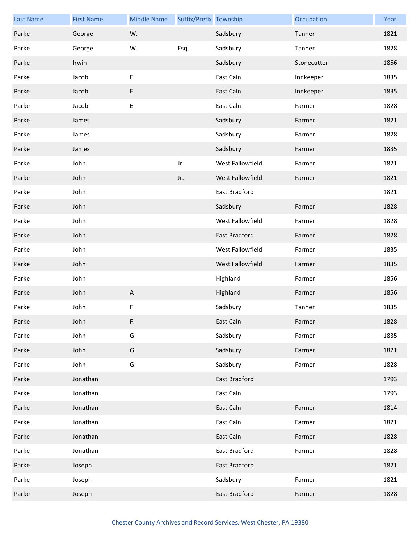| <b>Last Name</b> | <b>First Name</b> | <b>Middle Name</b>        | Suffix/Prefix Township |                  | Occupation  | Year |
|------------------|-------------------|---------------------------|------------------------|------------------|-------------|------|
| Parke            | George            | W.                        |                        | Sadsbury         | Tanner      | 1821 |
| Parke            | George            | W.                        | Esq.                   | Sadsbury         | Tanner      | 1828 |
| Parke            | Irwin             |                           |                        | Sadsbury         | Stonecutter | 1856 |
| Parke            | Jacob             | $\mathsf E$               |                        | East Caln        | Innkeeper   | 1835 |
| Parke            | Jacob             | $\sf E$                   |                        | East Caln        | Innkeeper   | 1835 |
| Parke            | Jacob             | E.                        |                        | East Caln        | Farmer      | 1828 |
| Parke            | James             |                           |                        | Sadsbury         | Farmer      | 1821 |
| Parke            | James             |                           |                        | Sadsbury         | Farmer      | 1828 |
| Parke            | James             |                           |                        | Sadsbury         | Farmer      | 1835 |
| Parke            | John              |                           | Jr.                    | West Fallowfield | Farmer      | 1821 |
| Parke            | John              |                           | Jr.                    | West Fallowfield | Farmer      | 1821 |
| Parke            | John              |                           |                        | East Bradford    |             | 1821 |
| Parke            | John              |                           |                        | Sadsbury         | Farmer      | 1828 |
| Parke            | John              |                           |                        | West Fallowfield | Farmer      | 1828 |
| Parke            | John              |                           |                        | East Bradford    | Farmer      | 1828 |
| Parke            | John              |                           |                        | West Fallowfield | Farmer      | 1835 |
| Parke            | John              |                           |                        | West Fallowfield | Farmer      | 1835 |
| Parke            | John              |                           |                        | Highland         | Farmer      | 1856 |
| Parke            | John              | $\boldsymbol{\mathsf{A}}$ |                        | Highland         | Farmer      | 1856 |
| Parke            | John              | F                         |                        | Sadsbury         | Tanner      | 1835 |
| Parke            | John              | F.                        |                        | East Caln        | Farmer      | 1828 |
| Parke            | John              | G                         |                        | Sadsbury         | Farmer      | 1835 |
| Parke            | John              | G.                        |                        | Sadsbury         | Farmer      | 1821 |
| Parke            | John              | G.                        |                        | Sadsbury         | Farmer      | 1828 |
| Parke            | Jonathan          |                           |                        | East Bradford    |             | 1793 |
| Parke            | Jonathan          |                           |                        | East Caln        |             | 1793 |
| Parke            | Jonathan          |                           |                        | East Caln        | Farmer      | 1814 |
| Parke            | Jonathan          |                           |                        | East Caln        | Farmer      | 1821 |
| Parke            | Jonathan          |                           |                        | East Caln        | Farmer      | 1828 |
| Parke            | Jonathan          |                           |                        | East Bradford    | Farmer      | 1828 |
| Parke            | Joseph            |                           |                        | East Bradford    |             | 1821 |
| Parke            | Joseph            |                           |                        | Sadsbury         | Farmer      | 1821 |
| Parke            | Joseph            |                           |                        | East Bradford    | Farmer      | 1828 |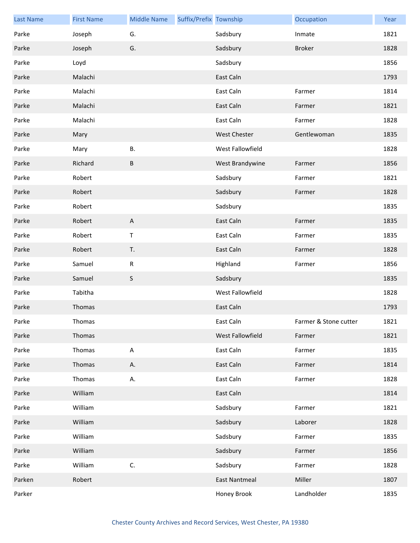| <b>Last Name</b> | <b>First Name</b> | <b>Middle Name</b> | Suffix/Prefix Township |                      | Occupation            | Year |
|------------------|-------------------|--------------------|------------------------|----------------------|-----------------------|------|
| Parke            | Joseph            | G.                 |                        | Sadsbury             | Inmate                | 1821 |
| Parke            | Joseph            | G.                 |                        | Sadsbury             | <b>Broker</b>         | 1828 |
| Parke            | Loyd              |                    |                        | Sadsbury             |                       | 1856 |
| Parke            | Malachi           |                    |                        | East Caln            |                       | 1793 |
| Parke            | Malachi           |                    |                        | East Caln            | Farmer                | 1814 |
| Parke            | Malachi           |                    |                        | East Caln            | Farmer                | 1821 |
| Parke            | Malachi           |                    |                        | East Caln            | Farmer                | 1828 |
| Parke            | Mary              |                    |                        | <b>West Chester</b>  | Gentlewoman           | 1835 |
| Parke            | Mary              | В.                 |                        | West Fallowfield     |                       | 1828 |
| Parke            | Richard           | B                  |                        | West Brandywine      | Farmer                | 1856 |
| Parke            | Robert            |                    |                        | Sadsbury             | Farmer                | 1821 |
| Parke            | Robert            |                    |                        | Sadsbury             | Farmer                | 1828 |
| Parke            | Robert            |                    |                        | Sadsbury             |                       | 1835 |
| Parke            | Robert            | $\overline{A}$     |                        | East Caln            | Farmer                | 1835 |
| Parke            | Robert            | $\mathsf T$        |                        | East Caln            | Farmer                | 1835 |
| Parke            | Robert            | T.                 |                        | East Caln            | Farmer                | 1828 |
| Parke            | Samuel            | $\mathsf R$        |                        | Highland             | Farmer                | 1856 |
| Parke            | Samuel            | $\mathsf S$        |                        | Sadsbury             |                       | 1835 |
| Parke            | Tabitha           |                    |                        | West Fallowfield     |                       | 1828 |
| Parke            | Thomas            |                    |                        | East Caln            |                       | 1793 |
| Parke            | Thomas            |                    |                        | East Caln            | Farmer & Stone cutter | 1821 |
| Parke            | Thomas            |                    |                        | West Fallowfield     | Farmer                | 1821 |
| Parke            | Thomas            | $\mathsf A$        |                        | East Caln            | Farmer                | 1835 |
| Parke            | Thomas            | Α.                 |                        | East Caln            | Farmer                | 1814 |
| Parke            | Thomas            | А.                 |                        | East Caln            | Farmer                | 1828 |
| Parke            | William           |                    |                        | East Caln            |                       | 1814 |
| Parke            | William           |                    |                        | Sadsbury             | Farmer                | 1821 |
| Parke            | William           |                    |                        | Sadsbury             | Laborer               | 1828 |
| Parke            | William           |                    |                        | Sadsbury             | Farmer                | 1835 |
| Parke            | William           |                    |                        | Sadsbury             | Farmer                | 1856 |
| Parke            | William           | C.                 |                        | Sadsbury             | Farmer                | 1828 |
| Parken           | Robert            |                    |                        | <b>East Nantmeal</b> | Miller                | 1807 |
| Parker           |                   |                    |                        | Honey Brook          | Landholder            | 1835 |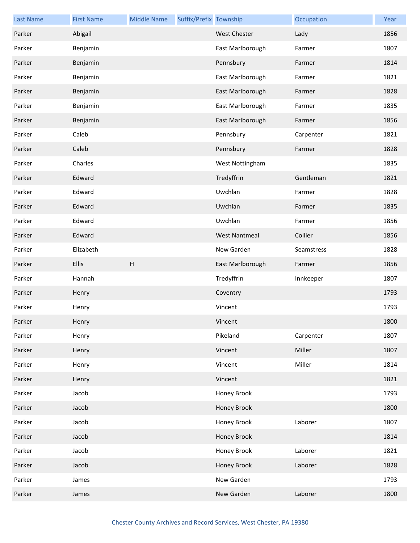| <b>Last Name</b> | <b>First Name</b> | <b>Middle Name</b>        | Suffix/Prefix Township |                      | Occupation | Year |
|------------------|-------------------|---------------------------|------------------------|----------------------|------------|------|
| Parker           | Abigail           |                           |                        | West Chester         | Lady       | 1856 |
| Parker           | Benjamin          |                           |                        | East Marlborough     | Farmer     | 1807 |
| Parker           | Benjamin          |                           |                        | Pennsbury            | Farmer     | 1814 |
| Parker           | Benjamin          |                           |                        | East Marlborough     | Farmer     | 1821 |
| Parker           | Benjamin          |                           |                        | East Marlborough     | Farmer     | 1828 |
| Parker           | Benjamin          |                           |                        | East Marlborough     | Farmer     | 1835 |
| Parker           | Benjamin          |                           |                        | East Marlborough     | Farmer     | 1856 |
| Parker           | Caleb             |                           |                        | Pennsbury            | Carpenter  | 1821 |
| Parker           | Caleb             |                           |                        | Pennsbury            | Farmer     | 1828 |
| Parker           | Charles           |                           |                        | West Nottingham      |            | 1835 |
| Parker           | Edward            |                           |                        | Tredyffrin           | Gentleman  | 1821 |
| Parker           | Edward            |                           |                        | Uwchlan              | Farmer     | 1828 |
| Parker           | Edward            |                           |                        | Uwchlan              | Farmer     | 1835 |
| Parker           | Edward            |                           |                        | Uwchlan              | Farmer     | 1856 |
| Parker           | Edward            |                           |                        | <b>West Nantmeal</b> | Collier    | 1856 |
| Parker           | Elizabeth         |                           |                        | New Garden           | Seamstress | 1828 |
| Parker           | Ellis             | $\boldsymbol{\mathsf{H}}$ |                        | East Marlborough     | Farmer     | 1856 |
| Parker           | Hannah            |                           |                        | Tredyffrin           | Innkeeper  | 1807 |
| Parker           | Henry             |                           |                        | Coventry             |            | 1793 |
| Parker           | Henry             |                           |                        | Vincent              |            | 1793 |
| Parker           | Henry             |                           |                        | Vincent              |            | 1800 |
| Parker           | Henry             |                           |                        | Pikeland             | Carpenter  | 1807 |
| Parker           | Henry             |                           |                        | Vincent              | Miller     | 1807 |
| Parker           | Henry             |                           |                        | Vincent              | Miller     | 1814 |
| Parker           | Henry             |                           |                        | Vincent              |            | 1821 |
| Parker           | Jacob             |                           |                        | Honey Brook          |            | 1793 |
| Parker           | Jacob             |                           |                        | Honey Brook          |            | 1800 |
| Parker           | Jacob             |                           |                        | Honey Brook          | Laborer    | 1807 |
| Parker           | Jacob             |                           |                        | Honey Brook          |            | 1814 |
| Parker           | Jacob             |                           |                        | Honey Brook          | Laborer    | 1821 |
| Parker           | Jacob             |                           |                        | Honey Brook          | Laborer    | 1828 |
| Parker           | James             |                           |                        | New Garden           |            | 1793 |
| Parker           | James             |                           |                        | New Garden           | Laborer    | 1800 |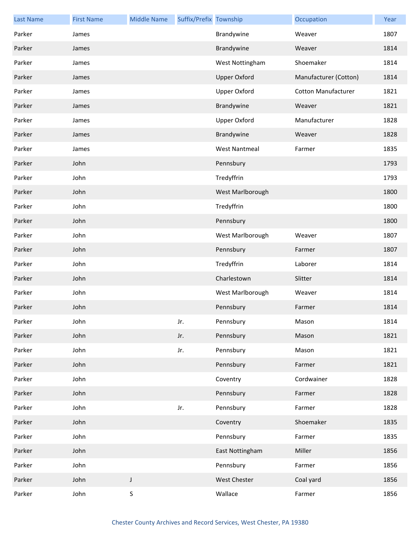| <b>Last Name</b> | <b>First Name</b> | <b>Middle Name</b> | Suffix/Prefix Township |                      | Occupation                 | Year |
|------------------|-------------------|--------------------|------------------------|----------------------|----------------------------|------|
| Parker           | James             |                    |                        | Brandywine           | Weaver                     | 1807 |
| Parker           | James             |                    |                        | Brandywine           | Weaver                     | 1814 |
| Parker           | James             |                    |                        | West Nottingham      | Shoemaker                  | 1814 |
| Parker           | James             |                    |                        | <b>Upper Oxford</b>  | Manufacturer (Cotton)      | 1814 |
| Parker           | James             |                    |                        | <b>Upper Oxford</b>  | <b>Cotton Manufacturer</b> | 1821 |
| Parker           | James             |                    |                        | Brandywine           | Weaver                     | 1821 |
| Parker           | James             |                    |                        | <b>Upper Oxford</b>  | Manufacturer               | 1828 |
| Parker           | James             |                    |                        | Brandywine           | Weaver                     | 1828 |
| Parker           | James             |                    |                        | <b>West Nantmeal</b> | Farmer                     | 1835 |
| Parker           | John              |                    |                        | Pennsbury            |                            | 1793 |
| Parker           | John              |                    |                        | Tredyffrin           |                            | 1793 |
| Parker           | John              |                    |                        | West Marlborough     |                            | 1800 |
| Parker           | John              |                    |                        | Tredyffrin           |                            | 1800 |
| Parker           | John              |                    |                        | Pennsbury            |                            | 1800 |
| Parker           | John              |                    |                        | West Marlborough     | Weaver                     | 1807 |
| Parker           | John              |                    |                        | Pennsbury            | Farmer                     | 1807 |
| Parker           | John              |                    |                        | Tredyffrin           | Laborer                    | 1814 |
| Parker           | John              |                    |                        | Charlestown          | Slitter                    | 1814 |
| Parker           | John              |                    |                        | West Marlborough     | Weaver                     | 1814 |
| Parker           | John              |                    |                        | Pennsbury            | Farmer                     | 1814 |
| Parker           | John              |                    | Jr.                    | Pennsbury            | Mason                      | 1814 |
| Parker           | John              |                    | Jr.                    | Pennsbury            | Mason                      | 1821 |
| Parker           | John              |                    | Jr.                    | Pennsbury            | Mason                      | 1821 |
| Parker           | John              |                    |                        | Pennsbury            | Farmer                     | 1821 |
| Parker           | John              |                    |                        | Coventry             | Cordwainer                 | 1828 |
| Parker           | John              |                    |                        | Pennsbury            | Farmer                     | 1828 |
| Parker           | John              |                    | Jr.                    | Pennsbury            | Farmer                     | 1828 |
| Parker           | John              |                    |                        | Coventry             | Shoemaker                  | 1835 |
| Parker           | John              |                    |                        | Pennsbury            | Farmer                     | 1835 |
| Parker           | John              |                    |                        | East Nottingham      | Miller                     | 1856 |
| Parker           | John              |                    |                        | Pennsbury            | Farmer                     | 1856 |
| Parker           | John              | $\mathsf J$        |                        | West Chester         | Coal yard                  | 1856 |
| Parker           | John              | $\mathsf S$        |                        | Wallace              | Farmer                     | 1856 |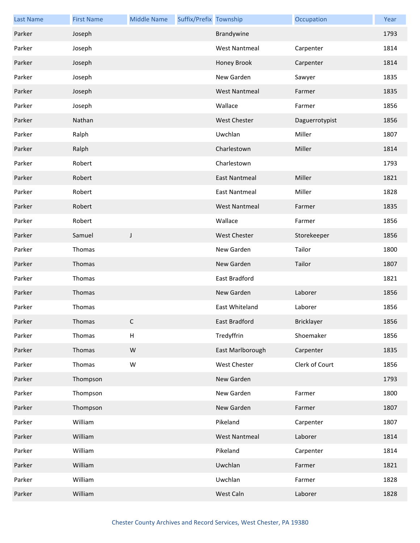| <b>Last Name</b> | <b>First Name</b> | <b>Middle Name</b>        | Suffix/Prefix Township |                      | Occupation     | Year |
|------------------|-------------------|---------------------------|------------------------|----------------------|----------------|------|
| Parker           | Joseph            |                           |                        | Brandywine           |                | 1793 |
| Parker           | Joseph            |                           |                        | <b>West Nantmeal</b> | Carpenter      | 1814 |
| Parker           | Joseph            |                           |                        | Honey Brook          | Carpenter      | 1814 |
| Parker           | Joseph            |                           |                        | New Garden           | Sawyer         | 1835 |
| Parker           | Joseph            |                           |                        | <b>West Nantmeal</b> | Farmer         | 1835 |
| Parker           | Joseph            |                           |                        | Wallace              | Farmer         | 1856 |
| Parker           | Nathan            |                           |                        | <b>West Chester</b>  | Daguerrotypist | 1856 |
| Parker           | Ralph             |                           |                        | Uwchlan              | Miller         | 1807 |
| Parker           | Ralph             |                           |                        | Charlestown          | Miller         | 1814 |
| Parker           | Robert            |                           |                        | Charlestown          |                | 1793 |
| Parker           | Robert            |                           |                        | <b>East Nantmeal</b> | Miller         | 1821 |
| Parker           | Robert            |                           |                        | <b>East Nantmeal</b> | Miller         | 1828 |
| Parker           | Robert            |                           |                        | <b>West Nantmeal</b> | Farmer         | 1835 |
| Parker           | Robert            |                           |                        | Wallace              | Farmer         | 1856 |
| Parker           | Samuel            | J                         |                        | <b>West Chester</b>  | Storekeeper    | 1856 |
| Parker           | Thomas            |                           |                        | New Garden           | Tailor         | 1800 |
| Parker           | Thomas            |                           |                        | New Garden           | Tailor         | 1807 |
| Parker           | Thomas            |                           |                        | East Bradford        |                | 1821 |
| Parker           | Thomas            |                           |                        | New Garden           | Laborer        | 1856 |
| Parker           | Thomas            |                           |                        | East Whiteland       | Laborer        | 1856 |
| Parker           | Thomas            | C                         |                        | East Bradford        | Bricklayer     | 1856 |
| Parker           | Thomas            | $\boldsymbol{\mathsf{H}}$ |                        | Tredyffrin           | Shoemaker      | 1856 |
| Parker           | Thomas            | ${\sf W}$                 |                        | East Marlborough     | Carpenter      | 1835 |
| Parker           | Thomas            | ${\sf W}$                 |                        | West Chester         | Clerk of Court | 1856 |
| Parker           | Thompson          |                           |                        | New Garden           |                | 1793 |
| Parker           | Thompson          |                           |                        | New Garden           | Farmer         | 1800 |
| Parker           | Thompson          |                           |                        | New Garden           | Farmer         | 1807 |
| Parker           | William           |                           |                        | Pikeland             | Carpenter      | 1807 |
| Parker           | William           |                           |                        | <b>West Nantmeal</b> | Laborer        | 1814 |
| Parker           | William           |                           |                        | Pikeland             | Carpenter      | 1814 |
| Parker           | William           |                           |                        | Uwchlan              | Farmer         | 1821 |
| Parker           | William           |                           |                        | Uwchlan              | Farmer         | 1828 |
| Parker           | William           |                           |                        | West Caln            | Laborer        | 1828 |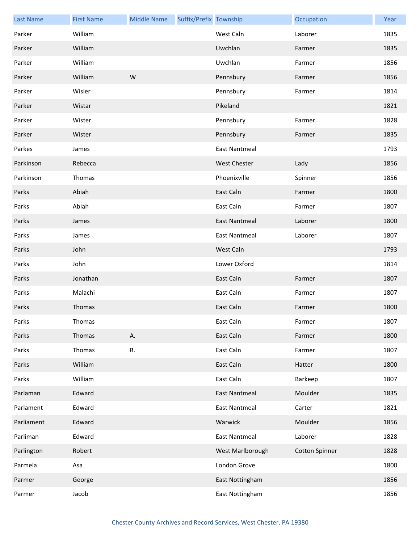| <b>Last Name</b> | <b>First Name</b> | <b>Middle Name</b> | Suffix/Prefix Township |                      | Occupation            | Year |
|------------------|-------------------|--------------------|------------------------|----------------------|-----------------------|------|
| Parker           | William           |                    |                        | West Caln            | Laborer               | 1835 |
| Parker           | William           |                    |                        | Uwchlan              | Farmer                | 1835 |
| Parker           | William           |                    |                        | Uwchlan              | Farmer                | 1856 |
| Parker           | William           | W                  |                        | Pennsbury            | Farmer                | 1856 |
| Parker           | Wisler            |                    |                        | Pennsbury            | Farmer                | 1814 |
| Parker           | Wistar            |                    |                        | Pikeland             |                       | 1821 |
| Parker           | Wister            |                    |                        | Pennsbury            | Farmer                | 1828 |
| Parker           | Wister            |                    |                        | Pennsbury            | Farmer                | 1835 |
| Parkes           | James             |                    |                        | <b>East Nantmeal</b> |                       | 1793 |
| Parkinson        | Rebecca           |                    |                        | <b>West Chester</b>  | Lady                  | 1856 |
| Parkinson        | Thomas            |                    |                        | Phoenixville         | Spinner               | 1856 |
| Parks            | Abiah             |                    |                        | East Caln            | Farmer                | 1800 |
| Parks            | Abiah             |                    |                        | East Caln            | Farmer                | 1807 |
| Parks            | James             |                    |                        | <b>East Nantmeal</b> | Laborer               | 1800 |
| Parks            | James             |                    |                        | <b>East Nantmeal</b> | Laborer               | 1807 |
| Parks            | John              |                    |                        | West Caln            |                       | 1793 |
| Parks            | John              |                    |                        | Lower Oxford         |                       | 1814 |
| Parks            | Jonathan          |                    |                        | East Caln            | Farmer                | 1807 |
| Parks            | Malachi           |                    |                        | East Caln            | Farmer                | 1807 |
| Parks            | Thomas            |                    |                        | East Caln            | Farmer                | 1800 |
| Parks            | Thomas            |                    |                        | East Caln            | Farmer                | 1807 |
| Parks            | Thomas            | Α.                 |                        | East Caln            | Farmer                | 1800 |
| Parks            | Thomas            | R.                 |                        | East Caln            | Farmer                | 1807 |
| Parks            | William           |                    |                        | East Caln            | Hatter                | 1800 |
| Parks            | William           |                    |                        | East Caln            | Barkeep               | 1807 |
| Parlaman         | Edward            |                    |                        | <b>East Nantmeal</b> | Moulder               | 1835 |
| Parlament        | Edward            |                    |                        | East Nantmeal        | Carter                | 1821 |
| Parliament       | Edward            |                    |                        | Warwick              | Moulder               | 1856 |
| Parliman         | Edward            |                    |                        | <b>East Nantmeal</b> | Laborer               | 1828 |
| Parlington       | Robert            |                    |                        | West Marlborough     | <b>Cotton Spinner</b> | 1828 |
| Parmela          | Asa               |                    |                        | London Grove         |                       | 1800 |
| Parmer           | George            |                    |                        | East Nottingham      |                       | 1856 |
| Parmer           | Jacob             |                    |                        | East Nottingham      |                       | 1856 |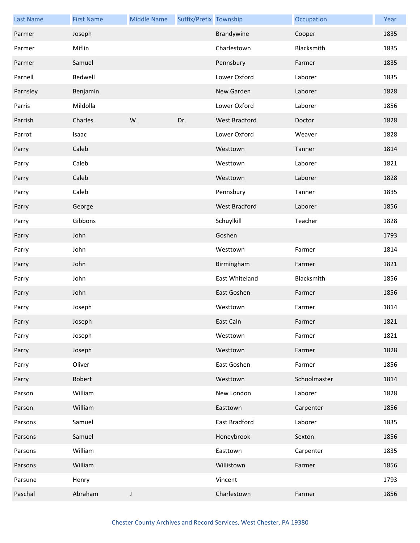| <b>Last Name</b> | <b>First Name</b> | <b>Middle Name</b> | Suffix/Prefix Township |                      | Occupation   | Year |
|------------------|-------------------|--------------------|------------------------|----------------------|--------------|------|
| Parmer           | Joseph            |                    |                        | Brandywine           | Cooper       | 1835 |
| Parmer           | Miflin            |                    |                        | Charlestown          | Blacksmith   | 1835 |
| Parmer           | Samuel            |                    |                        | Pennsbury            | Farmer       | 1835 |
| Parnell          | Bedwell           |                    |                        | Lower Oxford         | Laborer      | 1835 |
| Parnsley         | Benjamin          |                    |                        | New Garden           | Laborer      | 1828 |
| Parris           | Mildolla          |                    |                        | Lower Oxford         | Laborer      | 1856 |
| Parrish          | Charles           | W.                 | Dr.                    | West Bradford        | Doctor       | 1828 |
| Parrot           | Isaac             |                    |                        | Lower Oxford         | Weaver       | 1828 |
| Parry            | Caleb             |                    |                        | Westtown             | Tanner       | 1814 |
| Parry            | Caleb             |                    |                        | Westtown             | Laborer      | 1821 |
| Parry            | Caleb             |                    |                        | Westtown             | Laborer      | 1828 |
| Parry            | Caleb             |                    |                        | Pennsbury            | Tanner       | 1835 |
| Parry            | George            |                    |                        | <b>West Bradford</b> | Laborer      | 1856 |
| Parry            | Gibbons           |                    |                        | Schuylkill           | Teacher      | 1828 |
| Parry            | John              |                    |                        | Goshen               |              | 1793 |
| Parry            | John              |                    |                        | Westtown             | Farmer       | 1814 |
| Parry            | John              |                    |                        | Birmingham           | Farmer       | 1821 |
| Parry            | John              |                    |                        | East Whiteland       | Blacksmith   | 1856 |
| Parry            | John              |                    |                        | East Goshen          | Farmer       | 1856 |
| Parry            | Joseph            |                    |                        | Westtown             | Farmer       | 1814 |
| Parry            | Joseph            |                    |                        | East Caln            | Farmer       | 1821 |
| Parry            | Joseph            |                    |                        | Westtown             | Farmer       | 1821 |
| Parry            | Joseph            |                    |                        | Westtown             | Farmer       | 1828 |
| Parry            | Oliver            |                    |                        | East Goshen          | Farmer       | 1856 |
| Parry            | Robert            |                    |                        | Westtown             | Schoolmaster | 1814 |
| Parson           | William           |                    |                        | New London           | Laborer      | 1828 |
| Parson           | William           |                    |                        | Easttown             | Carpenter    | 1856 |
| Parsons          | Samuel            |                    |                        | East Bradford        | Laborer      | 1835 |
| Parsons          | Samuel            |                    |                        | Honeybrook           | Sexton       | 1856 |
| Parsons          | William           |                    |                        | Easttown             | Carpenter    | 1835 |
| Parsons          | William           |                    |                        | Willistown           | Farmer       | 1856 |
| Parsune          | Henry             |                    |                        | Vincent              |              | 1793 |
| Paschal          | Abraham           | J                  |                        | Charlestown          | Farmer       | 1856 |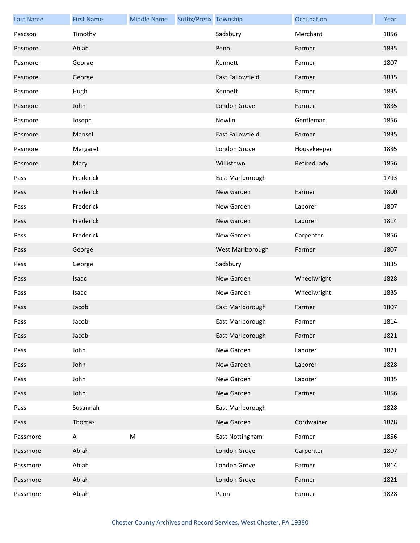| <b>Last Name</b> | <b>First Name</b> | <b>Middle Name</b> | Suffix/Prefix Township |                  | Occupation   | Year |
|------------------|-------------------|--------------------|------------------------|------------------|--------------|------|
| Pascson          | Timothy           |                    |                        | Sadsbury         | Merchant     | 1856 |
| Pasmore          | Abiah             |                    |                        | Penn             | Farmer       | 1835 |
| Pasmore          | George            |                    |                        | Kennett          | Farmer       | 1807 |
| Pasmore          | George            |                    |                        | East Fallowfield | Farmer       | 1835 |
| Pasmore          | Hugh              |                    |                        | Kennett          | Farmer       | 1835 |
| Pasmore          | John              |                    |                        | London Grove     | Farmer       | 1835 |
| Pasmore          | Joseph            |                    |                        | Newlin           | Gentleman    | 1856 |
| Pasmore          | Mansel            |                    |                        | East Fallowfield | Farmer       | 1835 |
| Pasmore          | Margaret          |                    |                        | London Grove     | Housekeeper  | 1835 |
| Pasmore          | Mary              |                    |                        | Willistown       | Retired lady | 1856 |
| Pass             | Frederick         |                    |                        | East Marlborough |              | 1793 |
| Pass             | Frederick         |                    |                        | New Garden       | Farmer       | 1800 |
| Pass             | Frederick         |                    |                        | New Garden       | Laborer      | 1807 |
| Pass             | Frederick         |                    |                        | New Garden       | Laborer      | 1814 |
| Pass             | Frederick         |                    |                        | New Garden       | Carpenter    | 1856 |
| Pass             | George            |                    |                        | West Marlborough | Farmer       | 1807 |
| Pass             | George            |                    |                        | Sadsbury         |              | 1835 |
| Pass             | Isaac             |                    |                        | New Garden       | Wheelwright  | 1828 |
| Pass             | Isaac             |                    |                        | New Garden       | Wheelwright  | 1835 |
| Pass             | Jacob             |                    |                        | East Marlborough | Farmer       | 1807 |
| Pass             | Jacob             |                    |                        | East Marlborough | Farmer       | 1814 |
| Pass             | Jacob             |                    |                        | East Marlborough | Farmer       | 1821 |
| Pass             | John              |                    |                        | New Garden       | Laborer      | 1821 |
| Pass             | John              |                    |                        | New Garden       | Laborer      | 1828 |
| Pass             | John              |                    |                        | New Garden       | Laborer      | 1835 |
| Pass             | John              |                    |                        | New Garden       | Farmer       | 1856 |
| Pass             | Susannah          |                    |                        | East Marlborough |              | 1828 |
| Pass             | Thomas            |                    |                        | New Garden       | Cordwainer   | 1828 |
| Passmore         | A                 | M                  |                        | East Nottingham  | Farmer       | 1856 |
| Passmore         | Abiah             |                    |                        | London Grove     | Carpenter    | 1807 |
| Passmore         | Abiah             |                    |                        | London Grove     | Farmer       | 1814 |
| Passmore         | Abiah             |                    |                        | London Grove     | Farmer       | 1821 |
| Passmore         | Abiah             |                    |                        | Penn             | Farmer       | 1828 |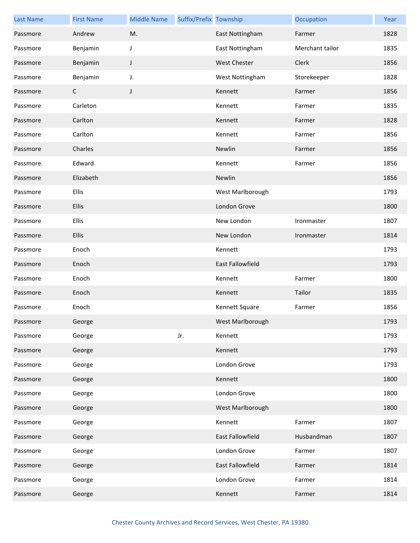| <b>Last Name</b> | <b>First Name</b> | <b>Middle Name</b> | Suffix/Prefix Township |                  | Occupation      | Year |
|------------------|-------------------|--------------------|------------------------|------------------|-----------------|------|
| Passmore         | Andrew            | M.                 |                        | East Nottingham  | Farmer          | 1828 |
| Passmore         | Benjamin          | J                  |                        | East Nottingham  | Merchant tailor | 1835 |
| Passmore         | Benjamin          | J                  |                        | West Chester     | Clerk           | 1856 |
| Passmore         | Benjamin          | J.                 |                        | West Nottingham  | Storekeeper     | 1828 |
| Passmore         | $\mathsf{C}$      | J                  |                        | Kennett          | Farmer          | 1856 |
| Passmore         | Carleton          |                    |                        | Kennett          | Farmer          | 1835 |
| Passmore         | Carlton           |                    |                        | Kennett          | Farmer          | 1828 |
| Passmore         | Carlton           |                    |                        | Kennett          | Farmer          | 1856 |
| Passmore         | Charles           |                    |                        | Newlin           | Farmer          | 1856 |
| Passmore         | Edward            |                    |                        | Kennett          | Farmer          | 1856 |
| Passmore         | Elizabeth         |                    |                        | Newlin           |                 | 1856 |
| Passmore         | Ellis             |                    |                        | West Marlborough |                 | 1793 |
| Passmore         | Ellis             |                    |                        | London Grove     |                 | 1800 |
| Passmore         | Ellis             |                    |                        | New London       | Ironmaster      | 1807 |
| Passmore         | Ellis             |                    |                        | New London       | Ironmaster      | 1814 |
| Passmore         | Enoch             |                    |                        | Kennett          |                 | 1793 |
| Passmore         | Enoch             |                    |                        | East Fallowfield |                 | 1793 |
| Passmore         | Enoch             |                    |                        | Kennett          | Farmer          | 1800 |
| Passmore         | Enoch             |                    |                        | Kennett          | Tailor          | 1835 |
| Passmore         | Enoch             |                    |                        | Kennett Square   | Farmer          | 1856 |
| Passmore         | George            |                    |                        | West Marlborough |                 | 1793 |
| Passmore         | George            |                    | Jr.                    | Kennett          |                 | 1793 |
| Passmore         | George            |                    |                        | Kennett          |                 | 1793 |
| Passmore         | George            |                    |                        | London Grove     |                 | 1793 |
| Passmore         | George            |                    |                        | Kennett          |                 | 1800 |
| Passmore         | George            |                    |                        | London Grove     |                 | 1800 |
| Passmore         | George            |                    |                        | West Marlborough |                 | 1800 |
| Passmore         | George            |                    |                        | Kennett          | Farmer          | 1807 |
| Passmore         | George            |                    |                        | East Fallowfield | Husbandman      | 1807 |
| Passmore         | George            |                    |                        | London Grove     | Farmer          | 1807 |
| Passmore         | George            |                    |                        | East Fallowfield | Farmer          | 1814 |
| Passmore         | George            |                    |                        | London Grove     | Farmer          | 1814 |
| Passmore         | George            |                    |                        | Kennett          | Farmer          | 1814 |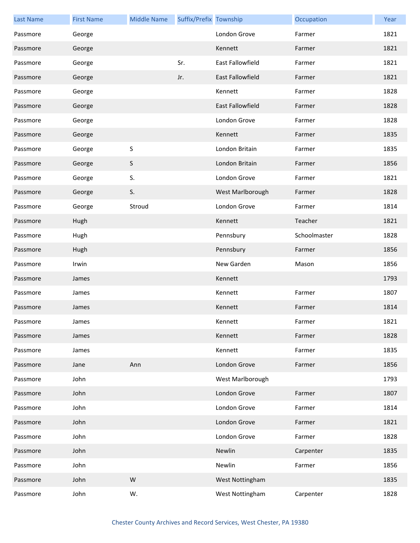| <b>Last Name</b> | <b>First Name</b> | <b>Middle Name</b> | Suffix/Prefix Township |                         | Occupation   | Year |
|------------------|-------------------|--------------------|------------------------|-------------------------|--------------|------|
| Passmore         | George            |                    |                        | London Grove            | Farmer       | 1821 |
| Passmore         | George            |                    |                        | Kennett                 | Farmer       | 1821 |
| Passmore         | George            |                    | Sr.                    | <b>East Fallowfield</b> | Farmer       | 1821 |
| Passmore         | George            |                    | Jr.                    | East Fallowfield        | Farmer       | 1821 |
| Passmore         | George            |                    |                        | Kennett                 | Farmer       | 1828 |
| Passmore         | George            |                    |                        | <b>East Fallowfield</b> | Farmer       | 1828 |
| Passmore         | George            |                    |                        | London Grove            | Farmer       | 1828 |
| Passmore         | George            |                    |                        | Kennett                 | Farmer       | 1835 |
| Passmore         | George            | S                  |                        | London Britain          | Farmer       | 1835 |
| Passmore         | George            | S                  |                        | London Britain          | Farmer       | 1856 |
| Passmore         | George            | S.                 |                        | London Grove            | Farmer       | 1821 |
| Passmore         | George            | S.                 |                        | West Marlborough        | Farmer       | 1828 |
| Passmore         | George            | Stroud             |                        | London Grove            | Farmer       | 1814 |
| Passmore         | Hugh              |                    |                        | Kennett                 | Teacher      | 1821 |
| Passmore         | Hugh              |                    |                        | Pennsbury               | Schoolmaster | 1828 |
| Passmore         | Hugh              |                    |                        | Pennsbury               | Farmer       | 1856 |
| Passmore         | Irwin             |                    |                        | New Garden              | Mason        | 1856 |
| Passmore         | James             |                    |                        | Kennett                 |              | 1793 |
| Passmore         | James             |                    |                        | Kennett                 | Farmer       | 1807 |
| Passmore         | James             |                    |                        | Kennett                 | Farmer       | 1814 |
| Passmore         | James             |                    |                        | Kennett                 | Farmer       | 1821 |
| Passmore         | James             |                    |                        | Kennett                 | Farmer       | 1828 |
| Passmore         | James             |                    |                        | Kennett                 | Farmer       | 1835 |
| Passmore         | Jane              | Ann                |                        | London Grove            | Farmer       | 1856 |
| Passmore         | John              |                    |                        | West Marlborough        |              | 1793 |
| Passmore         | John              |                    |                        | London Grove            | Farmer       | 1807 |
| Passmore         | John              |                    |                        | London Grove            | Farmer       | 1814 |
| Passmore         | John              |                    |                        | London Grove            | Farmer       | 1821 |
| Passmore         | John              |                    |                        | London Grove            | Farmer       | 1828 |
| Passmore         | John              |                    |                        | Newlin                  | Carpenter    | 1835 |
| Passmore         | John              |                    |                        | Newlin                  | Farmer       | 1856 |
| Passmore         | John              | ${\sf W}$          |                        | West Nottingham         |              | 1835 |
| Passmore         | John              | W.                 |                        | West Nottingham         | Carpenter    | 1828 |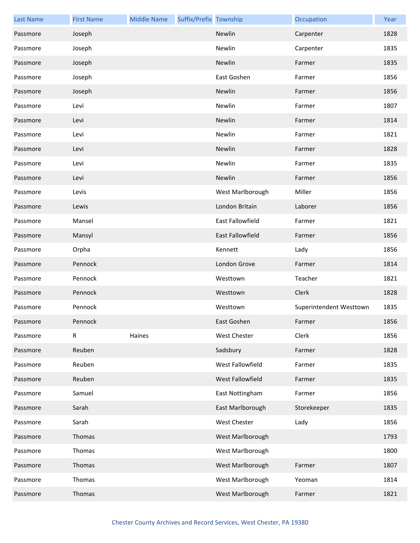| <b>Last Name</b> | <b>First Name</b> | <b>Middle Name</b> | Suffix/Prefix Township |                         | Occupation              | Year |
|------------------|-------------------|--------------------|------------------------|-------------------------|-------------------------|------|
| Passmore         | Joseph            |                    |                        | Newlin                  | Carpenter               | 1828 |
| Passmore         | Joseph            |                    |                        | Newlin                  | Carpenter               | 1835 |
| Passmore         | Joseph            |                    |                        | Newlin                  | Farmer                  | 1835 |
| Passmore         | Joseph            |                    |                        | East Goshen             | Farmer                  | 1856 |
| Passmore         | Joseph            |                    |                        | Newlin                  | Farmer                  | 1856 |
| Passmore         | Levi              |                    |                        | Newlin                  | Farmer                  | 1807 |
| Passmore         | Levi              |                    |                        | Newlin                  | Farmer                  | 1814 |
| Passmore         | Levi              |                    |                        | Newlin                  | Farmer                  | 1821 |
| Passmore         | Levi              |                    |                        | Newlin                  | Farmer                  | 1828 |
| Passmore         | Levi              |                    |                        | Newlin                  | Farmer                  | 1835 |
| Passmore         | Levi              |                    |                        | Newlin                  | Farmer                  | 1856 |
| Passmore         | Levis             |                    |                        | West Marlborough        | Miller                  | 1856 |
| Passmore         | Lewis             |                    |                        | London Britain          | Laborer                 | 1856 |
| Passmore         | Mansel            |                    |                        | <b>East Fallowfield</b> | Farmer                  | 1821 |
| Passmore         | Mansyl            |                    |                        | <b>East Fallowfield</b> | Farmer                  | 1856 |
| Passmore         | Orpha             |                    |                        | Kennett                 | Lady                    | 1856 |
| Passmore         | Pennock           |                    |                        | London Grove            | Farmer                  | 1814 |
| Passmore         | Pennock           |                    |                        | Westtown                | Teacher                 | 1821 |
| Passmore         | Pennock           |                    |                        | Westtown                | Clerk                   | 1828 |
| Passmore         | Pennock           |                    |                        | Westtown                | Superintendent Westtown | 1835 |
| Passmore         | Pennock           |                    |                        | East Goshen             | Farmer                  | 1856 |
| Passmore         | $\mathsf{R}$      | Haines             |                        | West Chester            | Clerk                   | 1856 |
| Passmore         | Reuben            |                    |                        | Sadsbury                | Farmer                  | 1828 |
| Passmore         | Reuben            |                    |                        | West Fallowfield        | Farmer                  | 1835 |
| Passmore         | Reuben            |                    |                        | West Fallowfield        | Farmer                  | 1835 |
| Passmore         | Samuel            |                    |                        | East Nottingham         | Farmer                  | 1856 |
| Passmore         | Sarah             |                    |                        | East Marlborough        | Storekeeper             | 1835 |
| Passmore         | Sarah             |                    |                        | West Chester            | Lady                    | 1856 |
| Passmore         | Thomas            |                    |                        | West Marlborough        |                         | 1793 |
| Passmore         | Thomas            |                    |                        | West Marlborough        |                         | 1800 |
| Passmore         | Thomas            |                    |                        | West Marlborough        | Farmer                  | 1807 |
| Passmore         | Thomas            |                    |                        | West Marlborough        | Yeoman                  | 1814 |
| Passmore         | Thomas            |                    |                        | West Marlborough        | Farmer                  | 1821 |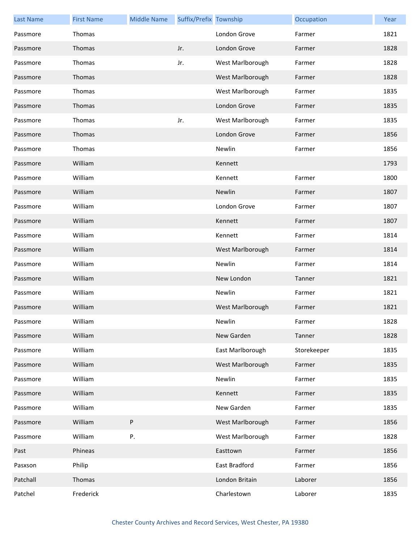| <b>Last Name</b> | <b>First Name</b> | <b>Middle Name</b> | Suffix/Prefix Township |                  | Occupation  | Year |
|------------------|-------------------|--------------------|------------------------|------------------|-------------|------|
| Passmore         | Thomas            |                    |                        | London Grove     | Farmer      | 1821 |
| Passmore         | Thomas            |                    | Jr.                    | London Grove     | Farmer      | 1828 |
| Passmore         | Thomas            |                    | Jr.                    | West Marlborough | Farmer      | 1828 |
| Passmore         | Thomas            |                    |                        | West Marlborough | Farmer      | 1828 |
| Passmore         | Thomas            |                    |                        | West Marlborough | Farmer      | 1835 |
| Passmore         | Thomas            |                    |                        | London Grove     | Farmer      | 1835 |
| Passmore         | Thomas            |                    | Jr.                    | West Marlborough | Farmer      | 1835 |
| Passmore         | Thomas            |                    |                        | London Grove     | Farmer      | 1856 |
| Passmore         | Thomas            |                    |                        | Newlin           | Farmer      | 1856 |
| Passmore         | William           |                    |                        | Kennett          |             | 1793 |
| Passmore         | William           |                    |                        | Kennett          | Farmer      | 1800 |
| Passmore         | William           |                    |                        | Newlin           | Farmer      | 1807 |
| Passmore         | William           |                    |                        | London Grove     | Farmer      | 1807 |
| Passmore         | William           |                    |                        | Kennett          | Farmer      | 1807 |
| Passmore         | William           |                    |                        | Kennett          | Farmer      | 1814 |
| Passmore         | William           |                    |                        | West Marlborough | Farmer      | 1814 |
| Passmore         | William           |                    |                        | Newlin           | Farmer      | 1814 |
| Passmore         | William           |                    |                        | New London       | Tanner      | 1821 |
| Passmore         | William           |                    |                        | Newlin           | Farmer      | 1821 |
| Passmore         | William           |                    |                        | West Marlborough | Farmer      | 1821 |
| Passmore         | William           |                    |                        | Newlin           | Farmer      | 1828 |
| Passmore         | William           |                    |                        | New Garden       | Tanner      | 1828 |
| Passmore         | William           |                    |                        | East Marlborough | Storekeeper | 1835 |
| Passmore         | William           |                    |                        | West Marlborough | Farmer      | 1835 |
| Passmore         | William           |                    |                        | Newlin           | Farmer      | 1835 |
| Passmore         | William           |                    |                        | Kennett          | Farmer      | 1835 |
| Passmore         | William           |                    |                        | New Garden       | Farmer      | 1835 |
| Passmore         | William           | P                  |                        | West Marlborough | Farmer      | 1856 |
| Passmore         | William           | Ρ.                 |                        | West Marlborough | Farmer      | 1828 |
| Past             | Phineas           |                    |                        | Easttown         | Farmer      | 1856 |
| Pasxson          | Philip            |                    |                        | East Bradford    | Farmer      | 1856 |
| Patchall         | Thomas            |                    |                        | London Britain   | Laborer     | 1856 |
| Patchel          | Frederick         |                    |                        | Charlestown      | Laborer     | 1835 |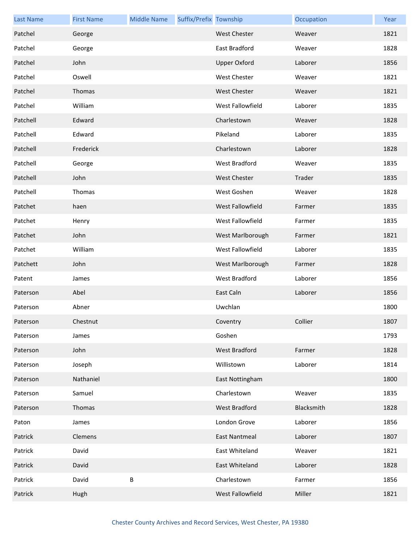| <b>Last Name</b> | <b>First Name</b> | <b>Middle Name</b> | Suffix/Prefix Township |                      | Occupation | Year |
|------------------|-------------------|--------------------|------------------------|----------------------|------------|------|
| Patchel          | George            |                    |                        | <b>West Chester</b>  | Weaver     | 1821 |
| Patchel          | George            |                    |                        | East Bradford        | Weaver     | 1828 |
| Patchel          | John              |                    |                        | <b>Upper Oxford</b>  | Laborer    | 1856 |
| Patchel          | Oswell            |                    |                        | <b>West Chester</b>  | Weaver     | 1821 |
| Patchel          | Thomas            |                    |                        | <b>West Chester</b>  | Weaver     | 1821 |
| Patchel          | William           |                    |                        | West Fallowfield     | Laborer    | 1835 |
| Patchell         | Edward            |                    |                        | Charlestown          | Weaver     | 1828 |
| Patchell         | Edward            |                    |                        | Pikeland             | Laborer    | 1835 |
| Patchell         | Frederick         |                    |                        | Charlestown          | Laborer    | 1828 |
| Patchell         | George            |                    |                        | West Bradford        | Weaver     | 1835 |
| Patchell         | John              |                    |                        | <b>West Chester</b>  | Trader     | 1835 |
| Patchell         | Thomas            |                    |                        | West Goshen          | Weaver     | 1828 |
| Patchet          | haen              |                    |                        | West Fallowfield     | Farmer     | 1835 |
| Patchet          | Henry             |                    |                        | West Fallowfield     | Farmer     | 1835 |
| Patchet          | John              |                    |                        | West Marlborough     | Farmer     | 1821 |
| Patchet          | William           |                    |                        | West Fallowfield     | Laborer    | 1835 |
| Patchett         | John              |                    |                        | West Marlborough     | Farmer     | 1828 |
| Patent           | James             |                    |                        | West Bradford        | Laborer    | 1856 |
| Paterson         | Abel              |                    |                        | East Caln            | Laborer    | 1856 |
| Paterson         | Abner             |                    |                        | Uwchlan              |            | 1800 |
| Paterson         | Chestnut          |                    |                        | Coventry             | Collier    | 1807 |
| Paterson         | James             |                    |                        | Goshen               |            | 1793 |
| Paterson         | John              |                    |                        | West Bradford        | Farmer     | 1828 |
| Paterson         | Joseph            |                    |                        | Willistown           | Laborer    | 1814 |
| Paterson         | Nathaniel         |                    |                        | East Nottingham      |            | 1800 |
| Paterson         | Samuel            |                    |                        | Charlestown          | Weaver     | 1835 |
| Paterson         | Thomas            |                    |                        | West Bradford        | Blacksmith | 1828 |
| Paton            | James             |                    |                        | London Grove         | Laborer    | 1856 |
| Patrick          | Clemens           |                    |                        | <b>East Nantmeal</b> | Laborer    | 1807 |
| Patrick          | David             |                    |                        | East Whiteland       | Weaver     | 1821 |
| Patrick          | David             |                    |                        | East Whiteland       | Laborer    | 1828 |
| Patrick          | David             | $\sf B$            |                        | Charlestown          | Farmer     | 1856 |
| Patrick          | Hugh              |                    |                        | West Fallowfield     | Miller     | 1821 |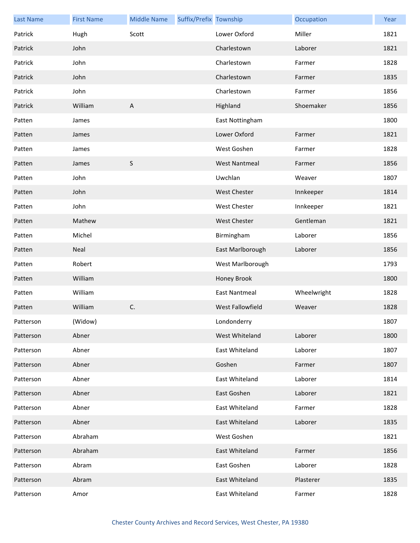| <b>Last Name</b> | <b>First Name</b> | <b>Middle Name</b> | Suffix/Prefix Township |                         | Occupation  | Year |
|------------------|-------------------|--------------------|------------------------|-------------------------|-------------|------|
| Patrick          | Hugh              | Scott              |                        | Lower Oxford            | Miller      | 1821 |
| Patrick          | John              |                    |                        | Charlestown             | Laborer     | 1821 |
| Patrick          | John              |                    |                        | Charlestown             | Farmer      | 1828 |
| Patrick          | John              |                    |                        | Charlestown             | Farmer      | 1835 |
| Patrick          | John              |                    |                        | Charlestown             | Farmer      | 1856 |
| Patrick          | William           | $\overline{A}$     |                        | Highland                | Shoemaker   | 1856 |
| Patten           | James             |                    |                        | East Nottingham         |             | 1800 |
| Patten           | James             |                    |                        | Lower Oxford            | Farmer      | 1821 |
| Patten           | James             |                    |                        | West Goshen             | Farmer      | 1828 |
| Patten           | James             | $\mathsf S$        |                        | <b>West Nantmeal</b>    | Farmer      | 1856 |
| Patten           | John              |                    |                        | Uwchlan                 | Weaver      | 1807 |
| Patten           | John              |                    |                        | <b>West Chester</b>     | Innkeeper   | 1814 |
| Patten           | John              |                    |                        | <b>West Chester</b>     | Innkeeper   | 1821 |
| Patten           | Mathew            |                    |                        | <b>West Chester</b>     | Gentleman   | 1821 |
| Patten           | Michel            |                    |                        | Birmingham              | Laborer     | 1856 |
| Patten           | Neal              |                    |                        | East Marlborough        | Laborer     | 1856 |
| Patten           | Robert            |                    |                        | West Marlborough        |             | 1793 |
| Patten           | William           |                    |                        | Honey Brook             |             | 1800 |
| Patten           | William           |                    |                        | <b>East Nantmeal</b>    | Wheelwright | 1828 |
| Patten           | William           | C.                 |                        | <b>West Fallowfield</b> | Weaver      | 1828 |
| Patterson        | (Widow)           |                    |                        | Londonderry             |             | 1807 |
| Patterson        | Abner             |                    |                        | West Whiteland          | Laborer     | 1800 |
| Patterson        | Abner             |                    |                        | East Whiteland          | Laborer     | 1807 |
| Patterson        | Abner             |                    |                        | Goshen                  | Farmer      | 1807 |
| Patterson        | Abner             |                    |                        | East Whiteland          | Laborer     | 1814 |
| Patterson        | Abner             |                    |                        | East Goshen             | Laborer     | 1821 |
| Patterson        | Abner             |                    |                        | East Whiteland          | Farmer      | 1828 |
| Patterson        | Abner             |                    |                        | East Whiteland          | Laborer     | 1835 |
| Patterson        | Abraham           |                    |                        | West Goshen             |             | 1821 |
| Patterson        | Abraham           |                    |                        | East Whiteland          | Farmer      | 1856 |
| Patterson        | Abram             |                    |                        | East Goshen             | Laborer     | 1828 |
| Patterson        | Abram             |                    |                        | East Whiteland          | Plasterer   | 1835 |
| Patterson        | Amor              |                    |                        | East Whiteland          | Farmer      | 1828 |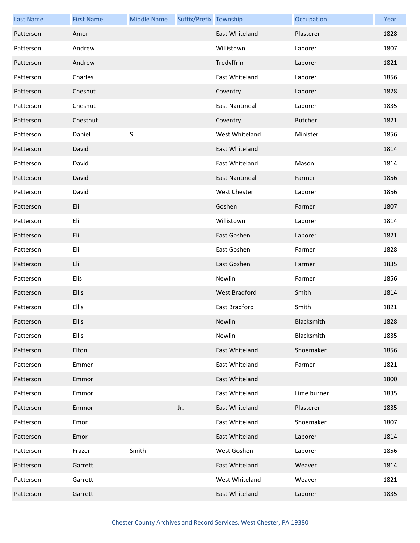| <b>Last Name</b> | <b>First Name</b> | <b>Middle Name</b> | Suffix/Prefix Township |                      | Occupation     | Year |
|------------------|-------------------|--------------------|------------------------|----------------------|----------------|------|
| Patterson        | Amor              |                    |                        | East Whiteland       | Plasterer      | 1828 |
| Patterson        | Andrew            |                    |                        | Willistown           | Laborer        | 1807 |
| Patterson        | Andrew            |                    |                        | Tredyffrin           | Laborer        | 1821 |
| Patterson        | Charles           |                    |                        | East Whiteland       | Laborer        | 1856 |
| Patterson        | Chesnut           |                    |                        | Coventry             | Laborer        | 1828 |
| Patterson        | Chesnut           |                    |                        | East Nantmeal        | Laborer        | 1835 |
| Patterson        | Chestnut          |                    |                        | Coventry             | <b>Butcher</b> | 1821 |
| Patterson        | Daniel            | $\sf S$            |                        | West Whiteland       | Minister       | 1856 |
| Patterson        | David             |                    |                        | East Whiteland       |                | 1814 |
| Patterson        | David             |                    |                        | East Whiteland       | Mason          | 1814 |
| Patterson        | David             |                    |                        | <b>East Nantmeal</b> | Farmer         | 1856 |
| Patterson        | David             |                    |                        | West Chester         | Laborer        | 1856 |
| Patterson        | Eli               |                    |                        | Goshen               | Farmer         | 1807 |
| Patterson        | Eli               |                    |                        | Willistown           | Laborer        | 1814 |
| Patterson        | Eli               |                    |                        | East Goshen          | Laborer        | 1821 |
| Patterson        | Eli               |                    |                        | East Goshen          | Farmer         | 1828 |
| Patterson        | Eli               |                    |                        | East Goshen          | Farmer         | 1835 |
| Patterson        | Elis              |                    |                        | Newlin               | Farmer         | 1856 |
| Patterson        | Ellis             |                    |                        | West Bradford        | Smith          | 1814 |
| Patterson        | Ellis             |                    |                        | East Bradford        | Smith          | 1821 |
| Patterson        | <b>Ellis</b>      |                    |                        | Newlin               | Blacksmith     | 1828 |
| Patterson        | Ellis             |                    |                        | Newlin               | Blacksmith     | 1835 |
| Patterson        | Elton             |                    |                        | East Whiteland       | Shoemaker      | 1856 |
| Patterson        | Emmer             |                    |                        | East Whiteland       | Farmer         | 1821 |
| Patterson        | Emmor             |                    |                        | East Whiteland       |                | 1800 |
| Patterson        | Emmor             |                    |                        | East Whiteland       | Lime burner    | 1835 |
| Patterson        | Emmor             |                    | Jr.                    | East Whiteland       | Plasterer      | 1835 |
| Patterson        | Emor              |                    |                        | East Whiteland       | Shoemaker      | 1807 |
| Patterson        | Emor              |                    |                        | East Whiteland       | Laborer        | 1814 |
| Patterson        | Frazer            | Smith              |                        | West Goshen          | Laborer        | 1856 |
| Patterson        | Garrett           |                    |                        | East Whiteland       | Weaver         | 1814 |
| Patterson        | Garrett           |                    |                        | West Whiteland       | Weaver         | 1821 |
| Patterson        | Garrett           |                    |                        | East Whiteland       | Laborer        | 1835 |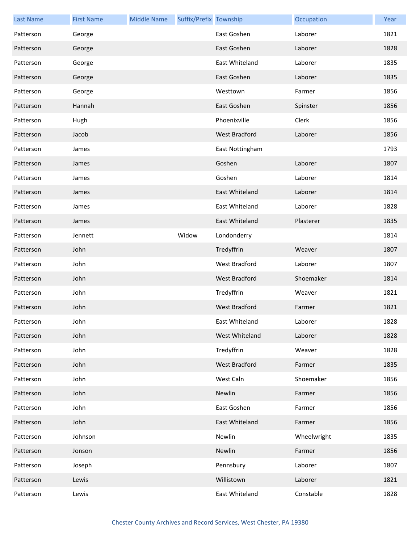| <b>Last Name</b> | <b>First Name</b> | <b>Middle Name</b> | Suffix/Prefix Township |                      | Occupation  | Year |
|------------------|-------------------|--------------------|------------------------|----------------------|-------------|------|
| Patterson        | George            |                    |                        | East Goshen          | Laborer     | 1821 |
| Patterson        | George            |                    |                        | East Goshen          | Laborer     | 1828 |
| Patterson        | George            |                    |                        | East Whiteland       | Laborer     | 1835 |
| Patterson        | George            |                    |                        | East Goshen          | Laborer     | 1835 |
| Patterson        | George            |                    |                        | Westtown             | Farmer      | 1856 |
| Patterson        | Hannah            |                    |                        | East Goshen          | Spinster    | 1856 |
| Patterson        | Hugh              |                    |                        | Phoenixville         | Clerk       | 1856 |
| Patterson        | Jacob             |                    |                        | West Bradford        | Laborer     | 1856 |
| Patterson        | James             |                    |                        | East Nottingham      |             | 1793 |
| Patterson        | James             |                    |                        | Goshen               | Laborer     | 1807 |
| Patterson        | James             |                    |                        | Goshen               | Laborer     | 1814 |
| Patterson        | James             |                    |                        | East Whiteland       | Laborer     | 1814 |
| Patterson        | James             |                    |                        | East Whiteland       | Laborer     | 1828 |
| Patterson        | James             |                    |                        | East Whiteland       | Plasterer   | 1835 |
| Patterson        | Jennett           |                    | Widow                  | Londonderry          |             | 1814 |
| Patterson        | John              |                    |                        | Tredyffrin           | Weaver      | 1807 |
| Patterson        | John              |                    |                        | West Bradford        | Laborer     | 1807 |
| Patterson        | John              |                    |                        | West Bradford        | Shoemaker   | 1814 |
| Patterson        | John              |                    |                        | Tredyffrin           | Weaver      | 1821 |
| Patterson        | John              |                    |                        | West Bradford        | Farmer      | 1821 |
| Patterson        | John              |                    |                        | East Whiteland       | Laborer     | 1828 |
| Patterson        | John              |                    |                        | West Whiteland       | Laborer     | 1828 |
| Patterson        | John              |                    |                        | Tredyffrin           | Weaver      | 1828 |
| Patterson        | John              |                    |                        | <b>West Bradford</b> | Farmer      | 1835 |
| Patterson        | John              |                    |                        | West Caln            | Shoemaker   | 1856 |
| Patterson        | John              |                    |                        | Newlin               | Farmer      | 1856 |
| Patterson        | John              |                    |                        | East Goshen          | Farmer      | 1856 |
| Patterson        | John              |                    |                        | East Whiteland       | Farmer      | 1856 |
| Patterson        | Johnson           |                    |                        | Newlin               | Wheelwright | 1835 |
| Patterson        | Jonson            |                    |                        | Newlin               | Farmer      | 1856 |
| Patterson        | Joseph            |                    |                        | Pennsbury            | Laborer     | 1807 |
| Patterson        | Lewis             |                    |                        | Willistown           | Laborer     | 1821 |
| Patterson        | Lewis             |                    |                        | East Whiteland       | Constable   | 1828 |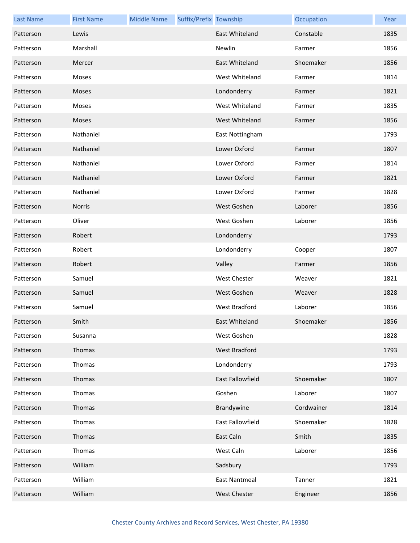| <b>Last Name</b> | <b>First Name</b> | <b>Middle Name</b> | Suffix/Prefix Township |                         | Occupation | Year |
|------------------|-------------------|--------------------|------------------------|-------------------------|------------|------|
| Patterson        | Lewis             |                    |                        | East Whiteland          | Constable  | 1835 |
| Patterson        | Marshall          |                    |                        | Newlin                  | Farmer     | 1856 |
| Patterson        | Mercer            |                    |                        | East Whiteland          | Shoemaker  | 1856 |
| Patterson        | Moses             |                    |                        | West Whiteland          | Farmer     | 1814 |
| Patterson        | Moses             |                    |                        | Londonderry             | Farmer     | 1821 |
| Patterson        | Moses             |                    |                        | West Whiteland          | Farmer     | 1835 |
| Patterson        | Moses             |                    |                        | West Whiteland          | Farmer     | 1856 |
| Patterson        | Nathaniel         |                    |                        | East Nottingham         |            | 1793 |
| Patterson        | Nathaniel         |                    |                        | Lower Oxford            | Farmer     | 1807 |
| Patterson        | Nathaniel         |                    |                        | Lower Oxford            | Farmer     | 1814 |
| Patterson        | Nathaniel         |                    |                        | Lower Oxford            | Farmer     | 1821 |
| Patterson        | Nathaniel         |                    |                        | Lower Oxford            | Farmer     | 1828 |
| Patterson        | <b>Norris</b>     |                    |                        | West Goshen             | Laborer    | 1856 |
| Patterson        | Oliver            |                    |                        | West Goshen             | Laborer    | 1856 |
| Patterson        | Robert            |                    |                        | Londonderry             |            | 1793 |
| Patterson        | Robert            |                    |                        | Londonderry             | Cooper     | 1807 |
| Patterson        | Robert            |                    |                        | Valley                  | Farmer     | 1856 |
| Patterson        | Samuel            |                    |                        | <b>West Chester</b>     | Weaver     | 1821 |
| Patterson        | Samuel            |                    |                        | West Goshen             | Weaver     | 1828 |
| Patterson        | Samuel            |                    |                        | West Bradford           | Laborer    | 1856 |
| Patterson        | Smith             |                    |                        | East Whiteland          | Shoemaker  | 1856 |
| Patterson        | Susanna           |                    |                        | West Goshen             |            | 1828 |
| Patterson        | Thomas            |                    |                        | West Bradford           |            | 1793 |
| Patterson        | Thomas            |                    |                        | Londonderry             |            | 1793 |
| Patterson        | Thomas            |                    |                        | <b>East Fallowfield</b> | Shoemaker  | 1807 |
| Patterson        | Thomas            |                    |                        | Goshen                  | Laborer    | 1807 |
| Patterson        | Thomas            |                    |                        | Brandywine              | Cordwainer | 1814 |
| Patterson        | Thomas            |                    |                        | East Fallowfield        | Shoemaker  | 1828 |
| Patterson        | Thomas            |                    |                        | East Caln               | Smith      | 1835 |
| Patterson        | Thomas            |                    |                        | West Caln               | Laborer    | 1856 |
| Patterson        | William           |                    |                        | Sadsbury                |            | 1793 |
| Patterson        | William           |                    |                        | <b>East Nantmeal</b>    | Tanner     | 1821 |
| Patterson        | William           |                    |                        | West Chester            | Engineer   | 1856 |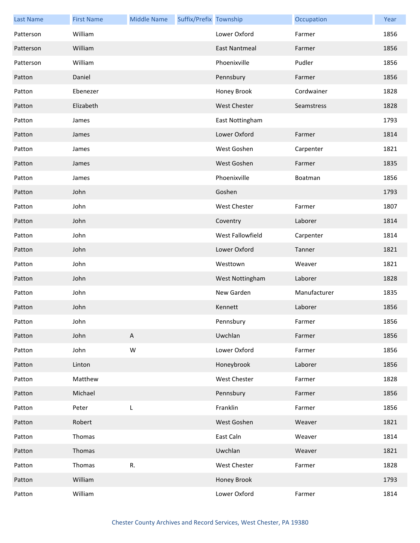| <b>Last Name</b> | <b>First Name</b> | <b>Middle Name</b> | Suffix/Prefix Township |                      | Occupation   | Year |
|------------------|-------------------|--------------------|------------------------|----------------------|--------------|------|
| Patterson        | William           |                    |                        | Lower Oxford         | Farmer       | 1856 |
| Patterson        | William           |                    |                        | <b>East Nantmeal</b> | Farmer       | 1856 |
| Patterson        | William           |                    |                        | Phoenixville         | Pudler       | 1856 |
| Patton           | Daniel            |                    |                        | Pennsbury            | Farmer       | 1856 |
| Patton           | Ebenezer          |                    |                        | Honey Brook          | Cordwainer   | 1828 |
| Patton           | Elizabeth         |                    |                        | <b>West Chester</b>  | Seamstress   | 1828 |
| Patton           | James             |                    |                        | East Nottingham      |              | 1793 |
| Patton           | James             |                    |                        | Lower Oxford         | Farmer       | 1814 |
| Patton           | James             |                    |                        | West Goshen          | Carpenter    | 1821 |
| Patton           | James             |                    |                        | West Goshen          | Farmer       | 1835 |
| Patton           | James             |                    |                        | Phoenixville         | Boatman      | 1856 |
| Patton           | John              |                    |                        | Goshen               |              | 1793 |
| Patton           | John              |                    |                        | <b>West Chester</b>  | Farmer       | 1807 |
| Patton           | John              |                    |                        | Coventry             | Laborer      | 1814 |
| Patton           | John              |                    |                        | West Fallowfield     | Carpenter    | 1814 |
| Patton           | John              |                    |                        | Lower Oxford         | Tanner       | 1821 |
| Patton           | John              |                    |                        | Westtown             | Weaver       | 1821 |
| Patton           | John              |                    |                        | West Nottingham      | Laborer      | 1828 |
| Patton           | John              |                    |                        | New Garden           | Manufacturer | 1835 |
| Patton           | John              |                    |                        | Kennett              | Laborer      | 1856 |
| Patton           | John              |                    |                        | Pennsbury            | Farmer       | 1856 |
| Patton           | John              | $\mathsf{A}$       |                        | Uwchlan              | Farmer       | 1856 |
| Patton           | John              | ${\sf W}$          |                        | Lower Oxford         | Farmer       | 1856 |
| Patton           | Linton            |                    |                        | Honeybrook           | Laborer      | 1856 |
| Patton           | Matthew           |                    |                        | <b>West Chester</b>  | Farmer       | 1828 |
| Patton           | Michael           |                    |                        | Pennsbury            | Farmer       | 1856 |
| Patton           | Peter             | L                  |                        | Franklin             | Farmer       | 1856 |
| Patton           | Robert            |                    |                        | West Goshen          | Weaver       | 1821 |
| Patton           | Thomas            |                    |                        | East Caln            | Weaver       | 1814 |
| Patton           | Thomas            |                    |                        | Uwchlan              | Weaver       | 1821 |
| Patton           | Thomas            | R.                 |                        | West Chester         | Farmer       | 1828 |
| Patton           | William           |                    |                        | Honey Brook          |              | 1793 |
| Patton           | William           |                    |                        | Lower Oxford         | Farmer       | 1814 |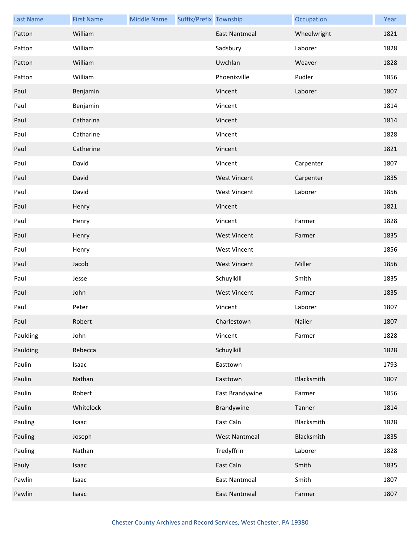| <b>Last Name</b> | <b>First Name</b> | <b>Middle Name</b> | Suffix/Prefix Township |                      | Occupation  | Year |
|------------------|-------------------|--------------------|------------------------|----------------------|-------------|------|
| Patton           | William           |                    |                        | <b>East Nantmeal</b> | Wheelwright | 1821 |
| Patton           | William           |                    |                        | Sadsbury             | Laborer     | 1828 |
| Patton           | William           |                    |                        | Uwchlan              | Weaver      | 1828 |
| Patton           | William           |                    |                        | Phoenixville         | Pudler      | 1856 |
| Paul             | Benjamin          |                    |                        | Vincent              | Laborer     | 1807 |
| Paul             | Benjamin          |                    |                        | Vincent              |             | 1814 |
| Paul             | Catharina         |                    |                        | Vincent              |             | 1814 |
| Paul             | Catharine         |                    |                        | Vincent              |             | 1828 |
| Paul             | Catherine         |                    |                        | Vincent              |             | 1821 |
| Paul             | David             |                    |                        | Vincent              | Carpenter   | 1807 |
| Paul             | David             |                    |                        | <b>West Vincent</b>  | Carpenter   | 1835 |
| Paul             | David             |                    |                        | <b>West Vincent</b>  | Laborer     | 1856 |
| Paul             | Henry             |                    |                        | Vincent              |             | 1821 |
| Paul             | Henry             |                    |                        | Vincent              | Farmer      | 1828 |
| Paul             | Henry             |                    |                        | <b>West Vincent</b>  | Farmer      | 1835 |
| Paul             | Henry             |                    |                        | <b>West Vincent</b>  |             | 1856 |
| Paul             | Jacob             |                    |                        | <b>West Vincent</b>  | Miller      | 1856 |
| Paul             | Jesse             |                    |                        | Schuylkill           | Smith       | 1835 |
| Paul             | John              |                    |                        | <b>West Vincent</b>  | Farmer      | 1835 |
| Paul             | Peter             |                    |                        | Vincent              | Laborer     | 1807 |
| Paul             | Robert            |                    |                        | Charlestown          | Nailer      | 1807 |
| Paulding         | John              |                    |                        | Vincent              | Farmer      | 1828 |
| Paulding         | Rebecca           |                    |                        | Schuylkill           |             | 1828 |
| Paulin           | Isaac             |                    |                        | Easttown             |             | 1793 |
| Paulin           | Nathan            |                    |                        | Easttown             | Blacksmith  | 1807 |
| Paulin           | Robert            |                    |                        | East Brandywine      | Farmer      | 1856 |
| Paulin           | Whitelock         |                    |                        | Brandywine           | Tanner      | 1814 |
| Pauling          | Isaac             |                    |                        | East Caln            | Blacksmith  | 1828 |
| Pauling          | Joseph            |                    |                        | <b>West Nantmeal</b> | Blacksmith  | 1835 |
| Pauling          | Nathan            |                    |                        | Tredyffrin           | Laborer     | 1828 |
| Pauly            | Isaac             |                    |                        | East Caln            | Smith       | 1835 |
| Pawlin           | Isaac             |                    |                        | <b>East Nantmeal</b> | Smith       | 1807 |
| Pawlin           | Isaac             |                    |                        | <b>East Nantmeal</b> | Farmer      | 1807 |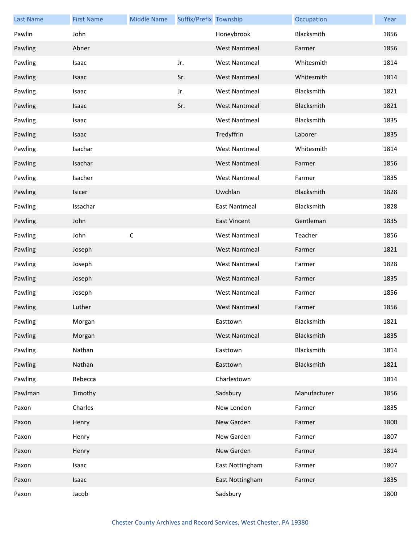| <b>Last Name</b> | <b>First Name</b> | <b>Middle Name</b> | Suffix/Prefix Township |                      | Occupation   | Year |
|------------------|-------------------|--------------------|------------------------|----------------------|--------------|------|
| Pawlin           | John              |                    |                        | Honeybrook           | Blacksmith   | 1856 |
| Pawling          | Abner             |                    |                        | <b>West Nantmeal</b> | Farmer       | 1856 |
| Pawling          | Isaac             |                    | Jr.                    | <b>West Nantmeal</b> | Whitesmith   | 1814 |
| Pawling          | Isaac             |                    | Sr.                    | <b>West Nantmeal</b> | Whitesmith   | 1814 |
| Pawling          | Isaac             |                    | Jr.                    | <b>West Nantmeal</b> | Blacksmith   | 1821 |
| Pawling          | Isaac             |                    | Sr.                    | <b>West Nantmeal</b> | Blacksmith   | 1821 |
| Pawling          | Isaac             |                    |                        | <b>West Nantmeal</b> | Blacksmith   | 1835 |
| Pawling          | Isaac             |                    |                        | Tredyffrin           | Laborer      | 1835 |
| Pawling          | Isachar           |                    |                        | <b>West Nantmeal</b> | Whitesmith   | 1814 |
| Pawling          | Isachar           |                    |                        | <b>West Nantmeal</b> | Farmer       | 1856 |
| Pawling          | Isacher           |                    |                        | <b>West Nantmeal</b> | Farmer       | 1835 |
| Pawling          | Isicer            |                    |                        | Uwchlan              | Blacksmith   | 1828 |
| Pawling          | Issachar          |                    |                        | <b>East Nantmeal</b> | Blacksmith   | 1828 |
| Pawling          | John              |                    |                        | <b>East Vincent</b>  | Gentleman    | 1835 |
| Pawling          | John              | $\mathsf C$        |                        | <b>West Nantmeal</b> | Teacher      | 1856 |
| Pawling          | Joseph            |                    |                        | <b>West Nantmeal</b> | Farmer       | 1821 |
| Pawling          | Joseph            |                    |                        | <b>West Nantmeal</b> | Farmer       | 1828 |
| Pawling          | Joseph            |                    |                        | <b>West Nantmeal</b> | Farmer       | 1835 |
| Pawling          | Joseph            |                    |                        | <b>West Nantmeal</b> | Farmer       | 1856 |
| Pawling          | Luther            |                    |                        | <b>West Nantmeal</b> | Farmer       | 1856 |
| Pawling          | Morgan            |                    |                        | Easttown             | Blacksmith   | 1821 |
| Pawling          | Morgan            |                    |                        | <b>West Nantmeal</b> | Blacksmith   | 1835 |
| Pawling          | Nathan            |                    |                        | Easttown             | Blacksmith   | 1814 |
| Pawling          | Nathan            |                    |                        | Easttown             | Blacksmith   | 1821 |
| Pawling          | Rebecca           |                    |                        | Charlestown          |              | 1814 |
| Pawlman          | Timothy           |                    |                        | Sadsbury             | Manufacturer | 1856 |
| Paxon            | Charles           |                    |                        | New London           | Farmer       | 1835 |
| Paxon            | Henry             |                    |                        | New Garden           | Farmer       | 1800 |
| Paxon            | Henry             |                    |                        | New Garden           | Farmer       | 1807 |
| Paxon            | Henry             |                    |                        | New Garden           | Farmer       | 1814 |
| Paxon            | Isaac             |                    |                        | East Nottingham      | Farmer       | 1807 |
| Paxon            | Isaac             |                    |                        | East Nottingham      | Farmer       | 1835 |
| Paxon            | Jacob             |                    |                        | Sadsbury             |              | 1800 |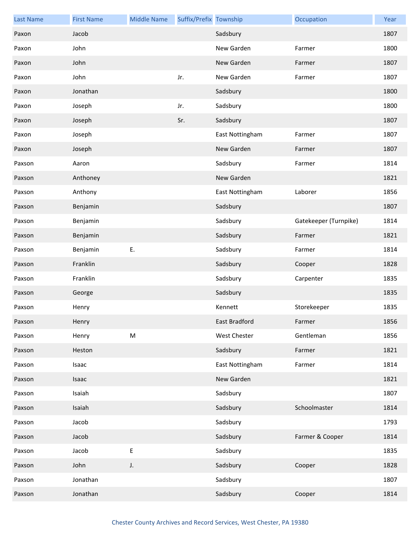| <b>Last Name</b> | <b>First Name</b> | <b>Middle Name</b> | Suffix/Prefix Township |                 | Occupation            | Year |
|------------------|-------------------|--------------------|------------------------|-----------------|-----------------------|------|
| Paxon            | Jacob             |                    |                        | Sadsbury        |                       | 1807 |
| Paxon            | John              |                    |                        | New Garden      | Farmer                | 1800 |
| Paxon            | John              |                    |                        | New Garden      | Farmer                | 1807 |
| Paxon            | John              |                    | Jr.                    | New Garden      | Farmer                | 1807 |
| Paxon            | Jonathan          |                    |                        | Sadsbury        |                       | 1800 |
| Paxon            | Joseph            |                    | Jr.                    | Sadsbury        |                       | 1800 |
| Paxon            | Joseph            |                    | Sr.                    | Sadsbury        |                       | 1807 |
| Paxon            | Joseph            |                    |                        | East Nottingham | Farmer                | 1807 |
| Paxon            | Joseph            |                    |                        | New Garden      | Farmer                | 1807 |
| Paxson           | Aaron             |                    |                        | Sadsbury        | Farmer                | 1814 |
| Paxson           | Anthoney          |                    |                        | New Garden      |                       | 1821 |
| Paxson           | Anthony           |                    |                        | East Nottingham | Laborer               | 1856 |
| Paxson           | Benjamin          |                    |                        | Sadsbury        |                       | 1807 |
| Paxson           | Benjamin          |                    |                        | Sadsbury        | Gatekeeper (Turnpike) | 1814 |
| Paxson           | Benjamin          |                    |                        | Sadsbury        | Farmer                | 1821 |
| Paxson           | Benjamin          | Ε.                 |                        | Sadsbury        | Farmer                | 1814 |
| Paxson           | Franklin          |                    |                        | Sadsbury        | Cooper                | 1828 |
| Paxson           | Franklin          |                    |                        | Sadsbury        | Carpenter             | 1835 |
| Paxson           | George            |                    |                        | Sadsbury        |                       | 1835 |
| Paxson           | Henry             |                    |                        | Kennett         | Storekeeper           | 1835 |
| Paxson           | Henry             |                    |                        | East Bradford   | Farmer                | 1856 |
| Paxson           | Henry             | ${\sf M}$          |                        | West Chester    | Gentleman             | 1856 |
| Paxson           | Heston            |                    |                        | Sadsbury        | Farmer                | 1821 |
| Paxson           | Isaac             |                    |                        | East Nottingham | Farmer                | 1814 |
| Paxson           | Isaac             |                    |                        | New Garden      |                       | 1821 |
| Paxson           | Isaiah            |                    |                        | Sadsbury        |                       | 1807 |
| Paxson           | Isaiah            |                    |                        | Sadsbury        | Schoolmaster          | 1814 |
| Paxson           | Jacob             |                    |                        | Sadsbury        |                       | 1793 |
| Paxson           | Jacob             |                    |                        | Sadsbury        | Farmer & Cooper       | 1814 |
| Paxson           | Jacob             | E                  |                        | Sadsbury        |                       | 1835 |
| Paxson           | John              | J.                 |                        | Sadsbury        | Cooper                | 1828 |
| Paxson           | Jonathan          |                    |                        | Sadsbury        |                       | 1807 |
| Paxson           | Jonathan          |                    |                        | Sadsbury        | Cooper                | 1814 |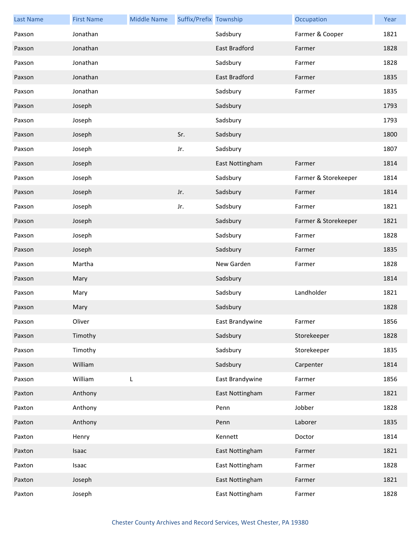| <b>Last Name</b> | <b>First Name</b> | <b>Middle Name</b> | Suffix/Prefix Township |                      | Occupation           | Year |
|------------------|-------------------|--------------------|------------------------|----------------------|----------------------|------|
| Paxson           | Jonathan          |                    |                        | Sadsbury             | Farmer & Cooper      | 1821 |
| Paxson           | Jonathan          |                    |                        | <b>East Bradford</b> | Farmer               | 1828 |
| Paxson           | Jonathan          |                    |                        | Sadsbury             | Farmer               | 1828 |
| Paxson           | Jonathan          |                    |                        | East Bradford        | Farmer               | 1835 |
| Paxson           | Jonathan          |                    |                        | Sadsbury             | Farmer               | 1835 |
| Paxson           | Joseph            |                    |                        | Sadsbury             |                      | 1793 |
| Paxson           | Joseph            |                    |                        | Sadsbury             |                      | 1793 |
| Paxson           | Joseph            |                    | Sr.                    | Sadsbury             |                      | 1800 |
| Paxson           | Joseph            |                    | Jr.                    | Sadsbury             |                      | 1807 |
| Paxson           | Joseph            |                    |                        | East Nottingham      | Farmer               | 1814 |
| Paxson           | Joseph            |                    |                        | Sadsbury             | Farmer & Storekeeper | 1814 |
| Paxson           | Joseph            |                    | Jr.                    | Sadsbury             | Farmer               | 1814 |
| Paxson           | Joseph            |                    | Jr.                    | Sadsbury             | Farmer               | 1821 |
| Paxson           | Joseph            |                    |                        | Sadsbury             | Farmer & Storekeeper | 1821 |
| Paxson           | Joseph            |                    |                        | Sadsbury             | Farmer               | 1828 |
| Paxson           | Joseph            |                    |                        | Sadsbury             | Farmer               | 1835 |
| Paxson           | Martha            |                    |                        | New Garden           | Farmer               | 1828 |
| Paxson           | Mary              |                    |                        | Sadsbury             |                      | 1814 |
| Paxson           | Mary              |                    |                        | Sadsbury             | Landholder           | 1821 |
| Paxson           | Mary              |                    |                        | Sadsbury             |                      | 1828 |
| Paxson           | Oliver            |                    |                        | East Brandywine      | Farmer               | 1856 |
| Paxson           | Timothy           |                    |                        | Sadsbury             | Storekeeper          | 1828 |
| Paxson           | Timothy           |                    |                        | Sadsbury             | Storekeeper          | 1835 |
| Paxson           | William           |                    |                        | Sadsbury             | Carpenter            | 1814 |
| Paxson           | William           | L                  |                        | East Brandywine      | Farmer               | 1856 |
| Paxton           | Anthony           |                    |                        | East Nottingham      | Farmer               | 1821 |
| Paxton           | Anthony           |                    |                        | Penn                 | Jobber               | 1828 |
| Paxton           | Anthony           |                    |                        | Penn                 | Laborer              | 1835 |
| Paxton           | Henry             |                    |                        | Kennett              | Doctor               | 1814 |
| Paxton           | Isaac             |                    |                        | East Nottingham      | Farmer               | 1821 |
| Paxton           | Isaac             |                    |                        | East Nottingham      | Farmer               | 1828 |
| Paxton           | Joseph            |                    |                        | East Nottingham      | Farmer               | 1821 |
| Paxton           | Joseph            |                    |                        | East Nottingham      | Farmer               | 1828 |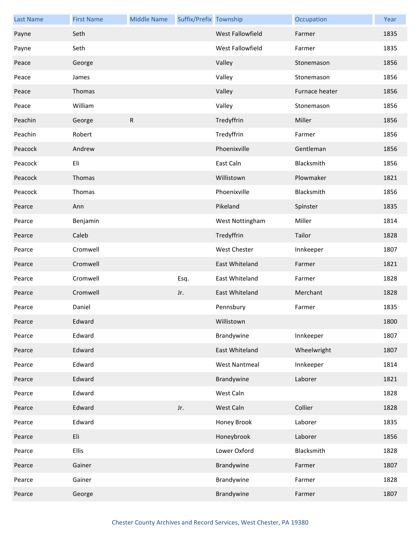| <b>Last Name</b> | <b>First Name</b> | <b>Middle Name</b> | Suffix/Prefix Township |                      | Occupation     | Year |
|------------------|-------------------|--------------------|------------------------|----------------------|----------------|------|
| Payne            | Seth              |                    |                        | West Fallowfield     | Farmer         | 1835 |
| Payne            | Seth              |                    |                        | West Fallowfield     | Farmer         | 1835 |
| Peace            | George            |                    |                        | Valley               | Stonemason     | 1856 |
| Peace            | James             |                    |                        | Valley               | Stonemason     | 1856 |
| Peace            | Thomas            |                    |                        | Valley               | Furnace heater | 1856 |
| Peace            | William           |                    |                        | Valley               | Stonemason     | 1856 |
| Peachin          | George            | $\mathsf{R}$       |                        | Tredyffrin           | Miller         | 1856 |
| Peachin          | Robert            |                    |                        | Tredyffrin           | Farmer         | 1856 |
| Peacock          | Andrew            |                    |                        | Phoenixville         | Gentleman      | 1856 |
| Peacock          | Eli               |                    |                        | East Caln            | Blacksmith     | 1856 |
| Peacock          | Thomas            |                    |                        | Willistown           | Plowmaker      | 1821 |
| Peacock          | Thomas            |                    |                        | Phoenixville         | Blacksmith     | 1856 |
| Pearce           | Ann               |                    |                        | Pikeland             | Spinster       | 1835 |
| Pearce           | Benjamin          |                    |                        | West Nottingham      | Miller         | 1814 |
| Pearce           | Caleb             |                    |                        | Tredyffrin           | Tailor         | 1828 |
| Pearce           | Cromwell          |                    |                        | <b>West Chester</b>  | Innkeeper      | 1807 |
| Pearce           | Cromwell          |                    |                        | East Whiteland       | Farmer         | 1821 |
| Pearce           | Cromwell          |                    | Esq.                   | East Whiteland       | Farmer         | 1828 |
| Pearce           | Cromwell          |                    | Jr.                    | East Whiteland       | Merchant       | 1828 |
| Pearce           | Daniel            |                    |                        | Pennsbury            | Farmer         | 1835 |
| Pearce           | Edward            |                    |                        | Willistown           |                | 1800 |
| Pearce           | Edward            |                    |                        | Brandywine           | Innkeeper      | 1807 |
| Pearce           | Edward            |                    |                        | East Whiteland       | Wheelwright    | 1807 |
| Pearce           | Edward            |                    |                        | <b>West Nantmeal</b> | Innkeeper      | 1814 |
| Pearce           | Edward            |                    |                        | Brandywine           | Laborer        | 1821 |
| Pearce           | Edward            |                    |                        | West Caln            |                | 1828 |
| Pearce           | Edward            |                    | Jr.                    | West Caln            | Collier        | 1828 |
| Pearce           | Edward            |                    |                        | Honey Brook          | Laborer        | 1835 |
| Pearce           | Eli               |                    |                        | Honeybrook           | Laborer        | 1856 |
| Pearce           | <b>Ellis</b>      |                    |                        | Lower Oxford         | Blacksmith     | 1828 |
| Pearce           | Gainer            |                    |                        | Brandywine           | Farmer         | 1807 |
| Pearce           | Gainer            |                    |                        | Brandywine           | Farmer         | 1828 |
| Pearce           | George            |                    |                        | Brandywine           | Farmer         | 1807 |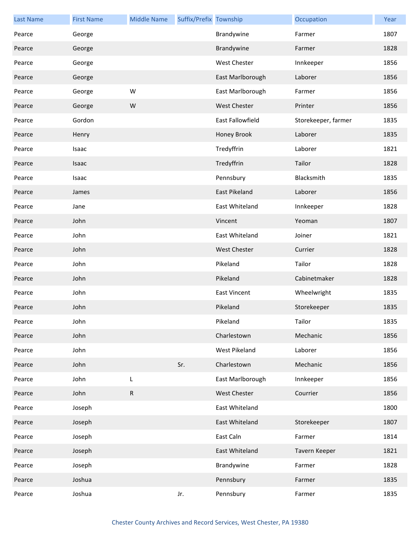| <b>Last Name</b> | <b>First Name</b> | <b>Middle Name</b> | Suffix/Prefix Township |                     | Occupation          | Year |
|------------------|-------------------|--------------------|------------------------|---------------------|---------------------|------|
| Pearce           | George            |                    |                        | Brandywine          | Farmer              | 1807 |
| Pearce           | George            |                    |                        | Brandywine          | Farmer              | 1828 |
| Pearce           | George            |                    |                        | <b>West Chester</b> | Innkeeper           | 1856 |
| Pearce           | George            |                    |                        | East Marlborough    | Laborer             | 1856 |
| Pearce           | George            | W                  |                        | East Marlborough    | Farmer              | 1856 |
| Pearce           | George            | W                  |                        | West Chester        | Printer             | 1856 |
| Pearce           | Gordon            |                    |                        | East Fallowfield    | Storekeeper, farmer | 1835 |
| Pearce           | Henry             |                    |                        | Honey Brook         | Laborer             | 1835 |
| Pearce           | Isaac             |                    |                        | Tredyffrin          | Laborer             | 1821 |
| Pearce           | Isaac             |                    |                        | Tredyffrin          | Tailor              | 1828 |
| Pearce           | Isaac             |                    |                        | Pennsbury           | Blacksmith          | 1835 |
| Pearce           | James             |                    |                        | East Pikeland       | Laborer             | 1856 |
| Pearce           | Jane              |                    |                        | East Whiteland      | Innkeeper           | 1828 |
| Pearce           | John              |                    |                        | Vincent             | Yeoman              | 1807 |
| Pearce           | John              |                    |                        | East Whiteland      | Joiner              | 1821 |
| Pearce           | John              |                    |                        | <b>West Chester</b> | Currier             | 1828 |
| Pearce           | John              |                    |                        | Pikeland            | Tailor              | 1828 |
| Pearce           | John              |                    |                        | Pikeland            | Cabinetmaker        | 1828 |
| Pearce           | John              |                    |                        | <b>East Vincent</b> | Wheelwright         | 1835 |
| Pearce           | John              |                    |                        | Pikeland            | Storekeeper         | 1835 |
| Pearce           | John              |                    |                        | Pikeland            | Tailor              | 1835 |
| Pearce           | John              |                    |                        | Charlestown         | Mechanic            | 1856 |
| Pearce           | John              |                    |                        | West Pikeland       | Laborer             | 1856 |
| Pearce           | John              |                    | Sr.                    | Charlestown         | Mechanic            | 1856 |
| Pearce           | John              | L                  |                        | East Marlborough    | Innkeeper           | 1856 |
| Pearce           | John              | R                  |                        | <b>West Chester</b> | Courrier            | 1856 |
| Pearce           | Joseph            |                    |                        | East Whiteland      |                     | 1800 |
| Pearce           | Joseph            |                    |                        | East Whiteland      | Storekeeper         | 1807 |
| Pearce           | Joseph            |                    |                        | East Caln           | Farmer              | 1814 |
| Pearce           | Joseph            |                    |                        | East Whiteland      | Tavern Keeper       | 1821 |
| Pearce           | Joseph            |                    |                        | Brandywine          | Farmer              | 1828 |
| Pearce           | Joshua            |                    |                        | Pennsbury           | Farmer              | 1835 |
| Pearce           | Joshua            |                    | Jr.                    | Pennsbury           | Farmer              | 1835 |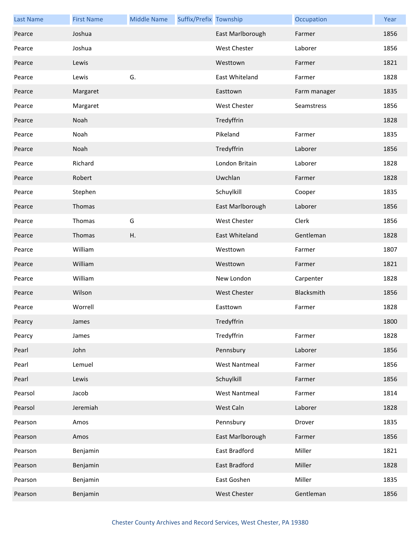| <b>Last Name</b> | <b>First Name</b> | <b>Middle Name</b> | Suffix/Prefix Township |                      | Occupation   | Year |
|------------------|-------------------|--------------------|------------------------|----------------------|--------------|------|
| Pearce           | Joshua            |                    |                        | East Marlborough     | Farmer       | 1856 |
| Pearce           | Joshua            |                    |                        | West Chester         | Laborer      | 1856 |
| Pearce           | Lewis             |                    |                        | Westtown             | Farmer       | 1821 |
| Pearce           | Lewis             | G.                 |                        | East Whiteland       | Farmer       | 1828 |
| Pearce           | Margaret          |                    |                        | Easttown             | Farm manager | 1835 |
| Pearce           | Margaret          |                    |                        | <b>West Chester</b>  | Seamstress   | 1856 |
| Pearce           | Noah              |                    |                        | Tredyffrin           |              | 1828 |
| Pearce           | Noah              |                    |                        | Pikeland             | Farmer       | 1835 |
| Pearce           | Noah              |                    |                        | Tredyffrin           | Laborer      | 1856 |
| Pearce           | Richard           |                    |                        | London Britain       | Laborer      | 1828 |
| Pearce           | Robert            |                    |                        | Uwchlan              | Farmer       | 1828 |
| Pearce           | Stephen           |                    |                        | Schuylkill           | Cooper       | 1835 |
| Pearce           | Thomas            |                    |                        | East Marlborough     | Laborer      | 1856 |
| Pearce           | Thomas            | G                  |                        | West Chester         | Clerk        | 1856 |
| Pearce           | Thomas            | Η.                 |                        | East Whiteland       | Gentleman    | 1828 |
| Pearce           | William           |                    |                        | Westtown             | Farmer       | 1807 |
| Pearce           | William           |                    |                        | Westtown             | Farmer       | 1821 |
| Pearce           | William           |                    |                        | New London           | Carpenter    | 1828 |
| Pearce           | Wilson            |                    |                        | West Chester         | Blacksmith   | 1856 |
| Pearce           | Worrell           |                    |                        | Easttown             | Farmer       | 1828 |
| Pearcy           | James             |                    |                        | Tredyffrin           |              | 1800 |
| Pearcy           | James             |                    |                        | Tredyffrin           | Farmer       | 1828 |
| Pearl            | John              |                    |                        | Pennsbury            | Laborer      | 1856 |
| Pearl            | Lemuel            |                    |                        | <b>West Nantmeal</b> | Farmer       | 1856 |
| Pearl            | Lewis             |                    |                        | Schuylkill           | Farmer       | 1856 |
| Pearsol          | Jacob             |                    |                        | <b>West Nantmeal</b> | Farmer       | 1814 |
| Pearsol          | Jeremiah          |                    |                        | West Caln            | Laborer      | 1828 |
| Pearson          | Amos              |                    |                        | Pennsbury            | Drover       | 1835 |
| Pearson          | Amos              |                    |                        | East Marlborough     | Farmer       | 1856 |
| Pearson          | Benjamin          |                    |                        | East Bradford        | Miller       | 1821 |
| Pearson          | Benjamin          |                    |                        | East Bradford        | Miller       | 1828 |
| Pearson          | Benjamin          |                    |                        | East Goshen          | Miller       | 1835 |
| Pearson          | Benjamin          |                    |                        | West Chester         | Gentleman    | 1856 |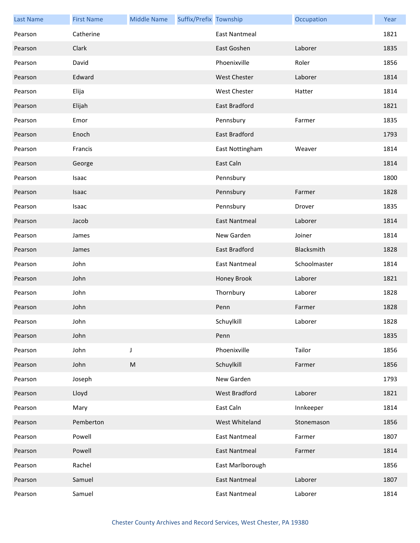| <b>Last Name</b> | <b>First Name</b> | <b>Middle Name</b> | Suffix/Prefix Township |                      | Occupation   | Year |
|------------------|-------------------|--------------------|------------------------|----------------------|--------------|------|
| Pearson          | Catherine         |                    |                        | East Nantmeal        |              | 1821 |
| Pearson          | Clark             |                    |                        | East Goshen          | Laborer      | 1835 |
| Pearson          | David             |                    |                        | Phoenixville         | Roler        | 1856 |
| Pearson          | Edward            |                    |                        | <b>West Chester</b>  | Laborer      | 1814 |
| Pearson          | Elija             |                    |                        | West Chester         | Hatter       | 1814 |
| Pearson          | Elijah            |                    |                        | <b>East Bradford</b> |              | 1821 |
| Pearson          | Emor              |                    |                        | Pennsbury            | Farmer       | 1835 |
| Pearson          | Enoch             |                    |                        | East Bradford        |              | 1793 |
| Pearson          | Francis           |                    |                        | East Nottingham      | Weaver       | 1814 |
| Pearson          | George            |                    |                        | East Caln            |              | 1814 |
| Pearson          | Isaac             |                    |                        | Pennsbury            |              | 1800 |
| Pearson          | Isaac             |                    |                        | Pennsbury            | Farmer       | 1828 |
| Pearson          | Isaac             |                    |                        | Pennsbury            | Drover       | 1835 |
| Pearson          | Jacob             |                    |                        | <b>East Nantmeal</b> | Laborer      | 1814 |
| Pearson          | James             |                    |                        | New Garden           | Joiner       | 1814 |
| Pearson          | James             |                    |                        | East Bradford        | Blacksmith   | 1828 |
| Pearson          | John              |                    |                        | <b>East Nantmeal</b> | Schoolmaster | 1814 |
| Pearson          | John              |                    |                        | Honey Brook          | Laborer      | 1821 |
| Pearson          | John              |                    |                        | Thornbury            | Laborer      | 1828 |
| Pearson          | John              |                    |                        | Penn                 | Farmer       | 1828 |
| Pearson          | John              |                    |                        | Schuylkill           | Laborer      | 1828 |
| Pearson          | John              |                    |                        | Penn                 |              | 1835 |
| Pearson          | John              | $\mathsf J$        |                        | Phoenixville         | Tailor       | 1856 |
| Pearson          | John              | ${\sf M}$          |                        | Schuylkill           | Farmer       | 1856 |
| Pearson          | Joseph            |                    |                        | New Garden           |              | 1793 |
| Pearson          | Lloyd             |                    |                        | West Bradford        | Laborer      | 1821 |
| Pearson          | Mary              |                    |                        | East Caln            | Innkeeper    | 1814 |
| Pearson          | Pemberton         |                    |                        | West Whiteland       | Stonemason   | 1856 |
| Pearson          | Powell            |                    |                        | <b>East Nantmeal</b> | Farmer       | 1807 |
| Pearson          | Powell            |                    |                        | <b>East Nantmeal</b> | Farmer       | 1814 |
| Pearson          | Rachel            |                    |                        | East Marlborough     |              | 1856 |
| Pearson          | Samuel            |                    |                        | <b>East Nantmeal</b> | Laborer      | 1807 |
| Pearson          | Samuel            |                    |                        | <b>East Nantmeal</b> | Laborer      | 1814 |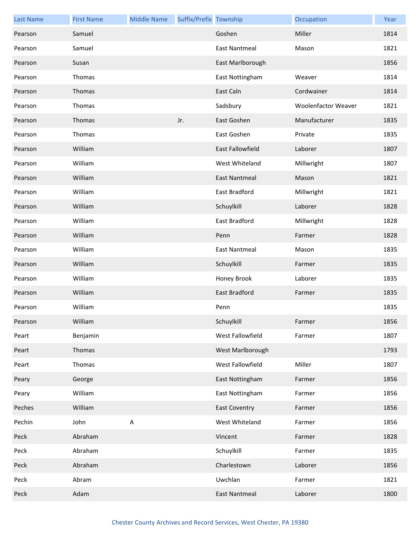| <b>Last Name</b> | <b>First Name</b> | <b>Middle Name</b> | Suffix/Prefix Township |                      | Occupation                 | Year |
|------------------|-------------------|--------------------|------------------------|----------------------|----------------------------|------|
| Pearson          | Samuel            |                    |                        | Goshen               | Miller                     | 1814 |
| Pearson          | Samuel            |                    |                        | <b>East Nantmeal</b> | Mason                      | 1821 |
| Pearson          | Susan             |                    |                        | East Marlborough     |                            | 1856 |
| Pearson          | Thomas            |                    |                        | East Nottingham      | Weaver                     | 1814 |
| Pearson          | Thomas            |                    |                        | East Caln            | Cordwainer                 | 1814 |
| Pearson          | Thomas            |                    |                        | Sadsbury             | <b>Woolenfactor Weaver</b> | 1821 |
| Pearson          | Thomas            |                    | Jr.                    | East Goshen          | Manufacturer               | 1835 |
| Pearson          | Thomas            |                    |                        | East Goshen          | Private                    | 1835 |
| Pearson          | William           |                    |                        | East Fallowfield     | Laborer                    | 1807 |
| Pearson          | William           |                    |                        | West Whiteland       | Millwright                 | 1807 |
| Pearson          | William           |                    |                        | <b>East Nantmeal</b> | Mason                      | 1821 |
| Pearson          | William           |                    |                        | East Bradford        | Millwright                 | 1821 |
| Pearson          | William           |                    |                        | Schuylkill           | Laborer                    | 1828 |
| Pearson          | William           |                    |                        | East Bradford        | Millwright                 | 1828 |
| Pearson          | William           |                    |                        | Penn                 | Farmer                     | 1828 |
| Pearson          | William           |                    |                        | <b>East Nantmeal</b> | Mason                      | 1835 |
| Pearson          | William           |                    |                        | Schuylkill           | Farmer                     | 1835 |
| Pearson          | William           |                    |                        | Honey Brook          | Laborer                    | 1835 |
| Pearson          | William           |                    |                        | East Bradford        | Farmer                     | 1835 |
| Pearson          | William           |                    |                        | Penn                 |                            | 1835 |
| Pearson          | William           |                    |                        | Schuylkill           | Farmer                     | 1856 |
| Peart            | Benjamin          |                    |                        | West Fallowfield     | Farmer                     | 1807 |
| Peart            | Thomas            |                    |                        | West Marlborough     |                            | 1793 |
| Peart            | Thomas            |                    |                        | West Fallowfield     | Miller                     | 1807 |
| Peary            | George            |                    |                        | East Nottingham      | Farmer                     | 1856 |
| Peary            | William           |                    |                        | East Nottingham      | Farmer                     | 1856 |
| Peches           | William           |                    |                        | <b>East Coventry</b> | Farmer                     | 1856 |
| Pechin           | John              | $\sf A$            |                        | West Whiteland       | Farmer                     | 1856 |
| Peck             | Abraham           |                    |                        | Vincent              | Farmer                     | 1828 |
| Peck             | Abraham           |                    |                        | Schuylkill           | Farmer                     | 1835 |
| Peck             | Abraham           |                    |                        | Charlestown          | Laborer                    | 1856 |
| Peck             | Abram             |                    |                        | Uwchlan              | Farmer                     | 1821 |
| Peck             | Adam              |                    |                        | <b>East Nantmeal</b> | Laborer                    | 1800 |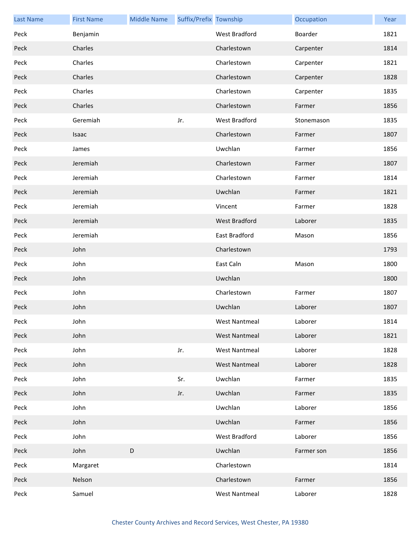| <b>Last Name</b> | <b>First Name</b> | <b>Middle Name</b> | Suffix/Prefix Township |                      | Occupation | Year |
|------------------|-------------------|--------------------|------------------------|----------------------|------------|------|
| Peck             | Benjamin          |                    |                        | West Bradford        | Boarder    | 1821 |
| Peck             | Charles           |                    |                        | Charlestown          | Carpenter  | 1814 |
| Peck             | Charles           |                    |                        | Charlestown          | Carpenter  | 1821 |
| Peck             | Charles           |                    |                        | Charlestown          | Carpenter  | 1828 |
| Peck             | Charles           |                    |                        | Charlestown          | Carpenter  | 1835 |
| Peck             | Charles           |                    |                        | Charlestown          | Farmer     | 1856 |
| Peck             | Geremiah          |                    | Jr.                    | West Bradford        | Stonemason | 1835 |
| Peck             | Isaac             |                    |                        | Charlestown          | Farmer     | 1807 |
| Peck             | James             |                    |                        | Uwchlan              | Farmer     | 1856 |
| Peck             | Jeremiah          |                    |                        | Charlestown          | Farmer     | 1807 |
| Peck             | Jeremiah          |                    |                        | Charlestown          | Farmer     | 1814 |
| Peck             | Jeremiah          |                    |                        | Uwchlan              | Farmer     | 1821 |
| Peck             | Jeremiah          |                    |                        | Vincent              | Farmer     | 1828 |
| Peck             | Jeremiah          |                    |                        | West Bradford        | Laborer    | 1835 |
| Peck             | Jeremiah          |                    |                        | East Bradford        | Mason      | 1856 |
| Peck             | John              |                    |                        | Charlestown          |            | 1793 |
| Peck             | John              |                    |                        | East Caln            | Mason      | 1800 |
| Peck             | John              |                    |                        | Uwchlan              |            | 1800 |
| Peck             | John              |                    |                        | Charlestown          | Farmer     | 1807 |
| Peck             | John              |                    |                        | Uwchlan              | Laborer    | 1807 |
| Peck             | John              |                    |                        | West Nantmeal        | Laborer    | 1814 |
| Peck             | John              |                    |                        | <b>West Nantmeal</b> | Laborer    | 1821 |
| Peck             | John              |                    | Jr.                    | <b>West Nantmeal</b> | Laborer    | 1828 |
| Peck             | John              |                    |                        | <b>West Nantmeal</b> | Laborer    | 1828 |
| Peck             | John              |                    | Sr.                    | Uwchlan              | Farmer     | 1835 |
| Peck             | John              |                    | Jr.                    | Uwchlan              | Farmer     | 1835 |
| Peck             | John              |                    |                        | Uwchlan              | Laborer    | 1856 |
| Peck             | John              |                    |                        | Uwchlan              | Farmer     | 1856 |
| Peck             | John              |                    |                        | West Bradford        | Laborer    | 1856 |
| Peck             | John              | $\mathsf D$        |                        | Uwchlan              | Farmer son | 1856 |
| Peck             | Margaret          |                    |                        | Charlestown          |            | 1814 |
| Peck             | Nelson            |                    |                        | Charlestown          | Farmer     | 1856 |
| Peck             | Samuel            |                    |                        | <b>West Nantmeal</b> | Laborer    | 1828 |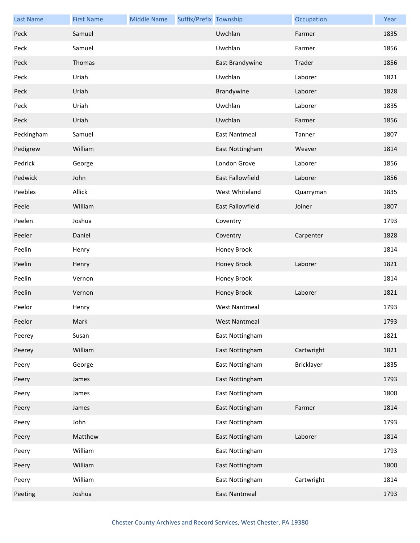| <b>Last Name</b> | <b>First Name</b> | <b>Middle Name</b> | Suffix/Prefix Township |                      | Occupation | Year |
|------------------|-------------------|--------------------|------------------------|----------------------|------------|------|
| Peck             | Samuel            |                    |                        | Uwchlan              | Farmer     | 1835 |
| Peck             | Samuel            |                    |                        | Uwchlan              | Farmer     | 1856 |
| Peck             | Thomas            |                    |                        | East Brandywine      | Trader     | 1856 |
| Peck             | Uriah             |                    |                        | Uwchlan              | Laborer    | 1821 |
| Peck             | Uriah             |                    |                        | Brandywine           | Laborer    | 1828 |
| Peck             | Uriah             |                    |                        | Uwchlan              | Laborer    | 1835 |
| Peck             | Uriah             |                    |                        | Uwchlan              | Farmer     | 1856 |
| Peckingham       | Samuel            |                    |                        | <b>East Nantmeal</b> | Tanner     | 1807 |
| Pedigrew         | William           |                    |                        | East Nottingham      | Weaver     | 1814 |
| Pedrick          | George            |                    |                        | London Grove         | Laborer    | 1856 |
| Pedwick          | John              |                    |                        | East Fallowfield     | Laborer    | 1856 |
| Peebles          | Allick            |                    |                        | West Whiteland       | Quarryman  | 1835 |
| Peele            | William           |                    |                        | East Fallowfield     | Joiner     | 1807 |
| Peelen           | Joshua            |                    |                        | Coventry             |            | 1793 |
| Peeler           | Daniel            |                    |                        | Coventry             | Carpenter  | 1828 |
| Peelin           | Henry             |                    |                        | Honey Brook          |            | 1814 |
| Peelin           | Henry             |                    |                        | <b>Honey Brook</b>   | Laborer    | 1821 |
| Peelin           | Vernon            |                    |                        | Honey Brook          |            | 1814 |
| Peelin           | Vernon            |                    |                        | Honey Brook          | Laborer    | 1821 |
| Peelor           | Henry             |                    |                        | <b>West Nantmeal</b> |            | 1793 |
| Peelor           | Mark              |                    |                        | <b>West Nantmeal</b> |            | 1793 |
| Peerey           | Susan             |                    |                        | East Nottingham      |            | 1821 |
| Peerey           | William           |                    |                        | East Nottingham      | Cartwright | 1821 |
| Peery            | George            |                    |                        | East Nottingham      | Bricklayer | 1835 |
| Peery            | James             |                    |                        | East Nottingham      |            | 1793 |
| Peery            | James             |                    |                        | East Nottingham      |            | 1800 |
| Peery            | James             |                    |                        | East Nottingham      | Farmer     | 1814 |
| Peery            | John              |                    |                        | East Nottingham      |            | 1793 |
| Peery            | Matthew           |                    |                        | East Nottingham      | Laborer    | 1814 |
| Peery            | William           |                    |                        | East Nottingham      |            | 1793 |
| Peery            | William           |                    |                        | East Nottingham      |            | 1800 |
| Peery            | William           |                    |                        | East Nottingham      | Cartwright | 1814 |
| Peeting          | Joshua            |                    |                        | <b>East Nantmeal</b> |            | 1793 |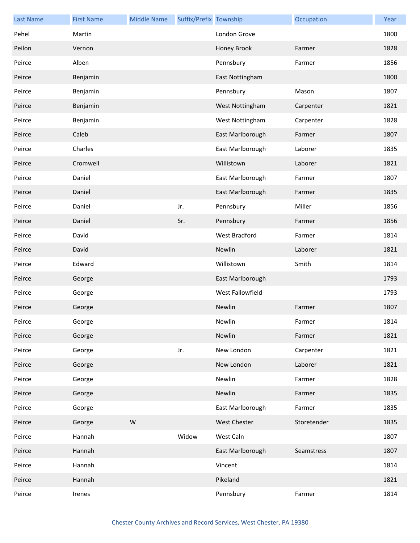| <b>Last Name</b> | <b>First Name</b> | <b>Middle Name</b> | Suffix/Prefix Township |                  | Occupation  | Year |
|------------------|-------------------|--------------------|------------------------|------------------|-------------|------|
| Pehel            | Martin            |                    |                        | London Grove     |             | 1800 |
| Peilon           | Vernon            |                    |                        | Honey Brook      | Farmer      | 1828 |
| Peirce           | Alben             |                    |                        | Pennsbury        | Farmer      | 1856 |
| Peirce           | Benjamin          |                    |                        | East Nottingham  |             | 1800 |
| Peirce           | Benjamin          |                    |                        | Pennsbury        | Mason       | 1807 |
| Peirce           | Benjamin          |                    |                        | West Nottingham  | Carpenter   | 1821 |
| Peirce           | Benjamin          |                    |                        | West Nottingham  | Carpenter   | 1828 |
| Peirce           | Caleb             |                    |                        | East Marlborough | Farmer      | 1807 |
| Peirce           | Charles           |                    |                        | East Marlborough | Laborer     | 1835 |
| Peirce           | Cromwell          |                    |                        | Willistown       | Laborer     | 1821 |
| Peirce           | Daniel            |                    |                        | East Marlborough | Farmer      | 1807 |
| Peirce           | Daniel            |                    |                        | East Marlborough | Farmer      | 1835 |
| Peirce           | Daniel            |                    | Jr.                    | Pennsbury        | Miller      | 1856 |
| Peirce           | Daniel            |                    | Sr.                    | Pennsbury        | Farmer      | 1856 |
| Peirce           | David             |                    |                        | West Bradford    | Farmer      | 1814 |
| Peirce           | David             |                    |                        | Newlin           | Laborer     | 1821 |
| Peirce           | Edward            |                    |                        | Willistown       | Smith       | 1814 |
| Peirce           | George            |                    |                        | East Marlborough |             | 1793 |
| Peirce           | George            |                    |                        | West Fallowfield |             | 1793 |
| Peirce           | George            |                    |                        | Newlin           | Farmer      | 1807 |
| Peirce           | George            |                    |                        | Newlin           | Farmer      | 1814 |
| Peirce           | George            |                    |                        | Newlin           | Farmer      | 1821 |
| Peirce           | George            |                    | Jr.                    | New London       | Carpenter   | 1821 |
| Peirce           | George            |                    |                        | New London       | Laborer     | 1821 |
| Peirce           | George            |                    |                        | Newlin           | Farmer      | 1828 |
| Peirce           | George            |                    |                        | Newlin           | Farmer      | 1835 |
| Peirce           | George            |                    |                        | East Marlborough | Farmer      | 1835 |
| Peirce           | George            | ${\sf W}$          |                        | West Chester     | Storetender | 1835 |
| Peirce           | Hannah            |                    | Widow                  | West Caln        |             | 1807 |
| Peirce           | Hannah            |                    |                        | East Marlborough | Seamstress  | 1807 |
| Peirce           | Hannah            |                    |                        | Vincent          |             | 1814 |
| Peirce           | Hannah            |                    |                        | Pikeland         |             | 1821 |
| Peirce           | Irenes            |                    |                        | Pennsbury        | Farmer      | 1814 |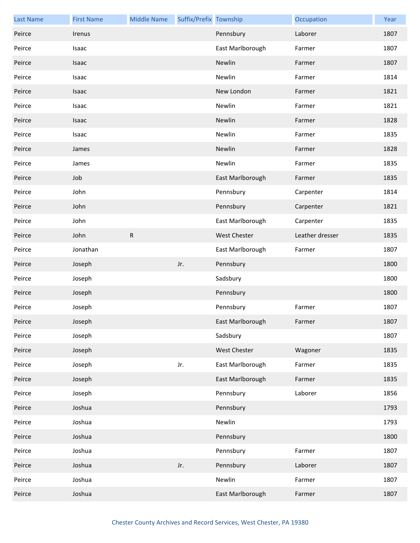| <b>Last Name</b> | <b>First Name</b> | <b>Middle Name</b> | Suffix/Prefix Township |                  | Occupation      | Year |
|------------------|-------------------|--------------------|------------------------|------------------|-----------------|------|
| Peirce           | Irenus            |                    |                        | Pennsbury        | Laborer         | 1807 |
| Peirce           | Isaac             |                    |                        | East Marlborough | Farmer          | 1807 |
| Peirce           | <b>Isaac</b>      |                    |                        | Newlin           | Farmer          | 1807 |
| Peirce           | Isaac             |                    |                        | Newlin           | Farmer          | 1814 |
| Peirce           | Isaac             |                    |                        | New London       | Farmer          | 1821 |
| Peirce           | Isaac             |                    |                        | Newlin           | Farmer          | 1821 |
| Peirce           | Isaac             |                    |                        | Newlin           | Farmer          | 1828 |
| Peirce           | Isaac             |                    |                        | Newlin           | Farmer          | 1835 |
| Peirce           | James             |                    |                        | Newlin           | Farmer          | 1828 |
| Peirce           | James             |                    |                        | Newlin           | Farmer          | 1835 |
| Peirce           | Job               |                    |                        | East Marlborough | Farmer          | 1835 |
| Peirce           | John              |                    |                        | Pennsbury        | Carpenter       | 1814 |
| Peirce           | John              |                    |                        | Pennsbury        | Carpenter       | 1821 |
| Peirce           | John              |                    |                        | East Marlborough | Carpenter       | 1835 |
| Peirce           | John              | ${\sf R}$          |                        | West Chester     | Leather dresser | 1835 |
| Peirce           | Jonathan          |                    |                        | East Marlborough | Farmer          | 1807 |
| Peirce           | Joseph            |                    | Jr.                    | Pennsbury        |                 | 1800 |
| Peirce           | Joseph            |                    |                        | Sadsbury         |                 | 1800 |
| Peirce           | Joseph            |                    |                        | Pennsbury        |                 | 1800 |
| Peirce           | Joseph            |                    |                        | Pennsbury        | Farmer          | 1807 |
| Peirce           | Joseph            |                    |                        | East Marlborough | Farmer          | 1807 |
| Peirce           | Joseph            |                    |                        | Sadsbury         |                 | 1807 |
| Peirce           | Joseph            |                    |                        | West Chester     | Wagoner         | 1835 |
| Peirce           | Joseph            |                    | Jr.                    | East Marlborough | Farmer          | 1835 |
| Peirce           | Joseph            |                    |                        | East Marlborough | Farmer          | 1835 |
| Peirce           | Joseph            |                    |                        | Pennsbury        | Laborer         | 1856 |
| Peirce           | Joshua            |                    |                        | Pennsbury        |                 | 1793 |
| Peirce           | Joshua            |                    |                        | Newlin           |                 | 1793 |
| Peirce           | Joshua            |                    |                        | Pennsbury        |                 | 1800 |
| Peirce           | Joshua            |                    |                        | Pennsbury        | Farmer          | 1807 |
| Peirce           | Joshua            |                    | Jr.                    | Pennsbury        | Laborer         | 1807 |
| Peirce           | Joshua            |                    |                        | Newlin           | Farmer          | 1807 |
| Peirce           | Joshua            |                    |                        | East Marlborough | Farmer          | 1807 |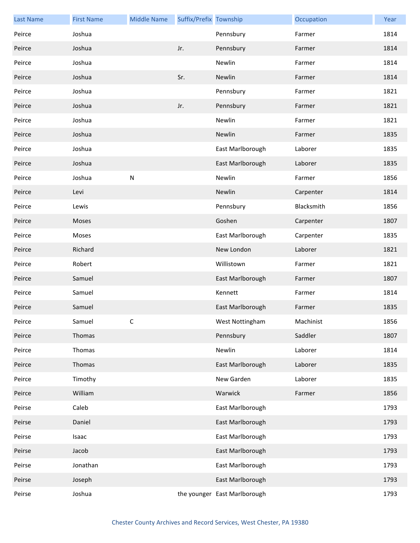| <b>Last Name</b> | <b>First Name</b> | <b>Middle Name</b> | Suffix/Prefix Township |                              | Occupation | Year |
|------------------|-------------------|--------------------|------------------------|------------------------------|------------|------|
| Peirce           | Joshua            |                    |                        | Pennsbury                    | Farmer     | 1814 |
| Peirce           | Joshua            |                    | Jr.                    | Pennsbury                    | Farmer     | 1814 |
| Peirce           | Joshua            |                    |                        | Newlin                       | Farmer     | 1814 |
| Peirce           | Joshua            |                    | Sr.                    | Newlin                       | Farmer     | 1814 |
| Peirce           | Joshua            |                    |                        | Pennsbury                    | Farmer     | 1821 |
| Peirce           | Joshua            |                    | Jr.                    | Pennsbury                    | Farmer     | 1821 |
| Peirce           | Joshua            |                    |                        | Newlin                       | Farmer     | 1821 |
| Peirce           | Joshua            |                    |                        | Newlin                       | Farmer     | 1835 |
| Peirce           | Joshua            |                    |                        | East Marlborough             | Laborer    | 1835 |
| Peirce           | Joshua            |                    |                        | East Marlborough             | Laborer    | 1835 |
| Peirce           | Joshua            | ${\sf N}$          |                        | Newlin                       | Farmer     | 1856 |
| Peirce           | Levi              |                    |                        | Newlin                       | Carpenter  | 1814 |
| Peirce           | Lewis             |                    |                        | Pennsbury                    | Blacksmith | 1856 |
| Peirce           | Moses             |                    |                        | Goshen                       | Carpenter  | 1807 |
| Peirce           | Moses             |                    |                        | East Marlborough             | Carpenter  | 1835 |
| Peirce           | Richard           |                    |                        | New London                   | Laborer    | 1821 |
| Peirce           | Robert            |                    |                        | Willistown                   | Farmer     | 1821 |
| Peirce           | Samuel            |                    |                        | East Marlborough             | Farmer     | 1807 |
| Peirce           | Samuel            |                    |                        | Kennett                      | Farmer     | 1814 |
| Peirce           | Samuel            |                    |                        | East Marlborough             | Farmer     | 1835 |
| Peirce           | Samuel            | C.                 |                        | West Nottingham              | Machinist  | 1856 |
| Peirce           | Thomas            |                    |                        | Pennsbury                    | Saddler    | 1807 |
| Peirce           | Thomas            |                    |                        | Newlin                       | Laborer    | 1814 |
| Peirce           | Thomas            |                    |                        | East Marlborough             | Laborer    | 1835 |
| Peirce           | Timothy           |                    |                        | New Garden                   | Laborer    | 1835 |
| Peirce           | William           |                    |                        | Warwick                      | Farmer     | 1856 |
| Peirse           | Caleb             |                    |                        | East Marlborough             |            | 1793 |
| Peirse           | Daniel            |                    |                        | East Marlborough             |            | 1793 |
| Peirse           | Isaac             |                    |                        | East Marlborough             |            | 1793 |
| Peirse           | Jacob             |                    |                        | East Marlborough             |            | 1793 |
| Peirse           | Jonathan          |                    |                        | East Marlborough             |            | 1793 |
| Peirse           | Joseph            |                    |                        | East Marlborough             |            | 1793 |
| Peirse           | Joshua            |                    |                        | the younger East Marlborough |            | 1793 |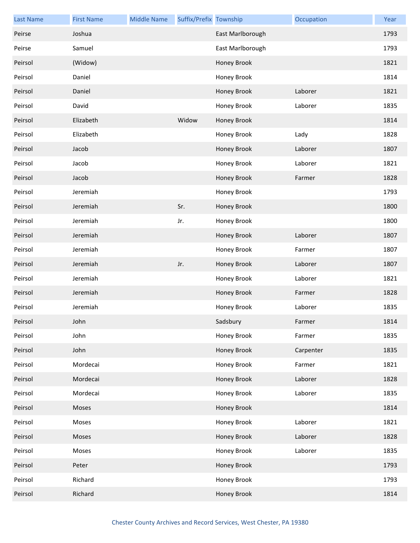| <b>Last Name</b> | <b>First Name</b> | <b>Middle Name</b> | Suffix/Prefix Township |                  | Occupation | Year |
|------------------|-------------------|--------------------|------------------------|------------------|------------|------|
| Peirse           | Joshua            |                    |                        | East Marlborough |            | 1793 |
| Peirse           | Samuel            |                    |                        | East Marlborough |            | 1793 |
| Peirsol          | (Widow)           |                    |                        | Honey Brook      |            | 1821 |
| Peirsol          | Daniel            |                    |                        | Honey Brook      |            | 1814 |
| Peirsol          | Daniel            |                    |                        | Honey Brook      | Laborer    | 1821 |
| Peirsol          | David             |                    |                        | Honey Brook      | Laborer    | 1835 |
| Peirsol          | Elizabeth         |                    | Widow                  | Honey Brook      |            | 1814 |
| Peirsol          | Elizabeth         |                    |                        | Honey Brook      | Lady       | 1828 |
| Peirsol          | Jacob             |                    |                        | Honey Brook      | Laborer    | 1807 |
| Peirsol          | Jacob             |                    |                        | Honey Brook      | Laborer    | 1821 |
| Peirsol          | Jacob             |                    |                        | Honey Brook      | Farmer     | 1828 |
| Peirsol          | Jeremiah          |                    |                        | Honey Brook      |            | 1793 |
| Peirsol          | Jeremiah          |                    | Sr.                    | Honey Brook      |            | 1800 |
| Peirsol          | Jeremiah          |                    | Jr.                    | Honey Brook      |            | 1800 |
| Peirsol          | Jeremiah          |                    |                        | Honey Brook      | Laborer    | 1807 |
| Peirsol          | Jeremiah          |                    |                        | Honey Brook      | Farmer     | 1807 |
| Peirsol          | Jeremiah          |                    | Jr.                    | Honey Brook      | Laborer    | 1807 |
| Peirsol          | Jeremiah          |                    |                        | Honey Brook      | Laborer    | 1821 |
| Peirsol          | Jeremiah          |                    |                        | Honey Brook      | Farmer     | 1828 |
| Peirsol          | Jeremiah          |                    |                        | Honey Brook      | Laborer    | 1835 |
| Peirsol          | John              |                    |                        | Sadsbury         | Farmer     | 1814 |
| Peirsol          | John              |                    |                        | Honey Brook      | Farmer     | 1835 |
| Peirsol          | John              |                    |                        | Honey Brook      | Carpenter  | 1835 |
| Peirsol          | Mordecai          |                    |                        | Honey Brook      | Farmer     | 1821 |
| Peirsol          | Mordecai          |                    |                        | Honey Brook      | Laborer    | 1828 |
| Peirsol          | Mordecai          |                    |                        | Honey Brook      | Laborer    | 1835 |
| Peirsol          | Moses             |                    |                        | Honey Brook      |            | 1814 |
| Peirsol          | Moses             |                    |                        | Honey Brook      | Laborer    | 1821 |
| Peirsol          | Moses             |                    |                        | Honey Brook      | Laborer    | 1828 |
| Peirsol          | Moses             |                    |                        | Honey Brook      | Laborer    | 1835 |
| Peirsol          | Peter             |                    |                        | Honey Brook      |            | 1793 |
| Peirsol          | Richard           |                    |                        | Honey Brook      |            | 1793 |
| Peirsol          | Richard           |                    |                        | Honey Brook      |            | 1814 |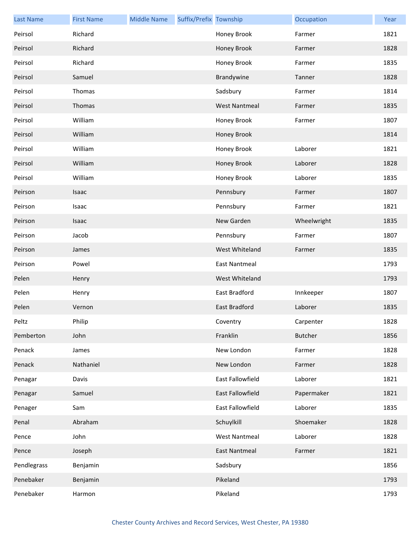| <b>Last Name</b> | <b>First Name</b> | <b>Middle Name</b> | Suffix/Prefix Township |                         | Occupation     | Year |
|------------------|-------------------|--------------------|------------------------|-------------------------|----------------|------|
| Peirsol          | Richard           |                    |                        | Honey Brook             | Farmer         | 1821 |
| Peirsol          | Richard           |                    |                        | Honey Brook             | Farmer         | 1828 |
| Peirsol          | Richard           |                    |                        | Honey Brook             | Farmer         | 1835 |
| Peirsol          | Samuel            |                    |                        | Brandywine              | Tanner         | 1828 |
| Peirsol          | Thomas            |                    |                        | Sadsbury                | Farmer         | 1814 |
| Peirsol          | Thomas            |                    |                        | <b>West Nantmeal</b>    | Farmer         | 1835 |
| Peirsol          | William           |                    |                        | Honey Brook             | Farmer         | 1807 |
| Peirsol          | William           |                    |                        | Honey Brook             |                | 1814 |
| Peirsol          | William           |                    |                        | Honey Brook             | Laborer        | 1821 |
| Peirsol          | William           |                    |                        | Honey Brook             | Laborer        | 1828 |
| Peirsol          | William           |                    |                        | Honey Brook             | Laborer        | 1835 |
| Peirson          | Isaac             |                    |                        | Pennsbury               | Farmer         | 1807 |
| Peirson          | Isaac             |                    |                        | Pennsbury               | Farmer         | 1821 |
| Peirson          | Isaac             |                    |                        | New Garden              | Wheelwright    | 1835 |
| Peirson          | Jacob             |                    |                        | Pennsbury               | Farmer         | 1807 |
| Peirson          | James             |                    |                        | West Whiteland          | Farmer         | 1835 |
| Peirson          | Powel             |                    |                        | <b>East Nantmeal</b>    |                | 1793 |
| Pelen            | Henry             |                    |                        | West Whiteland          |                | 1793 |
| Pelen            | Henry             |                    |                        | East Bradford           | Innkeeper      | 1807 |
| Pelen            | Vernon            |                    |                        | <b>East Bradford</b>    | Laborer        | 1835 |
| Peltz            | Philip            |                    |                        | Coventry                | Carpenter      | 1828 |
| Pemberton        | John              |                    |                        | Franklin                | <b>Butcher</b> | 1856 |
| Penack           | James             |                    |                        | New London              | Farmer         | 1828 |
| Penack           | Nathaniel         |                    |                        | New London              | Farmer         | 1828 |
| Penagar          | Davis             |                    |                        | East Fallowfield        | Laborer        | 1821 |
| Penagar          | Samuel            |                    |                        | <b>East Fallowfield</b> | Papermaker     | 1821 |
| Penager          | Sam               |                    |                        | East Fallowfield        | Laborer        | 1835 |
| Penal            | Abraham           |                    |                        | Schuylkill              | Shoemaker      | 1828 |
| Pence            | John              |                    |                        | <b>West Nantmeal</b>    | Laborer        | 1828 |
| Pence            | Joseph            |                    |                        | <b>East Nantmeal</b>    | Farmer         | 1821 |
| Pendlegrass      | Benjamin          |                    |                        | Sadsbury                |                | 1856 |
| Penebaker        | Benjamin          |                    |                        | Pikeland                |                | 1793 |
| Penebaker        | Harmon            |                    |                        | Pikeland                |                | 1793 |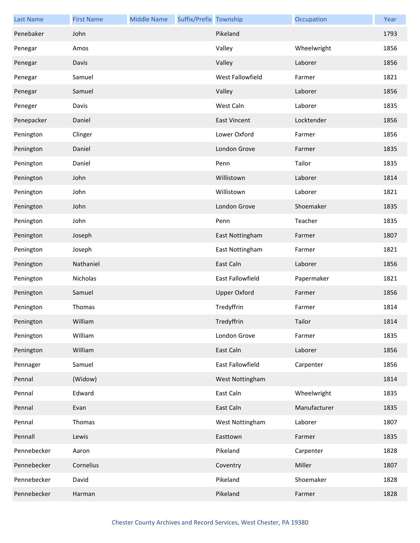| <b>Last Name</b> | <b>First Name</b> | <b>Middle Name</b> | Suffix/Prefix Township |                     | Occupation   | Year |
|------------------|-------------------|--------------------|------------------------|---------------------|--------------|------|
| Penebaker        | John              |                    |                        | Pikeland            |              | 1793 |
| Penegar          | Amos              |                    |                        | Valley              | Wheelwright  | 1856 |
| Penegar          | Davis             |                    |                        | Valley              | Laborer      | 1856 |
| Penegar          | Samuel            |                    |                        | West Fallowfield    | Farmer       | 1821 |
| Penegar          | Samuel            |                    |                        | Valley              | Laborer      | 1856 |
| Peneger          | Davis             |                    |                        | West Caln           | Laborer      | 1835 |
| Penepacker       | Daniel            |                    |                        | <b>East Vincent</b> | Locktender   | 1856 |
| Penington        | Clinger           |                    |                        | Lower Oxford        | Farmer       | 1856 |
| Penington        | Daniel            |                    |                        | London Grove        | Farmer       | 1835 |
| Penington        | Daniel            |                    |                        | Penn                | Tailor       | 1835 |
| Penington        | John              |                    |                        | Willistown          | Laborer      | 1814 |
| Penington        | John              |                    |                        | Willistown          | Laborer      | 1821 |
| Penington        | John              |                    |                        | London Grove        | Shoemaker    | 1835 |
| Penington        | John              |                    |                        | Penn                | Teacher      | 1835 |
| Penington        | Joseph            |                    |                        | East Nottingham     | Farmer       | 1807 |
| Penington        | Joseph            |                    |                        | East Nottingham     | Farmer       | 1821 |
| Penington        | Nathaniel         |                    |                        | East Caln           | Laborer      | 1856 |
| Penington        | Nicholas          |                    |                        | East Fallowfield    | Papermaker   | 1821 |
| Penington        | Samuel            |                    |                        | <b>Upper Oxford</b> | Farmer       | 1856 |
| Penington        | Thomas            |                    |                        | Tredyffrin          | Farmer       | 1814 |
| Penington        | William           |                    |                        | Tredyffrin          | Tailor       | 1814 |
| Penington        | William           |                    |                        | London Grove        | Farmer       | 1835 |
| Penington        | William           |                    |                        | East Caln           | Laborer      | 1856 |
| Pennager         | Samuel            |                    |                        | East Fallowfield    | Carpenter    | 1856 |
| Pennal           | (Widow)           |                    |                        | West Nottingham     |              | 1814 |
| Pennal           | Edward            |                    |                        | East Caln           | Wheelwright  | 1835 |
| Pennal           | Evan              |                    |                        | East Caln           | Manufacturer | 1835 |
| Pennal           | Thomas            |                    |                        | West Nottingham     | Laborer      | 1807 |
| Pennall          | Lewis             |                    |                        | Easttown            | Farmer       | 1835 |
| Pennebecker      | Aaron             |                    |                        | Pikeland            | Carpenter    | 1828 |
| Pennebecker      | Cornelius         |                    |                        | Coventry            | Miller       | 1807 |
| Pennebecker      | David             |                    |                        | Pikeland            | Shoemaker    | 1828 |
| Pennebecker      | Harman            |                    |                        | Pikeland            | Farmer       | 1828 |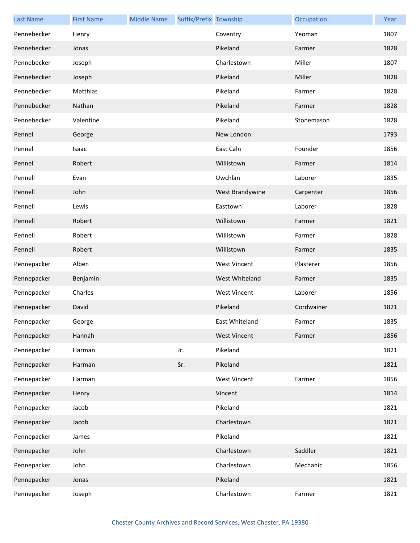| <b>Last Name</b> | <b>First Name</b> | <b>Middle Name</b> | Suffix/Prefix Township |                     | Occupation | Year |
|------------------|-------------------|--------------------|------------------------|---------------------|------------|------|
| Pennebecker      | Henry             |                    |                        | Coventry            | Yeoman     | 1807 |
| Pennebecker      | Jonas             |                    |                        | Pikeland            | Farmer     | 1828 |
| Pennebecker      | Joseph            |                    |                        | Charlestown         | Miller     | 1807 |
| Pennebecker      | Joseph            |                    |                        | Pikeland            | Miller     | 1828 |
| Pennebecker      | Matthias          |                    |                        | Pikeland            | Farmer     | 1828 |
| Pennebecker      | Nathan            |                    |                        | Pikeland            | Farmer     | 1828 |
| Pennebecker      | Valentine         |                    |                        | Pikeland            | Stonemason | 1828 |
| Pennel           | George            |                    |                        | New London          |            | 1793 |
| Pennel           | Isaac             |                    |                        | East Caln           | Founder    | 1856 |
| Pennel           | Robert            |                    |                        | Willistown          | Farmer     | 1814 |
| Pennell          | Evan              |                    |                        | Uwchlan             | Laborer    | 1835 |
| Pennell          | John              |                    |                        | West Brandywine     | Carpenter  | 1856 |
| Pennell          | Lewis             |                    |                        | Easttown            | Laborer    | 1828 |
| Pennell          | Robert            |                    |                        | Willistown          | Farmer     | 1821 |
| Pennell          | Robert            |                    |                        | Willistown          | Farmer     | 1828 |
| Pennell          | Robert            |                    |                        | Willistown          | Farmer     | 1835 |
| Pennepacker      | Alben             |                    |                        | <b>West Vincent</b> | Plasterer  | 1856 |
| Pennepacker      | Benjamin          |                    |                        | West Whiteland      | Farmer     | 1835 |
| Pennepacker      | Charles           |                    |                        | <b>West Vincent</b> | Laborer    | 1856 |
| Pennepacker      | David             |                    |                        | Pikeland            | Cordwainer | 1821 |
| Pennepacker      | George            |                    |                        | East Whiteland      | Farmer     | 1835 |
| Pennepacker      | Hannah            |                    |                        | <b>West Vincent</b> | Farmer     | 1856 |
| Pennepacker      | Harman            |                    | Jr.                    | Pikeland            |            | 1821 |
| Pennepacker      | Harman            |                    | Sr.                    | Pikeland            |            | 1821 |
| Pennepacker      | Harman            |                    |                        | <b>West Vincent</b> | Farmer     | 1856 |
| Pennepacker      | Henry             |                    |                        | Vincent             |            | 1814 |
| Pennepacker      | Jacob             |                    |                        | Pikeland            |            | 1821 |
| Pennepacker      | Jacob             |                    |                        | Charlestown         |            | 1821 |
| Pennepacker      | James             |                    |                        | Pikeland            |            | 1821 |
| Pennepacker      | John              |                    |                        | Charlestown         | Saddler    | 1821 |
| Pennepacker      | John              |                    |                        | Charlestown         | Mechanic   | 1856 |
| Pennepacker      | Jonas             |                    |                        | Pikeland            |            | 1821 |
| Pennepacker      | Joseph            |                    |                        | Charlestown         | Farmer     | 1821 |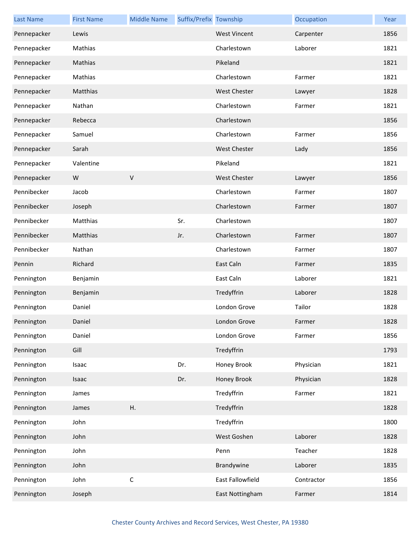| <b>Last Name</b> | <b>First Name</b> | <b>Middle Name</b> | Suffix/Prefix Township |                     | Occupation | Year |
|------------------|-------------------|--------------------|------------------------|---------------------|------------|------|
| Pennepacker      | Lewis             |                    |                        | <b>West Vincent</b> | Carpenter  | 1856 |
| Pennepacker      | Mathias           |                    |                        | Charlestown         | Laborer    | 1821 |
| Pennepacker      | Mathias           |                    |                        | Pikeland            |            | 1821 |
| Pennepacker      | Mathias           |                    |                        | Charlestown         | Farmer     | 1821 |
| Pennepacker      | Matthias          |                    |                        | <b>West Chester</b> | Lawyer     | 1828 |
| Pennepacker      | Nathan            |                    |                        | Charlestown         | Farmer     | 1821 |
| Pennepacker      | Rebecca           |                    |                        | Charlestown         |            | 1856 |
| Pennepacker      | Samuel            |                    |                        | Charlestown         | Farmer     | 1856 |
| Pennepacker      | Sarah             |                    |                        | <b>West Chester</b> | Lady       | 1856 |
| Pennepacker      | Valentine         |                    |                        | Pikeland            |            | 1821 |
| Pennepacker      | W                 | $\vee$             |                        | <b>West Chester</b> | Lawyer     | 1856 |
| Pennibecker      | Jacob             |                    |                        | Charlestown         | Farmer     | 1807 |
| Pennibecker      | Joseph            |                    |                        | Charlestown         | Farmer     | 1807 |
| Pennibecker      | Matthias          |                    | Sr.                    | Charlestown         |            | 1807 |
| Pennibecker      | Matthias          |                    | Jr.                    | Charlestown         | Farmer     | 1807 |
| Pennibecker      | Nathan            |                    |                        | Charlestown         | Farmer     | 1807 |
| Pennin           | Richard           |                    |                        | East Caln           | Farmer     | 1835 |
| Pennington       | Benjamin          |                    |                        | East Caln           | Laborer    | 1821 |
| Pennington       | Benjamin          |                    |                        | Tredyffrin          | Laborer    | 1828 |
| Pennington       | Daniel            |                    |                        | London Grove        | Tailor     | 1828 |
| Pennington       | Daniel            |                    |                        | London Grove        | Farmer     | 1828 |
| Pennington       | Daniel            |                    |                        | London Grove        | Farmer     | 1856 |
| Pennington       | Gill              |                    |                        | Tredyffrin          |            | 1793 |
| Pennington       | Isaac             |                    | Dr.                    | Honey Brook         | Physician  | 1821 |
| Pennington       | Isaac             |                    | Dr.                    | Honey Brook         | Physician  | 1828 |
| Pennington       | James             |                    |                        | Tredyffrin          | Farmer     | 1821 |
| Pennington       | James             | Η.                 |                        | Tredyffrin          |            | 1828 |
| Pennington       | John              |                    |                        | Tredyffrin          |            | 1800 |
| Pennington       | John              |                    |                        | West Goshen         | Laborer    | 1828 |
| Pennington       | John              |                    |                        | Penn                | Teacher    | 1828 |
| Pennington       | John              |                    |                        | Brandywine          | Laborer    | 1835 |
| Pennington       | John              | $\mathsf C$        |                        | East Fallowfield    | Contractor | 1856 |
| Pennington       | Joseph            |                    |                        | East Nottingham     | Farmer     | 1814 |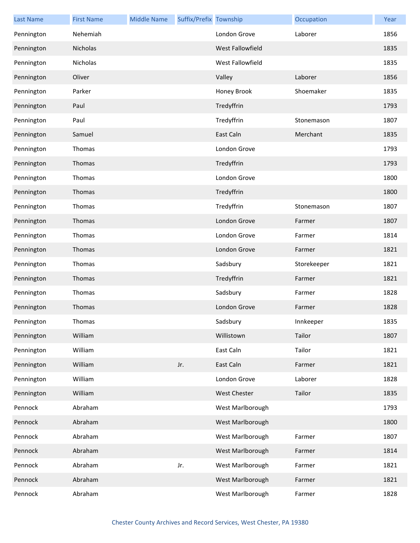| <b>Last Name</b> | <b>First Name</b> | <b>Middle Name</b> | Suffix/Prefix Township |                     | Occupation  | Year |
|------------------|-------------------|--------------------|------------------------|---------------------|-------------|------|
| Pennington       | Nehemiah          |                    |                        | London Grove        | Laborer     | 1856 |
| Pennington       | Nicholas          |                    |                        | West Fallowfield    |             | 1835 |
| Pennington       | Nicholas          |                    |                        | West Fallowfield    |             | 1835 |
| Pennington       | Oliver            |                    |                        | Valley              | Laborer     | 1856 |
| Pennington       | Parker            |                    |                        | Honey Brook         | Shoemaker   | 1835 |
| Pennington       | Paul              |                    |                        | Tredyffrin          |             | 1793 |
| Pennington       | Paul              |                    |                        | Tredyffrin          | Stonemason  | 1807 |
| Pennington       | Samuel            |                    |                        | East Caln           | Merchant    | 1835 |
| Pennington       | Thomas            |                    |                        | London Grove        |             | 1793 |
| Pennington       | Thomas            |                    |                        | Tredyffrin          |             | 1793 |
| Pennington       | Thomas            |                    |                        | London Grove        |             | 1800 |
| Pennington       | Thomas            |                    |                        | Tredyffrin          |             | 1800 |
| Pennington       | Thomas            |                    |                        | Tredyffrin          | Stonemason  | 1807 |
| Pennington       | Thomas            |                    |                        | London Grove        | Farmer      | 1807 |
| Pennington       | Thomas            |                    |                        | London Grove        | Farmer      | 1814 |
| Pennington       | Thomas            |                    |                        | London Grove        | Farmer      | 1821 |
| Pennington       | Thomas            |                    |                        | Sadsbury            | Storekeeper | 1821 |
| Pennington       | Thomas            |                    |                        | Tredyffrin          | Farmer      | 1821 |
| Pennington       | Thomas            |                    |                        | Sadsbury            | Farmer      | 1828 |
| Pennington       | Thomas            |                    |                        | London Grove        | Farmer      | 1828 |
| Pennington       | Thomas            |                    |                        | Sadsbury            | Innkeeper   | 1835 |
| Pennington       | William           |                    |                        | Willistown          | Tailor      | 1807 |
| Pennington       | William           |                    |                        | East Caln           | Tailor      | 1821 |
| Pennington       | William           |                    | Jr.                    | East Caln           | Farmer      | 1821 |
| Pennington       | William           |                    |                        | London Grove        | Laborer     | 1828 |
| Pennington       | William           |                    |                        | <b>West Chester</b> | Tailor      | 1835 |
| Pennock          | Abraham           |                    |                        | West Marlborough    |             | 1793 |
| Pennock          | Abraham           |                    |                        | West Marlborough    |             | 1800 |
| Pennock          | Abraham           |                    |                        | West Marlborough    | Farmer      | 1807 |
| Pennock          | Abraham           |                    |                        | West Marlborough    | Farmer      | 1814 |
| Pennock          | Abraham           |                    | Jr.                    | West Marlborough    | Farmer      | 1821 |
| Pennock          | Abraham           |                    |                        | West Marlborough    | Farmer      | 1821 |
| Pennock          | Abraham           |                    |                        | West Marlborough    | Farmer      | 1828 |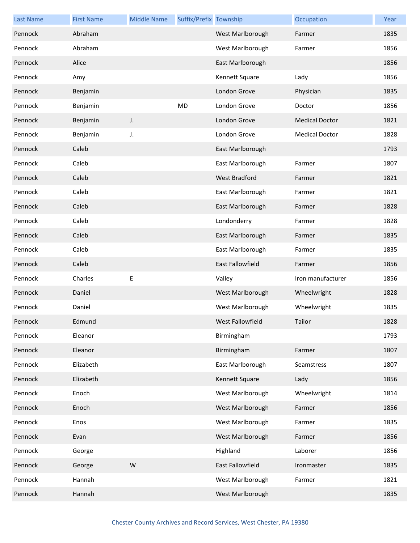| <b>Last Name</b> | <b>First Name</b> | <b>Middle Name</b> | Suffix/Prefix Township |                  | Occupation            | Year |
|------------------|-------------------|--------------------|------------------------|------------------|-----------------------|------|
| Pennock          | Abraham           |                    |                        | West Marlborough | Farmer                | 1835 |
| Pennock          | Abraham           |                    |                        | West Marlborough | Farmer                | 1856 |
| Pennock          | Alice             |                    |                        | East Marlborough |                       | 1856 |
| Pennock          | Amy               |                    |                        | Kennett Square   | Lady                  | 1856 |
| Pennock          | Benjamin          |                    |                        | London Grove     | Physician             | 1835 |
| Pennock          | Benjamin          |                    | MD                     | London Grove     | Doctor                | 1856 |
| Pennock          | Benjamin          | J.                 |                        | London Grove     | <b>Medical Doctor</b> | 1821 |
| Pennock          | Benjamin          | J.                 |                        | London Grove     | <b>Medical Doctor</b> | 1828 |
| Pennock          | Caleb             |                    |                        | East Marlborough |                       | 1793 |
| Pennock          | Caleb             |                    |                        | East Marlborough | Farmer                | 1807 |
| Pennock          | Caleb             |                    |                        | West Bradford    | Farmer                | 1821 |
| Pennock          | Caleb             |                    |                        | East Marlborough | Farmer                | 1821 |
| Pennock          | Caleb             |                    |                        | East Marlborough | Farmer                | 1828 |
| Pennock          | Caleb             |                    |                        | Londonderry      | Farmer                | 1828 |
| Pennock          | Caleb             |                    |                        | East Marlborough | Farmer                | 1835 |
| Pennock          | Caleb             |                    |                        | East Marlborough | Farmer                | 1835 |
| Pennock          | Caleb             |                    |                        | East Fallowfield | Farmer                | 1856 |
| Pennock          | Charles           | Е                  |                        | Valley           | Iron manufacturer     | 1856 |
| Pennock          | Daniel            |                    |                        | West Marlborough | Wheelwright           | 1828 |
| Pennock          | Daniel            |                    |                        | West Marlborough | Wheelwright           | 1835 |
| Pennock          | Edmund            |                    |                        | West Fallowfield | Tailor                | 1828 |
| Pennock          | Eleanor           |                    |                        | Birmingham       |                       | 1793 |
| Pennock          | Eleanor           |                    |                        | Birmingham       | Farmer                | 1807 |
| Pennock          | Elizabeth         |                    |                        | East Marlborough | Seamstress            | 1807 |
| Pennock          | Elizabeth         |                    |                        | Kennett Square   | Lady                  | 1856 |
| Pennock          | Enoch             |                    |                        | West Marlborough | Wheelwright           | 1814 |
| Pennock          | Enoch             |                    |                        | West Marlborough | Farmer                | 1856 |
| Pennock          | Enos              |                    |                        | West Marlborough | Farmer                | 1835 |
| Pennock          | Evan              |                    |                        | West Marlborough | Farmer                | 1856 |
| Pennock          | George            |                    |                        | Highland         | Laborer               | 1856 |
| Pennock          | George            | W                  |                        | East Fallowfield | Ironmaster            | 1835 |
| Pennock          | Hannah            |                    |                        | West Marlborough | Farmer                | 1821 |
| Pennock          | Hannah            |                    |                        | West Marlborough |                       | 1835 |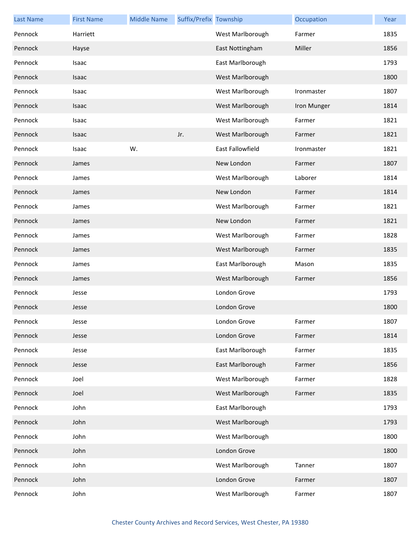| <b>Last Name</b> | <b>First Name</b> | <b>Middle Name</b> | Suffix/Prefix Township |                  | Occupation  | Year |
|------------------|-------------------|--------------------|------------------------|------------------|-------------|------|
| Pennock          | Harriett          |                    |                        | West Marlborough | Farmer      | 1835 |
| Pennock          | Hayse             |                    |                        | East Nottingham  | Miller      | 1856 |
| Pennock          | Isaac             |                    |                        | East Marlborough |             | 1793 |
| Pennock          | Isaac             |                    |                        | West Marlborough |             | 1800 |
| Pennock          | Isaac             |                    |                        | West Marlborough | Ironmaster  | 1807 |
| Pennock          | Isaac             |                    |                        | West Marlborough | Iron Munger | 1814 |
| Pennock          | Isaac             |                    |                        | West Marlborough | Farmer      | 1821 |
| Pennock          | Isaac             |                    | Jr.                    | West Marlborough | Farmer      | 1821 |
| Pennock          | Isaac             | W.                 |                        | East Fallowfield | Ironmaster  | 1821 |
| Pennock          | James             |                    |                        | New London       | Farmer      | 1807 |
| Pennock          | James             |                    |                        | West Marlborough | Laborer     | 1814 |
| Pennock          | James             |                    |                        | New London       | Farmer      | 1814 |
| Pennock          | James             |                    |                        | West Marlborough | Farmer      | 1821 |
| Pennock          | James             |                    |                        | New London       | Farmer      | 1821 |
| Pennock          | James             |                    |                        | West Marlborough | Farmer      | 1828 |
| Pennock          | James             |                    |                        | West Marlborough | Farmer      | 1835 |
| Pennock          | James             |                    |                        | East Marlborough | Mason       | 1835 |
| Pennock          | James             |                    |                        | West Marlborough | Farmer      | 1856 |
| Pennock          | Jesse             |                    |                        | London Grove     |             | 1793 |
| Pennock          | Jesse             |                    |                        | London Grove     |             | 1800 |
| Pennock          | Jesse             |                    |                        | London Grove     | Farmer      | 1807 |
| Pennock          | Jesse             |                    |                        | London Grove     | Farmer      | 1814 |
| Pennock          | Jesse             |                    |                        | East Marlborough | Farmer      | 1835 |
| Pennock          | Jesse             |                    |                        | East Marlborough | Farmer      | 1856 |
| Pennock          | Joel              |                    |                        | West Marlborough | Farmer      | 1828 |
| Pennock          | Joel              |                    |                        | West Marlborough | Farmer      | 1835 |
| Pennock          | John              |                    |                        | East Marlborough |             | 1793 |
| Pennock          | John              |                    |                        | West Marlborough |             | 1793 |
| Pennock          | John              |                    |                        | West Marlborough |             | 1800 |
| Pennock          | John              |                    |                        | London Grove     |             | 1800 |
| Pennock          | John              |                    |                        | West Marlborough | Tanner      | 1807 |
| Pennock          | John              |                    |                        | London Grove     | Farmer      | 1807 |
| Pennock          | John              |                    |                        | West Marlborough | Farmer      | 1807 |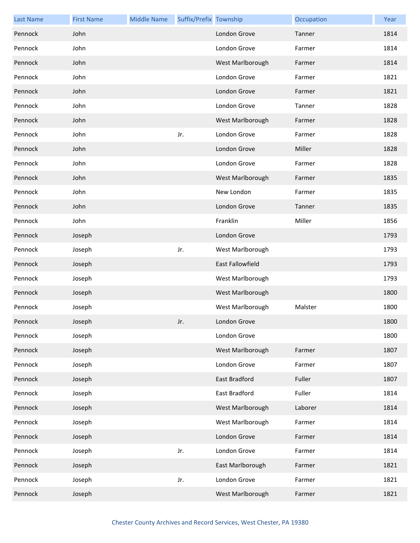| <b>Last Name</b> | <b>First Name</b> | <b>Middle Name</b> | Suffix/Prefix Township |                  | Occupation | Year |
|------------------|-------------------|--------------------|------------------------|------------------|------------|------|
| Pennock          | John              |                    |                        | London Grove     | Tanner     | 1814 |
| Pennock          | John              |                    |                        | London Grove     | Farmer     | 1814 |
| Pennock          | John              |                    |                        | West Marlborough | Farmer     | 1814 |
| Pennock          | John              |                    |                        | London Grove     | Farmer     | 1821 |
| Pennock          | John              |                    |                        | London Grove     | Farmer     | 1821 |
| Pennock          | John              |                    |                        | London Grove     | Tanner     | 1828 |
| Pennock          | John              |                    |                        | West Marlborough | Farmer     | 1828 |
| Pennock          | John              |                    | Jr.                    | London Grove     | Farmer     | 1828 |
| Pennock          | John              |                    |                        | London Grove     | Miller     | 1828 |
| Pennock          | John              |                    |                        | London Grove     | Farmer     | 1828 |
| Pennock          | John              |                    |                        | West Marlborough | Farmer     | 1835 |
| Pennock          | John              |                    |                        | New London       | Farmer     | 1835 |
| Pennock          | John              |                    |                        | London Grove     | Tanner     | 1835 |
| Pennock          | John              |                    |                        | Franklin         | Miller     | 1856 |
| Pennock          | Joseph            |                    |                        | London Grove     |            | 1793 |
| Pennock          | Joseph            |                    | Jr.                    | West Marlborough |            | 1793 |
| Pennock          | Joseph            |                    |                        | East Fallowfield |            | 1793 |
| Pennock          | Joseph            |                    |                        | West Marlborough |            | 1793 |
| Pennock          | Joseph            |                    |                        | West Marlborough |            | 1800 |
| Pennock          | Joseph            |                    |                        | West Marlborough | Malster    | 1800 |
| Pennock          | Joseph            |                    | Jr.                    | London Grove     |            | 1800 |
| Pennock          | Joseph            |                    |                        | London Grove     |            | 1800 |
| Pennock          | Joseph            |                    |                        | West Marlborough | Farmer     | 1807 |
| Pennock          | Joseph            |                    |                        | London Grove     | Farmer     | 1807 |
| Pennock          | Joseph            |                    |                        | East Bradford    | Fuller     | 1807 |
| Pennock          | Joseph            |                    |                        | East Bradford    | Fuller     | 1814 |
| Pennock          | Joseph            |                    |                        | West Marlborough | Laborer    | 1814 |
| Pennock          | Joseph            |                    |                        | West Marlborough | Farmer     | 1814 |
| Pennock          | Joseph            |                    |                        | London Grove     | Farmer     | 1814 |
| Pennock          | Joseph            |                    | Jr.                    | London Grove     | Farmer     | 1814 |
| Pennock          | Joseph            |                    |                        | East Marlborough | Farmer     | 1821 |
| Pennock          | Joseph            |                    | Jr.                    | London Grove     | Farmer     | 1821 |
| Pennock          | Joseph            |                    |                        | West Marlborough | Farmer     | 1821 |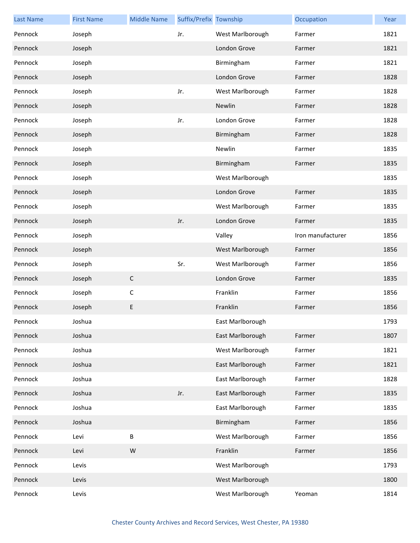| <b>Last Name</b> | <b>First Name</b> | <b>Middle Name</b> | Suffix/Prefix Township |                  | Occupation        | Year |
|------------------|-------------------|--------------------|------------------------|------------------|-------------------|------|
| Pennock          | Joseph            |                    | Jr.                    | West Marlborough | Farmer            | 1821 |
| Pennock          | Joseph            |                    |                        | London Grove     | Farmer            | 1821 |
| Pennock          | Joseph            |                    |                        | Birmingham       | Farmer            | 1821 |
| Pennock          | Joseph            |                    |                        | London Grove     | Farmer            | 1828 |
| Pennock          | Joseph            |                    | Jr.                    | West Marlborough | Farmer            | 1828 |
| Pennock          | Joseph            |                    |                        | Newlin           | Farmer            | 1828 |
| Pennock          | Joseph            |                    | Jr.                    | London Grove     | Farmer            | 1828 |
| Pennock          | Joseph            |                    |                        | Birmingham       | Farmer            | 1828 |
| Pennock          | Joseph            |                    |                        | Newlin           | Farmer            | 1835 |
| Pennock          | Joseph            |                    |                        | Birmingham       | Farmer            | 1835 |
| Pennock          | Joseph            |                    |                        | West Marlborough |                   | 1835 |
| Pennock          | Joseph            |                    |                        | London Grove     | Farmer            | 1835 |
| Pennock          | Joseph            |                    |                        | West Marlborough | Farmer            | 1835 |
| Pennock          | Joseph            |                    | Jr.                    | London Grove     | Farmer            | 1835 |
| Pennock          | Joseph            |                    |                        | Valley           | Iron manufacturer | 1856 |
| Pennock          | Joseph            |                    |                        | West Marlborough | Farmer            | 1856 |
| Pennock          | Joseph            |                    | Sr.                    | West Marlborough | Farmer            | 1856 |
| Pennock          | Joseph            | $\mathsf C$        |                        | London Grove     | Farmer            | 1835 |
| Pennock          | Joseph            | $\mathsf C$        |                        | Franklin         | Farmer            | 1856 |
| Pennock          | Joseph            | E                  |                        | Franklin         | Farmer            | 1856 |
| Pennock          | Joshua            |                    |                        | East Marlborough |                   | 1793 |
| Pennock          | Joshua            |                    |                        | East Marlborough | Farmer            | 1807 |
| Pennock          | Joshua            |                    |                        | West Marlborough | Farmer            | 1821 |
| Pennock          | Joshua            |                    |                        | East Marlborough | Farmer            | 1821 |
| Pennock          | Joshua            |                    |                        | East Marlborough | Farmer            | 1828 |
| Pennock          | Joshua            |                    | Jr.                    | East Marlborough | Farmer            | 1835 |
| Pennock          | Joshua            |                    |                        | East Marlborough | Farmer            | 1835 |
| Pennock          | Joshua            |                    |                        | Birmingham       | Farmer            | 1856 |
| Pennock          | Levi              | B                  |                        | West Marlborough | Farmer            | 1856 |
| Pennock          | Levi              | ${\sf W}$          |                        | Franklin         | Farmer            | 1856 |
| Pennock          | Levis             |                    |                        | West Marlborough |                   | 1793 |
| Pennock          | Levis             |                    |                        | West Marlborough |                   | 1800 |
| Pennock          | Levis             |                    |                        | West Marlborough | Yeoman            | 1814 |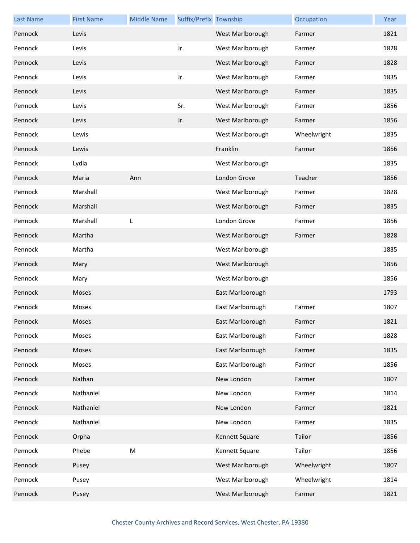| <b>Last Name</b> | <b>First Name</b> | <b>Middle Name</b>                                                                                         | Suffix/Prefix Township |                  | Occupation  | Year |
|------------------|-------------------|------------------------------------------------------------------------------------------------------------|------------------------|------------------|-------------|------|
| Pennock          | Levis             |                                                                                                            |                        | West Marlborough | Farmer      | 1821 |
| Pennock          | Levis             |                                                                                                            | Jr.                    | West Marlborough | Farmer      | 1828 |
| Pennock          | Levis             |                                                                                                            |                        | West Marlborough | Farmer      | 1828 |
| Pennock          | Levis             |                                                                                                            | Jr.                    | West Marlborough | Farmer      | 1835 |
| Pennock          | Levis             |                                                                                                            |                        | West Marlborough | Farmer      | 1835 |
| Pennock          | Levis             |                                                                                                            | Sr.                    | West Marlborough | Farmer      | 1856 |
| Pennock          | Levis             |                                                                                                            | Jr.                    | West Marlborough | Farmer      | 1856 |
| Pennock          | Lewis             |                                                                                                            |                        | West Marlborough | Wheelwright | 1835 |
| Pennock          | Lewis             |                                                                                                            |                        | Franklin         | Farmer      | 1856 |
| Pennock          | Lydia             |                                                                                                            |                        | West Marlborough |             | 1835 |
| Pennock          | Maria             | Ann                                                                                                        |                        | London Grove     | Teacher     | 1856 |
| Pennock          | Marshall          |                                                                                                            |                        | West Marlborough | Farmer      | 1828 |
| Pennock          | Marshall          |                                                                                                            |                        | West Marlborough | Farmer      | 1835 |
| Pennock          | Marshall          | L                                                                                                          |                        | London Grove     | Farmer      | 1856 |
| Pennock          | Martha            |                                                                                                            |                        | West Marlborough | Farmer      | 1828 |
| Pennock          | Martha            |                                                                                                            |                        | West Marlborough |             | 1835 |
| Pennock          | Mary              |                                                                                                            |                        | West Marlborough |             | 1856 |
| Pennock          | Mary              |                                                                                                            |                        | West Marlborough |             | 1856 |
| Pennock          | Moses             |                                                                                                            |                        | East Marlborough |             | 1793 |
| Pennock          | Moses             |                                                                                                            |                        | East Marlborough | Farmer      | 1807 |
| Pennock          | Moses             |                                                                                                            |                        | East Marlborough | Farmer      | 1821 |
| Pennock          | Moses             |                                                                                                            |                        | East Marlborough | Farmer      | 1828 |
| Pennock          | Moses             |                                                                                                            |                        | East Marlborough | Farmer      | 1835 |
| Pennock          | Moses             |                                                                                                            |                        | East Marlborough | Farmer      | 1856 |
| Pennock          | Nathan            |                                                                                                            |                        | New London       | Farmer      | 1807 |
| Pennock          | Nathaniel         |                                                                                                            |                        | New London       | Farmer      | 1814 |
| Pennock          | Nathaniel         |                                                                                                            |                        | New London       | Farmer      | 1821 |
| Pennock          | Nathaniel         |                                                                                                            |                        | New London       | Farmer      | 1835 |
| Pennock          | Orpha             |                                                                                                            |                        | Kennett Square   | Tailor      | 1856 |
| Pennock          | Phebe             | $\mathsf{M}% _{T}=\mathsf{M}_{T}\!\left( a,b\right) ,\ \mathsf{M}_{T}=\mathsf{M}_{T}\!\left( a,b\right) ,$ |                        | Kennett Square   | Tailor      | 1856 |
| Pennock          | Pusey             |                                                                                                            |                        | West Marlborough | Wheelwright | 1807 |
| Pennock          | Pusey             |                                                                                                            |                        | West Marlborough | Wheelwright | 1814 |
| Pennock          | Pusey             |                                                                                                            |                        | West Marlborough | Farmer      | 1821 |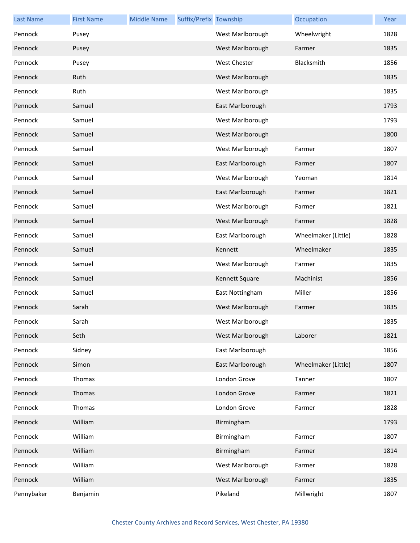| <b>Last Name</b> | <b>First Name</b> | <b>Middle Name</b> | Suffix/Prefix Township |                     | Occupation          | Year |
|------------------|-------------------|--------------------|------------------------|---------------------|---------------------|------|
| Pennock          | Pusey             |                    |                        | West Marlborough    | Wheelwright         | 1828 |
| Pennock          | Pusey             |                    |                        | West Marlborough    | Farmer              | 1835 |
| Pennock          | Pusey             |                    |                        | <b>West Chester</b> | Blacksmith          | 1856 |
| Pennock          | Ruth              |                    |                        | West Marlborough    |                     | 1835 |
| Pennock          | Ruth              |                    |                        | West Marlborough    |                     | 1835 |
| Pennock          | Samuel            |                    |                        | East Marlborough    |                     | 1793 |
| Pennock          | Samuel            |                    |                        | West Marlborough    |                     | 1793 |
| Pennock          | Samuel            |                    |                        | West Marlborough    |                     | 1800 |
| Pennock          | Samuel            |                    |                        | West Marlborough    | Farmer              | 1807 |
| Pennock          | Samuel            |                    |                        | East Marlborough    | Farmer              | 1807 |
| Pennock          | Samuel            |                    |                        | West Marlborough    | Yeoman              | 1814 |
| Pennock          | Samuel            |                    |                        | East Marlborough    | Farmer              | 1821 |
| Pennock          | Samuel            |                    |                        | West Marlborough    | Farmer              | 1821 |
| Pennock          | Samuel            |                    |                        | West Marlborough    | Farmer              | 1828 |
| Pennock          | Samuel            |                    |                        | East Marlborough    | Wheelmaker (Little) | 1828 |
| Pennock          | Samuel            |                    |                        | Kennett             | Wheelmaker          | 1835 |
| Pennock          | Samuel            |                    |                        | West Marlborough    | Farmer              | 1835 |
| Pennock          | Samuel            |                    |                        | Kennett Square      | Machinist           | 1856 |
| Pennock          | Samuel            |                    |                        | East Nottingham     | Miller              | 1856 |
| Pennock          | Sarah             |                    |                        | West Marlborough    | Farmer              | 1835 |
| Pennock          | Sarah             |                    |                        | West Marlborough    |                     | 1835 |
| Pennock          | Seth              |                    |                        | West Marlborough    | Laborer             | 1821 |
| Pennock          | Sidney            |                    |                        | East Marlborough    |                     | 1856 |
| Pennock          | Simon             |                    |                        | East Marlborough    | Wheelmaker (Little) | 1807 |
| Pennock          | Thomas            |                    |                        | London Grove        | Tanner              | 1807 |
| Pennock          | Thomas            |                    |                        | London Grove        | Farmer              | 1821 |
| Pennock          | Thomas            |                    |                        | London Grove        | Farmer              | 1828 |
| Pennock          | William           |                    |                        | Birmingham          |                     | 1793 |
| Pennock          | William           |                    |                        | Birmingham          | Farmer              | 1807 |
| Pennock          | William           |                    |                        | Birmingham          | Farmer              | 1814 |
| Pennock          | William           |                    |                        | West Marlborough    | Farmer              | 1828 |
| Pennock          | William           |                    |                        | West Marlborough    | Farmer              | 1835 |
| Pennybaker       | Benjamin          |                    |                        | Pikeland            | Millwright          | 1807 |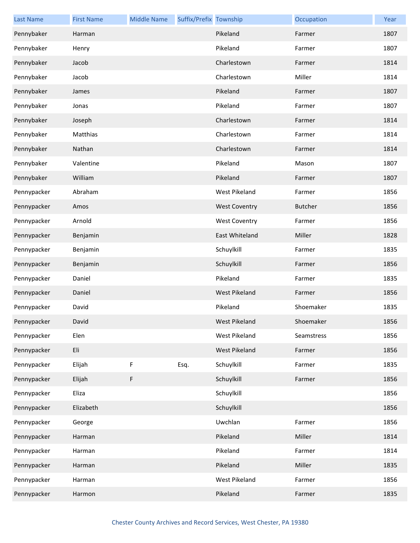| <b>Last Name</b> | <b>First Name</b> | <b>Middle Name</b> | Suffix/Prefix Township |                      | Occupation     | Year |
|------------------|-------------------|--------------------|------------------------|----------------------|----------------|------|
| Pennybaker       | Harman            |                    |                        | Pikeland             | Farmer         | 1807 |
| Pennybaker       | Henry             |                    |                        | Pikeland             | Farmer         | 1807 |
| Pennybaker       | Jacob             |                    |                        | Charlestown          | Farmer         | 1814 |
| Pennybaker       | Jacob             |                    |                        | Charlestown          | Miller         | 1814 |
| Pennybaker       | James             |                    |                        | Pikeland             | Farmer         | 1807 |
| Pennybaker       | Jonas             |                    |                        | Pikeland             | Farmer         | 1807 |
| Pennybaker       | Joseph            |                    |                        | Charlestown          | Farmer         | 1814 |
| Pennybaker       | Matthias          |                    |                        | Charlestown          | Farmer         | 1814 |
| Pennybaker       | Nathan            |                    |                        | Charlestown          | Farmer         | 1814 |
| Pennybaker       | Valentine         |                    |                        | Pikeland             | Mason          | 1807 |
| Pennybaker       | William           |                    |                        | Pikeland             | Farmer         | 1807 |
| Pennypacker      | Abraham           |                    |                        | <b>West Pikeland</b> | Farmer         | 1856 |
| Pennypacker      | Amos              |                    |                        | <b>West Coventry</b> | <b>Butcher</b> | 1856 |
| Pennypacker      | Arnold            |                    |                        | <b>West Coventry</b> | Farmer         | 1856 |
| Pennypacker      | Benjamin          |                    |                        | East Whiteland       | Miller         | 1828 |
| Pennypacker      | Benjamin          |                    |                        | Schuylkill           | Farmer         | 1835 |
| Pennypacker      | Benjamin          |                    |                        | Schuylkill           | Farmer         | 1856 |
| Pennypacker      | Daniel            |                    |                        | Pikeland             | Farmer         | 1835 |
| Pennypacker      | Daniel            |                    |                        | <b>West Pikeland</b> | Farmer         | 1856 |
| Pennypacker      | David             |                    |                        | Pikeland             | Shoemaker      | 1835 |
| Pennypacker      | David             |                    |                        | West Pikeland        | Shoemaker      | 1856 |
| Pennypacker      | Elen              |                    |                        | West Pikeland        | Seamstress     | 1856 |
| Pennypacker      | Eli               |                    |                        | West Pikeland        | Farmer         | 1856 |
| Pennypacker      | Elijah            | F                  | Esq.                   | Schuylkill           | Farmer         | 1835 |
| Pennypacker      | Elijah            | F                  |                        | Schuylkill           | Farmer         | 1856 |
| Pennypacker      | Eliza             |                    |                        | Schuylkill           |                | 1856 |
| Pennypacker      | Elizabeth         |                    |                        | Schuylkill           |                | 1856 |
| Pennypacker      | George            |                    |                        | Uwchlan              | Farmer         | 1856 |
| Pennypacker      | Harman            |                    |                        | Pikeland             | Miller         | 1814 |
| Pennypacker      | Harman            |                    |                        | Pikeland             | Farmer         | 1814 |
| Pennypacker      | Harman            |                    |                        | Pikeland             | Miller         | 1835 |
| Pennypacker      | Harman            |                    |                        | West Pikeland        | Farmer         | 1856 |
| Pennypacker      | Harmon            |                    |                        | Pikeland             | Farmer         | 1835 |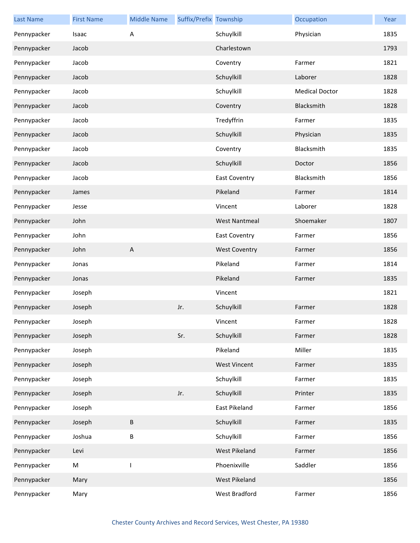| <b>Last Name</b> | <b>First Name</b> | <b>Middle Name</b>        | Suffix/Prefix Township |                      | Occupation            | Year |
|------------------|-------------------|---------------------------|------------------------|----------------------|-----------------------|------|
| Pennypacker      | Isaac             | Α                         |                        | Schuylkill           | Physician             | 1835 |
| Pennypacker      | Jacob             |                           |                        | Charlestown          |                       | 1793 |
| Pennypacker      | Jacob             |                           |                        | Coventry             | Farmer                | 1821 |
| Pennypacker      | Jacob             |                           |                        | Schuylkill           | Laborer               | 1828 |
| Pennypacker      | Jacob             |                           |                        | Schuylkill           | <b>Medical Doctor</b> | 1828 |
| Pennypacker      | Jacob             |                           |                        | Coventry             | Blacksmith            | 1828 |
| Pennypacker      | Jacob             |                           |                        | Tredyffrin           | Farmer                | 1835 |
| Pennypacker      | Jacob             |                           |                        | Schuylkill           | Physician             | 1835 |
| Pennypacker      | Jacob             |                           |                        | Coventry             | Blacksmith            | 1835 |
| Pennypacker      | Jacob             |                           |                        | Schuylkill           | Doctor                | 1856 |
| Pennypacker      | Jacob             |                           |                        | <b>East Coventry</b> | Blacksmith            | 1856 |
| Pennypacker      | James             |                           |                        | Pikeland             | Farmer                | 1814 |
| Pennypacker      | Jesse             |                           |                        | Vincent              | Laborer               | 1828 |
| Pennypacker      | John              |                           |                        | <b>West Nantmeal</b> | Shoemaker             | 1807 |
| Pennypacker      | John              |                           |                        | <b>East Coventry</b> | Farmer                | 1856 |
| Pennypacker      | John              | $\boldsymbol{\mathsf{A}}$ |                        | <b>West Coventry</b> | Farmer                | 1856 |
| Pennypacker      | Jonas             |                           |                        | Pikeland             | Farmer                | 1814 |
| Pennypacker      | Jonas             |                           |                        | Pikeland             | Farmer                | 1835 |
| Pennypacker      | Joseph            |                           |                        | Vincent              |                       | 1821 |
| Pennypacker      | Joseph            |                           | Jr.                    | Schuylkill           | Farmer                | 1828 |
| Pennypacker      | Joseph            |                           |                        | Vincent              | Farmer                | 1828 |
| Pennypacker      | Joseph            |                           | Sr.                    | Schuylkill           | Farmer                | 1828 |
| Pennypacker      | Joseph            |                           |                        | Pikeland             | Miller                | 1835 |
| Pennypacker      | Joseph            |                           |                        | <b>West Vincent</b>  | Farmer                | 1835 |
| Pennypacker      | Joseph            |                           |                        | Schuylkill           | Farmer                | 1835 |
| Pennypacker      | Joseph            |                           | Jr.                    | Schuylkill           | Printer               | 1835 |
| Pennypacker      | Joseph            |                           |                        | East Pikeland        | Farmer                | 1856 |
| Pennypacker      | Joseph            | B                         |                        | Schuylkill           | Farmer                | 1835 |
| Pennypacker      | Joshua            | B                         |                        | Schuylkill           | Farmer                | 1856 |
| Pennypacker      | Levi              |                           |                        | West Pikeland        | Farmer                | 1856 |
| Pennypacker      | M                 | I                         |                        | Phoenixville         | Saddler               | 1856 |
| Pennypacker      | Mary              |                           |                        | West Pikeland        |                       | 1856 |
| Pennypacker      | Mary              |                           |                        | West Bradford        | Farmer                | 1856 |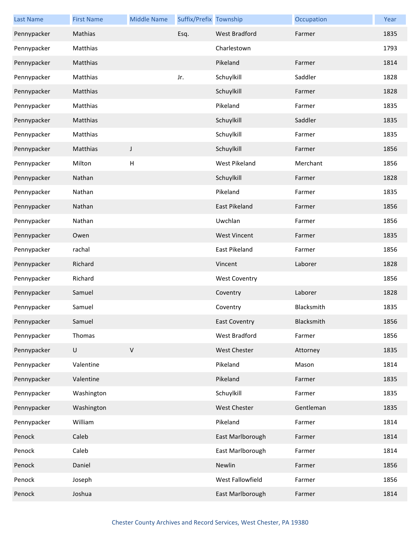| <b>Last Name</b> | <b>First Name</b> | <b>Middle Name</b> | Suffix/Prefix Township |                      | Occupation        | Year |
|------------------|-------------------|--------------------|------------------------|----------------------|-------------------|------|
| Pennypacker      | Mathias           |                    | Esq.                   | <b>West Bradford</b> | Farmer            | 1835 |
| Pennypacker      | Matthias          |                    |                        | Charlestown          |                   | 1793 |
| Pennypacker      | Matthias          |                    |                        | Pikeland             | Farmer            | 1814 |
| Pennypacker      | Matthias          |                    | Jr.                    | Schuylkill           | Saddler           | 1828 |
| Pennypacker      | Matthias          |                    |                        | Schuylkill           | Farmer            | 1828 |
| Pennypacker      | Matthias          |                    |                        | Pikeland             | Farmer            | 1835 |
| Pennypacker      | Matthias          |                    |                        | Schuylkill           | Saddler           | 1835 |
| Pennypacker      | Matthias          |                    |                        | Schuylkill           | Farmer            | 1835 |
| Pennypacker      | Matthias          | J                  |                        | Schuylkill           | Farmer            | 1856 |
| Pennypacker      | Milton            | H                  |                        | <b>West Pikeland</b> | Merchant          | 1856 |
| Pennypacker      | Nathan            |                    |                        | Schuylkill           | Farmer            | 1828 |
| Pennypacker      | Nathan            |                    |                        | Pikeland             | Farmer            | 1835 |
| Pennypacker      | Nathan            |                    |                        | East Pikeland        | Farmer            | 1856 |
| Pennypacker      | Nathan            |                    |                        | Uwchlan              | Farmer            | 1856 |
| Pennypacker      | Owen              |                    |                        | <b>West Vincent</b>  | Farmer            | 1835 |
| Pennypacker      | rachal            |                    |                        | East Pikeland        | Farmer            | 1856 |
| Pennypacker      | Richard           |                    |                        | Vincent              | Laborer           | 1828 |
| Pennypacker      | Richard           |                    |                        | <b>West Coventry</b> |                   | 1856 |
| Pennypacker      | Samuel            |                    |                        | Coventry             | Laborer           | 1828 |
| Pennypacker      | Samuel            |                    |                        | Coventry             | Blacksmith        | 1835 |
| Pennypacker      | Samuel            |                    |                        | <b>East Coventry</b> | <b>Blacksmith</b> | 1856 |
| Pennypacker      | Thomas            |                    |                        | West Bradford        | Farmer            | 1856 |
| Pennypacker      | U                 | $\mathsf V$        |                        | West Chester         | Attorney          | 1835 |
| Pennypacker      | Valentine         |                    |                        | Pikeland             | Mason             | 1814 |
| Pennypacker      | Valentine         |                    |                        | Pikeland             | Farmer            | 1835 |
| Pennypacker      | Washington        |                    |                        | Schuylkill           | Farmer            | 1835 |
| Pennypacker      | Washington        |                    |                        | West Chester         | Gentleman         | 1835 |
| Pennypacker      | William           |                    |                        | Pikeland             | Farmer            | 1814 |
| Penock           | Caleb             |                    |                        | East Marlborough     | Farmer            | 1814 |
| Penock           | Caleb             |                    |                        | East Marlborough     | Farmer            | 1814 |
| Penock           | Daniel            |                    |                        | Newlin               | Farmer            | 1856 |
| Penock           | Joseph            |                    |                        | West Fallowfield     | Farmer            | 1856 |
| Penock           | Joshua            |                    |                        | East Marlborough     | Farmer            | 1814 |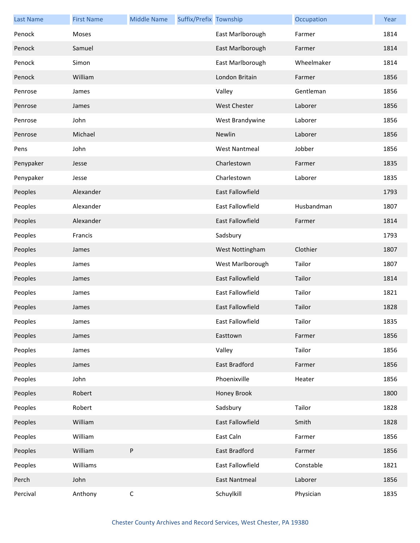| <b>Last Name</b> | <b>First Name</b> | <b>Middle Name</b> | Suffix/Prefix Township |                         | Occupation | Year |
|------------------|-------------------|--------------------|------------------------|-------------------------|------------|------|
| Penock           | Moses             |                    |                        | East Marlborough        | Farmer     | 1814 |
| Penock           | Samuel            |                    |                        | East Marlborough        | Farmer     | 1814 |
| Penock           | Simon             |                    |                        | East Marlborough        | Wheelmaker | 1814 |
| Penock           | William           |                    |                        | London Britain          | Farmer     | 1856 |
| Penrose          | James             |                    |                        | Valley                  | Gentleman  | 1856 |
| Penrose          | James             |                    |                        | <b>West Chester</b>     | Laborer    | 1856 |
| Penrose          | John              |                    |                        | West Brandywine         | Laborer    | 1856 |
| Penrose          | Michael           |                    |                        | Newlin                  | Laborer    | 1856 |
| Pens             | John              |                    |                        | <b>West Nantmeal</b>    | Jobber     | 1856 |
| Penypaker        | Jesse             |                    |                        | Charlestown             | Farmer     | 1835 |
| Penypaker        | Jesse             |                    |                        | Charlestown             | Laborer    | 1835 |
| Peoples          | Alexander         |                    |                        | East Fallowfield        |            | 1793 |
| Peoples          | Alexander         |                    |                        | East Fallowfield        | Husbandman | 1807 |
| Peoples          | Alexander         |                    |                        | <b>East Fallowfield</b> | Farmer     | 1814 |
| Peoples          | Francis           |                    |                        | Sadsbury                |            | 1793 |
| Peoples          | James             |                    |                        | West Nottingham         | Clothier   | 1807 |
| Peoples          | James             |                    |                        | West Marlborough        | Tailor     | 1807 |
| Peoples          | James             |                    |                        | <b>East Fallowfield</b> | Tailor     | 1814 |
| Peoples          | James             |                    |                        | East Fallowfield        | Tailor     | 1821 |
| Peoples          | James             |                    |                        | East Fallowfield        | Tailor     | 1828 |
| Peoples          | James             |                    |                        | East Fallowfield        | Tailor     | 1835 |
| Peoples          | James             |                    |                        | Easttown                | Farmer     | 1856 |
| Peoples          | James             |                    |                        | Valley                  | Tailor     | 1856 |
| Peoples          | James             |                    |                        | East Bradford           | Farmer     | 1856 |
| Peoples          | John              |                    |                        | Phoenixville            | Heater     | 1856 |
| Peoples          | Robert            |                    |                        | Honey Brook             |            | 1800 |
| Peoples          | Robert            |                    |                        | Sadsbury                | Tailor     | 1828 |
| Peoples          | William           |                    |                        | East Fallowfield        | Smith      | 1828 |
| Peoples          | William           |                    |                        | East Caln               | Farmer     | 1856 |
| Peoples          | William           | ${\sf P}$          |                        | <b>East Bradford</b>    | Farmer     | 1856 |
| Peoples          | Williams          |                    |                        | East Fallowfield        | Constable  | 1821 |
| Perch            | John              |                    |                        | <b>East Nantmeal</b>    | Laborer    | 1856 |
| Percival         | Anthony           | $\mathsf C$        |                        | Schuylkill              | Physician  | 1835 |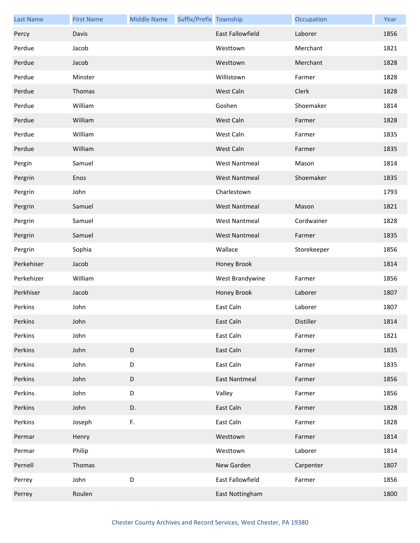| <b>Last Name</b> | <b>First Name</b> | <b>Middle Name</b> | Suffix/Prefix Township |                         | Occupation  | Year |
|------------------|-------------------|--------------------|------------------------|-------------------------|-------------|------|
| Percy            | Davis             |                    |                        | <b>East Fallowfield</b> | Laborer     | 1856 |
| Perdue           | Jacob             |                    |                        | Westtown                | Merchant    | 1821 |
| Perdue           | Jacob             |                    |                        | Westtown                | Merchant    | 1828 |
| Perdue           | Minster           |                    |                        | Willistown              | Farmer      | 1828 |
| Perdue           | Thomas            |                    |                        | West Caln               | Clerk       | 1828 |
| Perdue           | William           |                    |                        | Goshen                  | Shoemaker   | 1814 |
| Perdue           | William           |                    |                        | West Caln               | Farmer      | 1828 |
| Perdue           | William           |                    |                        | West Caln               | Farmer      | 1835 |
| Perdue           | William           |                    |                        | West Caln               | Farmer      | 1835 |
| Pergin           | Samuel            |                    |                        | <b>West Nantmeal</b>    | Mason       | 1814 |
| Pergrin          | Enos              |                    |                        | <b>West Nantmeal</b>    | Shoemaker   | 1835 |
| Pergrin          | John              |                    |                        | Charlestown             |             | 1793 |
| Pergrin          | Samuel            |                    |                        | <b>West Nantmeal</b>    | Mason       | 1821 |
| Pergrin          | Samuel            |                    |                        | <b>West Nantmeal</b>    | Cordwainer  | 1828 |
| Pergrin          | Samuel            |                    |                        | <b>West Nantmeal</b>    | Farmer      | 1835 |
| Pergrin          | Sophia            |                    |                        | Wallace                 | Storekeeper | 1856 |
| Perkehiser       | Jacob             |                    |                        | Honey Brook             |             | 1814 |
| Perkehizer       | William           |                    |                        | West Brandywine         | Farmer      | 1856 |
| Perkhiser        | Jacob             |                    |                        | Honey Brook             | Laborer     | 1807 |
| Perkins          | John              |                    |                        | East Caln               | Laborer     | 1807 |
| Perkins          | John              |                    |                        | East Caln               | Distiller   | 1814 |
| Perkins          | John              |                    |                        | East Caln               | Farmer      | 1821 |
| Perkins          | John              | $\mathsf D$        |                        | East Caln               | Farmer      | 1835 |
| Perkins          | John              | $\mathsf D$        |                        | East Caln               | Farmer      | 1835 |
| Perkins          | John              | $\mathsf D$        |                        | <b>East Nantmeal</b>    | Farmer      | 1856 |
| Perkins          | John              | $\mathsf D$        |                        | Valley                  | Farmer      | 1856 |
| Perkins          | John              | D.                 |                        | East Caln               | Farmer      | 1828 |
| Perkins          | Joseph            | F.                 |                        | East Caln               | Farmer      | 1828 |
| Permar           | Henry             |                    |                        | Westtown                | Farmer      | 1814 |
| Permar           | Philip            |                    |                        | Westtown                | Laborer     | 1814 |
| Pernell          | Thomas            |                    |                        | New Garden              | Carpenter   | 1807 |
| Perrey           | John              | D                  |                        | East Fallowfield        | Farmer      | 1856 |
| Perrey           | Roulen            |                    |                        | East Nottingham         |             | 1800 |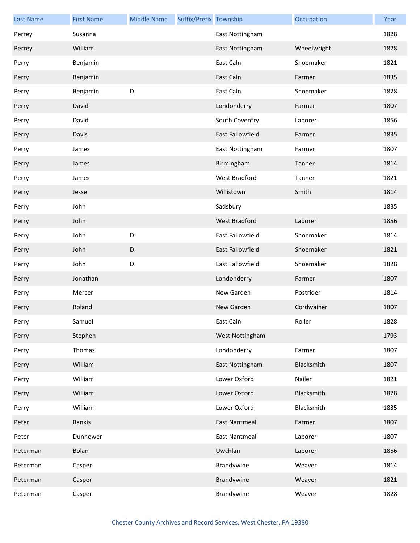| <b>Last Name</b> | <b>First Name</b> | <b>Middle Name</b> | Suffix/Prefix Township |                         | Occupation  | Year |
|------------------|-------------------|--------------------|------------------------|-------------------------|-------------|------|
| Perrey           | Susanna           |                    |                        | East Nottingham         |             | 1828 |
| Perrey           | William           |                    |                        | East Nottingham         | Wheelwright | 1828 |
| Perry            | Benjamin          |                    |                        | East Caln               | Shoemaker   | 1821 |
| Perry            | Benjamin          |                    |                        | East Caln               | Farmer      | 1835 |
| Perry            | Benjamin          | D.                 |                        | East Caln               | Shoemaker   | 1828 |
| Perry            | David             |                    |                        | Londonderry             | Farmer      | 1807 |
| Perry            | David             |                    |                        | South Coventry          | Laborer     | 1856 |
| Perry            | Davis             |                    |                        | <b>East Fallowfield</b> | Farmer      | 1835 |
| Perry            | James             |                    |                        | East Nottingham         | Farmer      | 1807 |
| Perry            | James             |                    |                        | Birmingham              | Tanner      | 1814 |
| Perry            | James             |                    |                        | West Bradford           | Tanner      | 1821 |
| Perry            | Jesse             |                    |                        | Willistown              | Smith       | 1814 |
| Perry            | John              |                    |                        | Sadsbury                |             | 1835 |
| Perry            | John              |                    |                        | <b>West Bradford</b>    | Laborer     | 1856 |
| Perry            | John              | D.                 |                        | <b>East Fallowfield</b> | Shoemaker   | 1814 |
| Perry            | John              | D.                 |                        | <b>East Fallowfield</b> | Shoemaker   | 1821 |
| Perry            | John              | D.                 |                        | East Fallowfield        | Shoemaker   | 1828 |
| Perry            | Jonathan          |                    |                        | Londonderry             | Farmer      | 1807 |
| Perry            | Mercer            |                    |                        | New Garden              | Postrider   | 1814 |
| Perry            | Roland            |                    |                        | New Garden              | Cordwainer  | 1807 |
| Perry            | Samuel            |                    |                        | East Caln               | Roller      | 1828 |
| Perry            | Stephen           |                    |                        | West Nottingham         |             | 1793 |
| Perry            | Thomas            |                    |                        | Londonderry             | Farmer      | 1807 |
| Perry            | William           |                    |                        | East Nottingham         | Blacksmith  | 1807 |
| Perry            | William           |                    |                        | Lower Oxford            | Nailer      | 1821 |
| Perry            | William           |                    |                        | Lower Oxford            | Blacksmith  | 1828 |
| Perry            | William           |                    |                        | Lower Oxford            | Blacksmith  | 1835 |
| Peter            | <b>Bankis</b>     |                    |                        | <b>East Nantmeal</b>    | Farmer      | 1807 |
| Peter            | Dunhower          |                    |                        | <b>East Nantmeal</b>    | Laborer     | 1807 |
| Peterman         | Bolan             |                    |                        | Uwchlan                 | Laborer     | 1856 |
| Peterman         | Casper            |                    |                        | Brandywine              | Weaver      | 1814 |
| Peterman         | Casper            |                    |                        | Brandywine              | Weaver      | 1821 |
| Peterman         | Casper            |                    |                        | Brandywine              | Weaver      | 1828 |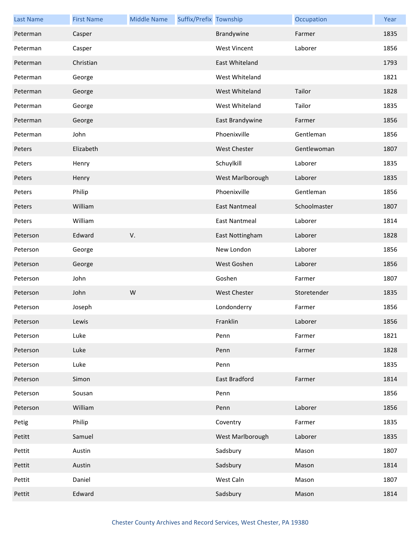| <b>Last Name</b> | <b>First Name</b> | <b>Middle Name</b> | Suffix/Prefix Township |                      | Occupation   | Year |
|------------------|-------------------|--------------------|------------------------|----------------------|--------------|------|
| Peterman         | Casper            |                    |                        | Brandywine           | Farmer       | 1835 |
| Peterman         | Casper            |                    |                        | <b>West Vincent</b>  | Laborer      | 1856 |
| Peterman         | Christian         |                    |                        | East Whiteland       |              | 1793 |
| Peterman         | George            |                    |                        | West Whiteland       |              | 1821 |
| Peterman         | George            |                    |                        | West Whiteland       | Tailor       | 1828 |
| Peterman         | George            |                    |                        | West Whiteland       | Tailor       | 1835 |
| Peterman         | George            |                    |                        | East Brandywine      | Farmer       | 1856 |
| Peterman         | John              |                    |                        | Phoenixville         | Gentleman    | 1856 |
| Peters           | Elizabeth         |                    |                        | West Chester         | Gentlewoman  | 1807 |
| Peters           | Henry             |                    |                        | Schuylkill           | Laborer      | 1835 |
| Peters           | Henry             |                    |                        | West Marlborough     | Laborer      | 1835 |
| Peters           | Philip            |                    |                        | Phoenixville         | Gentleman    | 1856 |
| Peters           | William           |                    |                        | <b>East Nantmeal</b> | Schoolmaster | 1807 |
| Peters           | William           |                    |                        | <b>East Nantmeal</b> | Laborer      | 1814 |
| Peterson         | Edward            | V.                 |                        | East Nottingham      | Laborer      | 1828 |
| Peterson         | George            |                    |                        | New London           | Laborer      | 1856 |
| Peterson         | George            |                    |                        | West Goshen          | Laborer      | 1856 |
| Peterson         | John              |                    |                        | Goshen               | Farmer       | 1807 |
| Peterson         | John              | W                  |                        | <b>West Chester</b>  | Storetender  | 1835 |
| Peterson         | Joseph            |                    |                        | Londonderry          | Farmer       | 1856 |
| Peterson         | Lewis             |                    |                        | Franklin             | Laborer      | 1856 |
| Peterson         | Luke              |                    |                        | Penn                 | Farmer       | 1821 |
| Peterson         | Luke              |                    |                        | Penn                 | Farmer       | 1828 |
| Peterson         | Luke              |                    |                        | Penn                 |              | 1835 |
| Peterson         | Simon             |                    |                        | <b>East Bradford</b> | Farmer       | 1814 |
| Peterson         | Sousan            |                    |                        | Penn                 |              | 1856 |
| Peterson         | William           |                    |                        | Penn                 | Laborer      | 1856 |
| Petig            | Philip            |                    |                        | Coventry             | Farmer       | 1835 |
| Petitt           | Samuel            |                    |                        | West Marlborough     | Laborer      | 1835 |
| Pettit           | Austin            |                    |                        | Sadsbury             | Mason        | 1807 |
| Pettit           | Austin            |                    |                        | Sadsbury             | Mason        | 1814 |
| Pettit           | Daniel            |                    |                        | West Caln            | Mason        | 1807 |
| Pettit           | Edward            |                    |                        | Sadsbury             | Mason        | 1814 |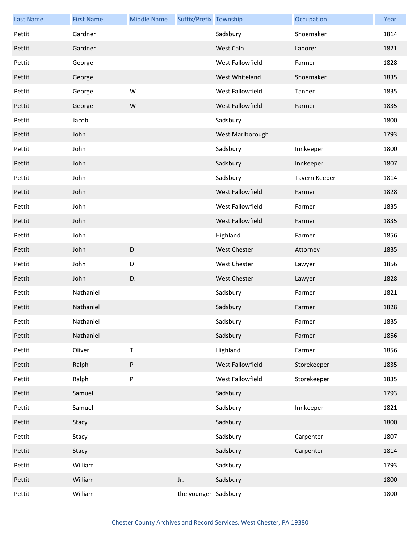| <b>Last Name</b> | <b>First Name</b> | <b>Middle Name</b> | Suffix/Prefix Township |                     | Occupation    | Year |
|------------------|-------------------|--------------------|------------------------|---------------------|---------------|------|
| Pettit           | Gardner           |                    |                        | Sadsbury            | Shoemaker     | 1814 |
| Pettit           | Gardner           |                    |                        | West Caln           | Laborer       | 1821 |
| Pettit           | George            |                    |                        | West Fallowfield    | Farmer        | 1828 |
| Pettit           | George            |                    |                        | West Whiteland      | Shoemaker     | 1835 |
| Pettit           | George            | W                  |                        | West Fallowfield    | Tanner        | 1835 |
| Pettit           | George            | W                  |                        | West Fallowfield    | Farmer        | 1835 |
| Pettit           | Jacob             |                    |                        | Sadsbury            |               | 1800 |
| Pettit           | John              |                    |                        | West Marlborough    |               | 1793 |
| Pettit           | John              |                    |                        | Sadsbury            | Innkeeper     | 1800 |
| Pettit           | John              |                    |                        | Sadsbury            | Innkeeper     | 1807 |
| Pettit           | John              |                    |                        | Sadsbury            | Tavern Keeper | 1814 |
| Pettit           | John              |                    |                        | West Fallowfield    | Farmer        | 1828 |
| Pettit           | John              |                    |                        | West Fallowfield    | Farmer        | 1835 |
| Pettit           | John              |                    |                        | West Fallowfield    | Farmer        | 1835 |
| Pettit           | John              |                    |                        | Highland            | Farmer        | 1856 |
| Pettit           | John              | D                  |                        | <b>West Chester</b> | Attorney      | 1835 |
| Pettit           | John              | D                  |                        | <b>West Chester</b> | Lawyer        | 1856 |
| Pettit           | John              | D.                 |                        | <b>West Chester</b> | Lawyer        | 1828 |
| Pettit           | Nathaniel         |                    |                        | Sadsbury            | Farmer        | 1821 |
| Pettit           | Nathaniel         |                    |                        | Sadsbury            | Farmer        | 1828 |
| Pettit           | Nathaniel         |                    |                        | Sadsbury            | Farmer        | 1835 |
| Pettit           | Nathaniel         |                    |                        | Sadsbury            | Farmer        | 1856 |
| Pettit           | Oliver            | $\sf T$            |                        | Highland            | Farmer        | 1856 |
| Pettit           | Ralph             | $\sf P$            |                        | West Fallowfield    | Storekeeper   | 1835 |
| Pettit           | Ralph             | ${\sf P}$          |                        | West Fallowfield    | Storekeeper   | 1835 |
| Pettit           | Samuel            |                    |                        | Sadsbury            |               | 1793 |
| Pettit           | Samuel            |                    |                        | Sadsbury            | Innkeeper     | 1821 |
| Pettit           | Stacy             |                    |                        | Sadsbury            |               | 1800 |
| Pettit           | Stacy             |                    |                        | Sadsbury            | Carpenter     | 1807 |
| Pettit           | Stacy             |                    |                        | Sadsbury            | Carpenter     | 1814 |
| Pettit           | William           |                    |                        | Sadsbury            |               | 1793 |
| Pettit           | William           |                    | Jr.                    | Sadsbury            |               | 1800 |
| Pettit           | William           |                    | the younger Sadsbury   |                     |               | 1800 |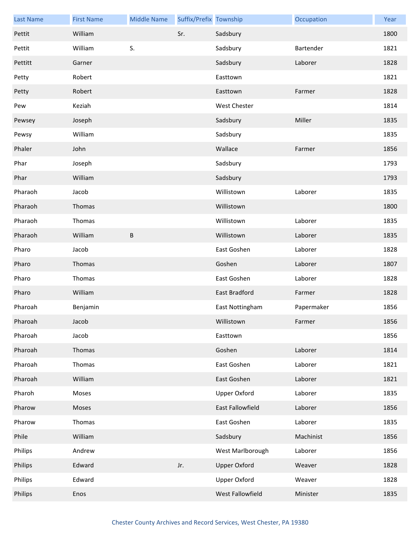| <b>Last Name</b> | <b>First Name</b> | <b>Middle Name</b> | Suffix/Prefix Township |                      | Occupation | Year |
|------------------|-------------------|--------------------|------------------------|----------------------|------------|------|
| Pettit           | William           |                    | Sr.                    | Sadsbury             |            | 1800 |
| Pettit           | William           | S.                 |                        | Sadsbury             | Bartender  | 1821 |
| Pettitt          | Garner            |                    |                        | Sadsbury             | Laborer    | 1828 |
| Petty            | Robert            |                    |                        | Easttown             |            | 1821 |
| Petty            | Robert            |                    |                        | Easttown             | Farmer     | 1828 |
| Pew              | Keziah            |                    |                        | <b>West Chester</b>  |            | 1814 |
| Pewsey           | Joseph            |                    |                        | Sadsbury             | Miller     | 1835 |
| Pewsy            | William           |                    |                        | Sadsbury             |            | 1835 |
| Phaler           | John              |                    |                        | Wallace              | Farmer     | 1856 |
| Phar             | Joseph            |                    |                        | Sadsbury             |            | 1793 |
| Phar             | William           |                    |                        | Sadsbury             |            | 1793 |
| Pharaoh          | Jacob             |                    |                        | Willistown           | Laborer    | 1835 |
| Pharaoh          | Thomas            |                    |                        | Willistown           |            | 1800 |
| Pharaoh          | Thomas            |                    |                        | Willistown           | Laborer    | 1835 |
| Pharaoh          | William           | $\sf B$            |                        | Willistown           | Laborer    | 1835 |
| Pharo            | Jacob             |                    |                        | East Goshen          | Laborer    | 1828 |
| Pharo            | Thomas            |                    |                        | Goshen               | Laborer    | 1807 |
| Pharo            | Thomas            |                    |                        | East Goshen          | Laborer    | 1828 |
| Pharo            | William           |                    |                        | <b>East Bradford</b> | Farmer     | 1828 |
| Pharoah          | Benjamin          |                    |                        | East Nottingham      | Papermaker | 1856 |
| Pharoah          | Jacob             |                    |                        | Willistown           | Farmer     | 1856 |
| Pharoah          | Jacob             |                    |                        | Easttown             |            | 1856 |
| Pharoah          | Thomas            |                    |                        | Goshen               | Laborer    | 1814 |
| Pharoah          | Thomas            |                    |                        | East Goshen          | Laborer    | 1821 |
| Pharoah          | William           |                    |                        | East Goshen          | Laborer    | 1821 |
| Pharoh           | Moses             |                    |                        | <b>Upper Oxford</b>  | Laborer    | 1835 |
| Pharow           | Moses             |                    |                        | East Fallowfield     | Laborer    | 1856 |
| Pharow           | Thomas            |                    |                        | East Goshen          | Laborer    | 1835 |
| Phile            | William           |                    |                        | Sadsbury             | Machinist  | 1856 |
| Philips          | Andrew            |                    |                        | West Marlborough     | Laborer    | 1856 |
| Philips          | Edward            |                    | Jr.                    | <b>Upper Oxford</b>  | Weaver     | 1828 |
| Philips          | Edward            |                    |                        | <b>Upper Oxford</b>  | Weaver     | 1828 |
| Philips          | Enos              |                    |                        | West Fallowfield     | Minister   | 1835 |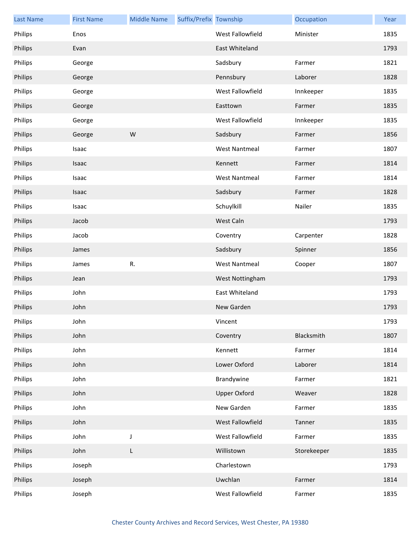| <b>Last Name</b> | <b>First Name</b> | <b>Middle Name</b> | Suffix/Prefix Township |                      | Occupation  | Year |
|------------------|-------------------|--------------------|------------------------|----------------------|-------------|------|
| Philips          | Enos              |                    |                        | West Fallowfield     | Minister    | 1835 |
| Philips          | Evan              |                    |                        | East Whiteland       |             | 1793 |
| Philips          | George            |                    |                        | Sadsbury             | Farmer      | 1821 |
| Philips          | George            |                    |                        | Pennsbury            | Laborer     | 1828 |
| Philips          | George            |                    |                        | West Fallowfield     | Innkeeper   | 1835 |
| Philips          | George            |                    |                        | Easttown             | Farmer      | 1835 |
| Philips          | George            |                    |                        | West Fallowfield     | Innkeeper   | 1835 |
| Philips          | George            | W                  |                        | Sadsbury             | Farmer      | 1856 |
| Philips          | Isaac             |                    |                        | <b>West Nantmeal</b> | Farmer      | 1807 |
| Philips          | Isaac             |                    |                        | Kennett              | Farmer      | 1814 |
| Philips          | Isaac             |                    |                        | <b>West Nantmeal</b> | Farmer      | 1814 |
| Philips          | Isaac             |                    |                        | Sadsbury             | Farmer      | 1828 |
| Philips          | Isaac             |                    |                        | Schuylkill           | Nailer      | 1835 |
| Philips          | Jacob             |                    |                        | West Caln            |             | 1793 |
| Philips          | Jacob             |                    |                        | Coventry             | Carpenter   | 1828 |
| Philips          | James             |                    |                        | Sadsbury             | Spinner     | 1856 |
| Philips          | James             | R.                 |                        | <b>West Nantmeal</b> | Cooper      | 1807 |
| Philips          | Jean              |                    |                        | West Nottingham      |             | 1793 |
| Philips          | John              |                    |                        | East Whiteland       |             | 1793 |
| Philips          | John              |                    |                        | New Garden           |             | 1793 |
| Philips          | John              |                    |                        | Vincent              |             | 1793 |
| Philips          | John              |                    |                        | Coventry             | Blacksmith  | 1807 |
| Philips          | John              |                    |                        | Kennett              | Farmer      | 1814 |
| Philips          | John              |                    |                        | Lower Oxford         | Laborer     | 1814 |
| Philips          | John              |                    |                        | Brandywine           | Farmer      | 1821 |
| Philips          | John              |                    |                        | <b>Upper Oxford</b>  | Weaver      | 1828 |
| Philips          | John              |                    |                        | New Garden           | Farmer      | 1835 |
| Philips          | John              |                    |                        | West Fallowfield     | Tanner      | 1835 |
| Philips          | John              | J                  |                        | West Fallowfield     | Farmer      | 1835 |
| Philips          | John              | L                  |                        | Willistown           | Storekeeper | 1835 |
| Philips          | Joseph            |                    |                        | Charlestown          |             | 1793 |
| Philips          | Joseph            |                    |                        | Uwchlan              | Farmer      | 1814 |
| Philips          | Joseph            |                    |                        | West Fallowfield     | Farmer      | 1835 |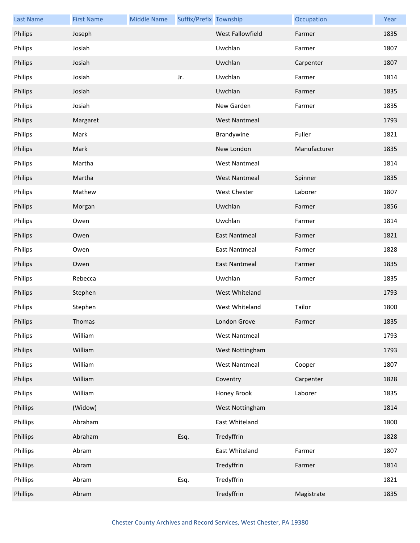| <b>Last Name</b> | <b>First Name</b> | <b>Middle Name</b> | Suffix/Prefix Township |                         | Occupation   | Year |
|------------------|-------------------|--------------------|------------------------|-------------------------|--------------|------|
| Philips          | Joseph            |                    |                        | <b>West Fallowfield</b> | Farmer       | 1835 |
| Philips          | Josiah            |                    |                        | Uwchlan                 | Farmer       | 1807 |
| Philips          | Josiah            |                    |                        | Uwchlan                 | Carpenter    | 1807 |
| Philips          | Josiah            |                    | Jr.                    | Uwchlan                 | Farmer       | 1814 |
| Philips          | Josiah            |                    |                        | Uwchlan                 | Farmer       | 1835 |
| Philips          | Josiah            |                    |                        | New Garden              | Farmer       | 1835 |
| Philips          | Margaret          |                    |                        | <b>West Nantmeal</b>    |              | 1793 |
| Philips          | Mark              |                    |                        | Brandywine              | Fuller       | 1821 |
| Philips          | Mark              |                    |                        | New London              | Manufacturer | 1835 |
| Philips          | Martha            |                    |                        | <b>West Nantmeal</b>    |              | 1814 |
| Philips          | Martha            |                    |                        | <b>West Nantmeal</b>    | Spinner      | 1835 |
| Philips          | Mathew            |                    |                        | West Chester            | Laborer      | 1807 |
| Philips          | Morgan            |                    |                        | Uwchlan                 | Farmer       | 1856 |
| Philips          | Owen              |                    |                        | Uwchlan                 | Farmer       | 1814 |
| Philips          | Owen              |                    |                        | <b>East Nantmeal</b>    | Farmer       | 1821 |
| Philips          | Owen              |                    |                        | <b>East Nantmeal</b>    | Farmer       | 1828 |
| Philips          | Owen              |                    |                        | East Nantmeal           | Farmer       | 1835 |
| Philips          | Rebecca           |                    |                        | Uwchlan                 | Farmer       | 1835 |
| Philips          | Stephen           |                    |                        | West Whiteland          |              | 1793 |
| Philips          | Stephen           |                    |                        | West Whiteland          | Tailor       | 1800 |
| Philips          | Thomas            |                    |                        | London Grove            | Farmer       | 1835 |
| Philips          | William           |                    |                        | <b>West Nantmeal</b>    |              | 1793 |
| Philips          | William           |                    |                        | West Nottingham         |              | 1793 |
| Philips          | William           |                    |                        | <b>West Nantmeal</b>    | Cooper       | 1807 |
| Philips          | William           |                    |                        | Coventry                | Carpenter    | 1828 |
| Philips          | William           |                    |                        | Honey Brook             | Laborer      | 1835 |
| Phillips         | (Widow)           |                    |                        | West Nottingham         |              | 1814 |
| Phillips         | Abraham           |                    |                        | East Whiteland          |              | 1800 |
| Phillips         | Abraham           |                    | Esq.                   | Tredyffrin              |              | 1828 |
| Phillips         | Abram             |                    |                        | East Whiteland          | Farmer       | 1807 |
| Phillips         | Abram             |                    |                        | Tredyffrin              | Farmer       | 1814 |
| Phillips         | Abram             |                    | Esq.                   | Tredyffrin              |              | 1821 |
| Phillips         | Abram             |                    |                        | Tredyffrin              | Magistrate   | 1835 |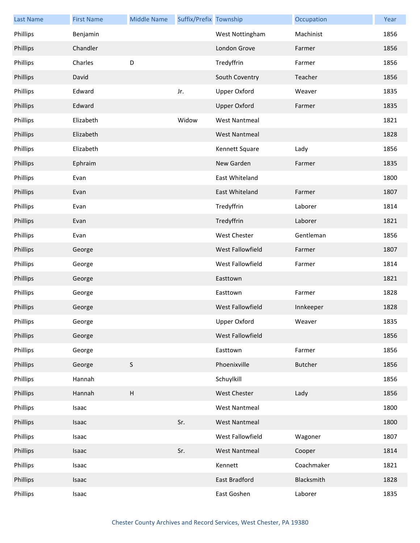| <b>Last Name</b> | <b>First Name</b> | <b>Middle Name</b>        | Suffix/Prefix Township |                      | Occupation     | Year |
|------------------|-------------------|---------------------------|------------------------|----------------------|----------------|------|
| Phillips         | Benjamin          |                           |                        | West Nottingham      | Machinist      | 1856 |
| Phillips         | Chandler          |                           |                        | London Grove         | Farmer         | 1856 |
| Phillips         | Charles           | D                         |                        | Tredyffrin           | Farmer         | 1856 |
| Phillips         | David             |                           |                        | South Coventry       | Teacher        | 1856 |
| Phillips         | Edward            |                           | Jr.                    | <b>Upper Oxford</b>  | Weaver         | 1835 |
| Phillips         | Edward            |                           |                        | <b>Upper Oxford</b>  | Farmer         | 1835 |
| Phillips         | Elizabeth         |                           | Widow                  | <b>West Nantmeal</b> |                | 1821 |
| Phillips         | Elizabeth         |                           |                        | <b>West Nantmeal</b> |                | 1828 |
| Phillips         | Elizabeth         |                           |                        | Kennett Square       | Lady           | 1856 |
| Phillips         | Ephraim           |                           |                        | New Garden           | Farmer         | 1835 |
| Phillips         | Evan              |                           |                        | East Whiteland       |                | 1800 |
| Phillips         | Evan              |                           |                        | East Whiteland       | Farmer         | 1807 |
| Phillips         | Evan              |                           |                        | Tredyffrin           | Laborer        | 1814 |
| Phillips         | Evan              |                           |                        | Tredyffrin           | Laborer        | 1821 |
| Phillips         | Evan              |                           |                        | West Chester         | Gentleman      | 1856 |
| Phillips         | George            |                           |                        | West Fallowfield     | Farmer         | 1807 |
| Phillips         | George            |                           |                        | West Fallowfield     | Farmer         | 1814 |
| Phillips         | George            |                           |                        | Easttown             |                | 1821 |
| Phillips         | George            |                           |                        | Easttown             | Farmer         | 1828 |
| Phillips         | George            |                           |                        | West Fallowfield     | Innkeeper      | 1828 |
| Phillips         | George            |                           |                        | <b>Upper Oxford</b>  | Weaver         | 1835 |
| Phillips         | George            |                           |                        | West Fallowfield     |                | 1856 |
| Phillips         | George            |                           |                        | Easttown             | Farmer         | 1856 |
| Phillips         | George            | $\sf S$                   |                        | Phoenixville         | <b>Butcher</b> | 1856 |
| Phillips         | Hannah            |                           |                        | Schuylkill           |                | 1856 |
| Phillips         | Hannah            | $\boldsymbol{\mathsf{H}}$ |                        | <b>West Chester</b>  | Lady           | 1856 |
| Phillips         | Isaac             |                           |                        | <b>West Nantmeal</b> |                | 1800 |
| Phillips         | Isaac             |                           | Sr.                    | <b>West Nantmeal</b> |                | 1800 |
| Phillips         | Isaac             |                           |                        | West Fallowfield     | Wagoner        | 1807 |
| Phillips         | Isaac             |                           | Sr.                    | <b>West Nantmeal</b> | Cooper         | 1814 |
| Phillips         | Isaac             |                           |                        | Kennett              | Coachmaker     | 1821 |
| Phillips         | Isaac             |                           |                        | East Bradford        | Blacksmith     | 1828 |
| Phillips         | Isaac             |                           |                        | East Goshen          | Laborer        | 1835 |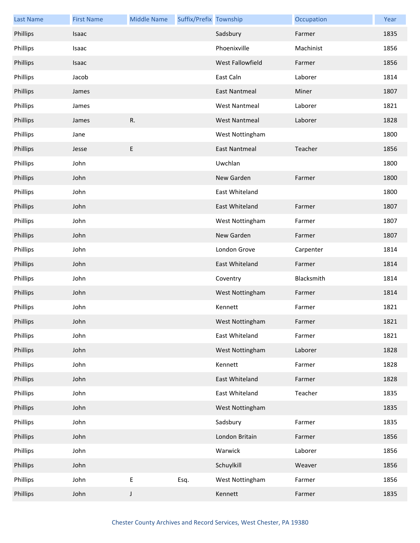| <b>Last Name</b> | <b>First Name</b> | <b>Middle Name</b> | Suffix/Prefix Township |                      | Occupation | Year |
|------------------|-------------------|--------------------|------------------------|----------------------|------------|------|
| Phillips         | Isaac             |                    |                        | Sadsbury             | Farmer     | 1835 |
| Phillips         | Isaac             |                    |                        | Phoenixville         | Machinist  | 1856 |
| Phillips         | Isaac             |                    |                        | West Fallowfield     | Farmer     | 1856 |
| Phillips         | Jacob             |                    |                        | East Caln            | Laborer    | 1814 |
| Phillips         | James             |                    |                        | East Nantmeal        | Miner      | 1807 |
| Phillips         | James             |                    |                        | <b>West Nantmeal</b> | Laborer    | 1821 |
| Phillips         | James             | R.                 |                        | <b>West Nantmeal</b> | Laborer    | 1828 |
| Phillips         | Jane              |                    |                        | West Nottingham      |            | 1800 |
| Phillips         | Jesse             | E                  |                        | <b>East Nantmeal</b> | Teacher    | 1856 |
| Phillips         | John              |                    |                        | Uwchlan              |            | 1800 |
| Phillips         | John              |                    |                        | New Garden           | Farmer     | 1800 |
| Phillips         | John              |                    |                        | East Whiteland       |            | 1800 |
| Phillips         | John              |                    |                        | East Whiteland       | Farmer     | 1807 |
| Phillips         | John              |                    |                        | West Nottingham      | Farmer     | 1807 |
| Phillips         | John              |                    |                        | New Garden           | Farmer     | 1807 |
| Phillips         | John              |                    |                        | London Grove         | Carpenter  | 1814 |
| Phillips         | John              |                    |                        | East Whiteland       | Farmer     | 1814 |
| Phillips         | John              |                    |                        | Coventry             | Blacksmith | 1814 |
| Phillips         | John              |                    |                        | West Nottingham      | Farmer     | 1814 |
| Phillips         | John              |                    |                        | Kennett              | Farmer     | 1821 |
| Phillips         | John              |                    |                        | West Nottingham      | Farmer     | 1821 |
| Phillips         | John              |                    |                        | East Whiteland       | Farmer     | 1821 |
| Phillips         | John              |                    |                        | West Nottingham      | Laborer    | 1828 |
| Phillips         | John              |                    |                        | Kennett              | Farmer     | 1828 |
| Phillips         | John              |                    |                        | East Whiteland       | Farmer     | 1828 |
| Phillips         | John              |                    |                        | East Whiteland       | Teacher    | 1835 |
| Phillips         | John              |                    |                        | West Nottingham      |            | 1835 |
| Phillips         | John              |                    |                        | Sadsbury             | Farmer     | 1835 |
| Phillips         | John              |                    |                        | London Britain       | Farmer     | 1856 |
| Phillips         | John              |                    |                        | Warwick              | Laborer    | 1856 |
| Phillips         | John              |                    |                        | Schuylkill           | Weaver     | 1856 |
| Phillips         | John              | E                  | Esq.                   | West Nottingham      | Farmer     | 1856 |
| Phillips         | John              | J                  |                        | Kennett              | Farmer     | 1835 |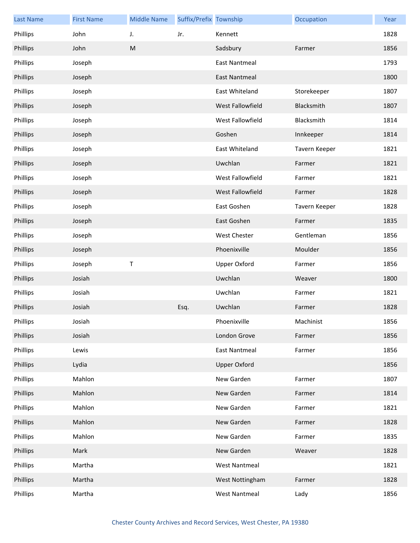| <b>Last Name</b> | <b>First Name</b> | <b>Middle Name</b> | Suffix/Prefix Township |                      | Occupation    | Year |
|------------------|-------------------|--------------------|------------------------|----------------------|---------------|------|
| Phillips         | John              | J.                 | Jr.                    | Kennett              |               | 1828 |
| Phillips         | John              | ${\sf M}$          |                        | Sadsbury             | Farmer        | 1856 |
| Phillips         | Joseph            |                    |                        | East Nantmeal        |               | 1793 |
| Phillips         | Joseph            |                    |                        | <b>East Nantmeal</b> |               | 1800 |
| Phillips         | Joseph            |                    |                        | East Whiteland       | Storekeeper   | 1807 |
| Phillips         | Joseph            |                    |                        | West Fallowfield     | Blacksmith    | 1807 |
| Phillips         | Joseph            |                    |                        | West Fallowfield     | Blacksmith    | 1814 |
| Phillips         | Joseph            |                    |                        | Goshen               | Innkeeper     | 1814 |
| Phillips         | Joseph            |                    |                        | East Whiteland       | Tavern Keeper | 1821 |
| Phillips         | Joseph            |                    |                        | Uwchlan              | Farmer        | 1821 |
| Phillips         | Joseph            |                    |                        | West Fallowfield     | Farmer        | 1821 |
| Phillips         | Joseph            |                    |                        | West Fallowfield     | Farmer        | 1828 |
| Phillips         | Joseph            |                    |                        | East Goshen          | Tavern Keeper | 1828 |
| Phillips         | Joseph            |                    |                        | East Goshen          | Farmer        | 1835 |
| Phillips         | Joseph            |                    |                        | West Chester         | Gentleman     | 1856 |
| Phillips         | Joseph            |                    |                        | Phoenixville         | Moulder       | 1856 |
| Phillips         | Joseph            | Τ                  |                        | <b>Upper Oxford</b>  | Farmer        | 1856 |
| Phillips         | Josiah            |                    |                        | Uwchlan              | Weaver        | 1800 |
| Phillips         | Josiah            |                    |                        | Uwchlan              | Farmer        | 1821 |
| Phillips         | Josiah            |                    | Esq.                   | Uwchlan              | Farmer        | 1828 |
| Phillips         | Josiah            |                    |                        | Phoenixville         | Machinist     | 1856 |
| Phillips         | Josiah            |                    |                        | London Grove         | Farmer        | 1856 |
| Phillips         | Lewis             |                    |                        | <b>East Nantmeal</b> | Farmer        | 1856 |
| Phillips         | Lydia             |                    |                        | <b>Upper Oxford</b>  |               | 1856 |
| Phillips         | Mahlon            |                    |                        | New Garden           | Farmer        | 1807 |
| Phillips         | Mahlon            |                    |                        | New Garden           | Farmer        | 1814 |
| Phillips         | Mahlon            |                    |                        | New Garden           | Farmer        | 1821 |
| Phillips         | Mahlon            |                    |                        | New Garden           | Farmer        | 1828 |
| Phillips         | Mahlon            |                    |                        | New Garden           | Farmer        | 1835 |
| Phillips         | Mark              |                    |                        | New Garden           | Weaver        | 1828 |
| Phillips         | Martha            |                    |                        | <b>West Nantmeal</b> |               | 1821 |
| Phillips         | Martha            |                    |                        | West Nottingham      | Farmer        | 1828 |
| Phillips         | Martha            |                    |                        | <b>West Nantmeal</b> | Lady          | 1856 |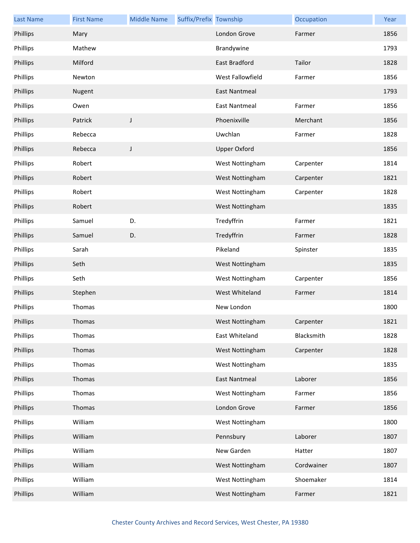| <b>Last Name</b> | <b>First Name</b> | <b>Middle Name</b> | Suffix/Prefix Township |                      | Occupation | Year |
|------------------|-------------------|--------------------|------------------------|----------------------|------------|------|
| Phillips         | Mary              |                    |                        | London Grove         | Farmer     | 1856 |
| Phillips         | Mathew            |                    |                        | Brandywine           |            | 1793 |
| Phillips         | Milford           |                    |                        | East Bradford        | Tailor     | 1828 |
| Phillips         | Newton            |                    |                        | West Fallowfield     | Farmer     | 1856 |
| Phillips         | Nugent            |                    |                        | <b>East Nantmeal</b> |            | 1793 |
| Phillips         | Owen              |                    |                        | East Nantmeal        | Farmer     | 1856 |
| Phillips         | Patrick           | J                  |                        | Phoenixville         | Merchant   | 1856 |
| Phillips         | Rebecca           |                    |                        | Uwchlan              | Farmer     | 1828 |
| Phillips         | Rebecca           | J                  |                        | <b>Upper Oxford</b>  |            | 1856 |
| Phillips         | Robert            |                    |                        | West Nottingham      | Carpenter  | 1814 |
| Phillips         | Robert            |                    |                        | West Nottingham      | Carpenter  | 1821 |
| Phillips         | Robert            |                    |                        | West Nottingham      | Carpenter  | 1828 |
| Phillips         | Robert            |                    |                        | West Nottingham      |            | 1835 |
| Phillips         | Samuel            | D.                 |                        | Tredyffrin           | Farmer     | 1821 |
| Phillips         | Samuel            | D.                 |                        | Tredyffrin           | Farmer     | 1828 |
| Phillips         | Sarah             |                    |                        | Pikeland             | Spinster   | 1835 |
| Phillips         | Seth              |                    |                        | West Nottingham      |            | 1835 |
| Phillips         | Seth              |                    |                        | West Nottingham      | Carpenter  | 1856 |
| Phillips         | Stephen           |                    |                        | West Whiteland       | Farmer     | 1814 |
| Phillips         | Thomas            |                    |                        | New London           |            | 1800 |
| Phillips         | Thomas            |                    |                        | West Nottingham      | Carpenter  | 1821 |
| Phillips         | Thomas            |                    |                        | East Whiteland       | Blacksmith | 1828 |
| Phillips         | Thomas            |                    |                        | West Nottingham      | Carpenter  | 1828 |
| Phillips         | Thomas            |                    |                        | West Nottingham      |            | 1835 |
| Phillips         | Thomas            |                    |                        | <b>East Nantmeal</b> | Laborer    | 1856 |
| Phillips         | Thomas            |                    |                        | West Nottingham      | Farmer     | 1856 |
| Phillips         | Thomas            |                    |                        | London Grove         | Farmer     | 1856 |
| Phillips         | William           |                    |                        | West Nottingham      |            | 1800 |
| Phillips         | William           |                    |                        | Pennsbury            | Laborer    | 1807 |
| Phillips         | William           |                    |                        | New Garden           | Hatter     | 1807 |
| Phillips         | William           |                    |                        | West Nottingham      | Cordwainer | 1807 |
| Phillips         | William           |                    |                        | West Nottingham      | Shoemaker  | 1814 |
| Phillips         | William           |                    |                        | West Nottingham      | Farmer     | 1821 |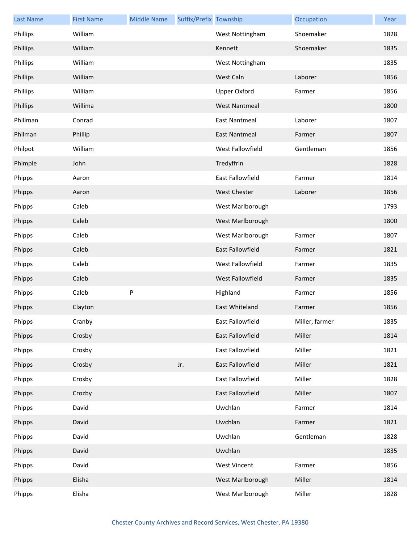| <b>Last Name</b> | <b>First Name</b> | <b>Middle Name</b> | Suffix/Prefix Township |                         | Occupation     | Year |
|------------------|-------------------|--------------------|------------------------|-------------------------|----------------|------|
| Phillips         | William           |                    |                        | West Nottingham         | Shoemaker      | 1828 |
| Phillips         | William           |                    |                        | Kennett                 | Shoemaker      | 1835 |
| Phillips         | William           |                    |                        | West Nottingham         |                | 1835 |
| Phillips         | William           |                    |                        | West Caln               | Laborer        | 1856 |
| Phillips         | William           |                    |                        | <b>Upper Oxford</b>     | Farmer         | 1856 |
| Phillips         | Willima           |                    |                        | <b>West Nantmeal</b>    |                | 1800 |
| Phillman         | Conrad            |                    |                        | <b>East Nantmeal</b>    | Laborer        | 1807 |
| Philman          | Phillip           |                    |                        | <b>East Nantmeal</b>    | Farmer         | 1807 |
| Philpot          | William           |                    |                        | West Fallowfield        | Gentleman      | 1856 |
| Phimple          | John              |                    |                        | Tredyffrin              |                | 1828 |
| Phipps           | Aaron             |                    |                        | <b>East Fallowfield</b> | Farmer         | 1814 |
| Phipps           | Aaron             |                    |                        | <b>West Chester</b>     | Laborer        | 1856 |
| Phipps           | Caleb             |                    |                        | West Marlborough        |                | 1793 |
| Phipps           | Caleb             |                    |                        | West Marlborough        |                | 1800 |
| Phipps           | Caleb             |                    |                        | West Marlborough        | Farmer         | 1807 |
| Phipps           | Caleb             |                    |                        | East Fallowfield        | Farmer         | 1821 |
| Phipps           | Caleb             |                    |                        | West Fallowfield        | Farmer         | 1835 |
| Phipps           | Caleb             |                    |                        | West Fallowfield        | Farmer         | 1835 |
| Phipps           | Caleb             | P                  |                        | Highland                | Farmer         | 1856 |
| Phipps           | Clayton           |                    |                        | East Whiteland          | Farmer         | 1856 |
| Phipps           | Cranby            |                    |                        | East Fallowfield        | Miller, farmer | 1835 |
| Phipps           | Crosby            |                    |                        | East Fallowfield        | Miller         | 1814 |
| Phipps           | Crosby            |                    |                        | East Fallowfield        | Miller         | 1821 |
| Phipps           | Crosby            |                    | Jr.                    | East Fallowfield        | Miller         | 1821 |
| Phipps           | Crosby            |                    |                        | East Fallowfield        | Miller         | 1828 |
| Phipps           | Crozby            |                    |                        | East Fallowfield        | Miller         | 1807 |
| Phipps           | David             |                    |                        | Uwchlan                 | Farmer         | 1814 |
| Phipps           | David             |                    |                        | Uwchlan                 | Farmer         | 1821 |
| Phipps           | David             |                    |                        | Uwchlan                 | Gentleman      | 1828 |
| Phipps           | David             |                    |                        | Uwchlan                 |                | 1835 |
| Phipps           | David             |                    |                        | <b>West Vincent</b>     | Farmer         | 1856 |
| Phipps           | Elisha            |                    |                        | West Marlborough        | Miller         | 1814 |
| Phipps           | Elisha            |                    |                        | West Marlborough        | Miller         | 1828 |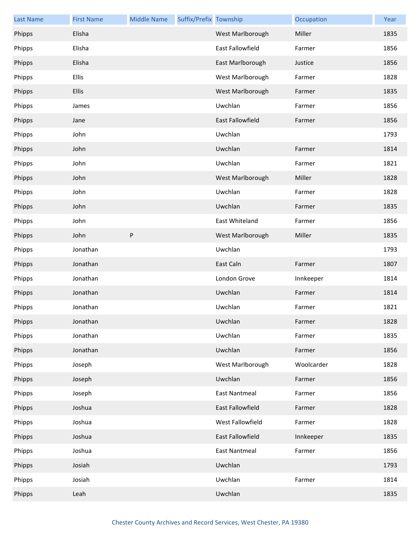| <b>Last Name</b> | <b>First Name</b> | <b>Middle Name</b> | Suffix/Prefix Township |                      | Occupation | Year |
|------------------|-------------------|--------------------|------------------------|----------------------|------------|------|
| Phipps           | Elisha            |                    |                        | West Marlborough     | Miller     | 1835 |
| Phipps           | Elisha            |                    |                        | East Fallowfield     | Farmer     | 1856 |
| Phipps           | Elisha            |                    |                        | East Marlborough     | Justice    | 1856 |
| Phipps           | Ellis             |                    |                        | West Marlborough     | Farmer     | 1828 |
| Phipps           | <b>Ellis</b>      |                    |                        | West Marlborough     | Farmer     | 1835 |
| Phipps           | James             |                    |                        | Uwchlan              | Farmer     | 1856 |
| Phipps           | Jane              |                    |                        | East Fallowfield     | Farmer     | 1856 |
| Phipps           | John              |                    |                        | Uwchlan              |            | 1793 |
| Phipps           | John              |                    |                        | Uwchlan              | Farmer     | 1814 |
| Phipps           | John              |                    |                        | Uwchlan              | Farmer     | 1821 |
| Phipps           | John              |                    |                        | West Marlborough     | Miller     | 1828 |
| Phipps           | John              |                    |                        | Uwchlan              | Farmer     | 1828 |
| Phipps           | John              |                    |                        | Uwchlan              | Farmer     | 1835 |
| Phipps           | John              |                    |                        | East Whiteland       | Farmer     | 1856 |
| Phipps           | John              | ${\sf P}$          |                        | West Marlborough     | Miller     | 1835 |
| Phipps           | Jonathan          |                    |                        | Uwchlan              |            | 1793 |
| Phipps           | Jonathan          |                    |                        | East Caln            | Farmer     | 1807 |
| Phipps           | Jonathan          |                    |                        | London Grove         | Innkeeper  | 1814 |
| Phipps           | Jonathan          |                    |                        | Uwchlan              | Farmer     | 1814 |
| Phipps           | Jonathan          |                    |                        | Uwchlan              | Farmer     | 1821 |
| Phipps           | Jonathan          |                    |                        | Uwchlan              | Farmer     | 1828 |
| Phipps           | Jonathan          |                    |                        | Uwchlan              | Farmer     | 1835 |
| Phipps           | Jonathan          |                    |                        | Uwchlan              | Farmer     | 1856 |
| Phipps           | Joseph            |                    |                        | West Marlborough     | Woolcarder | 1828 |
| Phipps           | Joseph            |                    |                        | Uwchlan              | Farmer     | 1856 |
| Phipps           | Joseph            |                    |                        | <b>East Nantmeal</b> | Farmer     | 1856 |
| Phipps           | Joshua            |                    |                        | East Fallowfield     | Farmer     | 1828 |
| Phipps           | Joshua            |                    |                        | West Fallowfield     | Farmer     | 1828 |
| Phipps           | Joshua            |                    |                        | East Fallowfield     | Innkeeper  | 1835 |
| Phipps           | Joshua            |                    |                        | <b>East Nantmeal</b> | Farmer     | 1856 |
| Phipps           | Josiah            |                    |                        | Uwchlan              |            | 1793 |
| Phipps           | Josiah            |                    |                        | Uwchlan              | Farmer     | 1814 |
| Phipps           | Leah              |                    |                        | Uwchlan              |            | 1835 |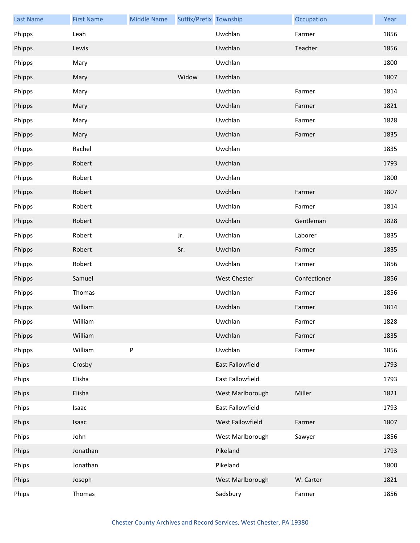| <b>Last Name</b> | <b>First Name</b> | <b>Middle Name</b> | Suffix/Prefix Township |                     | Occupation   | Year |
|------------------|-------------------|--------------------|------------------------|---------------------|--------------|------|
| Phipps           | Leah              |                    |                        | Uwchlan             | Farmer       | 1856 |
| Phipps           | Lewis             |                    |                        | Uwchlan             | Teacher      | 1856 |
| Phipps           | Mary              |                    |                        | Uwchlan             |              | 1800 |
| Phipps           | Mary              |                    | Widow                  | Uwchlan             |              | 1807 |
| Phipps           | Mary              |                    |                        | Uwchlan             | Farmer       | 1814 |
| Phipps           | Mary              |                    |                        | Uwchlan             | Farmer       | 1821 |
| Phipps           | Mary              |                    |                        | Uwchlan             | Farmer       | 1828 |
| Phipps           | Mary              |                    |                        | Uwchlan             | Farmer       | 1835 |
| Phipps           | Rachel            |                    |                        | Uwchlan             |              | 1835 |
| Phipps           | Robert            |                    |                        | Uwchlan             |              | 1793 |
| Phipps           | Robert            |                    |                        | Uwchlan             |              | 1800 |
| Phipps           | Robert            |                    |                        | Uwchlan             | Farmer       | 1807 |
| Phipps           | Robert            |                    |                        | Uwchlan             | Farmer       | 1814 |
| Phipps           | Robert            |                    |                        | Uwchlan             | Gentleman    | 1828 |
| Phipps           | Robert            |                    | Jr.                    | Uwchlan             | Laborer      | 1835 |
| Phipps           | Robert            |                    | Sr.                    | Uwchlan             | Farmer       | 1835 |
| Phipps           | Robert            |                    |                        | Uwchlan             | Farmer       | 1856 |
| Phipps           | Samuel            |                    |                        | <b>West Chester</b> | Confectioner | 1856 |
| Phipps           | Thomas            |                    |                        | Uwchlan             | Farmer       | 1856 |
| Phipps           | William           |                    |                        | Uwchlan             | Farmer       | 1814 |
| Phipps           | William           |                    |                        | Uwchlan             | Farmer       | 1828 |
| Phipps           | William           |                    |                        | Uwchlan             | Farmer       | 1835 |
| Phipps           | William           | P                  |                        | Uwchlan             | Farmer       | 1856 |
| Phips            | Crosby            |                    |                        | East Fallowfield    |              | 1793 |
| Phips            | Elisha            |                    |                        | East Fallowfield    |              | 1793 |
| Phips            | Elisha            |                    |                        | West Marlborough    | Miller       | 1821 |
| Phips            | Isaac             |                    |                        | East Fallowfield    |              | 1793 |
| Phips            | Isaac             |                    |                        | West Fallowfield    | Farmer       | 1807 |
| Phips            | John              |                    |                        | West Marlborough    | Sawyer       | 1856 |
| Phips            | Jonathan          |                    |                        | Pikeland            |              | 1793 |
| Phips            | Jonathan          |                    |                        | Pikeland            |              | 1800 |
| Phips            | Joseph            |                    |                        | West Marlborough    | W. Carter    | 1821 |
| Phips            | Thomas            |                    |                        | Sadsbury            | Farmer       | 1856 |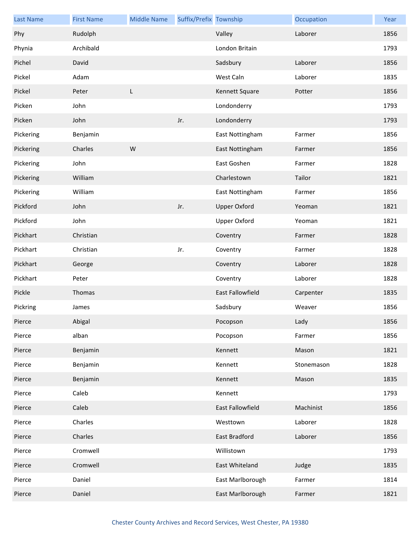| <b>Last Name</b> | <b>First Name</b> | <b>Middle Name</b> | Suffix/Prefix Township |                         | Occupation | Year |
|------------------|-------------------|--------------------|------------------------|-------------------------|------------|------|
| Phy              | Rudolph           |                    |                        | Valley                  | Laborer    | 1856 |
| Phynia           | Archibald         |                    |                        | London Britain          |            | 1793 |
| Pichel           | David             |                    |                        | Sadsbury                | Laborer    | 1856 |
| Pickel           | Adam              |                    |                        | West Caln               | Laborer    | 1835 |
| Pickel           | Peter             | L                  |                        | Kennett Square          | Potter     | 1856 |
| Picken           | John              |                    |                        | Londonderry             |            | 1793 |
| Picken           | John              |                    | Jr.                    | Londonderry             |            | 1793 |
| Pickering        | Benjamin          |                    |                        | East Nottingham         | Farmer     | 1856 |
| Pickering        | Charles           | W                  |                        | East Nottingham         | Farmer     | 1856 |
| Pickering        | John              |                    |                        | East Goshen             | Farmer     | 1828 |
| Pickering        | William           |                    |                        | Charlestown             | Tailor     | 1821 |
| Pickering        | William           |                    |                        | East Nottingham         | Farmer     | 1856 |
| Pickford         | John              |                    | Jr.                    | <b>Upper Oxford</b>     | Yeoman     | 1821 |
| Pickford         | John              |                    |                        | <b>Upper Oxford</b>     | Yeoman     | 1821 |
| Pickhart         | Christian         |                    |                        | Coventry                | Farmer     | 1828 |
| Pickhart         | Christian         |                    | Jr.                    | Coventry                | Farmer     | 1828 |
| Pickhart         | George            |                    |                        | Coventry                | Laborer    | 1828 |
| Pickhart         | Peter             |                    |                        | Coventry                | Laborer    | 1828 |
| Pickle           | Thomas            |                    |                        | <b>East Fallowfield</b> | Carpenter  | 1835 |
| Pickring         | James             |                    |                        | Sadsbury                | Weaver     | 1856 |
| Pierce           | Abigal            |                    |                        | Pocopson                | Lady       | 1856 |
| Pierce           | alban             |                    |                        | Pocopson                | Farmer     | 1856 |
| Pierce           | Benjamin          |                    |                        | Kennett                 | Mason      | 1821 |
| Pierce           | Benjamin          |                    |                        | Kennett                 | Stonemason | 1828 |
| Pierce           | Benjamin          |                    |                        | Kennett                 | Mason      | 1835 |
| Pierce           | Caleb             |                    |                        | Kennett                 |            | 1793 |
| Pierce           | Caleb             |                    |                        | <b>East Fallowfield</b> | Machinist  | 1856 |
| Pierce           | Charles           |                    |                        | Westtown                | Laborer    | 1828 |
| Pierce           | Charles           |                    |                        | East Bradford           | Laborer    | 1856 |
| Pierce           | Cromwell          |                    |                        | Willistown              |            | 1793 |
| Pierce           | Cromwell          |                    |                        | East Whiteland          | Judge      | 1835 |
| Pierce           | Daniel            |                    |                        | East Marlborough        | Farmer     | 1814 |
| Pierce           | Daniel            |                    |                        | East Marlborough        | Farmer     | 1821 |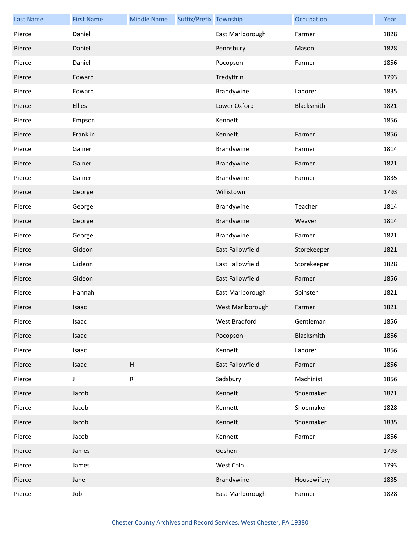| <b>Last Name</b> | <b>First Name</b> | <b>Middle Name</b> | Suffix/Prefix Township |                  | Occupation  | Year |
|------------------|-------------------|--------------------|------------------------|------------------|-------------|------|
| Pierce           | Daniel            |                    |                        | East Marlborough | Farmer      | 1828 |
| Pierce           | Daniel            |                    |                        | Pennsbury        | Mason       | 1828 |
| Pierce           | Daniel            |                    |                        | Pocopson         | Farmer      | 1856 |
| Pierce           | Edward            |                    |                        | Tredyffrin       |             | 1793 |
| Pierce           | Edward            |                    |                        | Brandywine       | Laborer     | 1835 |
| Pierce           | Ellies            |                    |                        | Lower Oxford     | Blacksmith  | 1821 |
| Pierce           | Empson            |                    |                        | Kennett          |             | 1856 |
| Pierce           | Franklin          |                    |                        | Kennett          | Farmer      | 1856 |
| Pierce           | Gainer            |                    |                        | Brandywine       | Farmer      | 1814 |
| Pierce           | Gainer            |                    |                        | Brandywine       | Farmer      | 1821 |
| Pierce           | Gainer            |                    |                        | Brandywine       | Farmer      | 1835 |
| Pierce           | George            |                    |                        | Willistown       |             | 1793 |
| Pierce           | George            |                    |                        | Brandywine       | Teacher     | 1814 |
| Pierce           | George            |                    |                        | Brandywine       | Weaver      | 1814 |
| Pierce           | George            |                    |                        | Brandywine       | Farmer      | 1821 |
| Pierce           | Gideon            |                    |                        | East Fallowfield | Storekeeper | 1821 |
| Pierce           | Gideon            |                    |                        | East Fallowfield | Storekeeper | 1828 |
| Pierce           | Gideon            |                    |                        | East Fallowfield | Farmer      | 1856 |
| Pierce           | Hannah            |                    |                        | East Marlborough | Spinster    | 1821 |
| Pierce           | Isaac             |                    |                        | West Marlborough | Farmer      | 1821 |
| Pierce           | Isaac             |                    |                        | West Bradford    | Gentleman   | 1856 |
| Pierce           | Isaac             |                    |                        | Pocopson         | Blacksmith  | 1856 |
| Pierce           | Isaac             |                    |                        | Kennett          | Laborer     | 1856 |
| Pierce           | Isaac             | Н                  |                        | East Fallowfield | Farmer      | 1856 |
| Pierce           | J                 | R                  |                        | Sadsbury         | Machinist   | 1856 |
| Pierce           | Jacob             |                    |                        | Kennett          | Shoemaker   | 1821 |
| Pierce           | Jacob             |                    |                        | Kennett          | Shoemaker   | 1828 |
| Pierce           | Jacob             |                    |                        | Kennett          | Shoemaker   | 1835 |
| Pierce           | Jacob             |                    |                        | Kennett          | Farmer      | 1856 |
| Pierce           | James             |                    |                        | Goshen           |             | 1793 |
| Pierce           | James             |                    |                        | West Caln        |             | 1793 |
| Pierce           | Jane              |                    |                        | Brandywine       | Housewifery | 1835 |
| Pierce           | Job               |                    |                        | East Marlborough | Farmer      | 1828 |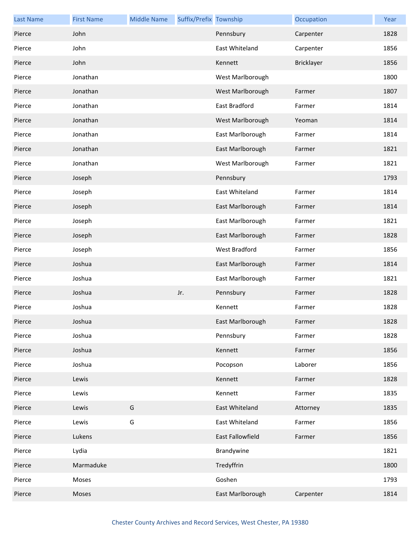| <b>Last Name</b> | <b>First Name</b> | <b>Middle Name</b> | Suffix/Prefix Township |                  | Occupation | Year |
|------------------|-------------------|--------------------|------------------------|------------------|------------|------|
| Pierce           | John              |                    |                        | Pennsbury        | Carpenter  | 1828 |
| Pierce           | John              |                    |                        | East Whiteland   | Carpenter  | 1856 |
| Pierce           | John              |                    |                        | Kennett          | Bricklayer | 1856 |
| Pierce           | Jonathan          |                    |                        | West Marlborough |            | 1800 |
| Pierce           | Jonathan          |                    |                        | West Marlborough | Farmer     | 1807 |
| Pierce           | Jonathan          |                    |                        | East Bradford    | Farmer     | 1814 |
| Pierce           | Jonathan          |                    |                        | West Marlborough | Yeoman     | 1814 |
| Pierce           | Jonathan          |                    |                        | East Marlborough | Farmer     | 1814 |
| Pierce           | Jonathan          |                    |                        | East Marlborough | Farmer     | 1821 |
| Pierce           | Jonathan          |                    |                        | West Marlborough | Farmer     | 1821 |
| Pierce           | Joseph            |                    |                        | Pennsbury        |            | 1793 |
| Pierce           | Joseph            |                    |                        | East Whiteland   | Farmer     | 1814 |
| Pierce           | Joseph            |                    |                        | East Marlborough | Farmer     | 1814 |
| Pierce           | Joseph            |                    |                        | East Marlborough | Farmer     | 1821 |
| Pierce           | Joseph            |                    |                        | East Marlborough | Farmer     | 1828 |
| Pierce           | Joseph            |                    |                        | West Bradford    | Farmer     | 1856 |
| Pierce           | Joshua            |                    |                        | East Marlborough | Farmer     | 1814 |
| Pierce           | Joshua            |                    |                        | East Marlborough | Farmer     | 1821 |
| Pierce           | Joshua            |                    | Jr.                    | Pennsbury        | Farmer     | 1828 |
| Pierce           | Joshua            |                    |                        | Kennett          | Farmer     | 1828 |
| Pierce           | Joshua            |                    |                        | East Marlborough | Farmer     | 1828 |
| Pierce           | Joshua            |                    |                        | Pennsbury        | Farmer     | 1828 |
| Pierce           | Joshua            |                    |                        | Kennett          | Farmer     | 1856 |
| Pierce           | Joshua            |                    |                        | Pocopson         | Laborer    | 1856 |
| Pierce           | Lewis             |                    |                        | Kennett          | Farmer     | 1828 |
| Pierce           | Lewis             |                    |                        | Kennett          | Farmer     | 1835 |
| Pierce           | Lewis             | G                  |                        | East Whiteland   | Attorney   | 1835 |
| Pierce           | Lewis             | G                  |                        | East Whiteland   | Farmer     | 1856 |
| Pierce           | Lukens            |                    |                        | East Fallowfield | Farmer     | 1856 |
| Pierce           | Lydia             |                    |                        | Brandywine       |            | 1821 |
| Pierce           | Marmaduke         |                    |                        | Tredyffrin       |            | 1800 |
| Pierce           | Moses             |                    |                        | Goshen           |            | 1793 |
| Pierce           | Moses             |                    |                        | East Marlborough | Carpenter  | 1814 |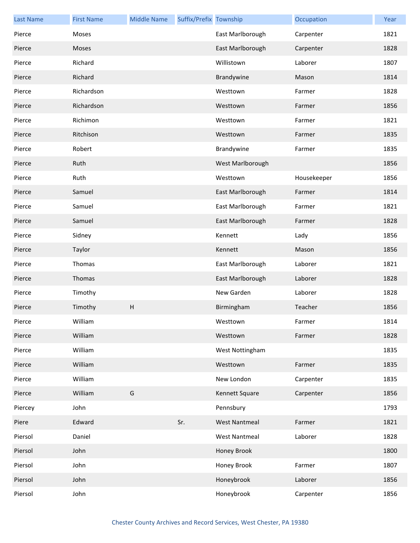| <b>Last Name</b> | <b>First Name</b> | <b>Middle Name</b> | Suffix/Prefix Township |                      | Occupation  | Year |
|------------------|-------------------|--------------------|------------------------|----------------------|-------------|------|
| Pierce           | Moses             |                    |                        | East Marlborough     | Carpenter   | 1821 |
| Pierce           | Moses             |                    |                        | East Marlborough     | Carpenter   | 1828 |
| Pierce           | Richard           |                    |                        | Willistown           | Laborer     | 1807 |
| Pierce           | Richard           |                    |                        | Brandywine           | Mason       | 1814 |
| Pierce           | Richardson        |                    |                        | Westtown             | Farmer      | 1828 |
| Pierce           | Richardson        |                    |                        | Westtown             | Farmer      | 1856 |
| Pierce           | Richimon          |                    |                        | Westtown             | Farmer      | 1821 |
| Pierce           | Ritchison         |                    |                        | Westtown             | Farmer      | 1835 |
| Pierce           | Robert            |                    |                        | Brandywine           | Farmer      | 1835 |
| Pierce           | Ruth              |                    |                        | West Marlborough     |             | 1856 |
| Pierce           | Ruth              |                    |                        | Westtown             | Housekeeper | 1856 |
| Pierce           | Samuel            |                    |                        | East Marlborough     | Farmer      | 1814 |
| Pierce           | Samuel            |                    |                        | East Marlborough     | Farmer      | 1821 |
| Pierce           | Samuel            |                    |                        | East Marlborough     | Farmer      | 1828 |
| Pierce           | Sidney            |                    |                        | Kennett              | Lady        | 1856 |
| Pierce           | Taylor            |                    |                        | Kennett              | Mason       | 1856 |
| Pierce           | Thomas            |                    |                        | East Marlborough     | Laborer     | 1821 |
| Pierce           | Thomas            |                    |                        | East Marlborough     | Laborer     | 1828 |
| Pierce           | Timothy           |                    |                        | New Garden           | Laborer     | 1828 |
| Pierce           | Timothy           | Н                  |                        | Birmingham           | Teacher     | 1856 |
| Pierce           | William           |                    |                        | Westtown             | Farmer      | 1814 |
| Pierce           | William           |                    |                        | Westtown             | Farmer      | 1828 |
| Pierce           | William           |                    |                        | West Nottingham      |             | 1835 |
| Pierce           | William           |                    |                        | Westtown             | Farmer      | 1835 |
| Pierce           | William           |                    |                        | New London           | Carpenter   | 1835 |
| Pierce           | William           | G                  |                        | Kennett Square       | Carpenter   | 1856 |
| Piercey          | John              |                    |                        | Pennsbury            |             | 1793 |
| Piere            | Edward            |                    | Sr.                    | <b>West Nantmeal</b> | Farmer      | 1821 |
| Piersol          | Daniel            |                    |                        | <b>West Nantmeal</b> | Laborer     | 1828 |
| Piersol          | John              |                    |                        | Honey Brook          |             | 1800 |
| Piersol          | John              |                    |                        | Honey Brook          | Farmer      | 1807 |
| Piersol          | John              |                    |                        | Honeybrook           | Laborer     | 1856 |
| Piersol          | John              |                    |                        | Honeybrook           | Carpenter   | 1856 |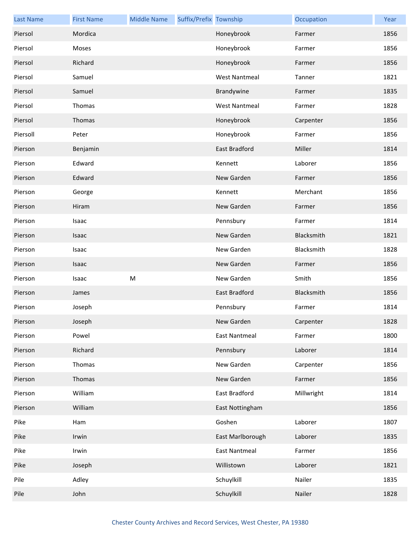| <b>Last Name</b> | <b>First Name</b> | <b>Middle Name</b> | Suffix/Prefix Township |                      | Occupation | Year |
|------------------|-------------------|--------------------|------------------------|----------------------|------------|------|
| Piersol          | Mordica           |                    |                        | Honeybrook           | Farmer     | 1856 |
| Piersol          | Moses             |                    |                        | Honeybrook           | Farmer     | 1856 |
| Piersol          | Richard           |                    |                        | Honeybrook           | Farmer     | 1856 |
| Piersol          | Samuel            |                    |                        | <b>West Nantmeal</b> | Tanner     | 1821 |
| Piersol          | Samuel            |                    |                        | Brandywine           | Farmer     | 1835 |
| Piersol          | Thomas            |                    |                        | <b>West Nantmeal</b> | Farmer     | 1828 |
| Piersol          | Thomas            |                    |                        | Honeybrook           | Carpenter  | 1856 |
| Piersoll         | Peter             |                    |                        | Honeybrook           | Farmer     | 1856 |
| Pierson          | Benjamin          |                    |                        | East Bradford        | Miller     | 1814 |
| Pierson          | Edward            |                    |                        | Kennett              | Laborer    | 1856 |
| Pierson          | Edward            |                    |                        | New Garden           | Farmer     | 1856 |
| Pierson          | George            |                    |                        | Kennett              | Merchant   | 1856 |
| Pierson          | Hiram             |                    |                        | New Garden           | Farmer     | 1856 |
| Pierson          | Isaac             |                    |                        | Pennsbury            | Farmer     | 1814 |
| Pierson          | Isaac             |                    |                        | New Garden           | Blacksmith | 1821 |
| Pierson          | Isaac             |                    |                        | New Garden           | Blacksmith | 1828 |
| Pierson          | Isaac             |                    |                        | New Garden           | Farmer     | 1856 |
| Pierson          | Isaac             | ${\sf M}$          |                        | New Garden           | Smith      | 1856 |
| Pierson          | James             |                    |                        | East Bradford        | Blacksmith | 1856 |
| Pierson          | Joseph            |                    |                        | Pennsbury            | Farmer     | 1814 |
| Pierson          | Joseph            |                    |                        | New Garden           | Carpenter  | 1828 |
| Pierson          | Powel             |                    |                        | <b>East Nantmeal</b> | Farmer     | 1800 |
| Pierson          | Richard           |                    |                        | Pennsbury            | Laborer    | 1814 |
| Pierson          | Thomas            |                    |                        | New Garden           | Carpenter  | 1856 |
| Pierson          | Thomas            |                    |                        | New Garden           | Farmer     | 1856 |
| Pierson          | William           |                    |                        | East Bradford        | Millwright | 1814 |
| Pierson          | William           |                    |                        | East Nottingham      |            | 1856 |
| Pike             | Ham               |                    |                        | Goshen               | Laborer    | 1807 |
| Pike             | Irwin             |                    |                        | East Marlborough     | Laborer    | 1835 |
| Pike             | Irwin             |                    |                        | <b>East Nantmeal</b> | Farmer     | 1856 |
| Pike             | Joseph            |                    |                        | Willistown           | Laborer    | 1821 |
| Pile             | Adley             |                    |                        | Schuylkill           | Nailer     | 1835 |
| Pile             | John              |                    |                        | Schuylkill           | Nailer     | 1828 |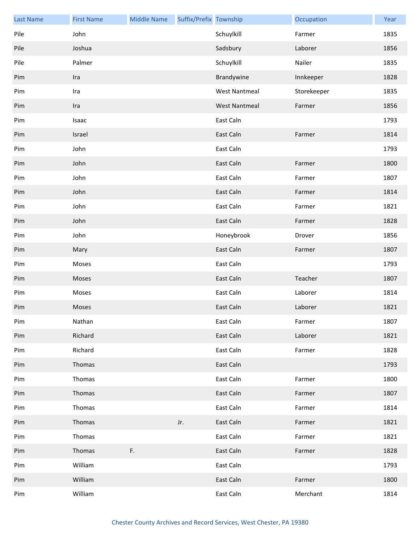| <b>Last Name</b> | <b>First Name</b> | <b>Middle Name</b> | Suffix/Prefix Township |                      | Occupation  | Year |
|------------------|-------------------|--------------------|------------------------|----------------------|-------------|------|
| Pile             | John              |                    |                        | Schuylkill           | Farmer      | 1835 |
| Pile             | Joshua            |                    |                        | Sadsbury             | Laborer     | 1856 |
| Pile             | Palmer            |                    |                        | Schuylkill           | Nailer      | 1835 |
| Pim              | Ira               |                    |                        | Brandywine           | Innkeeper   | 1828 |
| Pim              | Ira               |                    |                        | <b>West Nantmeal</b> | Storekeeper | 1835 |
| Pim              | Ira               |                    |                        | <b>West Nantmeal</b> | Farmer      | 1856 |
| Pim              | Isaac             |                    |                        | East Caln            |             | 1793 |
| Pim              | Israel            |                    |                        | East Caln            | Farmer      | 1814 |
| Pim              | John              |                    |                        | East Caln            |             | 1793 |
| Pim              | John              |                    |                        | East Caln            | Farmer      | 1800 |
| Pim              | John              |                    |                        | East Caln            | Farmer      | 1807 |
| Pim              | John              |                    |                        | East Caln            | Farmer      | 1814 |
| Pim              | John              |                    |                        | East Caln            | Farmer      | 1821 |
| Pim              | John              |                    |                        | East Caln            | Farmer      | 1828 |
| Pim              | John              |                    |                        | Honeybrook           | Drover      | 1856 |
| Pim              | Mary              |                    |                        | East Caln            | Farmer      | 1807 |
| Pim              | Moses             |                    |                        | East Caln            |             | 1793 |
| Pim              | Moses             |                    |                        | East Caln            | Teacher     | 1807 |
| Pim              | Moses             |                    |                        | East Caln            | Laborer     | 1814 |
| Pim              | Moses             |                    |                        | East Caln            | Laborer     | 1821 |
| Pim              | Nathan            |                    |                        | East Caln            | Farmer      | 1807 |
| Pim              | Richard           |                    |                        | East Caln            | Laborer     | 1821 |
| Pim              | Richard           |                    |                        | East Caln            | Farmer      | 1828 |
| Pim              | Thomas            |                    |                        | East Caln            |             | 1793 |
| Pim              | Thomas            |                    |                        | East Caln            | Farmer      | 1800 |
| Pim              | Thomas            |                    |                        | East Caln            | Farmer      | 1807 |
| Pim              | Thomas            |                    |                        | East Caln            | Farmer      | 1814 |
| Pim              | Thomas            |                    | Jr.                    | East Caln            | Farmer      | 1821 |
| Pim              | Thomas            |                    |                        | East Caln            | Farmer      | 1821 |
| Pim              | Thomas            | F.                 |                        | East Caln            | Farmer      | 1828 |
| Pim              | William           |                    |                        | East Caln            |             | 1793 |
| Pim              | William           |                    |                        | East Caln            | Farmer      | 1800 |
| Pim              | William           |                    |                        | East Caln            | Merchant    | 1814 |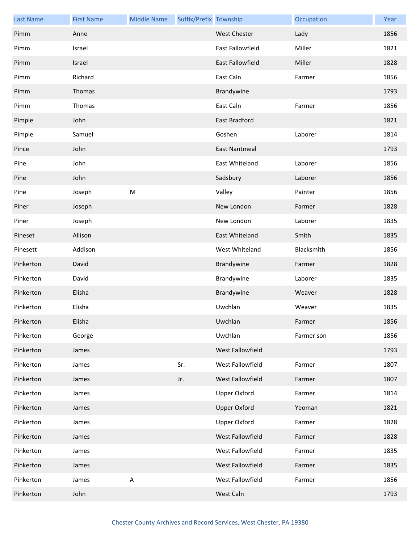| <b>Last Name</b> | <b>First Name</b> | <b>Middle Name</b> | Suffix/Prefix Township |                         | Occupation | Year |
|------------------|-------------------|--------------------|------------------------|-------------------------|------------|------|
| Pimm             | Anne              |                    |                        | <b>West Chester</b>     | Lady       | 1856 |
| Pimm             | Israel            |                    |                        | East Fallowfield        | Miller     | 1821 |
| Pimm             | Israel            |                    |                        | <b>East Fallowfield</b> | Miller     | 1828 |
| Pimm             | Richard           |                    |                        | East Caln               | Farmer     | 1856 |
| Pimm             | Thomas            |                    |                        | Brandywine              |            | 1793 |
| Pimm             | Thomas            |                    |                        | East Caln               | Farmer     | 1856 |
| Pimple           | John              |                    |                        | East Bradford           |            | 1821 |
| Pimple           | Samuel            |                    |                        | Goshen                  | Laborer    | 1814 |
| Pince            | John              |                    |                        | <b>East Nantmeal</b>    |            | 1793 |
| Pine             | John              |                    |                        | East Whiteland          | Laborer    | 1856 |
| Pine             | John              |                    |                        | Sadsbury                | Laborer    | 1856 |
| Pine             | Joseph            | ${\sf M}$          |                        | Valley                  | Painter    | 1856 |
| Piner            | Joseph            |                    |                        | New London              | Farmer     | 1828 |
| Piner            | Joseph            |                    |                        | New London              | Laborer    | 1835 |
| Pineset          | Allison           |                    |                        | East Whiteland          | Smith      | 1835 |
| Pinesett         | Addison           |                    |                        | West Whiteland          | Blacksmith | 1856 |
| Pinkerton        | David             |                    |                        | Brandywine              | Farmer     | 1828 |
| Pinkerton        | David             |                    |                        | Brandywine              | Laborer    | 1835 |
| Pinkerton        | Elisha            |                    |                        | Brandywine              | Weaver     | 1828 |
| Pinkerton        | Elisha            |                    |                        | Uwchlan                 | Weaver     | 1835 |
| Pinkerton        | Elisha            |                    |                        | Uwchlan                 | Farmer     | 1856 |
| Pinkerton        | George            |                    |                        | Uwchlan                 | Farmer son | 1856 |
| Pinkerton        | James             |                    |                        | West Fallowfield        |            | 1793 |
| Pinkerton        | James             |                    | Sr.                    | West Fallowfield        | Farmer     | 1807 |
| Pinkerton        | James             |                    | Jr.                    | West Fallowfield        | Farmer     | 1807 |
| Pinkerton        | James             |                    |                        | <b>Upper Oxford</b>     | Farmer     | 1814 |
| Pinkerton        | James             |                    |                        | <b>Upper Oxford</b>     | Yeoman     | 1821 |
| Pinkerton        | James             |                    |                        | <b>Upper Oxford</b>     | Farmer     | 1828 |
| Pinkerton        | James             |                    |                        | West Fallowfield        | Farmer     | 1828 |
| Pinkerton        | James             |                    |                        | West Fallowfield        | Farmer     | 1835 |
| Pinkerton        | James             |                    |                        | West Fallowfield        | Farmer     | 1835 |
| Pinkerton        | James             | $\mathsf A$        |                        | West Fallowfield        | Farmer     | 1856 |
| Pinkerton        | John              |                    |                        | West Caln               |            | 1793 |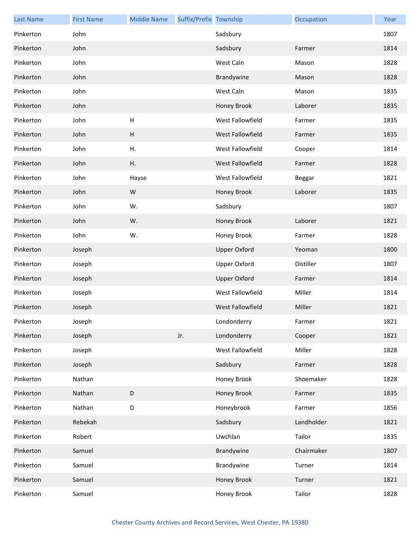| <b>Last Name</b> | <b>First Name</b> | <b>Middle Name</b>        | Suffix/Prefix Township |                     | Occupation | Year |
|------------------|-------------------|---------------------------|------------------------|---------------------|------------|------|
| Pinkerton        | John              |                           |                        | Sadsbury            |            | 1807 |
| Pinkerton        | John              |                           |                        | Sadsbury            | Farmer     | 1814 |
| Pinkerton        | John              |                           |                        | West Caln           | Mason      | 1828 |
| Pinkerton        | John              |                           |                        | Brandywine          | Mason      | 1828 |
| Pinkerton        | John              |                           |                        | West Caln           | Mason      | 1835 |
| Pinkerton        | John              |                           |                        | Honey Brook         | Laborer    | 1835 |
| Pinkerton        | John              | H                         |                        | West Fallowfield    | Farmer     | 1835 |
| Pinkerton        | John              | $\boldsymbol{\mathsf{H}}$ |                        | West Fallowfield    | Farmer     | 1835 |
| Pinkerton        | John              | Η.                        |                        | West Fallowfield    | Cooper     | 1814 |
| Pinkerton        | John              | Η.                        |                        | West Fallowfield    | Farmer     | 1828 |
| Pinkerton        | John              | Hayse                     |                        | West Fallowfield    | Beggar     | 1821 |
| Pinkerton        | John              | W                         |                        | Honey Brook         | Laborer    | 1835 |
| Pinkerton        | John              | W.                        |                        | Sadsbury            |            | 1807 |
| Pinkerton        | John              | W.                        |                        | Honey Brook         | Laborer    | 1821 |
| Pinkerton        | John              | W.                        |                        | Honey Brook         | Farmer     | 1828 |
| Pinkerton        | Joseph            |                           |                        | <b>Upper Oxford</b> | Yeoman     | 1800 |
| Pinkerton        | Joseph            |                           |                        | <b>Upper Oxford</b> | Distiller  | 1807 |
| Pinkerton        | Joseph            |                           |                        | <b>Upper Oxford</b> | Farmer     | 1814 |
| Pinkerton        | Joseph            |                           |                        | West Fallowfield    | Miller     | 1814 |
| Pinkerton        | Joseph            |                           |                        | West Fallowfield    | Miller     | 1821 |
| Pinkerton        | Joseph            |                           |                        | Londonderry         | Farmer     | 1821 |
| Pinkerton        | Joseph            |                           | Jr.                    | Londonderry         | Cooper     | 1821 |
| Pinkerton        | Joseph            |                           |                        | West Fallowfield    | Miller     | 1828 |
| Pinkerton        | Joseph            |                           |                        | Sadsbury            | Farmer     | 1828 |
| Pinkerton        | Nathan            |                           |                        | Honey Brook         | Shoemaker  | 1828 |
| Pinkerton        | Nathan            | $\mathsf D$               |                        | Honey Brook         | Farmer     | 1835 |
| Pinkerton        | Nathan            | $\mathsf D$               |                        | Honeybrook          | Farmer     | 1856 |
| Pinkerton        | Rebekah           |                           |                        | Sadsbury            | Landholder | 1821 |
| Pinkerton        | Robert            |                           |                        | Uwchlan             | Tailor     | 1835 |
| Pinkerton        | Samuel            |                           |                        | Brandywine          | Chairmaker | 1807 |
| Pinkerton        | Samuel            |                           |                        | Brandywine          | Turner     | 1814 |
| Pinkerton        | Samuel            |                           |                        | Honey Brook         | Turner     | 1821 |
| Pinkerton        | Samuel            |                           |                        | Honey Brook         | Tailor     | 1828 |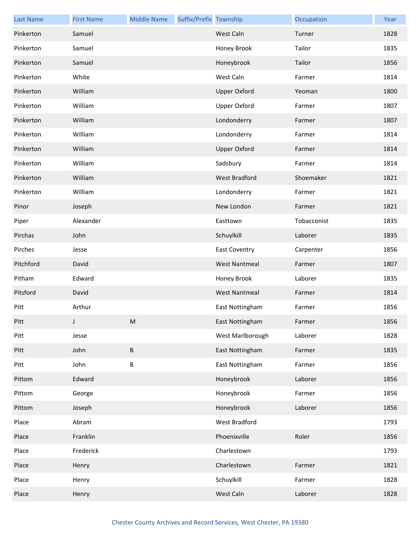| <b>Last Name</b> | <b>First Name</b> | <b>Middle Name</b> | Suffix/Prefix Township |                      | Occupation  | Year |
|------------------|-------------------|--------------------|------------------------|----------------------|-------------|------|
| Pinkerton        | Samuel            |                    |                        | West Caln            | Turner      | 1828 |
| Pinkerton        | Samuel            |                    |                        | Honey Brook          | Tailor      | 1835 |
| Pinkerton        | Samuel            |                    |                        | Honeybrook           | Tailor      | 1856 |
| Pinkerton        | White             |                    |                        | West Caln            | Farmer      | 1814 |
| Pinkerton        | William           |                    |                        | <b>Upper Oxford</b>  | Yeoman      | 1800 |
| Pinkerton        | William           |                    |                        | <b>Upper Oxford</b>  | Farmer      | 1807 |
| Pinkerton        | William           |                    |                        | Londonderry          | Farmer      | 1807 |
| Pinkerton        | William           |                    |                        | Londonderry          | Farmer      | 1814 |
| Pinkerton        | William           |                    |                        | <b>Upper Oxford</b>  | Farmer      | 1814 |
| Pinkerton        | William           |                    |                        | Sadsbury             | Farmer      | 1814 |
| Pinkerton        | William           |                    |                        | <b>West Bradford</b> | Shoemaker   | 1821 |
| Pinkerton        | William           |                    |                        | Londonderry          | Farmer      | 1821 |
| Pinor            | Joseph            |                    |                        | New London           | Farmer      | 1821 |
| Piper            | Alexander         |                    |                        | Easttown             | Tobacconist | 1835 |
| Pirchas          | John              |                    |                        | Schuylkill           | Laborer     | 1835 |
| Pirches          | Jesse             |                    |                        | <b>East Coventry</b> | Carpenter   | 1856 |
| Pitchford        | David             |                    |                        | <b>West Nantmeal</b> | Farmer      | 1807 |
| Pitham           | Edward            |                    |                        | Honey Brook          | Laborer     | 1835 |
| Pitsford         | David             |                    |                        | <b>West Nantmeal</b> | Farmer      | 1814 |
| Pitt             | Arthur            |                    |                        | East Nottingham      | Farmer      | 1856 |
| Pitt             | J.                | M                  |                        | East Nottingham      | Farmer      | 1856 |
| Pitt             | Jesse             |                    |                        | West Marlborough     | Laborer     | 1828 |
| Pitt             | John              | $\sf B$            |                        | East Nottingham      | Farmer      | 1835 |
| Pitt             | John              | B                  |                        | East Nottingham      | Farmer      | 1856 |
| Pittom           | Edward            |                    |                        | Honeybrook           | Laborer     | 1856 |
| Pittom           | George            |                    |                        | Honeybrook           | Farmer      | 1856 |
| Pittom           | Joseph            |                    |                        | Honeybrook           | Laborer     | 1856 |
| Place            | Abram             |                    |                        | West Bradford        |             | 1793 |
| Place            | Franklin          |                    |                        | Phoenixville         | Roler       | 1856 |
| Place            | Frederick         |                    |                        | Charlestown          |             | 1793 |
| Place            | Henry             |                    |                        | Charlestown          | Farmer      | 1821 |
| Place            | Henry             |                    |                        | Schuylkill           | Farmer      | 1828 |
| Place            | Henry             |                    |                        | West Caln            | Laborer     | 1828 |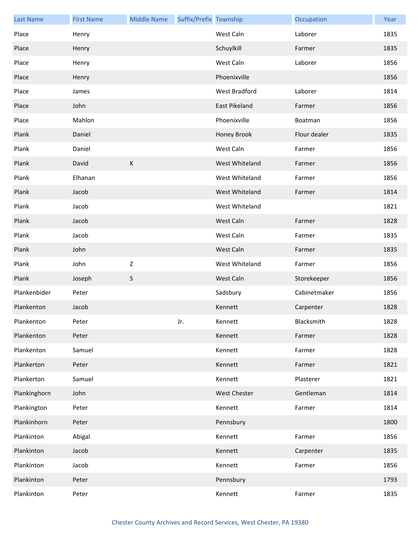| <b>Last Name</b> | <b>First Name</b> | <b>Middle Name</b> | Suffix/Prefix Township |                     | Occupation   | Year |
|------------------|-------------------|--------------------|------------------------|---------------------|--------------|------|
| Place            | Henry             |                    |                        | West Caln           | Laborer      | 1835 |
| Place            | Henry             |                    |                        | Schuylkill          | Farmer       | 1835 |
| Place            | Henry             |                    |                        | West Caln           | Laborer      | 1856 |
| Place            | Henry             |                    |                        | Phoenixville        |              | 1856 |
| Place            | James             |                    |                        | West Bradford       | Laborer      | 1814 |
| Place            | John              |                    |                        | East Pikeland       | Farmer       | 1856 |
| Place            | Mahlon            |                    |                        | Phoenixville        | Boatman      | 1856 |
| Plank            | Daniel            |                    |                        | Honey Brook         | Flour dealer | 1835 |
| Plank            | Daniel            |                    |                        | West Caln           | Farmer       | 1856 |
| Plank            | David             | К                  |                        | West Whiteland      | Farmer       | 1856 |
| Plank            | Elhanan           |                    |                        | West Whiteland      | Farmer       | 1856 |
| Plank            | Jacob             |                    |                        | West Whiteland      | Farmer       | 1814 |
| Plank            | Jacob             |                    |                        | West Whiteland      |              | 1821 |
| Plank            | Jacob             |                    |                        | West Caln           | Farmer       | 1828 |
| Plank            | Jacob             |                    |                        | West Caln           | Farmer       | 1835 |
| Plank            | John              |                    |                        | West Caln           | Farmer       | 1835 |
| Plank            | John              | $\mathsf Z$        |                        | West Whiteland      | Farmer       | 1856 |
| Plank            | Joseph            | $\mathsf S$        |                        | West Caln           | Storekeeper  | 1856 |
| Plankenbider     | Peter             |                    |                        | Sadsbury            | Cabinetmaker | 1856 |
| Plankenton       | Jacob             |                    |                        | Kennett             | Carpenter    | 1828 |
| Plankenton       | Peter             |                    | Jr.                    | Kennett             | Blacksmith   | 1828 |
| Plankenton       | Peter             |                    |                        | Kennett             | Farmer       | 1828 |
| Plankenton       | Samuel            |                    |                        | Kennett             | Farmer       | 1828 |
| Plankerton       | Peter             |                    |                        | Kennett             | Farmer       | 1821 |
| Plankerton       | Samuel            |                    |                        | Kennett             | Plasterer    | 1821 |
| Plankinghorn     | John              |                    |                        | <b>West Chester</b> | Gentleman    | 1814 |
| Plankington      | Peter             |                    |                        | Kennett             | Farmer       | 1814 |
| Plankinhorn      | Peter             |                    |                        | Pennsbury           |              | 1800 |
| Plankinton       | Abigal            |                    |                        | Kennett             | Farmer       | 1856 |
| Plankinton       | Jacob             |                    |                        | Kennett             | Carpenter    | 1835 |
| Plankinton       | Jacob             |                    |                        | Kennett             | Farmer       | 1856 |
| Plankinton       | Peter             |                    |                        | Pennsbury           |              | 1793 |
|                  |                   |                    |                        |                     |              |      |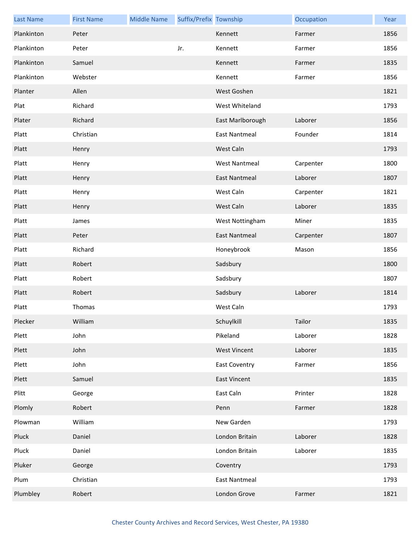| <b>Last Name</b> | <b>First Name</b> | <b>Middle Name</b> | Suffix/Prefix Township |                      | Occupation | Year |
|------------------|-------------------|--------------------|------------------------|----------------------|------------|------|
| Plankinton       | Peter             |                    |                        | Kennett              | Farmer     | 1856 |
| Plankinton       | Peter             |                    | Jr.                    | Kennett              | Farmer     | 1856 |
| Plankinton       | Samuel            |                    |                        | Kennett              | Farmer     | 1835 |
| Plankinton       | Webster           |                    |                        | Kennett              | Farmer     | 1856 |
| Planter          | Allen             |                    |                        | West Goshen          |            | 1821 |
| Plat             | Richard           |                    |                        | West Whiteland       |            | 1793 |
| Plater           | Richard           |                    |                        | East Marlborough     | Laborer    | 1856 |
| Platt            | Christian         |                    |                        | <b>East Nantmeal</b> | Founder    | 1814 |
| Platt            | Henry             |                    |                        | West Caln            |            | 1793 |
| Platt            | Henry             |                    |                        | <b>West Nantmeal</b> | Carpenter  | 1800 |
| Platt            | Henry             |                    |                        | <b>East Nantmeal</b> | Laborer    | 1807 |
| Platt            | Henry             |                    |                        | West Caln            | Carpenter  | 1821 |
| Platt            | Henry             |                    |                        | West Caln            | Laborer    | 1835 |
| Platt            | James             |                    |                        | West Nottingham      | Miner      | 1835 |
| Platt            | Peter             |                    |                        | <b>East Nantmeal</b> | Carpenter  | 1807 |
| Platt            | Richard           |                    |                        | Honeybrook           | Mason      | 1856 |
| Platt            | Robert            |                    |                        | Sadsbury             |            | 1800 |
| Platt            | Robert            |                    |                        | Sadsbury             |            | 1807 |
| Platt            | Robert            |                    |                        | Sadsbury             | Laborer    | 1814 |
| Platt            | Thomas            |                    |                        | West Caln            |            | 1793 |
| Plecker          | William           |                    |                        | Schuylkill           | Tailor     | 1835 |
| Plett            | John              |                    |                        | Pikeland             | Laborer    | 1828 |
| Plett            | John              |                    |                        | <b>West Vincent</b>  | Laborer    | 1835 |
| Plett            | John              |                    |                        | <b>East Coventry</b> | Farmer     | 1856 |
| Plett            | Samuel            |                    |                        | <b>East Vincent</b>  |            | 1835 |
| Plitt            | George            |                    |                        | East Caln            | Printer    | 1828 |
| Plomly           | Robert            |                    |                        | Penn                 | Farmer     | 1828 |
| Plowman          | William           |                    |                        | New Garden           |            | 1793 |
| Pluck            | Daniel            |                    |                        | London Britain       | Laborer    | 1828 |
| Pluck            | Daniel            |                    |                        | London Britain       | Laborer    | 1835 |
| Pluker           | George            |                    |                        | Coventry             |            | 1793 |
| Plum             | Christian         |                    |                        | <b>East Nantmeal</b> |            | 1793 |
| Plumbley         | Robert            |                    |                        | London Grove         | Farmer     | 1821 |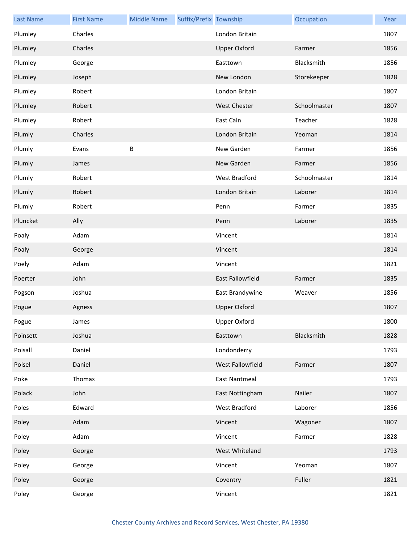| <b>Last Name</b> | <b>First Name</b> | <b>Middle Name</b> | Suffix/Prefix Township |                      | Occupation   | Year |
|------------------|-------------------|--------------------|------------------------|----------------------|--------------|------|
| Plumley          | Charles           |                    |                        | London Britain       |              | 1807 |
| Plumley          | Charles           |                    |                        | <b>Upper Oxford</b>  | Farmer       | 1856 |
| Plumley          | George            |                    |                        | Easttown             | Blacksmith   | 1856 |
| Plumley          | Joseph            |                    |                        | New London           | Storekeeper  | 1828 |
| Plumley          | Robert            |                    |                        | London Britain       |              | 1807 |
| Plumley          | Robert            |                    |                        | <b>West Chester</b>  | Schoolmaster | 1807 |
| Plumley          | Robert            |                    |                        | East Caln            | Teacher      | 1828 |
| Plumly           | Charles           |                    |                        | London Britain       | Yeoman       | 1814 |
| Plumly           | Evans             | B                  |                        | New Garden           | Farmer       | 1856 |
| Plumly           | James             |                    |                        | New Garden           | Farmer       | 1856 |
| Plumly           | Robert            |                    |                        | West Bradford        | Schoolmaster | 1814 |
| Plumly           | Robert            |                    |                        | London Britain       | Laborer      | 1814 |
| Plumly           | Robert            |                    |                        | Penn                 | Farmer       | 1835 |
| Pluncket         | Ally              |                    |                        | Penn                 | Laborer      | 1835 |
| Poaly            | Adam              |                    |                        | Vincent              |              | 1814 |
| Poaly            | George            |                    |                        | Vincent              |              | 1814 |
| Poely            | Adam              |                    |                        | Vincent              |              | 1821 |
| Poerter          | John              |                    |                        | East Fallowfield     | Farmer       | 1835 |
| Pogson           | Joshua            |                    |                        | East Brandywine      | Weaver       | 1856 |
| Pogue            | Agness            |                    |                        | <b>Upper Oxford</b>  |              | 1807 |
| Pogue            | James             |                    |                        | Upper Oxford         |              | 1800 |
| Poinsett         | Joshua            |                    |                        | Easttown             | Blacksmith   | 1828 |
| Poisall          | Daniel            |                    |                        | Londonderry          |              | 1793 |
| Poisel           | Daniel            |                    |                        | West Fallowfield     | Farmer       | 1807 |
| Poke             | Thomas            |                    |                        | <b>East Nantmeal</b> |              | 1793 |
| Polack           | John              |                    |                        | East Nottingham      | Nailer       | 1807 |
| Poles            | Edward            |                    |                        | West Bradford        | Laborer      | 1856 |
| Poley            | Adam              |                    |                        | Vincent              | Wagoner      | 1807 |
| Poley            | Adam              |                    |                        | Vincent              | Farmer       | 1828 |
| Poley            | George            |                    |                        | West Whiteland       |              | 1793 |
| Poley            | George            |                    |                        | Vincent              | Yeoman       | 1807 |
| Poley            | George            |                    |                        | Coventry             | Fuller       | 1821 |
| Poley            | George            |                    |                        | Vincent              |              | 1821 |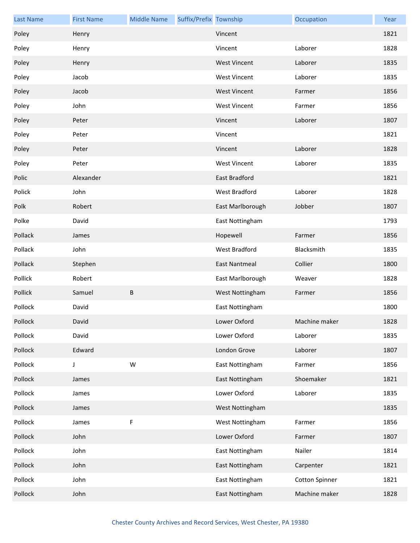| <b>Last Name</b> | <b>First Name</b> | <b>Middle Name</b> | Suffix/Prefix Township |                      | Occupation            | Year |
|------------------|-------------------|--------------------|------------------------|----------------------|-----------------------|------|
| Poley            | Henry             |                    |                        | Vincent              |                       | 1821 |
| Poley            | Henry             |                    |                        | Vincent              | Laborer               | 1828 |
| Poley            | Henry             |                    |                        | <b>West Vincent</b>  | Laborer               | 1835 |
| Poley            | Jacob             |                    |                        | <b>West Vincent</b>  | Laborer               | 1835 |
| Poley            | Jacob             |                    |                        | <b>West Vincent</b>  | Farmer                | 1856 |
| Poley            | John              |                    |                        | <b>West Vincent</b>  | Farmer                | 1856 |
| Poley            | Peter             |                    |                        | Vincent              | Laborer               | 1807 |
| Poley            | Peter             |                    |                        | Vincent              |                       | 1821 |
| Poley            | Peter             |                    |                        | Vincent              | Laborer               | 1828 |
| Poley            | Peter             |                    |                        | <b>West Vincent</b>  | Laborer               | 1835 |
| Polic            | Alexander         |                    |                        | East Bradford        |                       | 1821 |
| Polick           | John              |                    |                        | West Bradford        | Laborer               | 1828 |
| Polk             | Robert            |                    |                        | East Marlborough     | Jobber                | 1807 |
| Polke            | David             |                    |                        | East Nottingham      |                       | 1793 |
| Pollack          | James             |                    |                        | Hopewell             | Farmer                | 1856 |
| Pollack          | John              |                    |                        | West Bradford        | Blacksmith            | 1835 |
| Pollack          | Stephen           |                    |                        | <b>East Nantmeal</b> | Collier               | 1800 |
| Pollick          | Robert            |                    |                        | East Marlborough     | Weaver                | 1828 |
| Pollick          | Samuel            | B                  |                        | West Nottingham      | Farmer                | 1856 |
| Pollock          | David             |                    |                        | East Nottingham      |                       | 1800 |
| Pollock          | David             |                    |                        | Lower Oxford         | Machine maker         | 1828 |
| Pollock          | David             |                    |                        | Lower Oxford         | Laborer               | 1835 |
| Pollock          | Edward            |                    |                        | London Grove         | Laborer               | 1807 |
| Pollock          | J                 | W                  |                        | East Nottingham      | Farmer                | 1856 |
| Pollock          | James             |                    |                        | East Nottingham      | Shoemaker             | 1821 |
| Pollock          | James             |                    |                        | Lower Oxford         | Laborer               | 1835 |
| Pollock          | James             |                    |                        | West Nottingham      |                       | 1835 |
| Pollock          | James             | F                  |                        | West Nottingham      | Farmer                | 1856 |
| Pollock          | John              |                    |                        | Lower Oxford         | Farmer                | 1807 |
| Pollock          | John              |                    |                        | East Nottingham      | Nailer                | 1814 |
| Pollock          | John              |                    |                        | East Nottingham      | Carpenter             | 1821 |
| Pollock          | John              |                    |                        | East Nottingham      | <b>Cotton Spinner</b> | 1821 |
| Pollock          | John              |                    |                        | East Nottingham      | Machine maker         | 1828 |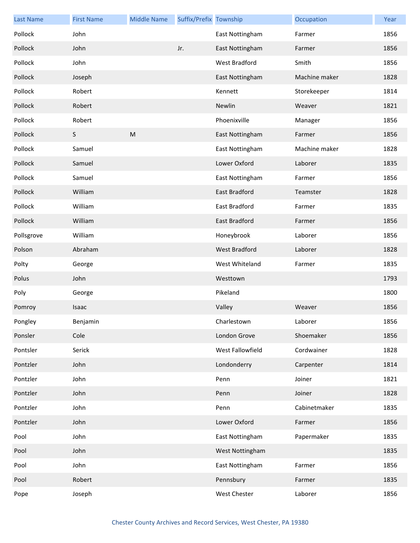| <b>Last Name</b> | <b>First Name</b> | <b>Middle Name</b> | Suffix/Prefix Township |                      | Occupation    | Year |
|------------------|-------------------|--------------------|------------------------|----------------------|---------------|------|
| Pollock          | John              |                    |                        | East Nottingham      | Farmer        | 1856 |
| Pollock          | John              |                    | Jr.                    | East Nottingham      | Farmer        | 1856 |
| Pollock          | John              |                    |                        | West Bradford        | Smith         | 1856 |
| Pollock          | Joseph            |                    |                        | East Nottingham      | Machine maker | 1828 |
| Pollock          | Robert            |                    |                        | Kennett              | Storekeeper   | 1814 |
| Pollock          | Robert            |                    |                        | Newlin               | Weaver        | 1821 |
| Pollock          | Robert            |                    |                        | Phoenixville         | Manager       | 1856 |
| Pollock          | S                 | M                  |                        | East Nottingham      | Farmer        | 1856 |
| Pollock          | Samuel            |                    |                        | East Nottingham      | Machine maker | 1828 |
| Pollock          | Samuel            |                    |                        | Lower Oxford         | Laborer       | 1835 |
| Pollock          | Samuel            |                    |                        | East Nottingham      | Farmer        | 1856 |
| Pollock          | William           |                    |                        | East Bradford        | Teamster      | 1828 |
| Pollock          | William           |                    |                        | East Bradford        | Farmer        | 1835 |
| Pollock          | William           |                    |                        | East Bradford        | Farmer        | 1856 |
| Pollsgrove       | William           |                    |                        | Honeybrook           | Laborer       | 1856 |
| Polson           | Abraham           |                    |                        | <b>West Bradford</b> | Laborer       | 1828 |
| Polty            | George            |                    |                        | West Whiteland       | Farmer        | 1835 |
| Polus            | John              |                    |                        | Westtown             |               | 1793 |
| Poly             | George            |                    |                        | Pikeland             |               | 1800 |
| Pomroy           | Isaac             |                    |                        | Valley               | Weaver        | 1856 |
| Pongley          | Benjamin          |                    |                        | Charlestown          | Laborer       | 1856 |
| Ponsler          | Cole              |                    |                        | London Grove         | Shoemaker     | 1856 |
| Pontsler         | Serick            |                    |                        | West Fallowfield     | Cordwainer    | 1828 |
| Pontzler         | John              |                    |                        | Londonderry          | Carpenter     | 1814 |
| Pontzler         | John              |                    |                        | Penn                 | Joiner        | 1821 |
| Pontzler         | John              |                    |                        | Penn                 | Joiner        | 1828 |
| Pontzler         | John              |                    |                        | Penn                 | Cabinetmaker  | 1835 |
| Pontzler         | John              |                    |                        | Lower Oxford         | Farmer        | 1856 |
| Pool             | John              |                    |                        | East Nottingham      | Papermaker    | 1835 |
| Pool             | John              |                    |                        | West Nottingham      |               | 1835 |
| Pool             | John              |                    |                        | East Nottingham      | Farmer        | 1856 |
| Pool             | Robert            |                    |                        | Pennsbury            | Farmer        | 1835 |
| Pope             | Joseph            |                    |                        | West Chester         | Laborer       | 1856 |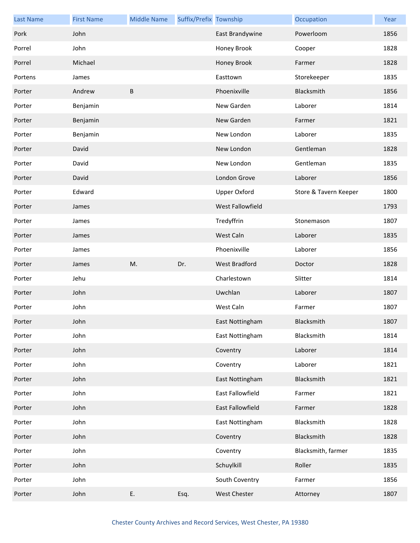| <b>Last Name</b> | <b>First Name</b> | <b>Middle Name</b> | Suffix/Prefix Township |                         | Occupation            | Year |
|------------------|-------------------|--------------------|------------------------|-------------------------|-----------------------|------|
| Pork             | John              |                    |                        | East Brandywine         | Powerloom             | 1856 |
| Porrel           | John              |                    |                        | Honey Brook             | Cooper                | 1828 |
| Porrel           | Michael           |                    |                        | Honey Brook             | Farmer                | 1828 |
| Portens          | James             |                    |                        | Easttown                | Storekeeper           | 1835 |
| Porter           | Andrew            | $\sf B$            |                        | Phoenixville            | Blacksmith            | 1856 |
| Porter           | Benjamin          |                    |                        | New Garden              | Laborer               | 1814 |
| Porter           | Benjamin          |                    |                        | New Garden              | Farmer                | 1821 |
| Porter           | Benjamin          |                    |                        | New London              | Laborer               | 1835 |
| Porter           | David             |                    |                        | New London              | Gentleman             | 1828 |
| Porter           | David             |                    |                        | New London              | Gentleman             | 1835 |
| Porter           | David             |                    |                        | London Grove            | Laborer               | 1856 |
| Porter           | Edward            |                    |                        | <b>Upper Oxford</b>     | Store & Tavern Keeper | 1800 |
| Porter           | James             |                    |                        | <b>West Fallowfield</b> |                       | 1793 |
| Porter           | James             |                    |                        | Tredyffrin              | Stonemason            | 1807 |
| Porter           | James             |                    |                        | West Caln               | Laborer               | 1835 |
| Porter           | James             |                    |                        | Phoenixville            | Laborer               | 1856 |
| Porter           | James             | M.                 | Dr.                    | West Bradford           | Doctor                | 1828 |
| Porter           | Jehu              |                    |                        | Charlestown             | Slitter               | 1814 |
| Porter           | John              |                    |                        | Uwchlan                 | Laborer               | 1807 |
| Porter           | John              |                    |                        | West Caln               | Farmer                | 1807 |
| Porter           | John              |                    |                        | East Nottingham         | Blacksmith            | 1807 |
| Porter           | John              |                    |                        | East Nottingham         | Blacksmith            | 1814 |
| Porter           | John              |                    |                        | Coventry                | Laborer               | 1814 |
| Porter           | John              |                    |                        | Coventry                | Laborer               | 1821 |
| Porter           | John              |                    |                        | East Nottingham         | Blacksmith            | 1821 |
| Porter           | John              |                    |                        | East Fallowfield        | Farmer                | 1821 |
| Porter           | John              |                    |                        | East Fallowfield        | Farmer                | 1828 |
| Porter           | John              |                    |                        | East Nottingham         | Blacksmith            | 1828 |
| Porter           | John              |                    |                        | Coventry                | Blacksmith            | 1828 |
| Porter           |                   |                    |                        | Coventry                | Blacksmith, farmer    | 1835 |
|                  | John              |                    |                        |                         |                       |      |
| Porter           | John              |                    |                        | Schuylkill              | Roller                | 1835 |
| Porter           | John              |                    |                        | South Coventry          | Farmer                | 1856 |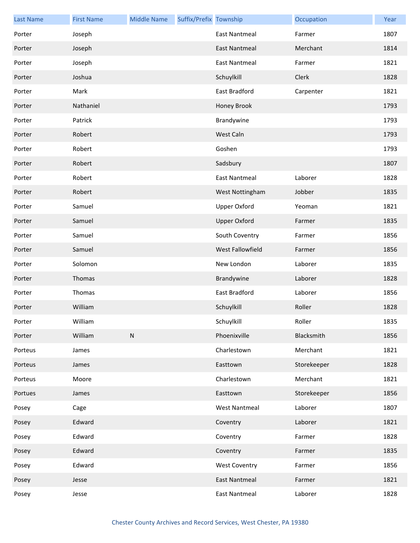| <b>Last Name</b> | <b>First Name</b> | <b>Middle Name</b> | Suffix/Prefix Township |                      | Occupation  | Year |
|------------------|-------------------|--------------------|------------------------|----------------------|-------------|------|
| Porter           | Joseph            |                    |                        | <b>East Nantmeal</b> | Farmer      | 1807 |
| Porter           | Joseph            |                    |                        | <b>East Nantmeal</b> | Merchant    | 1814 |
| Porter           | Joseph            |                    |                        | <b>East Nantmeal</b> | Farmer      | 1821 |
| Porter           | Joshua            |                    |                        | Schuylkill           | Clerk       | 1828 |
| Porter           | Mark              |                    |                        | East Bradford        | Carpenter   | 1821 |
| Porter           | Nathaniel         |                    |                        | Honey Brook          |             | 1793 |
| Porter           | Patrick           |                    |                        | Brandywine           |             | 1793 |
| Porter           | Robert            |                    |                        | West Caln            |             | 1793 |
| Porter           | Robert            |                    |                        | Goshen               |             | 1793 |
| Porter           | Robert            |                    |                        | Sadsbury             |             | 1807 |
| Porter           | Robert            |                    |                        | <b>East Nantmeal</b> | Laborer     | 1828 |
| Porter           | Robert            |                    |                        | West Nottingham      | Jobber      | 1835 |
| Porter           | Samuel            |                    |                        | <b>Upper Oxford</b>  | Yeoman      | 1821 |
| Porter           | Samuel            |                    |                        | <b>Upper Oxford</b>  | Farmer      | 1835 |
| Porter           | Samuel            |                    |                        | South Coventry       | Farmer      | 1856 |
| Porter           | Samuel            |                    |                        | West Fallowfield     | Farmer      | 1856 |
| Porter           | Solomon           |                    |                        | New London           | Laborer     | 1835 |
| Porter           | Thomas            |                    |                        | Brandywine           | Laborer     | 1828 |
| Porter           | Thomas            |                    |                        | East Bradford        | Laborer     | 1856 |
| Porter           | William           |                    |                        | Schuylkill           | Roller      | 1828 |
| Porter           | William           |                    |                        | Schuylkill           | Roller      | 1835 |
| Porter           | William           | ${\sf N}$          |                        | Phoenixville         | Blacksmith  | 1856 |
| Porteus          | James             |                    |                        | Charlestown          | Merchant    | 1821 |
| Porteus          | James             |                    |                        | Easttown             | Storekeeper | 1828 |
| Porteus          | Moore             |                    |                        | Charlestown          | Merchant    | 1821 |
| Portues          | James             |                    |                        | Easttown             | Storekeeper | 1856 |
| Posey            | Cage              |                    |                        | <b>West Nantmeal</b> | Laborer     | 1807 |
| Posey            | Edward            |                    |                        | Coventry             | Laborer     | 1821 |
| Posey            | Edward            |                    |                        | Coventry             | Farmer      | 1828 |
| Posey            | Edward            |                    |                        | Coventry             | Farmer      | 1835 |
| Posey            | Edward            |                    |                        | <b>West Coventry</b> | Farmer      | 1856 |
| Posey            | Jesse             |                    |                        | <b>East Nantmeal</b> | Farmer      | 1821 |
| Posey            | Jesse             |                    |                        | <b>East Nantmeal</b> | Laborer     | 1828 |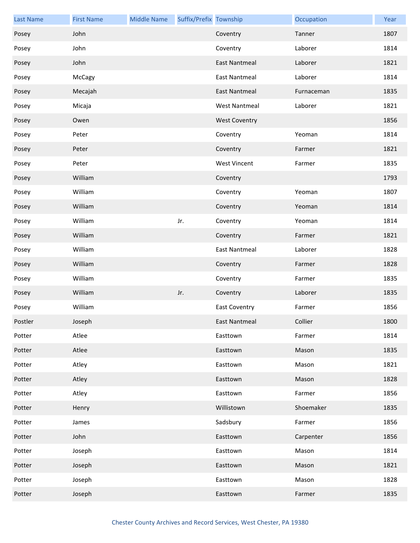| <b>Last Name</b> | <b>First Name</b> | <b>Middle Name</b> | Suffix/Prefix Township |                      | Occupation | Year |
|------------------|-------------------|--------------------|------------------------|----------------------|------------|------|
| Posey            | John              |                    |                        | Coventry             | Tanner     | 1807 |
| Posey            | John              |                    |                        | Coventry             | Laborer    | 1814 |
| Posey            | John              |                    |                        | <b>East Nantmeal</b> | Laborer    | 1821 |
| Posey            | McCagy            |                    |                        | <b>East Nantmeal</b> | Laborer    | 1814 |
| Posey            | Mecajah           |                    |                        | <b>East Nantmeal</b> | Furnaceman | 1835 |
| Posey            | Micaja            |                    |                        | <b>West Nantmeal</b> | Laborer    | 1821 |
| Posey            | Owen              |                    |                        | <b>West Coventry</b> |            | 1856 |
| Posey            | Peter             |                    |                        | Coventry             | Yeoman     | 1814 |
| Posey            | Peter             |                    |                        | Coventry             | Farmer     | 1821 |
| Posey            | Peter             |                    |                        | <b>West Vincent</b>  | Farmer     | 1835 |
| Posey            | William           |                    |                        | Coventry             |            | 1793 |
| Posey            | William           |                    |                        | Coventry             | Yeoman     | 1807 |
| Posey            | William           |                    |                        | Coventry             | Yeoman     | 1814 |
| Posey            | William           |                    | Jr.                    | Coventry             | Yeoman     | 1814 |
| Posey            | William           |                    |                        | Coventry             | Farmer     | 1821 |
| Posey            | William           |                    |                        | <b>East Nantmeal</b> | Laborer    | 1828 |
| Posey            | William           |                    |                        | Coventry             | Farmer     | 1828 |
| Posey            | William           |                    |                        | Coventry             | Farmer     | 1835 |
| Posey            | William           |                    | Jr.                    | Coventry             | Laborer    | 1835 |
| Posey            | William           |                    |                        | <b>East Coventry</b> | Farmer     | 1856 |
| Postler          | Joseph            |                    |                        | East Nantmeal        | Collier    | 1800 |
| Potter           | Atlee             |                    |                        | Easttown             | Farmer     | 1814 |
| Potter           | Atlee             |                    |                        | Easttown             | Mason      | 1835 |
| Potter           | Atley             |                    |                        | Easttown             | Mason      | 1821 |
| Potter           | Atley             |                    |                        | Easttown             | Mason      | 1828 |
| Potter           | Atley             |                    |                        | Easttown             | Farmer     | 1856 |
| Potter           | Henry             |                    |                        | Willistown           | Shoemaker  | 1835 |
| Potter           | James             |                    |                        | Sadsbury             | Farmer     | 1856 |
| Potter           | John              |                    |                        | Easttown             | Carpenter  | 1856 |
| Potter           | Joseph            |                    |                        | Easttown             | Mason      | 1814 |
| Potter           | Joseph            |                    |                        | Easttown             | Mason      | 1821 |
| Potter           | Joseph            |                    |                        | Easttown             | Mason      | 1828 |
| Potter           | Joseph            |                    |                        | Easttown             | Farmer     | 1835 |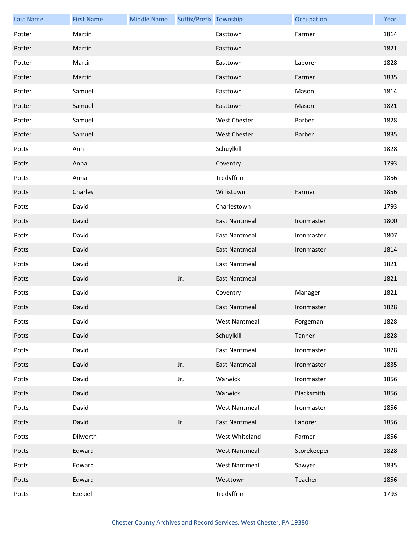| <b>Last Name</b> | <b>First Name</b> | <b>Middle Name</b> | Suffix/Prefix Township |                      | Occupation  | Year |
|------------------|-------------------|--------------------|------------------------|----------------------|-------------|------|
| Potter           | Martin            |                    |                        | Easttown             | Farmer      | 1814 |
| Potter           | Martin            |                    |                        | Easttown             |             | 1821 |
| Potter           | Martin            |                    |                        | Easttown             | Laborer     | 1828 |
| Potter           | Martin            |                    |                        | Easttown             | Farmer      | 1835 |
| Potter           | Samuel            |                    |                        | Easttown             | Mason       | 1814 |
| Potter           | Samuel            |                    |                        | Easttown             | Mason       | 1821 |
| Potter           | Samuel            |                    |                        | <b>West Chester</b>  | Barber      | 1828 |
| Potter           | Samuel            |                    |                        | <b>West Chester</b>  | Barber      | 1835 |
| Potts            | Ann               |                    |                        | Schuylkill           |             | 1828 |
| Potts            | Anna              |                    |                        | Coventry             |             | 1793 |
| Potts            | Anna              |                    |                        | Tredyffrin           |             | 1856 |
| Potts            | Charles           |                    |                        | Willistown           | Farmer      | 1856 |
| Potts            | David             |                    |                        | Charlestown          |             | 1793 |
| Potts            | David             |                    |                        | <b>East Nantmeal</b> | Ironmaster  | 1800 |
| Potts            | David             |                    |                        | <b>East Nantmeal</b> | Ironmaster  | 1807 |
| Potts            | David             |                    |                        | <b>East Nantmeal</b> | Ironmaster  | 1814 |
| Potts            | David             |                    |                        | <b>East Nantmeal</b> |             | 1821 |
| Potts            | David             |                    | Jr.                    | <b>East Nantmeal</b> |             | 1821 |
| Potts            | David             |                    |                        | Coventry             | Manager     | 1821 |
| Potts            | David             |                    |                        | <b>East Nantmeal</b> | Ironmaster  | 1828 |
| Potts            | David             |                    |                        | West Nantmeal        | Forgeman    | 1828 |
| Potts            | David             |                    |                        | Schuylkill           | Tanner      | 1828 |
| Potts            | David             |                    |                        | <b>East Nantmeal</b> | Ironmaster  | 1828 |
| Potts            | David             |                    | Jr.                    | <b>East Nantmeal</b> | Ironmaster  | 1835 |
| Potts            | David             |                    | Jr.                    | Warwick              | Ironmaster  | 1856 |
| Potts            | David             |                    |                        | Warwick              | Blacksmith  | 1856 |
| Potts            | David             |                    |                        | <b>West Nantmeal</b> | Ironmaster  | 1856 |
| Potts            | David             |                    | Jr.                    | <b>East Nantmeal</b> | Laborer     | 1856 |
| Potts            | Dilworth          |                    |                        | West Whiteland       | Farmer      | 1856 |
| Potts            | Edward            |                    |                        | <b>West Nantmeal</b> | Storekeeper | 1828 |
| Potts            | Edward            |                    |                        | <b>West Nantmeal</b> | Sawyer      | 1835 |
| Potts            | Edward            |                    |                        | Westtown             | Teacher     | 1856 |
| Potts            | Ezekiel           |                    |                        | Tredyffrin           |             | 1793 |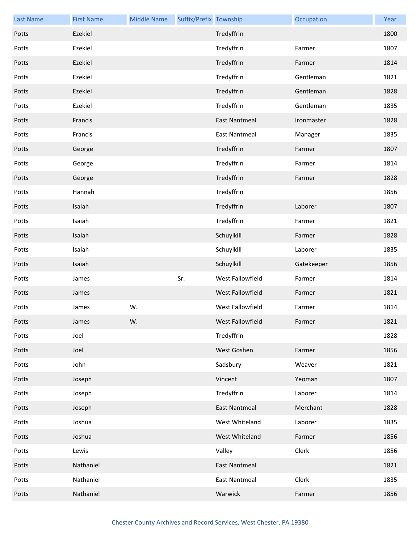| <b>Last Name</b> | <b>First Name</b> | <b>Middle Name</b> | Suffix/Prefix Township |                      | Occupation | Year |
|------------------|-------------------|--------------------|------------------------|----------------------|------------|------|
| Potts            | Ezekiel           |                    |                        | Tredyffrin           |            | 1800 |
| Potts            | Ezekiel           |                    |                        | Tredyffrin           | Farmer     | 1807 |
| Potts            | Ezekiel           |                    |                        | Tredyffrin           | Farmer     | 1814 |
| Potts            | Ezekiel           |                    |                        | Tredyffrin           | Gentleman  | 1821 |
| Potts            | Ezekiel           |                    |                        | Tredyffrin           | Gentleman  | 1828 |
| Potts            | Ezekiel           |                    |                        | Tredyffrin           | Gentleman  | 1835 |
| Potts            | Francis           |                    |                        | <b>East Nantmeal</b> | Ironmaster | 1828 |
| Potts            | Francis           |                    |                        | <b>East Nantmeal</b> | Manager    | 1835 |
| Potts            | George            |                    |                        | Tredyffrin           | Farmer     | 1807 |
| Potts            | George            |                    |                        | Tredyffrin           | Farmer     | 1814 |
| Potts            | George            |                    |                        | Tredyffrin           | Farmer     | 1828 |
| Potts            | Hannah            |                    |                        | Tredyffrin           |            | 1856 |
| Potts            | Isaiah            |                    |                        | Tredyffrin           | Laborer    | 1807 |
| Potts            | Isaiah            |                    |                        | Tredyffrin           | Farmer     | 1821 |
| Potts            | Isaiah            |                    |                        | Schuylkill           | Farmer     | 1828 |
| Potts            | Isaiah            |                    |                        | Schuylkill           | Laborer    | 1835 |
| Potts            | Isaiah            |                    |                        | Schuylkill           | Gatekeeper | 1856 |
| Potts            | James             |                    | Sr.                    | West Fallowfield     | Farmer     | 1814 |
| Potts            | James             |                    |                        | West Fallowfield     | Farmer     | 1821 |
| Potts            | James             | W.                 |                        | West Fallowfield     | Farmer     | 1814 |
| Potts            | James             | W.                 |                        | West Fallowfield     | Farmer     | 1821 |
| Potts            | Joel              |                    |                        | Tredyffrin           |            | 1828 |
| Potts            | Joel              |                    |                        | West Goshen          | Farmer     | 1856 |
| Potts            | John              |                    |                        | Sadsbury             | Weaver     | 1821 |
| Potts            | Joseph            |                    |                        | Vincent              | Yeoman     | 1807 |
| Potts            | Joseph            |                    |                        | Tredyffrin           | Laborer    | 1814 |
| Potts            | Joseph            |                    |                        | <b>East Nantmeal</b> | Merchant   | 1828 |
| Potts            | Joshua            |                    |                        | West Whiteland       | Laborer    | 1835 |
| Potts            | Joshua            |                    |                        | West Whiteland       | Farmer     | 1856 |
| Potts            | Lewis             |                    |                        | Valley               | Clerk      | 1856 |
| Potts            | Nathaniel         |                    |                        | <b>East Nantmeal</b> |            | 1821 |
| Potts            | Nathaniel         |                    |                        | <b>East Nantmeal</b> | Clerk      | 1835 |
| Potts            | Nathaniel         |                    |                        | Warwick              | Farmer     | 1856 |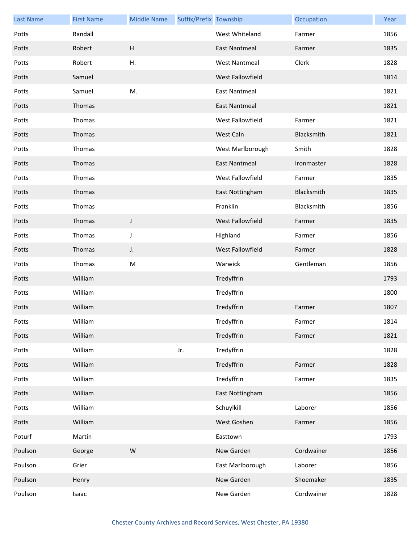| <b>Last Name</b> | <b>First Name</b> | <b>Middle Name</b> | Suffix/Prefix Township |                      | Occupation | Year |
|------------------|-------------------|--------------------|------------------------|----------------------|------------|------|
| Potts            | Randall           |                    |                        | West Whiteland       | Farmer     | 1856 |
| Potts            | Robert            | H                  |                        | <b>East Nantmeal</b> | Farmer     | 1835 |
| Potts            | Robert            | Η.                 |                        | <b>West Nantmeal</b> | Clerk      | 1828 |
| Potts            | Samuel            |                    |                        | West Fallowfield     |            | 1814 |
| Potts            | Samuel            | M.                 |                        | <b>East Nantmeal</b> |            | 1821 |
| Potts            | Thomas            |                    |                        | <b>East Nantmeal</b> |            | 1821 |
| Potts            | Thomas            |                    |                        | West Fallowfield     | Farmer     | 1821 |
| Potts            | Thomas            |                    |                        | West Caln            | Blacksmith | 1821 |
| Potts            | Thomas            |                    |                        | West Marlborough     | Smith      | 1828 |
| Potts            | Thomas            |                    |                        | <b>East Nantmeal</b> | Ironmaster | 1828 |
| Potts            | Thomas            |                    |                        | West Fallowfield     | Farmer     | 1835 |
| Potts            | Thomas            |                    |                        | East Nottingham      | Blacksmith | 1835 |
| Potts            | Thomas            |                    |                        | Franklin             | Blacksmith | 1856 |
| Potts            | Thomas            | J                  |                        | West Fallowfield     | Farmer     | 1835 |
| Potts            | Thomas            | J                  |                        | Highland             | Farmer     | 1856 |
| Potts            | Thomas            | J.                 |                        | West Fallowfield     | Farmer     | 1828 |
| Potts            | Thomas            | M                  |                        | Warwick              | Gentleman  | 1856 |
| Potts            | William           |                    |                        | Tredyffrin           |            | 1793 |
| Potts            | William           |                    |                        | Tredyffrin           |            | 1800 |
| Potts            | William           |                    |                        | Tredyffrin           | Farmer     | 1807 |
| Potts            | William           |                    |                        | Tredyffrin           | Farmer     | 1814 |
| Potts            | William           |                    |                        | Tredyffrin           | Farmer     | 1821 |
| Potts            | William           |                    | Jr.                    | Tredyffrin           |            | 1828 |
| Potts            | William           |                    |                        | Tredyffrin           | Farmer     | 1828 |
| Potts            | William           |                    |                        | Tredyffrin           | Farmer     | 1835 |
| Potts            | William           |                    |                        | East Nottingham      |            | 1856 |
| Potts            | William           |                    |                        | Schuylkill           | Laborer    | 1856 |
| Potts            | William           |                    |                        | West Goshen          | Farmer     | 1856 |
| Poturf           | Martin            |                    |                        | Easttown             |            | 1793 |
| Poulson          | George            | W                  |                        | New Garden           | Cordwainer | 1856 |
| Poulson          | Grier             |                    |                        | East Marlborough     | Laborer    | 1856 |
| Poulson          | Henry             |                    |                        | New Garden           | Shoemaker  | 1835 |
| Poulson          | Isaac             |                    |                        | New Garden           | Cordwainer | 1828 |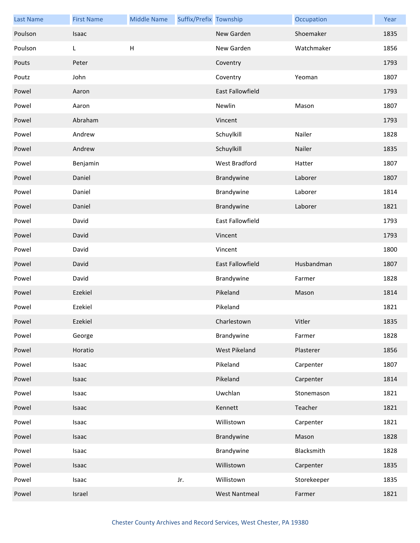| <b>Last Name</b> | <b>First Name</b> | <b>Middle Name</b>        | Suffix/Prefix Township |                      | Occupation  | Year |
|------------------|-------------------|---------------------------|------------------------|----------------------|-------------|------|
| Poulson          | Isaac             |                           |                        | New Garden           | Shoemaker   | 1835 |
| Poulson          | L                 | $\boldsymbol{\mathsf{H}}$ |                        | New Garden           | Watchmaker  | 1856 |
| Pouts            | Peter             |                           |                        | Coventry             |             | 1793 |
| Poutz            | John              |                           |                        | Coventry             | Yeoman      | 1807 |
| Powel            | Aaron             |                           |                        | East Fallowfield     |             | 1793 |
| Powel            | Aaron             |                           |                        | Newlin               | Mason       | 1807 |
| Powel            | Abraham           |                           |                        | Vincent              |             | 1793 |
| Powel            | Andrew            |                           |                        | Schuylkill           | Nailer      | 1828 |
| Powel            | Andrew            |                           |                        | Schuylkill           | Nailer      | 1835 |
| Powel            | Benjamin          |                           |                        | West Bradford        | Hatter      | 1807 |
| Powel            | Daniel            |                           |                        | Brandywine           | Laborer     | 1807 |
| Powel            | Daniel            |                           |                        | Brandywine           | Laborer     | 1814 |
| Powel            | Daniel            |                           |                        | Brandywine           | Laborer     | 1821 |
| Powel            | David             |                           |                        | East Fallowfield     |             | 1793 |
| Powel            | David             |                           |                        | Vincent              |             | 1793 |
| Powel            | David             |                           |                        | Vincent              |             | 1800 |
| Powel            | David             |                           |                        | East Fallowfield     | Husbandman  | 1807 |
| Powel            | David             |                           |                        | Brandywine           | Farmer      | 1828 |
| Powel            | Ezekiel           |                           |                        | Pikeland             | Mason       | 1814 |
| Powel            | Ezekiel           |                           |                        | Pikeland             |             | 1821 |
| Powel            | Ezekiel           |                           |                        | Charlestown          | Vitler      | 1835 |
| Powel            | George            |                           |                        | Brandywine           | Farmer      | 1828 |
| Powel            | Horatio           |                           |                        | West Pikeland        | Plasterer   | 1856 |
| Powel            | Isaac             |                           |                        | Pikeland             | Carpenter   | 1807 |
| Powel            | Isaac             |                           |                        | Pikeland             | Carpenter   | 1814 |
| Powel            | Isaac             |                           |                        | Uwchlan              | Stonemason  | 1821 |
| Powel            | Isaac             |                           |                        | Kennett              | Teacher     | 1821 |
| Powel            | Isaac             |                           |                        | Willistown           | Carpenter   | 1821 |
| Powel            | Isaac             |                           |                        | Brandywine           | Mason       | 1828 |
| Powel            | Isaac             |                           |                        | Brandywine           | Blacksmith  | 1828 |
| Powel            | Isaac             |                           |                        | Willistown           | Carpenter   | 1835 |
| Powel            | Isaac             |                           | Jr.                    | Willistown           | Storekeeper | 1835 |
| Powel            | Israel            |                           |                        | <b>West Nantmeal</b> | Farmer      | 1821 |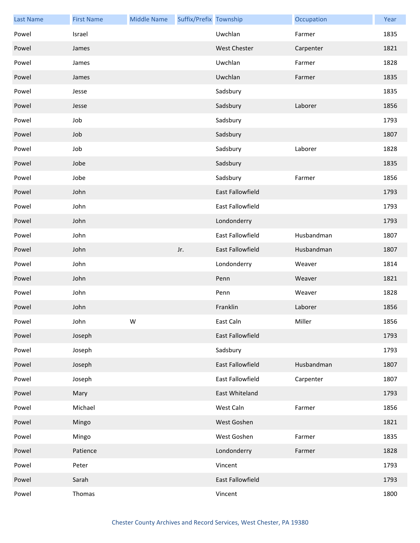| <b>Last Name</b> | <b>First Name</b> | <b>Middle Name</b> | Suffix/Prefix Township |                     | Occupation | Year |
|------------------|-------------------|--------------------|------------------------|---------------------|------------|------|
| Powel            | Israel            |                    |                        | Uwchlan             | Farmer     | 1835 |
| Powel            | James             |                    |                        | <b>West Chester</b> | Carpenter  | 1821 |
| Powel            | James             |                    |                        | Uwchlan             | Farmer     | 1828 |
| Powel            | James             |                    |                        | Uwchlan             | Farmer     | 1835 |
| Powel            | Jesse             |                    |                        | Sadsbury            |            | 1835 |
| Powel            | Jesse             |                    |                        | Sadsbury            | Laborer    | 1856 |
| Powel            | Job               |                    |                        | Sadsbury            |            | 1793 |
| Powel            | Job               |                    |                        | Sadsbury            |            | 1807 |
| Powel            | Job               |                    |                        | Sadsbury            | Laborer    | 1828 |
| Powel            | Jobe              |                    |                        | Sadsbury            |            | 1835 |
| Powel            | Jobe              |                    |                        | Sadsbury            | Farmer     | 1856 |
| Powel            | John              |                    |                        | East Fallowfield    |            | 1793 |
| Powel            | John              |                    |                        | East Fallowfield    |            | 1793 |
| Powel            | John              |                    |                        | Londonderry         |            | 1793 |
| Powel            | John              |                    |                        | East Fallowfield    | Husbandman | 1807 |
| Powel            | John              |                    | Jr.                    | East Fallowfield    | Husbandman | 1807 |
| Powel            | John              |                    |                        | Londonderry         | Weaver     | 1814 |
| Powel            | John              |                    |                        | Penn                | Weaver     | 1821 |
| Powel            | John              |                    |                        | Penn                | Weaver     | 1828 |
| Powel            | John              |                    |                        | Franklin            | Laborer    | 1856 |
| Powel            | John              | W                  |                        | East Caln           | Miller     | 1856 |
| Powel            | Joseph            |                    |                        | East Fallowfield    |            | 1793 |
| Powel            | Joseph            |                    |                        | Sadsbury            |            | 1793 |
| Powel            | Joseph            |                    |                        | East Fallowfield    | Husbandman | 1807 |
| Powel            | Joseph            |                    |                        | East Fallowfield    | Carpenter  | 1807 |
| Powel            | Mary              |                    |                        | East Whiteland      |            | 1793 |
| Powel            | Michael           |                    |                        | West Caln           | Farmer     | 1856 |
| Powel            | Mingo             |                    |                        | West Goshen         |            | 1821 |
| Powel            | Mingo             |                    |                        | West Goshen         | Farmer     | 1835 |
| Powel            | Patience          |                    |                        | Londonderry         | Farmer     | 1828 |
| Powel            | Peter             |                    |                        | Vincent             |            | 1793 |
| Powel            | Sarah             |                    |                        | East Fallowfield    |            | 1793 |
| Powel            | Thomas            |                    |                        | Vincent             |            | 1800 |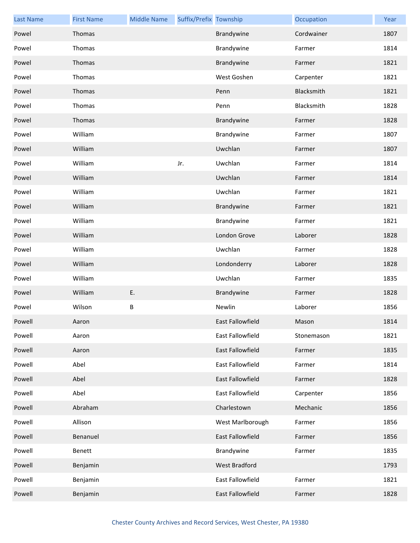| <b>Last Name</b> | <b>First Name</b> | <b>Middle Name</b> | Suffix/Prefix Township |                  | Occupation | Year |
|------------------|-------------------|--------------------|------------------------|------------------|------------|------|
| Powel            | Thomas            |                    |                        | Brandywine       | Cordwainer | 1807 |
| Powel            | Thomas            |                    |                        | Brandywine       | Farmer     | 1814 |
| Powel            | Thomas            |                    |                        | Brandywine       | Farmer     | 1821 |
| Powel            | Thomas            |                    |                        | West Goshen      | Carpenter  | 1821 |
| Powel            | Thomas            |                    |                        | Penn             | Blacksmith | 1821 |
| Powel            | Thomas            |                    |                        | Penn             | Blacksmith | 1828 |
| Powel            | Thomas            |                    |                        | Brandywine       | Farmer     | 1828 |
| Powel            | William           |                    |                        | Brandywine       | Farmer     | 1807 |
| Powel            | William           |                    |                        | Uwchlan          | Farmer     | 1807 |
| Powel            | William           |                    | Jr.                    | Uwchlan          | Farmer     | 1814 |
| Powel            | William           |                    |                        | Uwchlan          | Farmer     | 1814 |
| Powel            | William           |                    |                        | Uwchlan          | Farmer     | 1821 |
| Powel            | William           |                    |                        | Brandywine       | Farmer     | 1821 |
| Powel            | William           |                    |                        | Brandywine       | Farmer     | 1821 |
| Powel            | William           |                    |                        | London Grove     | Laborer    | 1828 |
| Powel            | William           |                    |                        | Uwchlan          | Farmer     | 1828 |
| Powel            | William           |                    |                        | Londonderry      | Laborer    | 1828 |
| Powel            | William           |                    |                        | Uwchlan          | Farmer     | 1835 |
| Powel            | William           | E.                 |                        | Brandywine       | Farmer     | 1828 |
| Powel            | Wilson            | B                  |                        | Newlin           | Laborer    | 1856 |
| Powell           | Aaron             |                    |                        | East Fallowfield | Mason      | 1814 |
| Powell           | Aaron             |                    |                        | East Fallowfield | Stonemason | 1821 |
| Powell           | Aaron             |                    |                        | East Fallowfield | Farmer     | 1835 |
| Powell           | Abel              |                    |                        | East Fallowfield | Farmer     | 1814 |
| Powell           | Abel              |                    |                        | East Fallowfield | Farmer     | 1828 |
| Powell           | Abel              |                    |                        | East Fallowfield | Carpenter  | 1856 |
| Powell           | Abraham           |                    |                        | Charlestown      | Mechanic   | 1856 |
| Powell           | Allison           |                    |                        | West Marlborough | Farmer     | 1856 |
| Powell           | Benanuel          |                    |                        | East Fallowfield | Farmer     | 1856 |
| Powell           | <b>Benett</b>     |                    |                        | Brandywine       | Farmer     | 1835 |
| Powell           | Benjamin          |                    |                        | West Bradford    |            | 1793 |
| Powell           | Benjamin          |                    |                        | East Fallowfield | Farmer     | 1821 |
| Powell           | Benjamin          |                    |                        | East Fallowfield | Farmer     | 1828 |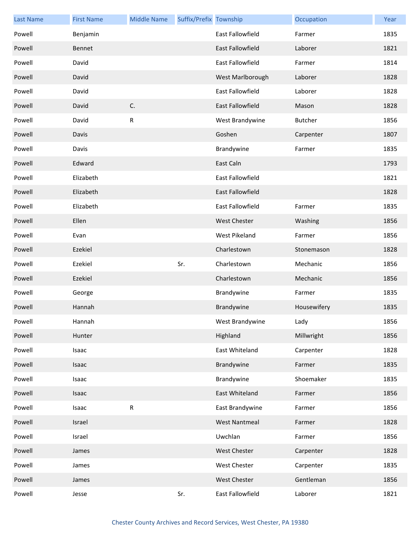| <b>Last Name</b> | <b>First Name</b> | <b>Middle Name</b> | Suffix/Prefix Township |                         | Occupation     | Year |
|------------------|-------------------|--------------------|------------------------|-------------------------|----------------|------|
| Powell           | Benjamin          |                    |                        | <b>East Fallowfield</b> | Farmer         | 1835 |
| Powell           | Bennet            |                    |                        | <b>East Fallowfield</b> | Laborer        | 1821 |
| Powell           | David             |                    |                        | <b>East Fallowfield</b> | Farmer         | 1814 |
| Powell           | David             |                    |                        | West Marlborough        | Laborer        | 1828 |
| Powell           | David             |                    |                        | <b>East Fallowfield</b> | Laborer        | 1828 |
| Powell           | David             | C.                 |                        | <b>East Fallowfield</b> | Mason          | 1828 |
| Powell           | David             | R                  |                        | West Brandywine         | <b>Butcher</b> | 1856 |
| Powell           | Davis             |                    |                        | Goshen                  | Carpenter      | 1807 |
| Powell           | Davis             |                    |                        | Brandywine              | Farmer         | 1835 |
| Powell           | Edward            |                    |                        | East Caln               |                | 1793 |
| Powell           | Elizabeth         |                    |                        | <b>East Fallowfield</b> |                | 1821 |
| Powell           | Elizabeth         |                    |                        | <b>East Fallowfield</b> |                | 1828 |
| Powell           | Elizabeth         |                    |                        | <b>East Fallowfield</b> | Farmer         | 1835 |
| Powell           | Ellen             |                    |                        | <b>West Chester</b>     | Washing        | 1856 |
| Powell           | Evan              |                    |                        | West Pikeland           | Farmer         | 1856 |
| Powell           | Ezekiel           |                    |                        | Charlestown             | Stonemason     | 1828 |
| Powell           | Ezekiel           |                    | Sr.                    | Charlestown             | Mechanic       | 1856 |
| Powell           | Ezekiel           |                    |                        | Charlestown             | Mechanic       | 1856 |
| Powell           | George            |                    |                        | Brandywine              | Farmer         | 1835 |
| Powell           | Hannah            |                    |                        | Brandywine              | Housewifery    | 1835 |
| Powell           | Hannah            |                    |                        | West Brandywine         | Lady           | 1856 |
| Powell           | Hunter            |                    |                        | Highland                | Millwright     | 1856 |
| Powell           | Isaac             |                    |                        | East Whiteland          | Carpenter      | 1828 |
| Powell           | Isaac             |                    |                        | Brandywine              | Farmer         | 1835 |
| Powell           | Isaac             |                    |                        | Brandywine              | Shoemaker      | 1835 |
| Powell           | Isaac             |                    |                        | East Whiteland          | Farmer         | 1856 |
| Powell           | Isaac             | R                  |                        | East Brandywine         | Farmer         | 1856 |
| Powell           | Israel            |                    |                        | <b>West Nantmeal</b>    | Farmer         | 1828 |
| Powell           | Israel            |                    |                        | Uwchlan                 | Farmer         | 1856 |
| Powell           | James             |                    |                        | West Chester            | Carpenter      | 1828 |
| Powell           | James             |                    |                        | West Chester            | Carpenter      | 1835 |
| Powell           | James             |                    |                        | <b>West Chester</b>     | Gentleman      | 1856 |
| Powell           | Jesse             |                    | Sr.                    | East Fallowfield        | Laborer        | 1821 |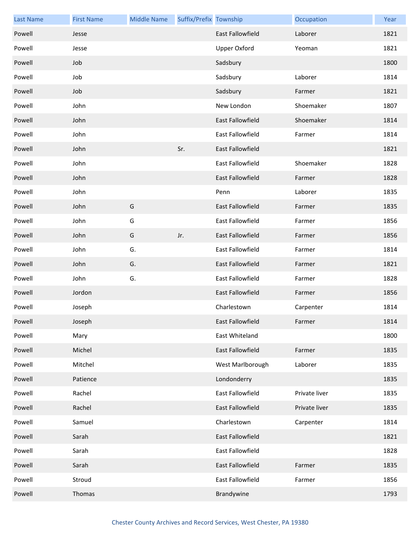| <b>Last Name</b> | <b>First Name</b> | <b>Middle Name</b> | Suffix/Prefix Township |                         | Occupation    | Year |
|------------------|-------------------|--------------------|------------------------|-------------------------|---------------|------|
| Powell           | Jesse             |                    |                        | <b>East Fallowfield</b> | Laborer       | 1821 |
| Powell           | Jesse             |                    |                        | <b>Upper Oxford</b>     | Yeoman        | 1821 |
| Powell           | Job               |                    |                        | Sadsbury                |               | 1800 |
| Powell           | Job               |                    |                        | Sadsbury                | Laborer       | 1814 |
| Powell           | Job               |                    |                        | Sadsbury                | Farmer        | 1821 |
| Powell           | John              |                    |                        | New London              | Shoemaker     | 1807 |
| Powell           | John              |                    |                        | East Fallowfield        | Shoemaker     | 1814 |
| Powell           | John              |                    |                        | East Fallowfield        | Farmer        | 1814 |
| Powell           | John              |                    | Sr.                    | East Fallowfield        |               | 1821 |
| Powell           | John              |                    |                        | <b>East Fallowfield</b> | Shoemaker     | 1828 |
| Powell           | John              |                    |                        | <b>East Fallowfield</b> | Farmer        | 1828 |
| Powell           | John              |                    |                        | Penn                    | Laborer       | 1835 |
| Powell           | John              | G                  |                        | East Fallowfield        | Farmer        | 1835 |
| Powell           | John              | G                  |                        | East Fallowfield        | Farmer        | 1856 |
| Powell           | John              | G                  | Jr.                    | East Fallowfield        | Farmer        | 1856 |
| Powell           | John              | G.                 |                        | East Fallowfield        | Farmer        | 1814 |
| Powell           | John              | G.                 |                        | East Fallowfield        | Farmer        | 1821 |
| Powell           | John              | G.                 |                        | East Fallowfield        | Farmer        | 1828 |
| Powell           | Jordon            |                    |                        | East Fallowfield        | Farmer        | 1856 |
| Powell           | Joseph            |                    |                        | Charlestown             | Carpenter     | 1814 |
| Powell           | Joseph            |                    |                        | East Fallowfield        | Farmer        | 1814 |
| Powell           | Mary              |                    |                        | East Whiteland          |               | 1800 |
| Powell           | Michel            |                    |                        | East Fallowfield        | Farmer        | 1835 |
| Powell           | Mitchel           |                    |                        | West Marlborough        | Laborer       | 1835 |
| Powell           | Patience          |                    |                        | Londonderry             |               | 1835 |
| Powell           | Rachel            |                    |                        | East Fallowfield        | Private liver | 1835 |
| Powell           | Rachel            |                    |                        | East Fallowfield        | Private liver | 1835 |
| Powell           | Samuel            |                    |                        | Charlestown             | Carpenter     | 1814 |
| Powell           | Sarah             |                    |                        | East Fallowfield        |               | 1821 |
| Powell           | Sarah             |                    |                        | East Fallowfield        |               | 1828 |
| Powell           | Sarah             |                    |                        | East Fallowfield        | Farmer        | 1835 |
| Powell           | Stroud            |                    |                        | East Fallowfield        | Farmer        | 1856 |
| Powell           | Thomas            |                    |                        | Brandywine              |               | 1793 |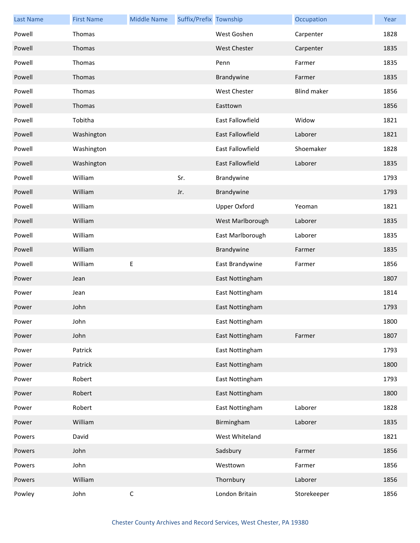| <b>Last Name</b> | <b>First Name</b> | <b>Middle Name</b> | Suffix/Prefix Township |                         | Occupation         | Year |
|------------------|-------------------|--------------------|------------------------|-------------------------|--------------------|------|
| Powell           | Thomas            |                    |                        | West Goshen             | Carpenter          | 1828 |
| Powell           | Thomas            |                    |                        | West Chester            | Carpenter          | 1835 |
| Powell           | Thomas            |                    |                        | Penn                    | Farmer             | 1835 |
| Powell           | Thomas            |                    |                        | Brandywine              | Farmer             | 1835 |
| Powell           | Thomas            |                    |                        | West Chester            | <b>Blind maker</b> | 1856 |
| Powell           | Thomas            |                    |                        | Easttown                |                    | 1856 |
| Powell           | Tobitha           |                    |                        | <b>East Fallowfield</b> | Widow              | 1821 |
| Powell           | Washington        |                    |                        | East Fallowfield        | Laborer            | 1821 |
| Powell           | Washington        |                    |                        | East Fallowfield        | Shoemaker          | 1828 |
| Powell           | Washington        |                    |                        | <b>East Fallowfield</b> | Laborer            | 1835 |
| Powell           | William           |                    | Sr.                    | Brandywine              |                    | 1793 |
| Powell           | William           |                    | Jr.                    | Brandywine              |                    | 1793 |
| Powell           | William           |                    |                        | <b>Upper Oxford</b>     | Yeoman             | 1821 |
| Powell           | William           |                    |                        | West Marlborough        | Laborer            | 1835 |
| Powell           | William           |                    |                        | East Marlborough        | Laborer            | 1835 |
| Powell           | William           |                    |                        | Brandywine              | Farmer             | 1835 |
| Powell           | William           | Е                  |                        | East Brandywine         | Farmer             | 1856 |
| Power            | Jean              |                    |                        | East Nottingham         |                    | 1807 |
| Power            | Jean              |                    |                        | East Nottingham         |                    | 1814 |
| Power            | John              |                    |                        | East Nottingham         |                    | 1793 |
| Power            | John              |                    |                        | East Nottingham         |                    | 1800 |
| Power            | John              |                    |                        | East Nottingham         | Farmer             | 1807 |
| Power            | Patrick           |                    |                        | East Nottingham         |                    | 1793 |
| Power            | Patrick           |                    |                        | East Nottingham         |                    | 1800 |
| Power            | Robert            |                    |                        | East Nottingham         |                    | 1793 |
| Power            | Robert            |                    |                        | East Nottingham         |                    | 1800 |
| Power            | Robert            |                    |                        | East Nottingham         | Laborer            | 1828 |
| Power            | William           |                    |                        | Birmingham              | Laborer            | 1835 |
| Powers           | David             |                    |                        | West Whiteland          |                    | 1821 |
| Powers           | John              |                    |                        | Sadsbury                | Farmer             | 1856 |
| Powers           | John              |                    |                        | Westtown                | Farmer             | 1856 |
| Powers           | William           |                    |                        | Thornbury               | Laborer            | 1856 |
| Powley           | John              | $\mathsf C$        |                        | London Britain          | Storekeeper        | 1856 |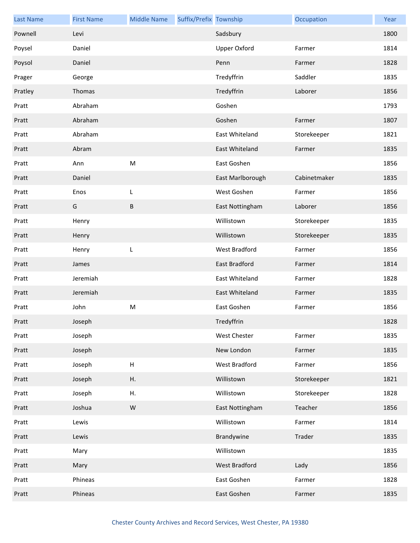| <b>Last Name</b> | <b>First Name</b> | <b>Middle Name</b>        | Suffix/Prefix Township |                     | Occupation   | Year |
|------------------|-------------------|---------------------------|------------------------|---------------------|--------------|------|
| Pownell          | Levi              |                           |                        | Sadsbury            |              | 1800 |
| Poysel           | Daniel            |                           |                        | <b>Upper Oxford</b> | Farmer       | 1814 |
| Poysol           | Daniel            |                           |                        | Penn                | Farmer       | 1828 |
| Prager           | George            |                           |                        | Tredyffrin          | Saddler      | 1835 |
| Pratley          | Thomas            |                           |                        | Tredyffrin          | Laborer      | 1856 |
| Pratt            | Abraham           |                           |                        | Goshen              |              | 1793 |
| Pratt            | Abraham           |                           |                        | Goshen              | Farmer       | 1807 |
| Pratt            | Abraham           |                           |                        | East Whiteland      | Storekeeper  | 1821 |
| Pratt            | Abram             |                           |                        | East Whiteland      | Farmer       | 1835 |
| Pratt            | Ann               | M                         |                        | East Goshen         |              | 1856 |
| Pratt            | Daniel            |                           |                        | East Marlborough    | Cabinetmaker | 1835 |
| Pratt            | Enos              | L                         |                        | West Goshen         | Farmer       | 1856 |
| Pratt            | G                 | B                         |                        | East Nottingham     | Laborer      | 1856 |
| Pratt            | Henry             |                           |                        | Willistown          | Storekeeper  | 1835 |
| Pratt            | Henry             |                           |                        | Willistown          | Storekeeper  | 1835 |
| Pratt            | Henry             | L                         |                        | West Bradford       | Farmer       | 1856 |
| Pratt            | James             |                           |                        | East Bradford       | Farmer       | 1814 |
| Pratt            | Jeremiah          |                           |                        | East Whiteland      | Farmer       | 1828 |
| Pratt            | Jeremiah          |                           |                        | East Whiteland      | Farmer       | 1835 |
| Pratt            | John              | ${\sf M}$                 |                        | East Goshen         | Farmer       | 1856 |
| Pratt            | Joseph            |                           |                        | Tredyffrin          |              | 1828 |
| Pratt            | Joseph            |                           |                        | <b>West Chester</b> | Farmer       | 1835 |
| Pratt            | Joseph            |                           |                        | New London          | Farmer       | 1835 |
| Pratt            | Joseph            | $\boldsymbol{\mathsf{H}}$ |                        | West Bradford       | Farmer       | 1856 |
| Pratt            | Joseph            | Η.                        |                        | Willistown          | Storekeeper  | 1821 |
| Pratt            | Joseph            | Η.                        |                        | Willistown          | Storekeeper  | 1828 |
| Pratt            | Joshua            | ${\sf W}$                 |                        | East Nottingham     | Teacher      | 1856 |
| Pratt            | Lewis             |                           |                        | Willistown          | Farmer       | 1814 |
| Pratt            | Lewis             |                           |                        | Brandywine          | Trader       | 1835 |
| Pratt            | Mary              |                           |                        | Willistown          |              | 1835 |
| Pratt            | Mary              |                           |                        | West Bradford       | Lady         | 1856 |
| Pratt            | Phineas           |                           |                        | East Goshen         | Farmer       | 1828 |
| Pratt            | Phineas           |                           |                        | East Goshen         | Farmer       | 1835 |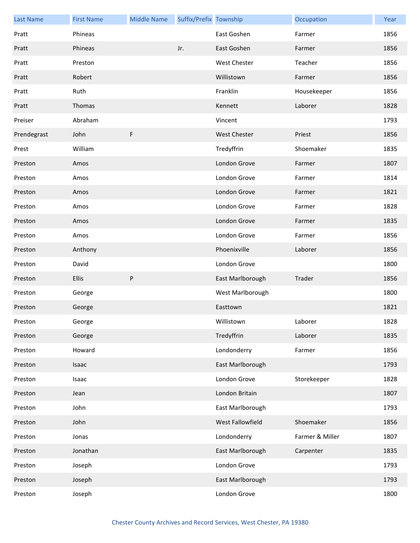| <b>Last Name</b> | <b>First Name</b> | <b>Middle Name</b> | Suffix/Prefix Township |                     | Occupation      | Year |
|------------------|-------------------|--------------------|------------------------|---------------------|-----------------|------|
| Pratt            | Phineas           |                    |                        | East Goshen         | Farmer          | 1856 |
| Pratt            | Phineas           |                    | Jr.                    | East Goshen         | Farmer          | 1856 |
| Pratt            | Preston           |                    |                        | West Chester        | Teacher         | 1856 |
| Pratt            | Robert            |                    |                        | Willistown          | Farmer          | 1856 |
| Pratt            | Ruth              |                    |                        | Franklin            | Housekeeper     | 1856 |
| Pratt            | Thomas            |                    |                        | Kennett             | Laborer         | 1828 |
| Preiser          | Abraham           |                    |                        | Vincent             |                 | 1793 |
| Prendegrast      | John              | F                  |                        | <b>West Chester</b> | Priest          | 1856 |
| Prest            | William           |                    |                        | Tredyffrin          | Shoemaker       | 1835 |
| Preston          | Amos              |                    |                        | London Grove        | Farmer          | 1807 |
| Preston          | Amos              |                    |                        | London Grove        | Farmer          | 1814 |
| Preston          | Amos              |                    |                        | London Grove        | Farmer          | 1821 |
| Preston          | Amos              |                    |                        | London Grove        | Farmer          | 1828 |
| Preston          | Amos              |                    |                        | London Grove        | Farmer          | 1835 |
| Preston          | Amos              |                    |                        | London Grove        | Farmer          | 1856 |
| Preston          | Anthony           |                    |                        | Phoenixville        | Laborer         | 1856 |
| Preston          | David             |                    |                        | London Grove        |                 | 1800 |
| Preston          | <b>Ellis</b>      | P                  |                        | East Marlborough    | Trader          | 1856 |
| Preston          | George            |                    |                        | West Marlborough    |                 | 1800 |
| Preston          | George            |                    |                        | Easttown            |                 | 1821 |
| Preston          | George            |                    |                        | Willistown          | Laborer         | 1828 |
| Preston          | George            |                    |                        | Tredyffrin          | Laborer         | 1835 |
| Preston          | Howard            |                    |                        | Londonderry         | Farmer          | 1856 |
| Preston          | Isaac             |                    |                        | East Marlborough    |                 | 1793 |
| Preston          | Isaac             |                    |                        | London Grove        | Storekeeper     | 1828 |
| Preston          | Jean              |                    |                        | London Britain      |                 | 1807 |
| Preston          | John              |                    |                        | East Marlborough    |                 | 1793 |
| Preston          | John              |                    |                        | West Fallowfield    | Shoemaker       | 1856 |
| Preston          | Jonas             |                    |                        | Londonderry         | Farmer & Miller | 1807 |
| Preston          | Jonathan          |                    |                        | East Marlborough    | Carpenter       | 1835 |
| Preston          | Joseph            |                    |                        | London Grove        |                 | 1793 |
| Preston          | Joseph            |                    |                        | East Marlborough    |                 | 1793 |
| Preston          | Joseph            |                    |                        | London Grove        |                 | 1800 |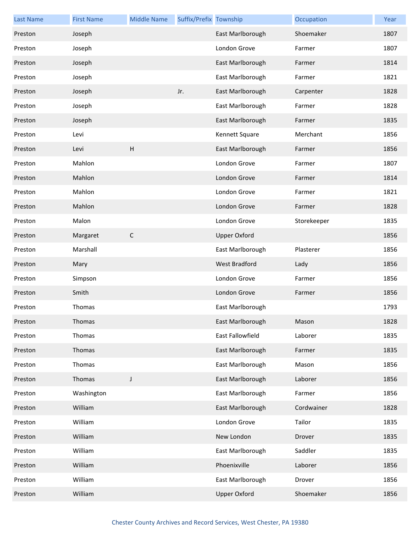| <b>Last Name</b> | <b>First Name</b> | <b>Middle Name</b> | Suffix/Prefix Township |                     | Occupation  | Year |
|------------------|-------------------|--------------------|------------------------|---------------------|-------------|------|
| Preston          | Joseph            |                    |                        | East Marlborough    | Shoemaker   | 1807 |
| Preston          | Joseph            |                    |                        | London Grove        | Farmer      | 1807 |
| Preston          | Joseph            |                    |                        | East Marlborough    | Farmer      | 1814 |
| Preston          | Joseph            |                    |                        | East Marlborough    | Farmer      | 1821 |
| Preston          | Joseph            |                    | Jr.                    | East Marlborough    | Carpenter   | 1828 |
| Preston          | Joseph            |                    |                        | East Marlborough    | Farmer      | 1828 |
| Preston          | Joseph            |                    |                        | East Marlborough    | Farmer      | 1835 |
| Preston          | Levi              |                    |                        | Kennett Square      | Merchant    | 1856 |
| Preston          | Levi              | H                  |                        | East Marlborough    | Farmer      | 1856 |
| Preston          | Mahlon            |                    |                        | London Grove        | Farmer      | 1807 |
| Preston          | Mahlon            |                    |                        | London Grove        | Farmer      | 1814 |
| Preston          | Mahlon            |                    |                        | London Grove        | Farmer      | 1821 |
| Preston          | Mahlon            |                    |                        | London Grove        | Farmer      | 1828 |
| Preston          | Malon             |                    |                        | London Grove        | Storekeeper | 1835 |
| Preston          | Margaret          | $\mathsf{C}$       |                        | <b>Upper Oxford</b> |             | 1856 |
| Preston          | Marshall          |                    |                        | East Marlborough    | Plasterer   | 1856 |
| Preston          | Mary              |                    |                        | West Bradford       | Lady        | 1856 |
| Preston          | Simpson           |                    |                        | London Grove        | Farmer      | 1856 |
| Preston          | Smith             |                    |                        | London Grove        | Farmer      | 1856 |
| Preston          | Thomas            |                    |                        | East Marlborough    |             | 1793 |
| Preston          | Thomas            |                    |                        | East Marlborough    | Mason       | 1828 |
| Preston          | Thomas            |                    |                        | East Fallowfield    | Laborer     | 1835 |
| Preston          | Thomas            |                    |                        | East Marlborough    | Farmer      | 1835 |
| Preston          | Thomas            |                    |                        | East Marlborough    | Mason       | 1856 |
| Preston          | Thomas            | J                  |                        | East Marlborough    | Laborer     | 1856 |
| Preston          | Washington        |                    |                        | East Marlborough    | Farmer      | 1856 |
| Preston          | William           |                    |                        | East Marlborough    | Cordwainer  | 1828 |
| Preston          | William           |                    |                        | London Grove        | Tailor      | 1835 |
| Preston          | William           |                    |                        | New London          | Drover      | 1835 |
| Preston          | William           |                    |                        | East Marlborough    | Saddler     | 1835 |
| Preston          | William           |                    |                        | Phoenixville        | Laborer     | 1856 |
| Preston          | William           |                    |                        | East Marlborough    | Drover      | 1856 |
| Preston          | William           |                    |                        | <b>Upper Oxford</b> | Shoemaker   | 1856 |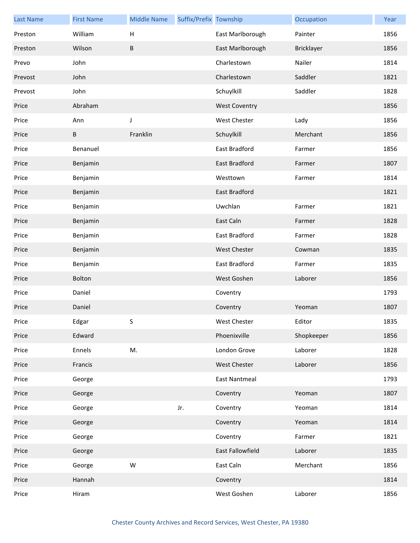| <b>Last Name</b> | <b>First Name</b> | <b>Middle Name</b>        | Suffix/Prefix Township |                      | Occupation        | Year |
|------------------|-------------------|---------------------------|------------------------|----------------------|-------------------|------|
| Preston          | William           | $\boldsymbol{\mathsf{H}}$ |                        | East Marlborough     | Painter           | 1856 |
| Preston          | Wilson            | B                         |                        | East Marlborough     | <b>Bricklayer</b> | 1856 |
| Prevo            | John              |                           |                        | Charlestown          | Nailer            | 1814 |
| Prevost          | John              |                           |                        | Charlestown          | Saddler           | 1821 |
| Prevost          | John              |                           |                        | Schuylkill           | Saddler           | 1828 |
| Price            | Abraham           |                           |                        | <b>West Coventry</b> |                   | 1856 |
| Price            | Ann               | $\mathsf J$               |                        | West Chester         | Lady              | 1856 |
| Price            | B                 | Franklin                  |                        | Schuylkill           | Merchant          | 1856 |
| Price            | Benanuel          |                           |                        | East Bradford        | Farmer            | 1856 |
| Price            | Benjamin          |                           |                        | <b>East Bradford</b> | Farmer            | 1807 |
| Price            | Benjamin          |                           |                        | Westtown             | Farmer            | 1814 |
| Price            | Benjamin          |                           |                        | <b>East Bradford</b> |                   | 1821 |
| Price            | Benjamin          |                           |                        | Uwchlan              | Farmer            | 1821 |
| Price            | Benjamin          |                           |                        | East Caln            | Farmer            | 1828 |
| Price            | Benjamin          |                           |                        | East Bradford        | Farmer            | 1828 |
| Price            | Benjamin          |                           |                        | West Chester         | Cowman            | 1835 |
| Price            | Benjamin          |                           |                        | East Bradford        | Farmer            | 1835 |
| Price            | Bolton            |                           |                        | West Goshen          | Laborer           | 1856 |
| Price            | Daniel            |                           |                        | Coventry             |                   | 1793 |
| Price            | Daniel            |                           |                        | Coventry             | Yeoman            | 1807 |
| Price            | Edgar             | S.                        |                        | West Chester         | Editor            | 1835 |
| Price            | Edward            |                           |                        | Phoenixville         | Shopkeeper        | 1856 |
| Price            | Ennels            | M.                        |                        | London Grove         | Laborer           | 1828 |
| Price            | Francis           |                           |                        | <b>West Chester</b>  | Laborer           | 1856 |
| Price            | George            |                           |                        | <b>East Nantmeal</b> |                   | 1793 |
| Price            | George            |                           |                        | Coventry             | Yeoman            | 1807 |
| Price            | George            |                           | Jr.                    | Coventry             | Yeoman            | 1814 |
| Price            | George            |                           |                        | Coventry             | Yeoman            | 1814 |
| Price            | George            |                           |                        | Coventry             | Farmer            | 1821 |
| Price            | George            |                           |                        | East Fallowfield     | Laborer           | 1835 |
| Price            | George            | W                         |                        | East Caln            | Merchant          | 1856 |
| Price            | Hannah            |                           |                        | Coventry             |                   | 1814 |
| Price            | Hiram             |                           |                        | West Goshen          | Laborer           | 1856 |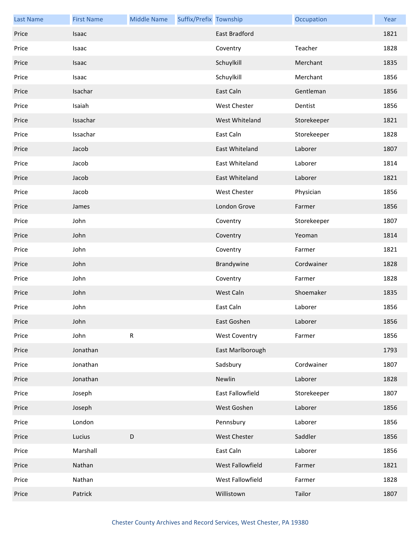| <b>Last Name</b> | <b>First Name</b> | <b>Middle Name</b> | Suffix/Prefix Township |                      | Occupation  | Year |
|------------------|-------------------|--------------------|------------------------|----------------------|-------------|------|
| Price            | Isaac             |                    |                        | East Bradford        |             | 1821 |
| Price            | Isaac             |                    |                        | Coventry             | Teacher     | 1828 |
| Price            | Isaac             |                    |                        | Schuylkill           | Merchant    | 1835 |
| Price            | Isaac             |                    |                        | Schuylkill           | Merchant    | 1856 |
| Price            | Isachar           |                    |                        | East Caln            | Gentleman   | 1856 |
| Price            | Isaiah            |                    |                        | <b>West Chester</b>  | Dentist     | 1856 |
| Price            | Issachar          |                    |                        | West Whiteland       | Storekeeper | 1821 |
| Price            | Issachar          |                    |                        | East Caln            | Storekeeper | 1828 |
| Price            | Jacob             |                    |                        | East Whiteland       | Laborer     | 1807 |
| Price            | Jacob             |                    |                        | East Whiteland       | Laborer     | 1814 |
| Price            | Jacob             |                    |                        | East Whiteland       | Laborer     | 1821 |
| Price            | Jacob             |                    |                        | <b>West Chester</b>  | Physician   | 1856 |
| Price            | James             |                    |                        | London Grove         | Farmer      | 1856 |
| Price            | John              |                    |                        | Coventry             | Storekeeper | 1807 |
| Price            | John              |                    |                        | Coventry             | Yeoman      | 1814 |
| Price            | John              |                    |                        | Coventry             | Farmer      | 1821 |
| Price            | John              |                    |                        | Brandywine           | Cordwainer  | 1828 |
| Price            | John              |                    |                        | Coventry             | Farmer      | 1828 |
| Price            | John              |                    |                        | West Caln            | Shoemaker   | 1835 |
| Price            | John              |                    |                        | East Caln            | Laborer     | 1856 |
| Price            | John              |                    |                        | East Goshen          | Laborer     | 1856 |
| Price            | John              | ${\sf R}$          |                        | <b>West Coventry</b> | Farmer      | 1856 |
| Price            | Jonathan          |                    |                        | East Marlborough     |             | 1793 |
| Price            | Jonathan          |                    |                        | Sadsbury             | Cordwainer  | 1807 |
| Price            | Jonathan          |                    |                        | Newlin               | Laborer     | 1828 |
| Price            | Joseph            |                    |                        | East Fallowfield     | Storekeeper | 1807 |
| Price            | Joseph            |                    |                        | West Goshen          | Laborer     | 1856 |
| Price            | London            |                    |                        | Pennsbury            | Laborer     | 1856 |
| Price            | Lucius            | D                  |                        | <b>West Chester</b>  | Saddler     | 1856 |
| Price            | Marshall          |                    |                        | East Caln            | Laborer     | 1856 |
| Price            | Nathan            |                    |                        | West Fallowfield     | Farmer      | 1821 |
| Price            | Nathan            |                    |                        | West Fallowfield     | Farmer      | 1828 |
| Price            | Patrick           |                    |                        | Willistown           | Tailor      | 1807 |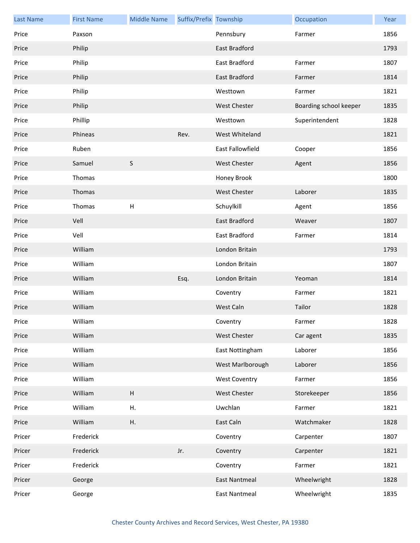| <b>Last Name</b> | <b>First Name</b> | <b>Middle Name</b>        | Suffix/Prefix Township |                      | Occupation             | Year |
|------------------|-------------------|---------------------------|------------------------|----------------------|------------------------|------|
| Price            | Paxson            |                           |                        | Pennsbury            | Farmer                 | 1856 |
| Price            | Philip            |                           |                        | <b>East Bradford</b> |                        | 1793 |
| Price            | Philip            |                           |                        | East Bradford        | Farmer                 | 1807 |
| Price            | Philip            |                           |                        | East Bradford        | Farmer                 | 1814 |
| Price            | Philip            |                           |                        | Westtown             | Farmer                 | 1821 |
| Price            | Philip            |                           |                        | <b>West Chester</b>  | Boarding school keeper | 1835 |
| Price            | Phillip           |                           |                        | Westtown             | Superintendent         | 1828 |
| Price            | Phineas           |                           | Rev.                   | West Whiteland       |                        | 1821 |
| Price            | Ruben             |                           |                        | East Fallowfield     | Cooper                 | 1856 |
| Price            | Samuel            | $\sf S$                   |                        | <b>West Chester</b>  | Agent                  | 1856 |
| Price            | Thomas            |                           |                        | Honey Brook          |                        | 1800 |
| Price            | Thomas            |                           |                        | <b>West Chester</b>  | Laborer                | 1835 |
| Price            | Thomas            | $\boldsymbol{\mathsf{H}}$ |                        | Schuylkill           | Agent                  | 1856 |
| Price            | Vell              |                           |                        | East Bradford        | Weaver                 | 1807 |
| Price            | Vell              |                           |                        | East Bradford        | Farmer                 | 1814 |
| Price            | William           |                           |                        | London Britain       |                        | 1793 |
| Price            | William           |                           |                        | London Britain       |                        | 1807 |
| Price            | William           |                           | Esq.                   | London Britain       | Yeoman                 | 1814 |
| Price            | William           |                           |                        | Coventry             | Farmer                 | 1821 |
| Price            | William           |                           |                        | West Caln            | Tailor                 | 1828 |
| Price            | William           |                           |                        | Coventry             | Farmer                 | 1828 |
| Price            | William           |                           |                        | <b>West Chester</b>  | Car agent              | 1835 |
| Price            | William           |                           |                        | East Nottingham      | Laborer                | 1856 |
| Price            | William           |                           |                        | West Marlborough     | Laborer                | 1856 |
| Price            | William           |                           |                        | <b>West Coventry</b> | Farmer                 | 1856 |
| Price            | William           | $\boldsymbol{\mathsf{H}}$ |                        | <b>West Chester</b>  | Storekeeper            | 1856 |
| Price            | William           | Η.                        |                        | Uwchlan              | Farmer                 | 1821 |
| Price            | William           | Η.                        |                        | East Caln            | Watchmaker             | 1828 |
| Pricer           | Frederick         |                           |                        | Coventry             | Carpenter              | 1807 |
| Pricer           | Frederick         |                           | Jr.                    | Coventry             | Carpenter              | 1821 |
| Pricer           | Frederick         |                           |                        | Coventry             | Farmer                 | 1821 |
| Pricer           | George            |                           |                        | <b>East Nantmeal</b> | Wheelwright            | 1828 |
| Pricer           | George            |                           |                        | <b>East Nantmeal</b> | Wheelwright            | 1835 |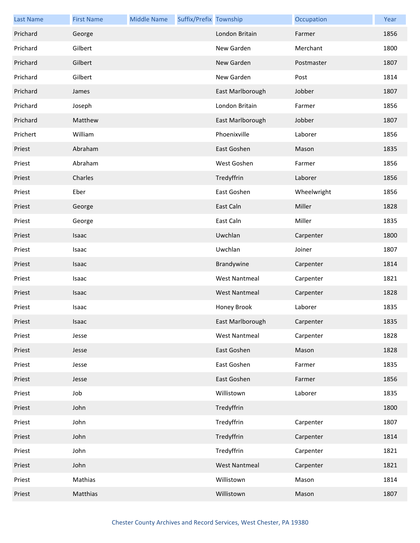| <b>Last Name</b> | <b>First Name</b> | <b>Middle Name</b> | Suffix/Prefix Township |                      | Occupation  | Year |
|------------------|-------------------|--------------------|------------------------|----------------------|-------------|------|
| Prichard         | George            |                    |                        | London Britain       | Farmer      | 1856 |
| Prichard         | Gilbert           |                    |                        | New Garden           | Merchant    | 1800 |
| Prichard         | Gilbert           |                    |                        | New Garden           | Postmaster  | 1807 |
| Prichard         | Gilbert           |                    |                        | New Garden           | Post        | 1814 |
| Prichard         | James             |                    |                        | East Marlborough     | Jobber      | 1807 |
| Prichard         | Joseph            |                    |                        | London Britain       | Farmer      | 1856 |
| Prichard         | Matthew           |                    |                        | East Marlborough     | Jobber      | 1807 |
| Prichert         | William           |                    |                        | Phoenixville         | Laborer     | 1856 |
| Priest           | Abraham           |                    |                        | East Goshen          | Mason       | 1835 |
| Priest           | Abraham           |                    |                        | West Goshen          | Farmer      | 1856 |
| Priest           | Charles           |                    |                        | Tredyffrin           | Laborer     | 1856 |
| Priest           | Eber              |                    |                        | East Goshen          | Wheelwright | 1856 |
| Priest           | George            |                    |                        | East Caln            | Miller      | 1828 |
| Priest           | George            |                    |                        | East Caln            | Miller      | 1835 |
| Priest           | Isaac             |                    |                        | Uwchlan              | Carpenter   | 1800 |
| Priest           | Isaac             |                    |                        | Uwchlan              | Joiner      | 1807 |
| Priest           | Isaac             |                    |                        | Brandywine           | Carpenter   | 1814 |
| Priest           | Isaac             |                    |                        | <b>West Nantmeal</b> | Carpenter   | 1821 |
| Priest           | Isaac             |                    |                        | <b>West Nantmeal</b> | Carpenter   | 1828 |
| Priest           | Isaac             |                    |                        | Honey Brook          | Laborer     | 1835 |
| Priest           | Isaac             |                    |                        | East Marlborough     | Carpenter   | 1835 |
| Priest           | Jesse             |                    |                        | <b>West Nantmeal</b> | Carpenter   | 1828 |
| Priest           | Jesse             |                    |                        | East Goshen          | Mason       | 1828 |
| Priest           | Jesse             |                    |                        | East Goshen          | Farmer      | 1835 |
| Priest           | Jesse             |                    |                        | East Goshen          | Farmer      | 1856 |
| Priest           | Job               |                    |                        | Willistown           | Laborer     | 1835 |
| Priest           | John              |                    |                        | Tredyffrin           |             | 1800 |
| Priest           | John              |                    |                        | Tredyffrin           | Carpenter   | 1807 |
| Priest           | John              |                    |                        | Tredyffrin           | Carpenter   | 1814 |
| Priest           | John              |                    |                        | Tredyffrin           | Carpenter   | 1821 |
| Priest           | John              |                    |                        | <b>West Nantmeal</b> | Carpenter   | 1821 |
| Priest           | Mathias           |                    |                        | Willistown           | Mason       | 1814 |
| Priest           | Matthias          |                    |                        | Willistown           | Mason       | 1807 |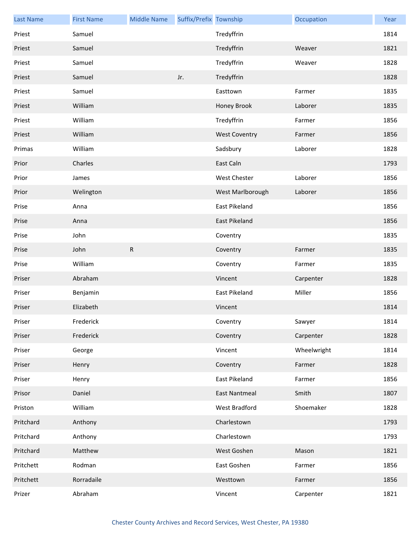| <b>Last Name</b> | <b>First Name</b> | <b>Middle Name</b> | Suffix/Prefix Township |                      | Occupation  | Year |
|------------------|-------------------|--------------------|------------------------|----------------------|-------------|------|
| Priest           | Samuel            |                    |                        | Tredyffrin           |             | 1814 |
| Priest           | Samuel            |                    |                        | Tredyffrin           | Weaver      | 1821 |
| Priest           | Samuel            |                    |                        | Tredyffrin           | Weaver      | 1828 |
| Priest           | Samuel            |                    | Jr.                    | Tredyffrin           |             | 1828 |
| Priest           | Samuel            |                    |                        | Easttown             | Farmer      | 1835 |
| Priest           | William           |                    |                        | Honey Brook          | Laborer     | 1835 |
| Priest           | William           |                    |                        | Tredyffrin           | Farmer      | 1856 |
| Priest           | William           |                    |                        | <b>West Coventry</b> | Farmer      | 1856 |
| Primas           | William           |                    |                        | Sadsbury             | Laborer     | 1828 |
| Prior            | Charles           |                    |                        | East Caln            |             | 1793 |
| Prior            | James             |                    |                        | West Chester         | Laborer     | 1856 |
| Prior            | Welington         |                    |                        | West Marlborough     | Laborer     | 1856 |
| Prise            | Anna              |                    |                        | East Pikeland        |             | 1856 |
| Prise            | Anna              |                    |                        | East Pikeland        |             | 1856 |
| Prise            | John              |                    |                        | Coventry             |             | 1835 |
| Prise            | John              | ${\sf R}$          |                        | Coventry             | Farmer      | 1835 |
| Prise            | William           |                    |                        | Coventry             | Farmer      | 1835 |
| Priser           | Abraham           |                    |                        | Vincent              | Carpenter   | 1828 |
| Priser           | Benjamin          |                    |                        | East Pikeland        | Miller      | 1856 |
| Priser           | Elizabeth         |                    |                        | Vincent              |             | 1814 |
| Priser           | Frederick         |                    |                        | Coventry             | Sawyer      | 1814 |
| Priser           | Frederick         |                    |                        | Coventry             | Carpenter   | 1828 |
| Priser           | George            |                    |                        | Vincent              | Wheelwright | 1814 |
| Priser           | Henry             |                    |                        | Coventry             | Farmer      | 1828 |
| Priser           | Henry             |                    |                        | East Pikeland        | Farmer      | 1856 |
| Prisor           | Daniel            |                    |                        | East Nantmeal        | Smith       | 1807 |
| Priston          | William           |                    |                        | West Bradford        | Shoemaker   | 1828 |
| Pritchard        | Anthony           |                    |                        | Charlestown          |             | 1793 |
| Pritchard        | Anthony           |                    |                        | Charlestown          |             | 1793 |
| Pritchard        | Matthew           |                    |                        | West Goshen          | Mason       | 1821 |
| Pritchett        | Rodman            |                    |                        | East Goshen          | Farmer      | 1856 |
| Pritchett        | Rorradaile        |                    |                        | Westtown             | Farmer      | 1856 |
| Prizer           | Abraham           |                    |                        | Vincent              | Carpenter   | 1821 |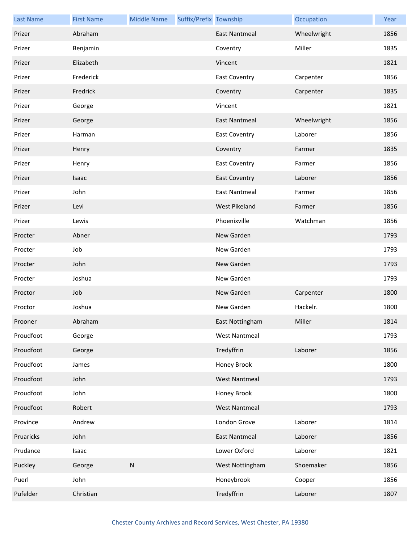| <b>Last Name</b> | <b>First Name</b> | <b>Middle Name</b> | Suffix/Prefix Township |                      | Occupation  | Year |
|------------------|-------------------|--------------------|------------------------|----------------------|-------------|------|
| Prizer           | Abraham           |                    |                        | <b>East Nantmeal</b> | Wheelwright | 1856 |
| Prizer           | Benjamin          |                    |                        | Coventry             | Miller      | 1835 |
| Prizer           | Elizabeth         |                    |                        | Vincent              |             | 1821 |
| Prizer           | Frederick         |                    |                        | <b>East Coventry</b> | Carpenter   | 1856 |
| Prizer           | Fredrick          |                    |                        | Coventry             | Carpenter   | 1835 |
| Prizer           | George            |                    |                        | Vincent              |             | 1821 |
| Prizer           | George            |                    |                        | East Nantmeal        | Wheelwright | 1856 |
| Prizer           | Harman            |                    |                        | <b>East Coventry</b> | Laborer     | 1856 |
| Prizer           | Henry             |                    |                        | Coventry             | Farmer      | 1835 |
| Prizer           | Henry             |                    |                        | <b>East Coventry</b> | Farmer      | 1856 |
| Prizer           | Isaac             |                    |                        | <b>East Coventry</b> | Laborer     | 1856 |
| Prizer           | John              |                    |                        | East Nantmeal        | Farmer      | 1856 |
| Prizer           | Levi              |                    |                        | <b>West Pikeland</b> | Farmer      | 1856 |
| Prizer           | Lewis             |                    |                        | Phoenixville         | Watchman    | 1856 |
| Procter          | Abner             |                    |                        | New Garden           |             | 1793 |
| Procter          | Job               |                    |                        | New Garden           |             | 1793 |
| Procter          | John              |                    |                        | New Garden           |             | 1793 |
| Procter          | Joshua            |                    |                        | New Garden           |             | 1793 |
| Proctor          | Job               |                    |                        | New Garden           | Carpenter   | 1800 |
| Proctor          | Joshua            |                    |                        | New Garden           | Hackelr.    | 1800 |
| Prooner          | Abraham           |                    |                        | East Nottingham      | Miller      | 1814 |
| Proudfoot        | George            |                    |                        | <b>West Nantmeal</b> |             | 1793 |
| Proudfoot        | George            |                    |                        | Tredyffrin           | Laborer     | 1856 |
| Proudfoot        | James             |                    |                        | Honey Brook          |             | 1800 |
| Proudfoot        | John              |                    |                        | <b>West Nantmeal</b> |             | 1793 |
| Proudfoot        | John              |                    |                        | Honey Brook          |             | 1800 |
| Proudfoot        | Robert            |                    |                        | <b>West Nantmeal</b> |             | 1793 |
| Province         | Andrew            |                    |                        | London Grove         | Laborer     | 1814 |
| Pruaricks        | John              |                    |                        | <b>East Nantmeal</b> | Laborer     | 1856 |
| Prudance         | Isaac             |                    |                        | Lower Oxford         | Laborer     | 1821 |
| Puckley          | George            | ${\sf N}$          |                        | West Nottingham      | Shoemaker   | 1856 |
| Puerl            | John              |                    |                        | Honeybrook           | Cooper      | 1856 |
| Pufelder         | Christian         |                    |                        | Tredyffrin           | Laborer     | 1807 |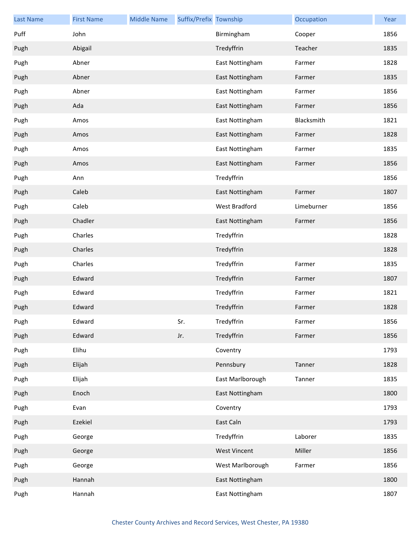| <b>Last Name</b> | <b>First Name</b> | <b>Middle Name</b> | Suffix/Prefix Township |                      | Occupation | Year |
|------------------|-------------------|--------------------|------------------------|----------------------|------------|------|
| Puff             | John              |                    |                        | Birmingham           | Cooper     | 1856 |
| Pugh             | Abigail           |                    |                        | Tredyffrin           | Teacher    | 1835 |
| Pugh             | Abner             |                    |                        | East Nottingham      | Farmer     | 1828 |
| Pugh             | Abner             |                    |                        | East Nottingham      | Farmer     | 1835 |
| Pugh             | Abner             |                    |                        | East Nottingham      | Farmer     | 1856 |
| Pugh             | Ada               |                    |                        | East Nottingham      | Farmer     | 1856 |
| Pugh             | Amos              |                    |                        | East Nottingham      | Blacksmith | 1821 |
| Pugh             | Amos              |                    |                        | East Nottingham      | Farmer     | 1828 |
| Pugh             | Amos              |                    |                        | East Nottingham      | Farmer     | 1835 |
| Pugh             | Amos              |                    |                        | East Nottingham      | Farmer     | 1856 |
| Pugh             | Ann               |                    |                        | Tredyffrin           |            | 1856 |
| Pugh             | Caleb             |                    |                        | East Nottingham      | Farmer     | 1807 |
| Pugh             | Caleb             |                    |                        | <b>West Bradford</b> | Limeburner | 1856 |
| Pugh             | Chadler           |                    |                        | East Nottingham      | Farmer     | 1856 |
| Pugh             | Charles           |                    |                        | Tredyffrin           |            | 1828 |
| Pugh             | Charles           |                    |                        | Tredyffrin           |            | 1828 |
| Pugh             | Charles           |                    |                        | Tredyffrin           | Farmer     | 1835 |
| Pugh             | Edward            |                    |                        | Tredyffrin           | Farmer     | 1807 |
| Pugh             | Edward            |                    |                        | Tredyffrin           | Farmer     | 1821 |
| Pugh             | Edward            |                    |                        | Tredyffrin           | Farmer     | 1828 |
| Pugh             | Edward            |                    | Sr.                    | Tredyffrin           | Farmer     | 1856 |
| Pugh             | Edward            |                    | Jr.                    | Tredyffrin           | Farmer     | 1856 |
| Pugh             | Elihu             |                    |                        | Coventry             |            | 1793 |
| Pugh             | Elijah            |                    |                        | Pennsbury            | Tanner     | 1828 |
| Pugh             | Elijah            |                    |                        | East Marlborough     | Tanner     | 1835 |
| Pugh             | Enoch             |                    |                        | East Nottingham      |            | 1800 |
| Pugh             | Evan              |                    |                        | Coventry             |            | 1793 |
| Pugh             | Ezekiel           |                    |                        | East Caln            |            | 1793 |
| Pugh             | George            |                    |                        | Tredyffrin           | Laborer    | 1835 |
| Pugh             | George            |                    |                        | <b>West Vincent</b>  | Miller     | 1856 |
| Pugh             | George            |                    |                        | West Marlborough     | Farmer     | 1856 |
| Pugh             | Hannah            |                    |                        | East Nottingham      |            | 1800 |
| Pugh             | Hannah            |                    |                        | East Nottingham      |            | 1807 |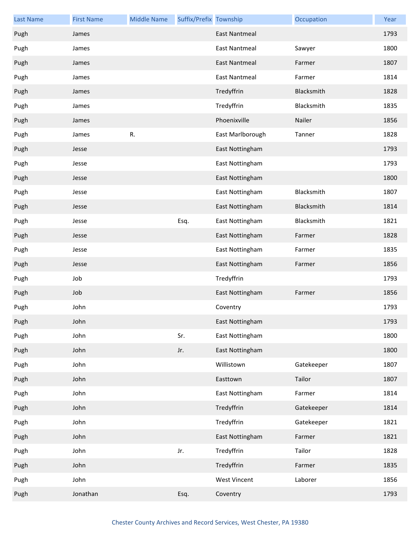| <b>Last Name</b> | <b>First Name</b> | <b>Middle Name</b> | Suffix/Prefix Township |                      | Occupation | Year |
|------------------|-------------------|--------------------|------------------------|----------------------|------------|------|
| Pugh             | James             |                    |                        | <b>East Nantmeal</b> |            | 1793 |
| Pugh             | James             |                    |                        | <b>East Nantmeal</b> | Sawyer     | 1800 |
| Pugh             | James             |                    |                        | <b>East Nantmeal</b> | Farmer     | 1807 |
| Pugh             | James             |                    |                        | <b>East Nantmeal</b> | Farmer     | 1814 |
| Pugh             | James             |                    |                        | Tredyffrin           | Blacksmith | 1828 |
| Pugh             | James             |                    |                        | Tredyffrin           | Blacksmith | 1835 |
| Pugh             | James             |                    |                        | Phoenixville         | Nailer     | 1856 |
| Pugh             | James             | R.                 |                        | East Marlborough     | Tanner     | 1828 |
| Pugh             | Jesse             |                    |                        | East Nottingham      |            | 1793 |
| Pugh             | Jesse             |                    |                        | East Nottingham      |            | 1793 |
| Pugh             | Jesse             |                    |                        | East Nottingham      |            | 1800 |
| Pugh             | Jesse             |                    |                        | East Nottingham      | Blacksmith | 1807 |
| Pugh             | Jesse             |                    |                        | East Nottingham      | Blacksmith | 1814 |
| Pugh             | Jesse             |                    | Esq.                   | East Nottingham      | Blacksmith | 1821 |
| Pugh             | Jesse             |                    |                        | East Nottingham      | Farmer     | 1828 |
| Pugh             | Jesse             |                    |                        | East Nottingham      | Farmer     | 1835 |
| Pugh             | Jesse             |                    |                        | East Nottingham      | Farmer     | 1856 |
| Pugh             | Job               |                    |                        | Tredyffrin           |            | 1793 |
| Pugh             | Job               |                    |                        | East Nottingham      | Farmer     | 1856 |
| Pugh             | John              |                    |                        | Coventry             |            | 1793 |
| Pugh             | John              |                    |                        | East Nottingham      |            | 1793 |
| Pugh             | John              |                    | Sr.                    | East Nottingham      |            | 1800 |
| Pugh             | John              |                    | Jr.                    | East Nottingham      |            | 1800 |
| Pugh             | John              |                    |                        | Willistown           | Gatekeeper | 1807 |
| Pugh             | John              |                    |                        | Easttown             | Tailor     | 1807 |
| Pugh             | John              |                    |                        | East Nottingham      | Farmer     | 1814 |
| Pugh             | John              |                    |                        | Tredyffrin           | Gatekeeper | 1814 |
| Pugh             | John              |                    |                        | Tredyffrin           | Gatekeeper | 1821 |
| Pugh             | John              |                    |                        | East Nottingham      | Farmer     | 1821 |
| Pugh             | John              |                    | Jr.                    | Tredyffrin           | Tailor     | 1828 |
| Pugh             | John              |                    |                        | Tredyffrin           | Farmer     | 1835 |
| Pugh             | John              |                    |                        | <b>West Vincent</b>  | Laborer    | 1856 |
| Pugh             | Jonathan          |                    | Esq.                   | Coventry             |            | 1793 |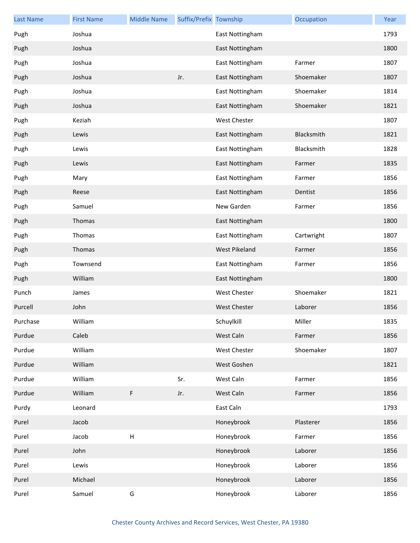| <b>Last Name</b> | <b>First Name</b> | <b>Middle Name</b> | Suffix/Prefix Township |                     | Occupation | Year |
|------------------|-------------------|--------------------|------------------------|---------------------|------------|------|
| Pugh             | Joshua            |                    |                        | East Nottingham     |            | 1793 |
| Pugh             | Joshua            |                    |                        | East Nottingham     |            | 1800 |
| Pugh             | Joshua            |                    |                        | East Nottingham     | Farmer     | 1807 |
| Pugh             | Joshua            |                    | Jr.                    | East Nottingham     | Shoemaker  | 1807 |
| Pugh             | Joshua            |                    |                        | East Nottingham     | Shoemaker  | 1814 |
| Pugh             | Joshua            |                    |                        | East Nottingham     | Shoemaker  | 1821 |
| Pugh             | Keziah            |                    |                        | <b>West Chester</b> |            | 1807 |
| Pugh             | Lewis             |                    |                        | East Nottingham     | Blacksmith | 1821 |
| Pugh             | Lewis             |                    |                        | East Nottingham     | Blacksmith | 1828 |
| Pugh             | Lewis             |                    |                        | East Nottingham     | Farmer     | 1835 |
| Pugh             | Mary              |                    |                        | East Nottingham     | Farmer     | 1856 |
| Pugh             | Reese             |                    |                        | East Nottingham     | Dentist    | 1856 |
| Pugh             | Samuel            |                    |                        | New Garden          | Farmer     | 1856 |
| Pugh             | Thomas            |                    |                        | East Nottingham     |            | 1800 |
| Pugh             | Thomas            |                    |                        | East Nottingham     | Cartwright | 1807 |
| Pugh             | Thomas            |                    |                        | West Pikeland       | Farmer     | 1856 |
| Pugh             | Townsend          |                    |                        | East Nottingham     | Farmer     | 1856 |
| Pugh             | William           |                    |                        | East Nottingham     |            | 1800 |
| Punch            | James             |                    |                        | <b>West Chester</b> | Shoemaker  | 1821 |
| Purcell          | John              |                    |                        | <b>West Chester</b> | Laborer    | 1856 |
| Purchase         | William           |                    |                        | Schuylkill          | Miller     | 1835 |
| Purdue           | Caleb             |                    |                        | West Caln           | Farmer     | 1856 |
| Purdue           | William           |                    |                        | West Chester        | Shoemaker  | 1807 |
| Purdue           | William           |                    |                        | West Goshen         |            | 1821 |
| Purdue           | William           |                    | Sr.                    | West Caln           | Farmer     | 1856 |
| Purdue           | William           | F                  | Jr.                    | West Caln           | Farmer     | 1856 |
| Purdy            | Leonard           |                    |                        | East Caln           |            | 1793 |
| Purel            | Jacob             |                    |                        | Honeybrook          | Plasterer  | 1856 |
| Purel            | Jacob             | $\sf H$            |                        | Honeybrook          | Farmer     | 1856 |
| Purel            | John              |                    |                        | Honeybrook          | Laborer    | 1856 |
| Purel            | Lewis             |                    |                        | Honeybrook          | Laborer    | 1856 |
| Purel            | Michael           |                    |                        | Honeybrook          | Laborer    | 1856 |
| Purel            | Samuel            | G                  |                        | Honeybrook          | Laborer    | 1856 |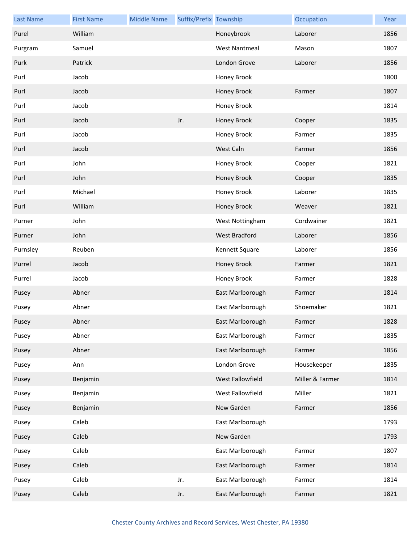| <b>Last Name</b> | <b>First Name</b> | <b>Middle Name</b> | Suffix/Prefix Township |                      | Occupation      | Year |
|------------------|-------------------|--------------------|------------------------|----------------------|-----------------|------|
| Purel            | William           |                    |                        | Honeybrook           | Laborer         | 1856 |
| Purgram          | Samuel            |                    |                        | <b>West Nantmeal</b> | Mason           | 1807 |
| Purk             | Patrick           |                    |                        | London Grove         | Laborer         | 1856 |
| Purl             | Jacob             |                    |                        | Honey Brook          |                 | 1800 |
| Purl             | Jacob             |                    |                        | Honey Brook          | Farmer          | 1807 |
| Purl             | Jacob             |                    |                        | Honey Brook          |                 | 1814 |
| Purl             | Jacob             |                    | Jr.                    | Honey Brook          | Cooper          | 1835 |
| Purl             | Jacob             |                    |                        | Honey Brook          | Farmer          | 1835 |
| Purl             | Jacob             |                    |                        | West Caln            | Farmer          | 1856 |
| Purl             | John              |                    |                        | Honey Brook          | Cooper          | 1821 |
| Purl             | John              |                    |                        | Honey Brook          | Cooper          | 1835 |
| Purl             | Michael           |                    |                        | Honey Brook          | Laborer         | 1835 |
| Purl             | William           |                    |                        | Honey Brook          | Weaver          | 1821 |
| Purner           | John              |                    |                        | West Nottingham      | Cordwainer      | 1821 |
| Purner           | John              |                    |                        | <b>West Bradford</b> | Laborer         | 1856 |
| Purnsley         | Reuben            |                    |                        | Kennett Square       | Laborer         | 1856 |
| Purrel           | Jacob             |                    |                        | Honey Brook          | Farmer          | 1821 |
| Purrel           | Jacob             |                    |                        | Honey Brook          | Farmer          | 1828 |
| Pusey            | Abner             |                    |                        | East Marlborough     | Farmer          | 1814 |
| Pusey            | Abner             |                    |                        | East Marlborough     | Shoemaker       | 1821 |
| Pusey            | Abner             |                    |                        | East Marlborough     | Farmer          | 1828 |
| Pusey            | Abner             |                    |                        | East Marlborough     | Farmer          | 1835 |
| Pusey            | Abner             |                    |                        | East Marlborough     | Farmer          | 1856 |
| Pusey            | Ann               |                    |                        | London Grove         | Housekeeper     | 1835 |
| Pusey            | Benjamin          |                    |                        | West Fallowfield     | Miller & Farmer | 1814 |
| Pusey            | Benjamin          |                    |                        | West Fallowfield     | Miller          | 1821 |
| Pusey            | Benjamin          |                    |                        | New Garden           | Farmer          | 1856 |
| Pusey            | Caleb             |                    |                        | East Marlborough     |                 | 1793 |
| Pusey            | Caleb             |                    |                        | New Garden           |                 | 1793 |
| Pusey            | Caleb             |                    |                        | East Marlborough     | Farmer          | 1807 |
| Pusey            | Caleb             |                    |                        | East Marlborough     | Farmer          | 1814 |
| Pusey            | Caleb             |                    | Jr.                    | East Marlborough     | Farmer          | 1814 |
| Pusey            | Caleb             |                    | Jr.                    | East Marlborough     | Farmer          | 1821 |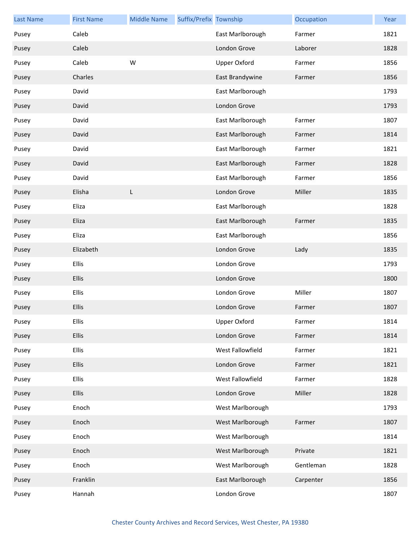| <b>Last Name</b> | <b>First Name</b> | <b>Middle Name</b> | Suffix/Prefix Township |                     | Occupation | Year |
|------------------|-------------------|--------------------|------------------------|---------------------|------------|------|
| Pusey            | Caleb             |                    |                        | East Marlborough    | Farmer     | 1821 |
| Pusey            | Caleb             |                    |                        | London Grove        | Laborer    | 1828 |
| Pusey            | Caleb             | W                  |                        | <b>Upper Oxford</b> | Farmer     | 1856 |
| Pusey            | Charles           |                    |                        | East Brandywine     | Farmer     | 1856 |
| Pusey            | David             |                    |                        | East Marlborough    |            | 1793 |
| Pusey            | David             |                    |                        | London Grove        |            | 1793 |
| Pusey            | David             |                    |                        | East Marlborough    | Farmer     | 1807 |
| Pusey            | David             |                    |                        | East Marlborough    | Farmer     | 1814 |
| Pusey            | David             |                    |                        | East Marlborough    | Farmer     | 1821 |
| Pusey            | David             |                    |                        | East Marlborough    | Farmer     | 1828 |
| Pusey            | David             |                    |                        | East Marlborough    | Farmer     | 1856 |
| Pusey            | Elisha            | L                  |                        | London Grove        | Miller     | 1835 |
| Pusey            | Eliza             |                    |                        | East Marlborough    |            | 1828 |
| Pusey            | Eliza             |                    |                        | East Marlborough    | Farmer     | 1835 |
| Pusey            | Eliza             |                    |                        | East Marlborough    |            | 1856 |
| Pusey            | Elizabeth         |                    |                        | London Grove        | Lady       | 1835 |
| Pusey            | Ellis             |                    |                        | London Grove        |            | 1793 |
| Pusey            | Ellis             |                    |                        | London Grove        |            | 1800 |
| Pusey            | Ellis             |                    |                        | London Grove        | Miller     | 1807 |
| Pusey            | Ellis             |                    |                        | London Grove        | Farmer     | 1807 |
| Pusey            | <b>Ellis</b>      |                    |                        | Upper Oxford        | Farmer     | 1814 |
| Pusey            | <b>Ellis</b>      |                    |                        | London Grove        | Farmer     | 1814 |
| Pusey            | Ellis             |                    |                        | West Fallowfield    | Farmer     | 1821 |
| Pusey            | <b>Ellis</b>      |                    |                        | London Grove        | Farmer     | 1821 |
| Pusey            | <b>Ellis</b>      |                    |                        | West Fallowfield    | Farmer     | 1828 |
| Pusey            | <b>Ellis</b>      |                    |                        | London Grove        | Miller     | 1828 |
| Pusey            | Enoch             |                    |                        | West Marlborough    |            | 1793 |
| Pusey            | Enoch             |                    |                        | West Marlborough    | Farmer     | 1807 |
| Pusey            | Enoch             |                    |                        | West Marlborough    |            | 1814 |
| Pusey            | Enoch             |                    |                        | West Marlborough    | Private    | 1821 |
| Pusey            | Enoch             |                    |                        | West Marlborough    | Gentleman  | 1828 |
| Pusey            | Franklin          |                    |                        | East Marlborough    | Carpenter  | 1856 |
| Pusey            | Hannah            |                    |                        | London Grove        |            | 1807 |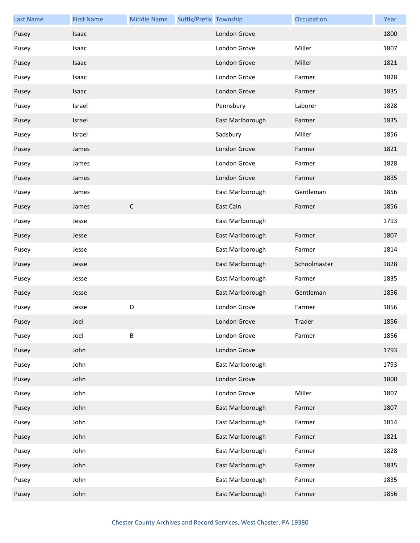| <b>Last Name</b> | <b>First Name</b> | <b>Middle Name</b> | Suffix/Prefix Township |                  | Occupation   | Year |
|------------------|-------------------|--------------------|------------------------|------------------|--------------|------|
| Pusey            | Isaac             |                    |                        | London Grove     |              | 1800 |
| Pusey            | Isaac             |                    |                        | London Grove     | Miller       | 1807 |
| Pusey            | Isaac             |                    |                        | London Grove     | Miller       | 1821 |
| Pusey            | Isaac             |                    |                        | London Grove     | Farmer       | 1828 |
| Pusey            | Isaac             |                    |                        | London Grove     | Farmer       | 1835 |
| Pusey            | Israel            |                    |                        | Pennsbury        | Laborer      | 1828 |
| Pusey            | Israel            |                    |                        | East Marlborough | Farmer       | 1835 |
| Pusey            | Israel            |                    |                        | Sadsbury         | Miller       | 1856 |
| Pusey            | James             |                    |                        | London Grove     | Farmer       | 1821 |
| Pusey            | James             |                    |                        | London Grove     | Farmer       | 1828 |
| Pusey            | James             |                    |                        | London Grove     | Farmer       | 1835 |
| Pusey            | James             |                    |                        | East Marlborough | Gentleman    | 1856 |
| Pusey            | James             | $\mathsf C$        |                        | East Caln        | Farmer       | 1856 |
| Pusey            | Jesse             |                    |                        | East Marlborough |              | 1793 |
| Pusey            | Jesse             |                    |                        | East Marlborough | Farmer       | 1807 |
| Pusey            | Jesse             |                    |                        | East Marlborough | Farmer       | 1814 |
| Pusey            | Jesse             |                    |                        | East Marlborough | Schoolmaster | 1828 |
| Pusey            | Jesse             |                    |                        | East Marlborough | Farmer       | 1835 |
| Pusey            | Jesse             |                    |                        | East Marlborough | Gentleman    | 1856 |
| Pusey            | Jesse             | D                  |                        | London Grove     | Farmer       | 1856 |
| Pusey            | Joel              |                    |                        | London Grove     | Trader       | 1856 |
| Pusey            | Joel              | B                  |                        | London Grove     | Farmer       | 1856 |
| Pusey            | John              |                    |                        | London Grove     |              | 1793 |
| Pusey            | John              |                    |                        | East Marlborough |              | 1793 |
| Pusey            | John              |                    |                        | London Grove     |              | 1800 |
| Pusey            | John              |                    |                        | London Grove     | Miller       | 1807 |
| Pusey            | John              |                    |                        | East Marlborough | Farmer       | 1807 |
| Pusey            | John              |                    |                        | East Marlborough | Farmer       | 1814 |
| Pusey            | John              |                    |                        | East Marlborough | Farmer       | 1821 |
| Pusey            | John              |                    |                        | East Marlborough | Farmer       | 1828 |
| Pusey            | John              |                    |                        | East Marlborough | Farmer       | 1835 |
| Pusey            | John              |                    |                        | East Marlborough | Farmer       | 1835 |
| Pusey            | John              |                    |                        | East Marlborough | Farmer       | 1856 |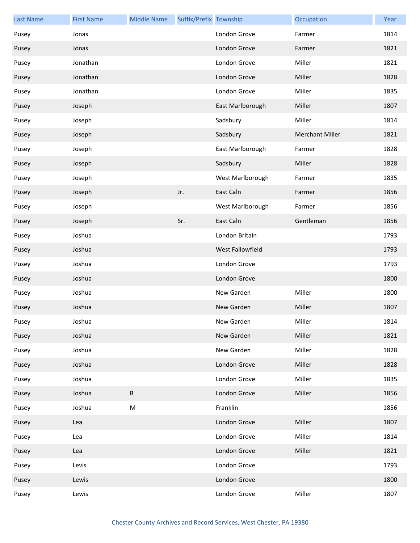| <b>Last Name</b> | <b>First Name</b> | <b>Middle Name</b> | Suffix/Prefix Township |                  | Occupation             | Year |
|------------------|-------------------|--------------------|------------------------|------------------|------------------------|------|
| Pusey            | Jonas             |                    |                        | London Grove     | Farmer                 | 1814 |
| Pusey            | Jonas             |                    |                        | London Grove     | Farmer                 | 1821 |
| Pusey            | Jonathan          |                    |                        | London Grove     | Miller                 | 1821 |
| Pusey            | Jonathan          |                    |                        | London Grove     | Miller                 | 1828 |
| Pusey            | Jonathan          |                    |                        | London Grove     | Miller                 | 1835 |
| Pusey            | Joseph            |                    |                        | East Marlborough | Miller                 | 1807 |
| Pusey            | Joseph            |                    |                        | Sadsbury         | Miller                 | 1814 |
| Pusey            | Joseph            |                    |                        | Sadsbury         | <b>Merchant Miller</b> | 1821 |
| Pusey            | Joseph            |                    |                        | East Marlborough | Farmer                 | 1828 |
| Pusey            | Joseph            |                    |                        | Sadsbury         | Miller                 | 1828 |
| Pusey            | Joseph            |                    |                        | West Marlborough | Farmer                 | 1835 |
| Pusey            | Joseph            |                    | Jr.                    | East Caln        | Farmer                 | 1856 |
| Pusey            | Joseph            |                    |                        | West Marlborough | Farmer                 | 1856 |
| Pusey            | Joseph            |                    | Sr.                    | East Caln        | Gentleman              | 1856 |
| Pusey            | Joshua            |                    |                        | London Britain   |                        | 1793 |
| Pusey            | Joshua            |                    |                        | West Fallowfield |                        | 1793 |
| Pusey            | Joshua            |                    |                        | London Grove     |                        | 1793 |
| Pusey            | Joshua            |                    |                        | London Grove     |                        | 1800 |
| Pusey            | Joshua            |                    |                        | New Garden       | Miller                 | 1800 |
| Pusey            | Joshua            |                    |                        | New Garden       | Miller                 | 1807 |
| Pusey            | Joshua            |                    |                        | New Garden       | Miller                 | 1814 |
| Pusey            | Joshua            |                    |                        | New Garden       | Miller                 | 1821 |
| Pusey            | Joshua            |                    |                        | New Garden       | Miller                 | 1828 |
| Pusey            | Joshua            |                    |                        | London Grove     | Miller                 | 1828 |
| Pusey            | Joshua            |                    |                        | London Grove     | Miller                 | 1835 |
| Pusey            | Joshua            | B                  |                        | London Grove     | Miller                 | 1856 |
| Pusey            | Joshua            | M                  |                        | Franklin         |                        | 1856 |
| Pusey            | Lea               |                    |                        | London Grove     | Miller                 | 1807 |
| Pusey            | Lea               |                    |                        | London Grove     | Miller                 | 1814 |
| Pusey            | Lea               |                    |                        | London Grove     | Miller                 | 1821 |
| Pusey            | Levis             |                    |                        | London Grove     |                        | 1793 |
| Pusey            | Lewis             |                    |                        | London Grove     |                        | 1800 |
| Pusey            | Lewis             |                    |                        | London Grove     | Miller                 | 1807 |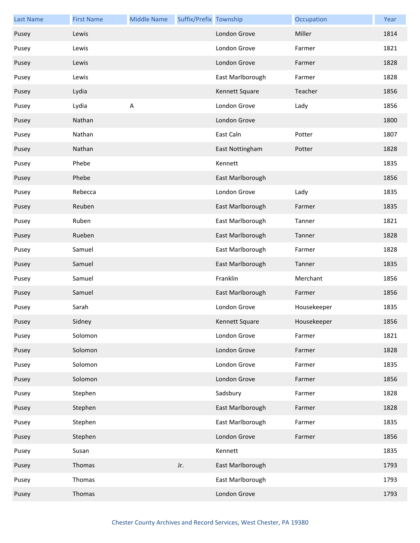| <b>Last Name</b> | <b>First Name</b> | <b>Middle Name</b> | Suffix/Prefix Township |                  | Occupation  | Year |
|------------------|-------------------|--------------------|------------------------|------------------|-------------|------|
| Pusey            | Lewis             |                    |                        | London Grove     | Miller      | 1814 |
| Pusey            | Lewis             |                    |                        | London Grove     | Farmer      | 1821 |
| Pusey            | Lewis             |                    |                        | London Grove     | Farmer      | 1828 |
| Pusey            | Lewis             |                    |                        | East Marlborough | Farmer      | 1828 |
| Pusey            | Lydia             |                    |                        | Kennett Square   | Teacher     | 1856 |
| Pusey            | Lydia             | A                  |                        | London Grove     | Lady        | 1856 |
| Pusey            | Nathan            |                    |                        | London Grove     |             | 1800 |
| Pusey            | Nathan            |                    |                        | East Caln        | Potter      | 1807 |
| Pusey            | Nathan            |                    |                        | East Nottingham  | Potter      | 1828 |
| Pusey            | Phebe             |                    |                        | Kennett          |             | 1835 |
| Pusey            | Phebe             |                    |                        | East Marlborough |             | 1856 |
| Pusey            | Rebecca           |                    |                        | London Grove     | Lady        | 1835 |
| Pusey            | Reuben            |                    |                        | East Marlborough | Farmer      | 1835 |
| Pusey            | Ruben             |                    |                        | East Marlborough | Tanner      | 1821 |
| Pusey            | Rueben            |                    |                        | East Marlborough | Tanner      | 1828 |
| Pusey            | Samuel            |                    |                        | East Marlborough | Farmer      | 1828 |
| Pusey            | Samuel            |                    |                        | East Marlborough | Tanner      | 1835 |
| Pusey            | Samuel            |                    |                        | Franklin         | Merchant    | 1856 |
| Pusey            | Samuel            |                    |                        | East Marlborough | Farmer      | 1856 |
| Pusey            | Sarah             |                    |                        | London Grove     | Housekeeper | 1835 |
| Pusey            | Sidney            |                    |                        | Kennett Square   | Housekeeper | 1856 |
| Pusey            | Solomon           |                    |                        | London Grove     | Farmer      | 1821 |
| Pusey            | Solomon           |                    |                        | London Grove     | Farmer      | 1828 |
| Pusey            | Solomon           |                    |                        | London Grove     | Farmer      | 1835 |
| Pusey            | Solomon           |                    |                        | London Grove     | Farmer      | 1856 |
| Pusey            | Stephen           |                    |                        | Sadsbury         | Farmer      | 1828 |
| Pusey            | Stephen           |                    |                        | East Marlborough | Farmer      | 1828 |
| Pusey            | Stephen           |                    |                        | East Marlborough | Farmer      | 1835 |
| Pusey            | Stephen           |                    |                        | London Grove     | Farmer      | 1856 |
| Pusey            | Susan             |                    |                        | Kennett          |             | 1835 |
| Pusey            | Thomas            |                    | Jr.                    | East Marlborough |             | 1793 |
| Pusey            | Thomas            |                    |                        | East Marlborough |             | 1793 |
| Pusey            | Thomas            |                    |                        | London Grove     |             | 1793 |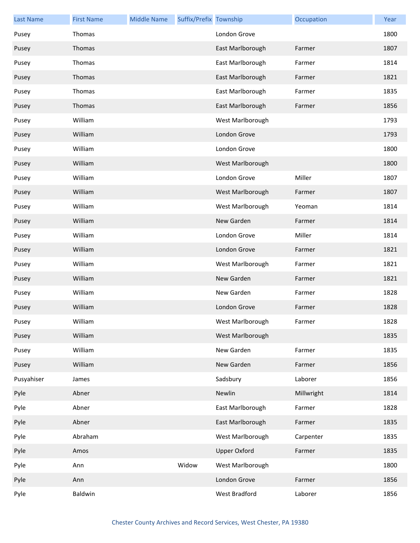| <b>Last Name</b> | <b>First Name</b> | <b>Middle Name</b> | Suffix/Prefix Township |                     | Occupation | Year |
|------------------|-------------------|--------------------|------------------------|---------------------|------------|------|
| Pusey            | Thomas            |                    |                        | London Grove        |            | 1800 |
| Pusey            | Thomas            |                    |                        | East Marlborough    | Farmer     | 1807 |
| Pusey            | Thomas            |                    |                        | East Marlborough    | Farmer     | 1814 |
| Pusey            | Thomas            |                    |                        | East Marlborough    | Farmer     | 1821 |
| Pusey            | Thomas            |                    |                        | East Marlborough    | Farmer     | 1835 |
| Pusey            | Thomas            |                    |                        | East Marlborough    | Farmer     | 1856 |
| Pusey            | William           |                    |                        | West Marlborough    |            | 1793 |
| Pusey            | William           |                    |                        | London Grove        |            | 1793 |
| Pusey            | William           |                    |                        | London Grove        |            | 1800 |
| Pusey            | William           |                    |                        | West Marlborough    |            | 1800 |
| Pusey            | William           |                    |                        | London Grove        | Miller     | 1807 |
| Pusey            | William           |                    |                        | West Marlborough    | Farmer     | 1807 |
| Pusey            | William           |                    |                        | West Marlborough    | Yeoman     | 1814 |
| Pusey            | William           |                    |                        | New Garden          | Farmer     | 1814 |
| Pusey            | William           |                    |                        | London Grove        | Miller     | 1814 |
| Pusey            | William           |                    |                        | London Grove        | Farmer     | 1821 |
| Pusey            | William           |                    |                        | West Marlborough    | Farmer     | 1821 |
| Pusey            | William           |                    |                        | New Garden          | Farmer     | 1821 |
| Pusey            | William           |                    |                        | New Garden          | Farmer     | 1828 |
| Pusey            | William           |                    |                        | London Grove        | Farmer     | 1828 |
| Pusey            | William           |                    |                        | West Marlborough    | Farmer     | 1828 |
| Pusey            | William           |                    |                        | West Marlborough    |            | 1835 |
| Pusey            | William           |                    |                        | New Garden          | Farmer     | 1835 |
| Pusey            | William           |                    |                        | New Garden          | Farmer     | 1856 |
| Pusyahiser       | James             |                    |                        | Sadsbury            | Laborer    | 1856 |
| Pyle             | Abner             |                    |                        | Newlin              | Millwright | 1814 |
| Pyle             | Abner             |                    |                        | East Marlborough    | Farmer     | 1828 |
| Pyle             | Abner             |                    |                        | East Marlborough    | Farmer     | 1835 |
| Pyle             | Abraham           |                    |                        | West Marlborough    | Carpenter  | 1835 |
| Pyle             | Amos              |                    |                        | <b>Upper Oxford</b> | Farmer     | 1835 |
| Pyle             | Ann               |                    | Widow                  | West Marlborough    |            | 1800 |
| Pyle             | Ann               |                    |                        | London Grove        | Farmer     | 1856 |
| Pyle             | Baldwin           |                    |                        | West Bradford       | Laborer    | 1856 |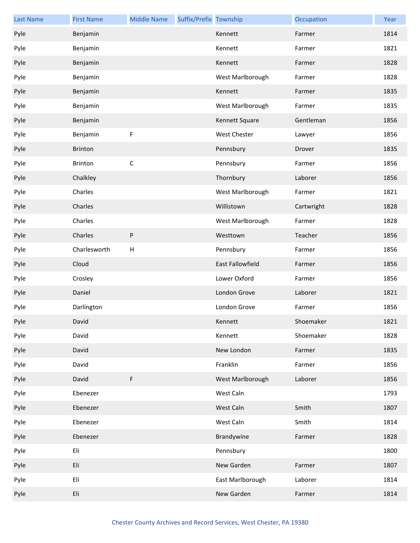| <b>Last Name</b> | <b>First Name</b> | <b>Middle Name</b>        | Suffix/Prefix Township |                  | Occupation | Year |
|------------------|-------------------|---------------------------|------------------------|------------------|------------|------|
| Pyle             | Benjamin          |                           |                        | Kennett          | Farmer     | 1814 |
| Pyle             | Benjamin          |                           |                        | Kennett          | Farmer     | 1821 |
| Pyle             | Benjamin          |                           |                        | Kennett          | Farmer     | 1828 |
| Pyle             | Benjamin          |                           |                        | West Marlborough | Farmer     | 1828 |
| Pyle             | Benjamin          |                           |                        | Kennett          | Farmer     | 1835 |
| Pyle             | Benjamin          |                           |                        | West Marlborough | Farmer     | 1835 |
| Pyle             | Benjamin          |                           |                        | Kennett Square   | Gentleman  | 1856 |
| Pyle             | Benjamin          | F                         |                        | West Chester     | Lawyer     | 1856 |
| Pyle             | <b>Brinton</b>    |                           |                        | Pennsbury        | Drover     | 1835 |
| Pyle             | <b>Brinton</b>    | $\mathsf C$               |                        | Pennsbury        | Farmer     | 1856 |
| Pyle             | Chalkley          |                           |                        | Thornbury        | Laborer    | 1856 |
| Pyle             | Charles           |                           |                        | West Marlborough | Farmer     | 1821 |
| Pyle             | Charles           |                           |                        | Willistown       | Cartwright | 1828 |
| Pyle             | Charles           |                           |                        | West Marlborough | Farmer     | 1828 |
| Pyle             | Charles           | ${\sf P}$                 |                        | Westtown         | Teacher    | 1856 |
| Pyle             | Charlesworth      | $\boldsymbol{\mathsf{H}}$ |                        | Pennsbury        | Farmer     | 1856 |
| Pyle             | Cloud             |                           |                        | East Fallowfield | Farmer     | 1856 |
| Pyle             | Crosley           |                           |                        | Lower Oxford     | Farmer     | 1856 |
| Pyle             | Daniel            |                           |                        | London Grove     | Laborer    | 1821 |
| Pyle             | Darlington        |                           |                        | London Grove     | Farmer     | 1856 |
| Pyle             | David             |                           |                        | Kennett          | Shoemaker  | 1821 |
| Pyle             | David             |                           |                        | Kennett          | Shoemaker  | 1828 |
| Pyle             | David             |                           |                        | New London       | Farmer     | 1835 |
| Pyle             | David             |                           |                        | Franklin         | Farmer     | 1856 |
| Pyle             | David             | F                         |                        | West Marlborough | Laborer    | 1856 |
| Pyle             | Ebenezer          |                           |                        | West Caln        |            | 1793 |
| Pyle             | Ebenezer          |                           |                        | West Caln        | Smith      | 1807 |
| Pyle             | Ebenezer          |                           |                        | West Caln        | Smith      | 1814 |
| Pyle             | Ebenezer          |                           |                        | Brandywine       | Farmer     | 1828 |
| Pyle             | Eli               |                           |                        | Pennsbury        |            | 1800 |
| Pyle             | Eli               |                           |                        | New Garden       | Farmer     | 1807 |
| Pyle             | Eli               |                           |                        | East Marlborough | Laborer    | 1814 |
| Pyle             | Eli               |                           |                        | New Garden       | Farmer     | 1814 |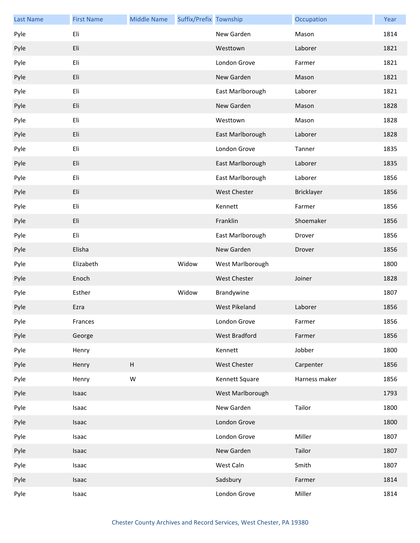| <b>Last Name</b> | <b>First Name</b> | <b>Middle Name</b> | Suffix/Prefix Township |                      | Occupation    | Year |
|------------------|-------------------|--------------------|------------------------|----------------------|---------------|------|
| Pyle             | Eli               |                    |                        | New Garden           | Mason         | 1814 |
| Pyle             | Eli               |                    |                        | Westtown             | Laborer       | 1821 |
| Pyle             | Eli               |                    |                        | London Grove         | Farmer        | 1821 |
| Pyle             | Eli               |                    |                        | New Garden           | Mason         | 1821 |
| Pyle             | Eli               |                    |                        | East Marlborough     | Laborer       | 1821 |
| Pyle             | Eli               |                    |                        | New Garden           | Mason         | 1828 |
| Pyle             | Eli               |                    |                        | Westtown             | Mason         | 1828 |
| Pyle             | Eli               |                    |                        | East Marlborough     | Laborer       | 1828 |
| Pyle             | Eli               |                    |                        | London Grove         | Tanner        | 1835 |
| Pyle             | Eli               |                    |                        | East Marlborough     | Laborer       | 1835 |
| Pyle             | Eli               |                    |                        | East Marlborough     | Laborer       | 1856 |
| Pyle             | Eli               |                    |                        | West Chester         | Bricklayer    | 1856 |
| Pyle             | Eli               |                    |                        | Kennett              | Farmer        | 1856 |
| Pyle             | Eli               |                    |                        | Franklin             | Shoemaker     | 1856 |
| Pyle             | Eli               |                    |                        | East Marlborough     | Drover        | 1856 |
| Pyle             | Elisha            |                    |                        | New Garden           | Drover        | 1856 |
| Pyle             | Elizabeth         |                    | Widow                  | West Marlborough     |               | 1800 |
| Pyle             | Enoch             |                    |                        | West Chester         | Joiner        | 1828 |
| Pyle             | Esther            |                    | Widow                  | Brandywine           |               | 1807 |
| Pyle             | Ezra              |                    |                        | <b>West Pikeland</b> | Laborer       | 1856 |
| Pyle             | Frances           |                    |                        | London Grove         | Farmer        | 1856 |
| Pyle             | George            |                    |                        | West Bradford        | Farmer        | 1856 |
| Pyle             | Henry             |                    |                        | Kennett              | Jobber        | 1800 |
| Pyle             | Henry             | Н                  |                        | West Chester         | Carpenter     | 1856 |
| Pyle             | Henry             | W                  |                        | Kennett Square       | Harness maker | 1856 |
| Pyle             | Isaac             |                    |                        | West Marlborough     |               | 1793 |
| Pyle             | Isaac             |                    |                        | New Garden           | Tailor        | 1800 |
| Pyle             | Isaac             |                    |                        | London Grove         |               | 1800 |
| Pyle             | Isaac             |                    |                        | London Grove         | Miller        | 1807 |
| Pyle             | Isaac             |                    |                        | New Garden           | Tailor        | 1807 |
| Pyle             | Isaac             |                    |                        | West Caln            | Smith         | 1807 |
| Pyle             | Isaac             |                    |                        | Sadsbury             | Farmer        | 1814 |
| Pyle             | Isaac             |                    |                        | London Grove         | Miller        | 1814 |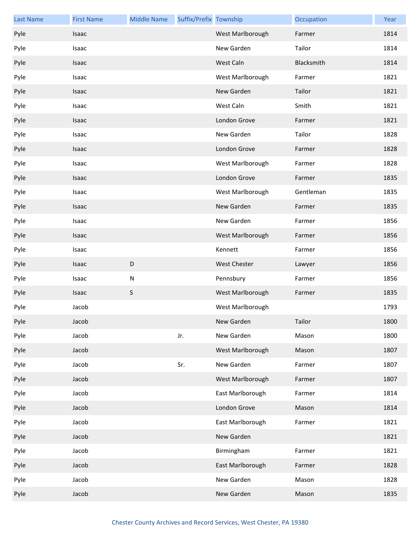| <b>Last Name</b> | <b>First Name</b> | <b>Middle Name</b> | Suffix/Prefix Township |                     | Occupation | Year |
|------------------|-------------------|--------------------|------------------------|---------------------|------------|------|
| Pyle             | Isaac             |                    |                        | West Marlborough    | Farmer     | 1814 |
| Pyle             | Isaac             |                    |                        | New Garden          | Tailor     | 1814 |
| Pyle             | Isaac             |                    |                        | West Caln           | Blacksmith | 1814 |
| Pyle             | Isaac             |                    |                        | West Marlborough    | Farmer     | 1821 |
| Pyle             | <b>Isaac</b>      |                    |                        | New Garden          | Tailor     | 1821 |
| Pyle             | Isaac             |                    |                        | West Caln           | Smith      | 1821 |
| Pyle             | <b>Isaac</b>      |                    |                        | London Grove        | Farmer     | 1821 |
| Pyle             | Isaac             |                    |                        | New Garden          | Tailor     | 1828 |
| Pyle             | <b>Isaac</b>      |                    |                        | London Grove        | Farmer     | 1828 |
| Pyle             | Isaac             |                    |                        | West Marlborough    | Farmer     | 1828 |
| Pyle             | Isaac             |                    |                        | London Grove        | Farmer     | 1835 |
| Pyle             | Isaac             |                    |                        | West Marlborough    | Gentleman  | 1835 |
| Pyle             | <b>Isaac</b>      |                    |                        | New Garden          | Farmer     | 1835 |
| Pyle             | Isaac             |                    |                        | New Garden          | Farmer     | 1856 |
| Pyle             | <b>Isaac</b>      |                    |                        | West Marlborough    | Farmer     | 1856 |
| Pyle             | Isaac             |                    |                        | Kennett             | Farmer     | 1856 |
| Pyle             | Isaac             | $\mathsf D$        |                        | <b>West Chester</b> | Lawyer     | 1856 |
| Pyle             | Isaac             | ${\sf N}$          |                        | Pennsbury           | Farmer     | 1856 |
| Pyle             | Isaac             | S                  |                        | West Marlborough    | Farmer     | 1835 |
| Pyle             | Jacob             |                    |                        | West Marlborough    |            | 1793 |
| Pyle             | Jacob             |                    |                        | New Garden          | Tailor     | 1800 |
| Pyle             | Jacob             |                    | Jr.                    | New Garden          | Mason      | 1800 |
| Pyle             | Jacob             |                    |                        | West Marlborough    | Mason      | 1807 |
| Pyle             | Jacob             |                    | Sr.                    | New Garden          | Farmer     | 1807 |
| Pyle             | Jacob             |                    |                        | West Marlborough    | Farmer     | 1807 |
| Pyle             | Jacob             |                    |                        | East Marlborough    | Farmer     | 1814 |
| Pyle             | Jacob             |                    |                        | London Grove        | Mason      | 1814 |
| Pyle             | Jacob             |                    |                        | East Marlborough    | Farmer     | 1821 |
| Pyle             | Jacob             |                    |                        | New Garden          |            | 1821 |
| Pyle             | Jacob             |                    |                        | Birmingham          | Farmer     | 1821 |
| Pyle             | Jacob             |                    |                        | East Marlborough    | Farmer     | 1828 |
| Pyle             | Jacob             |                    |                        | New Garden          | Mason      | 1828 |
| Pyle             | Jacob             |                    |                        | New Garden          | Mason      | 1835 |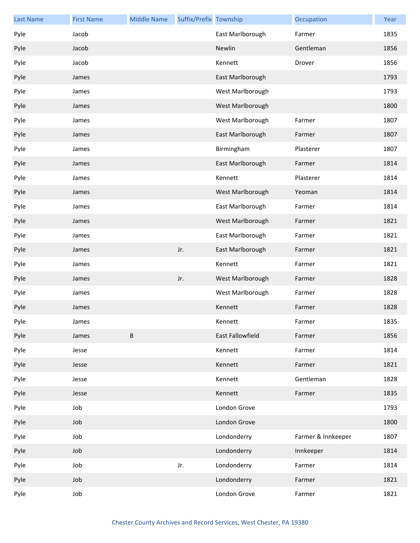| <b>Last Name</b> | <b>First Name</b> | <b>Middle Name</b> | Suffix/Prefix Township |                  | Occupation         | Year |
|------------------|-------------------|--------------------|------------------------|------------------|--------------------|------|
| Pyle             | Jacob             |                    |                        | East Marlborough | Farmer             | 1835 |
| Pyle             | Jacob             |                    |                        | Newlin           | Gentleman          | 1856 |
| Pyle             | Jacob             |                    |                        | Kennett          | Drover             | 1856 |
| Pyle             | James             |                    |                        | East Marlborough |                    | 1793 |
| Pyle             | James             |                    |                        | West Marlborough |                    | 1793 |
| Pyle             | James             |                    |                        | West Marlborough |                    | 1800 |
| Pyle             | James             |                    |                        | West Marlborough | Farmer             | 1807 |
| Pyle             | James             |                    |                        | East Marlborough | Farmer             | 1807 |
| Pyle             | James             |                    |                        | Birmingham       | Plasterer          | 1807 |
| Pyle             | James             |                    |                        | East Marlborough | Farmer             | 1814 |
| Pyle             | James             |                    |                        | Kennett          | Plasterer          | 1814 |
| Pyle             | James             |                    |                        | West Marlborough | Yeoman             | 1814 |
| Pyle             | James             |                    |                        | East Marlborough | Farmer             | 1814 |
| Pyle             | James             |                    |                        | West Marlborough | Farmer             | 1821 |
| Pyle             | James             |                    |                        | East Marlborough | Farmer             | 1821 |
| Pyle             | James             |                    | Jr.                    | East Marlborough | Farmer             | 1821 |
| Pyle             | James             |                    |                        | Kennett          | Farmer             | 1821 |
| Pyle             | James             |                    | Jr.                    | West Marlborough | Farmer             | 1828 |
| Pyle             | James             |                    |                        | West Marlborough | Farmer             | 1828 |
| Pyle             | James             |                    |                        | Kennett          | Farmer             | 1828 |
| Pyle             | James             |                    |                        | Kennett          | Farmer             | 1835 |
| Pyle             | James             | $\sf B$            |                        | East Fallowfield | Farmer             | 1856 |
| Pyle             | Jesse             |                    |                        | Kennett          | Farmer             | 1814 |
| Pyle             | Jesse             |                    |                        | Kennett          | Farmer             | 1821 |
| Pyle             | Jesse             |                    |                        | Kennett          | Gentleman          | 1828 |
| Pyle             | Jesse             |                    |                        | Kennett          | Farmer             | 1835 |
| Pyle             | Job               |                    |                        | London Grove     |                    | 1793 |
| Pyle             | Job               |                    |                        | London Grove     |                    | 1800 |
| Pyle             | Job               |                    |                        | Londonderry      | Farmer & Innkeeper | 1807 |
| Pyle             | Job               |                    |                        | Londonderry      | Innkeeper          | 1814 |
| Pyle             | Job               |                    | Jr.                    | Londonderry      | Farmer             | 1814 |
| Pyle             | Job               |                    |                        | Londonderry      | Farmer             | 1821 |
| Pyle             | Job               |                    |                        | London Grove     | Farmer             | 1821 |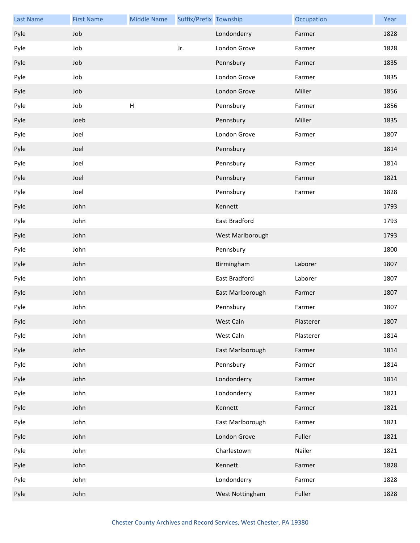| <b>Last Name</b> | <b>First Name</b> | <b>Middle Name</b>        | Suffix/Prefix Township |                  | Occupation | Year |
|------------------|-------------------|---------------------------|------------------------|------------------|------------|------|
| Pyle             | Job               |                           |                        | Londonderry      | Farmer     | 1828 |
| Pyle             | Job               |                           | Jr.                    | London Grove     | Farmer     | 1828 |
| Pyle             | Job               |                           |                        | Pennsbury        | Farmer     | 1835 |
| Pyle             | Job               |                           |                        | London Grove     | Farmer     | 1835 |
| Pyle             | Job               |                           |                        | London Grove     | Miller     | 1856 |
| Pyle             | Job               | $\boldsymbol{\mathsf{H}}$ |                        | Pennsbury        | Farmer     | 1856 |
| Pyle             | Joeb              |                           |                        | Pennsbury        | Miller     | 1835 |
| Pyle             | Joel              |                           |                        | London Grove     | Farmer     | 1807 |
| Pyle             | Joel              |                           |                        | Pennsbury        |            | 1814 |
| Pyle             | Joel              |                           |                        | Pennsbury        | Farmer     | 1814 |
| Pyle             | Joel              |                           |                        | Pennsbury        | Farmer     | 1821 |
| Pyle             | Joel              |                           |                        | Pennsbury        | Farmer     | 1828 |
| Pyle             | John              |                           |                        | Kennett          |            | 1793 |
| Pyle             | John              |                           |                        | East Bradford    |            | 1793 |
| Pyle             | John              |                           |                        | West Marlborough |            | 1793 |
| Pyle             | John              |                           |                        | Pennsbury        |            | 1800 |
| Pyle             | John              |                           |                        | Birmingham       | Laborer    | 1807 |
| Pyle             | John              |                           |                        | East Bradford    | Laborer    | 1807 |
| Pyle             | John              |                           |                        | East Marlborough | Farmer     | 1807 |
| Pyle             | John              |                           |                        | Pennsbury        | Farmer     | 1807 |
| Pyle             | John              |                           |                        | West Caln        | Plasterer  | 1807 |
| Pyle             | John              |                           |                        | West Caln        | Plasterer  | 1814 |
| Pyle             | John              |                           |                        | East Marlborough | Farmer     | 1814 |
| Pyle             | John              |                           |                        | Pennsbury        | Farmer     | 1814 |
| Pyle             | John              |                           |                        | Londonderry      | Farmer     | 1814 |
| Pyle             | John              |                           |                        | Londonderry      | Farmer     | 1821 |
| Pyle             | John              |                           |                        | Kennett          | Farmer     | 1821 |
| Pyle             | John              |                           |                        | East Marlborough | Farmer     | 1821 |
| Pyle             | John              |                           |                        | London Grove     | Fuller     | 1821 |
| Pyle             | John              |                           |                        | Charlestown      | Nailer     | 1821 |
| Pyle             | John              |                           |                        | Kennett          | Farmer     | 1828 |
| Pyle             | John              |                           |                        | Londonderry      | Farmer     | 1828 |
| Pyle             | John              |                           |                        | West Nottingham  | Fuller     | 1828 |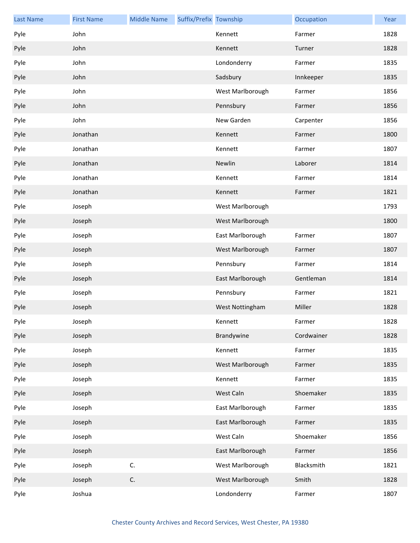| <b>Last Name</b> | <b>First Name</b> | <b>Middle Name</b> | Suffix/Prefix Township |                  | Occupation | Year |
|------------------|-------------------|--------------------|------------------------|------------------|------------|------|
| Pyle             | John              |                    |                        | Kennett          | Farmer     | 1828 |
| Pyle             | John              |                    |                        | Kennett          | Turner     | 1828 |
| Pyle             | John              |                    |                        | Londonderry      | Farmer     | 1835 |
| Pyle             | John              |                    |                        | Sadsbury         | Innkeeper  | 1835 |
| Pyle             | John              |                    |                        | West Marlborough | Farmer     | 1856 |
| Pyle             | John              |                    |                        | Pennsbury        | Farmer     | 1856 |
| Pyle             | John              |                    |                        | New Garden       | Carpenter  | 1856 |
| Pyle             | Jonathan          |                    |                        | Kennett          | Farmer     | 1800 |
| Pyle             | Jonathan          |                    |                        | Kennett          | Farmer     | 1807 |
| Pyle             | Jonathan          |                    |                        | Newlin           | Laborer    | 1814 |
| Pyle             | Jonathan          |                    |                        | Kennett          | Farmer     | 1814 |
| Pyle             | Jonathan          |                    |                        | Kennett          | Farmer     | 1821 |
| Pyle             | Joseph            |                    |                        | West Marlborough |            | 1793 |
| Pyle             | Joseph            |                    |                        | West Marlborough |            | 1800 |
| Pyle             | Joseph            |                    |                        | East Marlborough | Farmer     | 1807 |
| Pyle             | Joseph            |                    |                        | West Marlborough | Farmer     | 1807 |
| Pyle             | Joseph            |                    |                        | Pennsbury        | Farmer     | 1814 |
| Pyle             | Joseph            |                    |                        | East Marlborough | Gentleman  | 1814 |
| Pyle             | Joseph            |                    |                        | Pennsbury        | Farmer     | 1821 |
| Pyle             | Joseph            |                    |                        | West Nottingham  | Miller     | 1828 |
| Pyle             | Joseph            |                    |                        | Kennett          | Farmer     | 1828 |
| Pyle             | Joseph            |                    |                        | Brandywine       | Cordwainer | 1828 |
| Pyle             | Joseph            |                    |                        | Kennett          | Farmer     | 1835 |
| Pyle             | Joseph            |                    |                        | West Marlborough | Farmer     | 1835 |
| Pyle             | Joseph            |                    |                        | Kennett          | Farmer     | 1835 |
| Pyle             | Joseph            |                    |                        | West Caln        | Shoemaker  | 1835 |
| Pyle             | Joseph            |                    |                        | East Marlborough | Farmer     | 1835 |
| Pyle             | Joseph            |                    |                        | East Marlborough | Farmer     | 1835 |
| Pyle             | Joseph            |                    |                        | West Caln        | Shoemaker  | 1856 |
| Pyle             | Joseph            |                    |                        | East Marlborough | Farmer     | 1856 |
| Pyle             | Joseph            | C.                 |                        | West Marlborough | Blacksmith | 1821 |
| Pyle             | Joseph            | C.                 |                        | West Marlborough | Smith      | 1828 |
| Pyle             | Joshua            |                    |                        | Londonderry      | Farmer     | 1807 |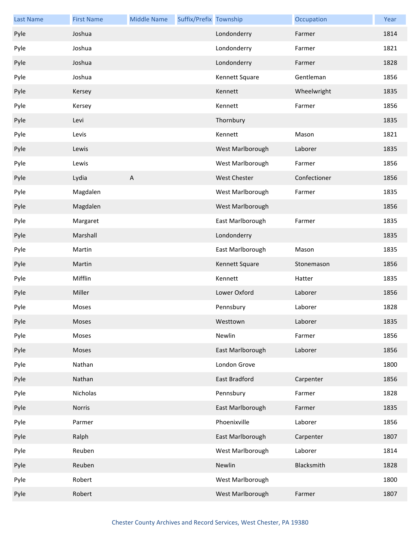| <b>Last Name</b> | <b>First Name</b> | <b>Middle Name</b>        | Suffix/Prefix Township |                  | Occupation   | Year |
|------------------|-------------------|---------------------------|------------------------|------------------|--------------|------|
| Pyle             | Joshua            |                           |                        | Londonderry      | Farmer       | 1814 |
| Pyle             | Joshua            |                           |                        | Londonderry      | Farmer       | 1821 |
| Pyle             | Joshua            |                           |                        | Londonderry      | Farmer       | 1828 |
| Pyle             | Joshua            |                           |                        | Kennett Square   | Gentleman    | 1856 |
| Pyle             | Kersey            |                           |                        | Kennett          | Wheelwright  | 1835 |
| Pyle             | Kersey            |                           |                        | Kennett          | Farmer       | 1856 |
| Pyle             | Levi              |                           |                        | Thornbury        |              | 1835 |
| Pyle             | Levis             |                           |                        | Kennett          | Mason        | 1821 |
| Pyle             | Lewis             |                           |                        | West Marlborough | Laborer      | 1835 |
| Pyle             | Lewis             |                           |                        | West Marlborough | Farmer       | 1856 |
| Pyle             | Lydia             | $\boldsymbol{\mathsf{A}}$ |                        | West Chester     | Confectioner | 1856 |
| Pyle             | Magdalen          |                           |                        | West Marlborough | Farmer       | 1835 |
| Pyle             | Magdalen          |                           |                        | West Marlborough |              | 1856 |
| Pyle             | Margaret          |                           |                        | East Marlborough | Farmer       | 1835 |
| Pyle             | Marshall          |                           |                        | Londonderry      |              | 1835 |
| Pyle             | Martin            |                           |                        | East Marlborough | Mason        | 1835 |
| Pyle             | Martin            |                           |                        | Kennett Square   | Stonemason   | 1856 |
| Pyle             | Mifflin           |                           |                        | Kennett          | Hatter       | 1835 |
| Pyle             | Miller            |                           |                        | Lower Oxford     | Laborer      | 1856 |
| Pyle             | Moses             |                           |                        | Pennsbury        | Laborer      | 1828 |
| Pyle             | Moses             |                           |                        | Westtown         | Laborer      | 1835 |
| Pyle             | Moses             |                           |                        | Newlin           | Farmer       | 1856 |
| Pyle             | Moses             |                           |                        | East Marlborough | Laborer      | 1856 |
| Pyle             | Nathan            |                           |                        | London Grove     |              | 1800 |
| Pyle             | Nathan            |                           |                        | East Bradford    | Carpenter    | 1856 |
| Pyle             | Nicholas          |                           |                        | Pennsbury        | Farmer       | 1828 |
| Pyle             | Norris            |                           |                        | East Marlborough | Farmer       | 1835 |
| Pyle             | Parmer            |                           |                        | Phoenixville     | Laborer      | 1856 |
| Pyle             | Ralph             |                           |                        | East Marlborough | Carpenter    | 1807 |
| Pyle             | Reuben            |                           |                        | West Marlborough | Laborer      | 1814 |
| Pyle             | Reuben            |                           |                        | Newlin           | Blacksmith   | 1828 |
| Pyle             | Robert            |                           |                        | West Marlborough |              | 1800 |
| Pyle             | Robert            |                           |                        | West Marlborough | Farmer       | 1807 |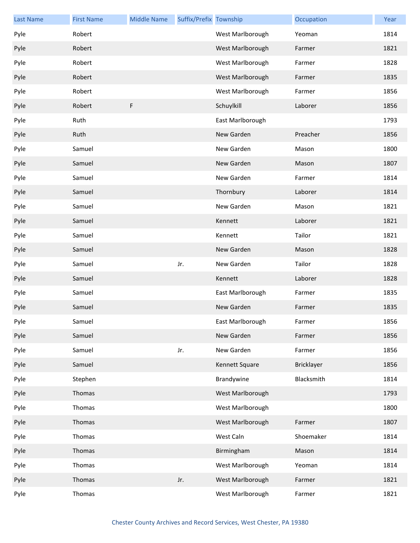| <b>Last Name</b> | <b>First Name</b> | <b>Middle Name</b> | Suffix/Prefix Township |                  | Occupation        | Year |
|------------------|-------------------|--------------------|------------------------|------------------|-------------------|------|
| Pyle             | Robert            |                    |                        | West Marlborough | Yeoman            | 1814 |
| Pyle             | Robert            |                    |                        | West Marlborough | Farmer            | 1821 |
| Pyle             | Robert            |                    |                        | West Marlborough | Farmer            | 1828 |
| Pyle             | Robert            |                    |                        | West Marlborough | Farmer            | 1835 |
| Pyle             | Robert            |                    |                        | West Marlborough | Farmer            | 1856 |
| Pyle             | Robert            | F                  |                        | Schuylkill       | Laborer           | 1856 |
| Pyle             | Ruth              |                    |                        | East Marlborough |                   | 1793 |
| Pyle             | Ruth              |                    |                        | New Garden       | Preacher          | 1856 |
| Pyle             | Samuel            |                    |                        | New Garden       | Mason             | 1800 |
| Pyle             | Samuel            |                    |                        | New Garden       | Mason             | 1807 |
| Pyle             | Samuel            |                    |                        | New Garden       | Farmer            | 1814 |
| Pyle             | Samuel            |                    |                        | Thornbury        | Laborer           | 1814 |
| Pyle             | Samuel            |                    |                        | New Garden       | Mason             | 1821 |
| Pyle             | Samuel            |                    |                        | Kennett          | Laborer           | 1821 |
| Pyle             | Samuel            |                    |                        | Kennett          | Tailor            | 1821 |
| Pyle             | Samuel            |                    |                        | New Garden       | Mason             | 1828 |
| Pyle             | Samuel            |                    | Jr.                    | New Garden       | Tailor            | 1828 |
| Pyle             | Samuel            |                    |                        | Kennett          | Laborer           | 1828 |
| Pyle             | Samuel            |                    |                        | East Marlborough | Farmer            | 1835 |
| Pyle             | Samuel            |                    |                        | New Garden       | Farmer            | 1835 |
| Pyle             | Samuel            |                    |                        | East Marlborough | Farmer            | 1856 |
| Pyle             | Samuel            |                    |                        | New Garden       | Farmer            | 1856 |
| Pyle             | Samuel            |                    | Jr.                    | New Garden       | Farmer            | 1856 |
| Pyle             | Samuel            |                    |                        | Kennett Square   | <b>Bricklayer</b> | 1856 |
| Pyle             | Stephen           |                    |                        | Brandywine       | Blacksmith        | 1814 |
| Pyle             | Thomas            |                    |                        | West Marlborough |                   | 1793 |
| Pyle             | Thomas            |                    |                        | West Marlborough |                   | 1800 |
| Pyle             | Thomas            |                    |                        | West Marlborough | Farmer            | 1807 |
| Pyle             | Thomas            |                    |                        | West Caln        | Shoemaker         | 1814 |
| Pyle             | Thomas            |                    |                        | Birmingham       | Mason             | 1814 |
| Pyle             | Thomas            |                    |                        | West Marlborough | Yeoman            | 1814 |
| Pyle             | Thomas            |                    | Jr.                    | West Marlborough | Farmer            | 1821 |
| Pyle             | Thomas            |                    |                        | West Marlborough | Farmer            | 1821 |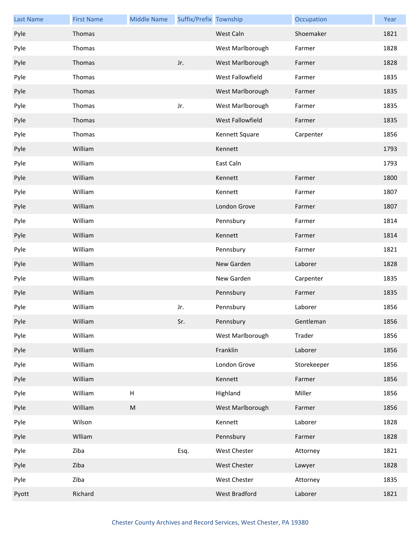| <b>Last Name</b> | <b>First Name</b> | <b>Middle Name</b>        | Suffix/Prefix Township |                  | Occupation  | Year |
|------------------|-------------------|---------------------------|------------------------|------------------|-------------|------|
| Pyle             | Thomas            |                           |                        | West Caln        | Shoemaker   | 1821 |
| Pyle             | Thomas            |                           |                        | West Marlborough | Farmer      | 1828 |
| Pyle             | Thomas            |                           | Jr.                    | West Marlborough | Farmer      | 1828 |
| Pyle             | Thomas            |                           |                        | West Fallowfield | Farmer      | 1835 |
| Pyle             | Thomas            |                           |                        | West Marlborough | Farmer      | 1835 |
| Pyle             | Thomas            |                           | Jr.                    | West Marlborough | Farmer      | 1835 |
| Pyle             | Thomas            |                           |                        | West Fallowfield | Farmer      | 1835 |
| Pyle             | Thomas            |                           |                        | Kennett Square   | Carpenter   | 1856 |
| Pyle             | William           |                           |                        | Kennett          |             | 1793 |
| Pyle             | William           |                           |                        | East Caln        |             | 1793 |
| Pyle             | William           |                           |                        | Kennett          | Farmer      | 1800 |
| Pyle             | William           |                           |                        | Kennett          | Farmer      | 1807 |
| Pyle             | William           |                           |                        | London Grove     | Farmer      | 1807 |
| Pyle             | William           |                           |                        | Pennsbury        | Farmer      | 1814 |
| Pyle             | William           |                           |                        | Kennett          | Farmer      | 1814 |
| Pyle             | William           |                           |                        | Pennsbury        | Farmer      | 1821 |
| Pyle             | William           |                           |                        | New Garden       | Laborer     | 1828 |
| Pyle             | William           |                           |                        | New Garden       | Carpenter   | 1835 |
| Pyle             | William           |                           |                        | Pennsbury        | Farmer      | 1835 |
| Pyle             | William           |                           | Jr.                    | Pennsbury        | Laborer     | 1856 |
| Pyle             | William           |                           | Sr.                    | Pennsbury        | Gentleman   | 1856 |
| Pyle             | William           |                           |                        | West Marlborough | Trader      | 1856 |
| Pyle             | William           |                           |                        | Franklin         | Laborer     | 1856 |
| Pyle             | William           |                           |                        | London Grove     | Storekeeper | 1856 |
| Pyle             | William           |                           |                        | Kennett          | Farmer      | 1856 |
| Pyle             | William           | $\boldsymbol{\mathsf{H}}$ |                        | Highland         | Miller      | 1856 |
| Pyle             | William           | ${\sf M}$                 |                        | West Marlborough | Farmer      | 1856 |
| Pyle             | Wilson            |                           |                        | Kennett          | Laborer     | 1828 |
| Pyle             | Wlliam            |                           |                        | Pennsbury        | Farmer      | 1828 |
| Pyle             | Ziba              |                           | Esq.                   | West Chester     | Attorney    | 1821 |
| Pyle             | Ziba              |                           |                        | West Chester     | Lawyer      | 1828 |
| Pyle             | Ziba              |                           |                        | West Chester     | Attorney    | 1835 |
| Pyott            | Richard           |                           |                        | West Bradford    | Laborer     | 1821 |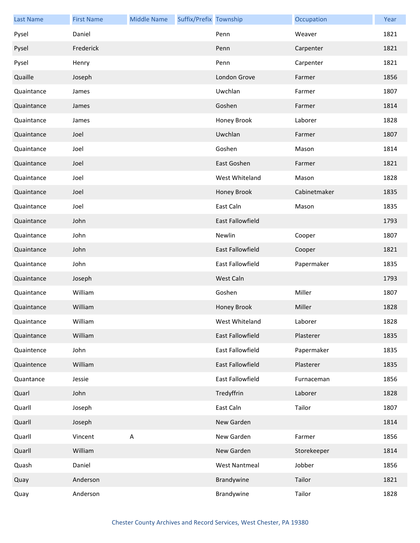| <b>Last Name</b> | <b>First Name</b> | <b>Middle Name</b> | Suffix/Prefix Township |                         | Occupation   | Year |
|------------------|-------------------|--------------------|------------------------|-------------------------|--------------|------|
| Pysel            | Daniel            |                    |                        | Penn                    | Weaver       | 1821 |
| Pysel            | Frederick         |                    |                        | Penn                    | Carpenter    | 1821 |
| Pysel            | Henry             |                    |                        | Penn                    | Carpenter    | 1821 |
| Quaille          | Joseph            |                    |                        | London Grove            | Farmer       | 1856 |
| Quaintance       | James             |                    |                        | Uwchlan                 | Farmer       | 1807 |
| Quaintance       | James             |                    |                        | Goshen                  | Farmer       | 1814 |
| Quaintance       | James             |                    |                        | Honey Brook             | Laborer      | 1828 |
| Quaintance       | Joel              |                    |                        | Uwchlan                 | Farmer       | 1807 |
| Quaintance       | Joel              |                    |                        | Goshen                  | Mason        | 1814 |
| Quaintance       | Joel              |                    |                        | East Goshen             | Farmer       | 1821 |
| Quaintance       | Joel              |                    |                        | West Whiteland          | Mason        | 1828 |
| Quaintance       | Joel              |                    |                        | Honey Brook             | Cabinetmaker | 1835 |
| Quaintance       | Joel              |                    |                        | East Caln               | Mason        | 1835 |
| Quaintance       | John              |                    |                        | <b>East Fallowfield</b> |              | 1793 |
| Quaintance       | John              |                    |                        | Newlin                  | Cooper       | 1807 |
| Quaintance       | John              |                    |                        | East Fallowfield        | Cooper       | 1821 |
| Quaintance       | John              |                    |                        | East Fallowfield        | Papermaker   | 1835 |
| Quaintance       | Joseph            |                    |                        | West Caln               |              | 1793 |
| Quaintance       | William           |                    |                        | Goshen                  | Miller       | 1807 |
| Quaintance       | William           |                    |                        | Honey Brook             | Miller       | 1828 |
| Quaintance       | William           |                    |                        | West Whiteland          | Laborer      | 1828 |
| Quaintance       | William           |                    |                        | East Fallowfield        | Plasterer    | 1835 |
| Quaintence       | John              |                    |                        | East Fallowfield        | Papermaker   | 1835 |
| Quaintence       | William           |                    |                        | East Fallowfield        | Plasterer    | 1835 |
| Quantance        | Jessie            |                    |                        | East Fallowfield        | Furnaceman   | 1856 |
| Quarl            | John              |                    |                        | Tredyffrin              | Laborer      | 1828 |
| Quarll           | Joseph            |                    |                        | East Caln               | Tailor       | 1807 |
| Quarll           | Joseph            |                    |                        | New Garden              |              | 1814 |
| Quarll           | Vincent           | $\sf A$            |                        | New Garden              | Farmer       | 1856 |
| Quarll           | William           |                    |                        | New Garden              | Storekeeper  | 1814 |
| Quash            | Daniel            |                    |                        | <b>West Nantmeal</b>    | Jobber       | 1856 |
| Quay             | Anderson          |                    |                        | Brandywine              | Tailor       | 1821 |
| Quay             | Anderson          |                    |                        | Brandywine              | Tailor       | 1828 |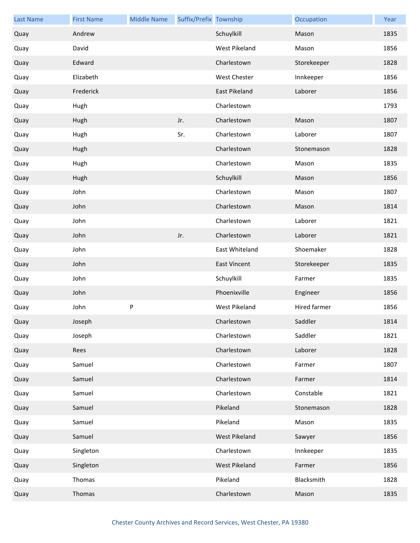| <b>Last Name</b> | <b>First Name</b> | <b>Middle Name</b> | Suffix/Prefix Township |                      | Occupation   | Year |
|------------------|-------------------|--------------------|------------------------|----------------------|--------------|------|
| Quay             | Andrew            |                    |                        | Schuylkill           | Mason        | 1835 |
| Quay             | David             |                    |                        | <b>West Pikeland</b> | Mason        | 1856 |
| Quay             | Edward            |                    |                        | Charlestown          | Storekeeper  | 1828 |
| Quay             | Elizabeth         |                    |                        | West Chester         | Innkeeper    | 1856 |
| Quay             | Frederick         |                    |                        | East Pikeland        | Laborer      | 1856 |
| Quay             | Hugh              |                    |                        | Charlestown          |              | 1793 |
| Quay             | Hugh              |                    | Jr.                    | Charlestown          | Mason        | 1807 |
| Quay             | Hugh              |                    | Sr.                    | Charlestown          | Laborer      | 1807 |
| Quay             | Hugh              |                    |                        | Charlestown          | Stonemason   | 1828 |
| Quay             | Hugh              |                    |                        | Charlestown          | Mason        | 1835 |
| Quay             | Hugh              |                    |                        | Schuylkill           | Mason        | 1856 |
| Quay             | John              |                    |                        | Charlestown          | Mason        | 1807 |
| Quay             | John              |                    |                        | Charlestown          | Mason        | 1814 |
| Quay             | John              |                    |                        | Charlestown          | Laborer      | 1821 |
| Quay             | John              |                    | Jr.                    | Charlestown          | Laborer      | 1821 |
| Quay             | John              |                    |                        | East Whiteland       | Shoemaker    | 1828 |
| Quay             | John              |                    |                        | <b>East Vincent</b>  | Storekeeper  | 1835 |
| Quay             | John              |                    |                        | Schuylkill           | Farmer       | 1835 |
| Quay             | John              |                    |                        | Phoenixville         | Engineer     | 1856 |
| Quay             | John              | $\sf P$            |                        | <b>West Pikeland</b> | Hired farmer | 1856 |
| Quay             | Joseph            |                    |                        | Charlestown          | Saddler      | 1814 |
| Quay             | Joseph            |                    |                        | Charlestown          | Saddler      | 1821 |
| Quay             | Rees              |                    |                        | Charlestown          | Laborer      | 1828 |
| Quay             | Samuel            |                    |                        | Charlestown          | Farmer       | 1807 |
| Quay             | Samuel            |                    |                        | Charlestown          | Farmer       | 1814 |
| Quay             | Samuel            |                    |                        | Charlestown          | Constable    | 1821 |
| Quay             | Samuel            |                    |                        | Pikeland             | Stonemason   | 1828 |
| Quay             | Samuel            |                    |                        | Pikeland             | Mason        | 1835 |
| Quay             | Samuel            |                    |                        | West Pikeland        | Sawyer       | 1856 |
| Quay             | Singleton         |                    |                        | Charlestown          | Innkeeper    | 1835 |
| Quay             | Singleton         |                    |                        | West Pikeland        | Farmer       | 1856 |
| Quay             | Thomas            |                    |                        | Pikeland             | Blacksmith   | 1828 |
| Quay             | Thomas            |                    |                        | Charlestown          | Mason        | 1835 |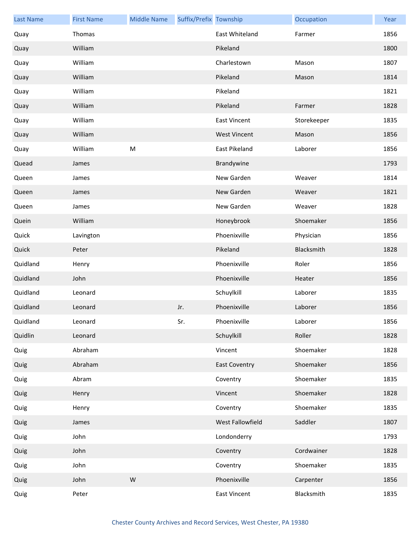| <b>Last Name</b> | <b>First Name</b> | <b>Middle Name</b> | Suffix/Prefix Township |                      | Occupation  | Year |
|------------------|-------------------|--------------------|------------------------|----------------------|-------------|------|
| Quay             | Thomas            |                    |                        | East Whiteland       | Farmer      | 1856 |
| Quay             | William           |                    |                        | Pikeland             |             | 1800 |
| Quay             | William           |                    |                        | Charlestown          | Mason       | 1807 |
| Quay             | William           |                    |                        | Pikeland             | Mason       | 1814 |
| Quay             | William           |                    |                        | Pikeland             |             | 1821 |
| Quay             | William           |                    |                        | Pikeland             | Farmer      | 1828 |
| Quay             | William           |                    |                        | <b>East Vincent</b>  | Storekeeper | 1835 |
| Quay             | William           |                    |                        | <b>West Vincent</b>  | Mason       | 1856 |
| Quay             | William           | ${\sf M}$          |                        | East Pikeland        | Laborer     | 1856 |
| Quead            | James             |                    |                        | Brandywine           |             | 1793 |
| Queen            | James             |                    |                        | New Garden           | Weaver      | 1814 |
| Queen            | James             |                    |                        | New Garden           | Weaver      | 1821 |
| Queen            | James             |                    |                        | New Garden           | Weaver      | 1828 |
| Quein            | William           |                    |                        | Honeybrook           | Shoemaker   | 1856 |
| Quick            | Lavington         |                    |                        | Phoenixville         | Physician   | 1856 |
| Quick            | Peter             |                    |                        | Pikeland             | Blacksmith  | 1828 |
| Quidland         | Henry             |                    |                        | Phoenixville         | Roler       | 1856 |
| Quidland         | John              |                    |                        | Phoenixville         | Heater      | 1856 |
| Quidland         | Leonard           |                    |                        | Schuylkill           | Laborer     | 1835 |
| Quidland         | Leonard           |                    | Jr.                    | Phoenixville         | Laborer     | 1856 |
| Quidland         | Leonard           |                    | Sr.                    | Phoenixville         | Laborer     | 1856 |
| Quidlin          | Leonard           |                    |                        | Schuylkill           | Roller      | 1828 |
| Quig             | Abraham           |                    |                        | Vincent              | Shoemaker   | 1828 |
| Quig             | Abraham           |                    |                        | <b>East Coventry</b> | Shoemaker   | 1856 |
| Quig             | Abram             |                    |                        | Coventry             | Shoemaker   | 1835 |
| Quig             | Henry             |                    |                        | Vincent              | Shoemaker   | 1828 |
| Quig             | Henry             |                    |                        | Coventry             | Shoemaker   | 1835 |
| Quig             | James             |                    |                        | West Fallowfield     | Saddler     | 1807 |
| Quig             | John              |                    |                        | Londonderry          |             | 1793 |
| Quig             | John              |                    |                        | Coventry             | Cordwainer  | 1828 |
| Quig             | John              |                    |                        | Coventry             | Shoemaker   | 1835 |
| Quig             | John              | ${\sf W}$          |                        | Phoenixville         | Carpenter   | 1856 |
| Quig             | Peter             |                    |                        | <b>East Vincent</b>  | Blacksmith  | 1835 |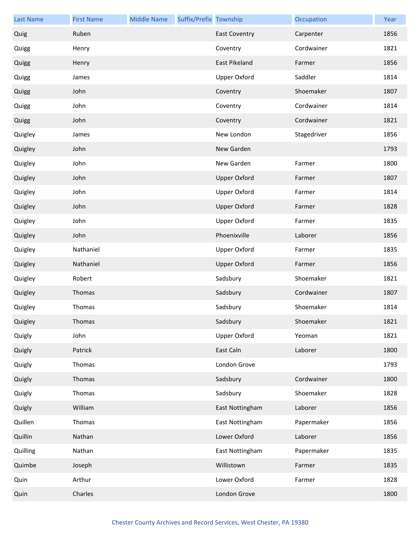| <b>Last Name</b> | <b>First Name</b> | <b>Middle Name</b> | Suffix/Prefix Township |                      | Occupation  | Year |
|------------------|-------------------|--------------------|------------------------|----------------------|-------------|------|
| Quig             | Ruben             |                    |                        | <b>East Coventry</b> | Carpenter   | 1856 |
| Quigg            | Henry             |                    |                        | Coventry             | Cordwainer  | 1821 |
| Quigg            | Henry             |                    |                        | East Pikeland        | Farmer      | 1856 |
| Quigg            | James             |                    |                        | Upper Oxford         | Saddler     | 1814 |
| Quigg            | John              |                    |                        | Coventry             | Shoemaker   | 1807 |
| Quigg            | John              |                    |                        | Coventry             | Cordwainer  | 1814 |
| Quigg            | John              |                    |                        | Coventry             | Cordwainer  | 1821 |
| Quigley          | James             |                    |                        | New London           | Stagedriver | 1856 |
| Quigley          | John              |                    |                        | New Garden           |             | 1793 |
| Quigley          | John              |                    |                        | New Garden           | Farmer      | 1800 |
| Quigley          | John              |                    |                        | <b>Upper Oxford</b>  | Farmer      | 1807 |
| Quigley          | John              |                    |                        | <b>Upper Oxford</b>  | Farmer      | 1814 |
| Quigley          | John              |                    |                        | <b>Upper Oxford</b>  | Farmer      | 1828 |
| Quigley          | John              |                    |                        | <b>Upper Oxford</b>  | Farmer      | 1835 |
| Quigley          | John              |                    |                        | Phoenixville         | Laborer     | 1856 |
| Quigley          | Nathaniel         |                    |                        | <b>Upper Oxford</b>  | Farmer      | 1835 |
| Quigley          | Nathaniel         |                    |                        | <b>Upper Oxford</b>  | Farmer      | 1856 |
| Quigley          | Robert            |                    |                        | Sadsbury             | Shoemaker   | 1821 |
| Quigley          | Thomas            |                    |                        | Sadsbury             | Cordwainer  | 1807 |
| Quigley          | Thomas            |                    |                        | Sadsbury             | Shoemaker   | 1814 |
| Quigley          | Thomas            |                    |                        | Sadsbury             | Shoemaker   | 1821 |
| Quigly           | John              |                    |                        | <b>Upper Oxford</b>  | Yeoman      | 1821 |
| Quigly           | Patrick           |                    |                        | East Caln            | Laborer     | 1800 |
| Quigly           | Thomas            |                    |                        | London Grove         |             | 1793 |
| Quigly           | Thomas            |                    |                        | Sadsbury             | Cordwainer  | 1800 |
| Quigly           | Thomas            |                    |                        | Sadsbury             | Shoemaker   | 1828 |
| Quigly           | William           |                    |                        | East Nottingham      | Laborer     | 1856 |
| Quillen          | Thomas            |                    |                        | East Nottingham      | Papermaker  | 1856 |
| Quillin          | Nathan            |                    |                        | Lower Oxford         | Laborer     | 1856 |
| Quilling         | Nathan            |                    |                        | East Nottingham      | Papermaker  | 1835 |
| Quimbe           | Joseph            |                    |                        | Willistown           | Farmer      | 1835 |
| Quin             | Arthur            |                    |                        | Lower Oxford         | Farmer      | 1828 |
| Quin             | Charles           |                    |                        | London Grove         |             | 1800 |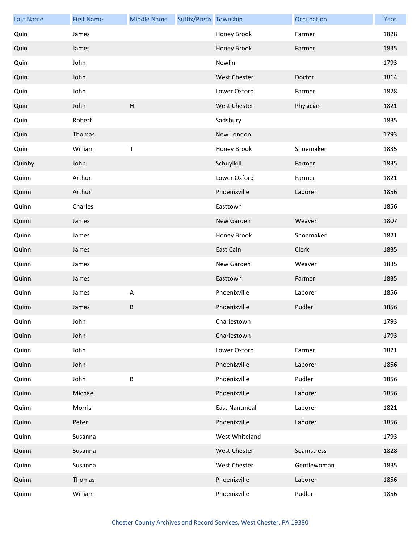| <b>Last Name</b> | <b>First Name</b> | <b>Middle Name</b> | Suffix/Prefix Township |                      | Occupation  | Year |
|------------------|-------------------|--------------------|------------------------|----------------------|-------------|------|
| Quin             | James             |                    |                        | Honey Brook          | Farmer      | 1828 |
| Quin             | James             |                    |                        | Honey Brook          | Farmer      | 1835 |
| Quin             | John              |                    |                        | Newlin               |             | 1793 |
| Quin             | John              |                    |                        | <b>West Chester</b>  | Doctor      | 1814 |
| Quin             | John              |                    |                        | Lower Oxford         | Farmer      | 1828 |
| Quin             | John              | Η.                 |                        | <b>West Chester</b>  | Physician   | 1821 |
| Quin             | Robert            |                    |                        | Sadsbury             |             | 1835 |
| Quin             | Thomas            |                    |                        | New London           |             | 1793 |
| Quin             | William           | $\sf T$            |                        | Honey Brook          | Shoemaker   | 1835 |
| Quinby           | John              |                    |                        | Schuylkill           | Farmer      | 1835 |
| Quinn            | Arthur            |                    |                        | Lower Oxford         | Farmer      | 1821 |
| Quinn            | Arthur            |                    |                        | Phoenixville         | Laborer     | 1856 |
| Quinn            | Charles           |                    |                        | Easttown             |             | 1856 |
| Quinn            | James             |                    |                        | New Garden           | Weaver      | 1807 |
| Quinn            | James             |                    |                        | Honey Brook          | Shoemaker   | 1821 |
| Quinn            | James             |                    |                        | East Caln            | Clerk       | 1835 |
| Quinn            | James             |                    |                        | New Garden           | Weaver      | 1835 |
| Quinn            | James             |                    |                        | Easttown             | Farmer      | 1835 |
| Quinn            | James             | A                  |                        | Phoenixville         | Laborer     | 1856 |
| Quinn            | James             | $\sf B$            |                        | Phoenixville         | Pudler      | 1856 |
| Quinn            | John              |                    |                        | Charlestown          |             | 1793 |
| Quinn            | John              |                    |                        | Charlestown          |             | 1793 |
| Quinn            | John              |                    |                        | Lower Oxford         | Farmer      | 1821 |
| Quinn            | John              |                    |                        | Phoenixville         | Laborer     | 1856 |
| Quinn            | John              | $\sf B$            |                        | Phoenixville         | Pudler      | 1856 |
| Quinn            | Michael           |                    |                        | Phoenixville         | Laborer     | 1856 |
| Quinn            | Morris            |                    |                        | <b>East Nantmeal</b> | Laborer     | 1821 |
| Quinn            | Peter             |                    |                        | Phoenixville         | Laborer     | 1856 |
| Quinn            | Susanna           |                    |                        | West Whiteland       |             | 1793 |
| Quinn            | Susanna           |                    |                        | <b>West Chester</b>  | Seamstress  | 1828 |
| Quinn            | Susanna           |                    |                        | West Chester         | Gentlewoman | 1835 |
| Quinn            | Thomas            |                    |                        | Phoenixville         | Laborer     | 1856 |
| Quinn            | William           |                    |                        | Phoenixville         | Pudler      | 1856 |